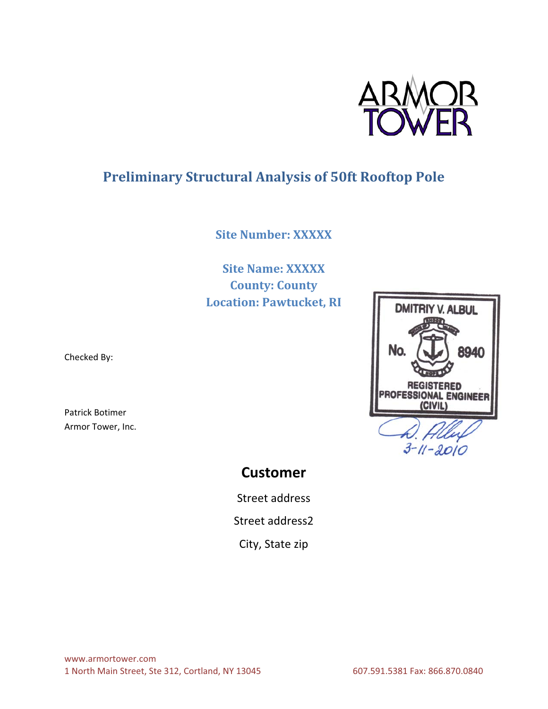

## **Preliminary-Structural-Analysis-of-50ft-Rooftop-Pole-**

**Site Number: XXXXX** 

**Site Name: XXXXX County: County Location: Pawtucket, RI** 

Checked By:

Patrick Botimer Armor Tower, Inc.

# **DMITRIY V. ALBUL** No **REGISTERED PROFESSIONAL ENGINEER** (CIVIL)  $3 - 11 - 2010$

### **Customer-**

Street address

Street address2

City, State zip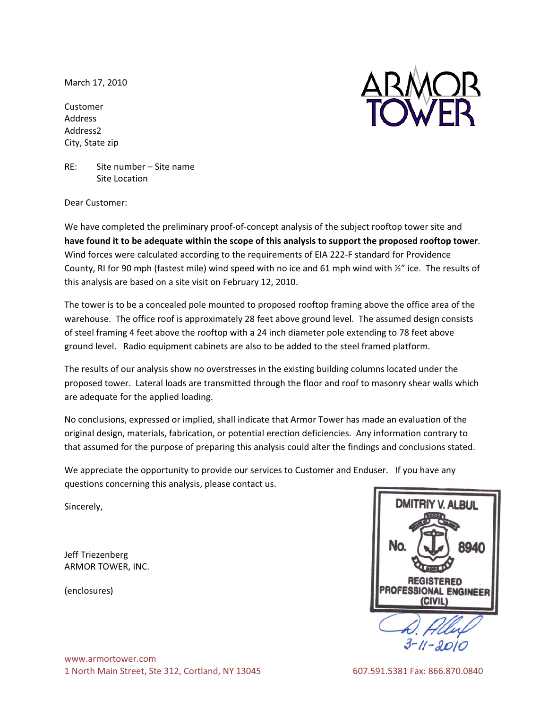March 17, 2010

**Customer Address** Address2-City, State zip



 $RE:$ Site number – Site name Site Location

Dear Customer:

We have completed the preliminary proof-of-concept analysis of the subject rooftop tower site and have found it to be adequate within the scope of this analysis to support the proposed rooftop tower. Wind forces were calculated according to the requirements of EIA 222-F standard for Providence County, RI for 90 mph (fastest mile) wind speed with no ice and 61 mph wind with  $\frac{1}{2}$ " ice. The results of this analysis are based on a site visit on February 12, 2010.

The tower is to be a concealed pole mounted to proposed rooftop framing above the office area of the warehouse. The office roof is approximately 28 feet above ground level. The assumed design consists of steel framing 4 feet above the rooftop with a 24 inch diameter pole extending to 78 feet above ground level. Radio equipment cabinets are also to be added to the steel framed platform.

The results of our analysis show no overstresses in the existing building columns located under the proposed tower. Lateral loads are transmitted through the floor and roof to masonry shear walls which are adequate for the applied loading.

No conclusions, expressed or implied, shall indicate that Armor Tower has made an evaluation of the original design, materials, fabrication, or potential erection deficiencies. Any information contrary to that assumed for the purpose of preparing this analysis could alter the findings and conclusions stated.

We appreciate the opportunity to provide our services to Customer and Enduser. If you have any questions concerning this analysis, please contact us.

Sincerely,

Jeff Triezenberg ARMOR TOWER, INC.

(enclosures)-

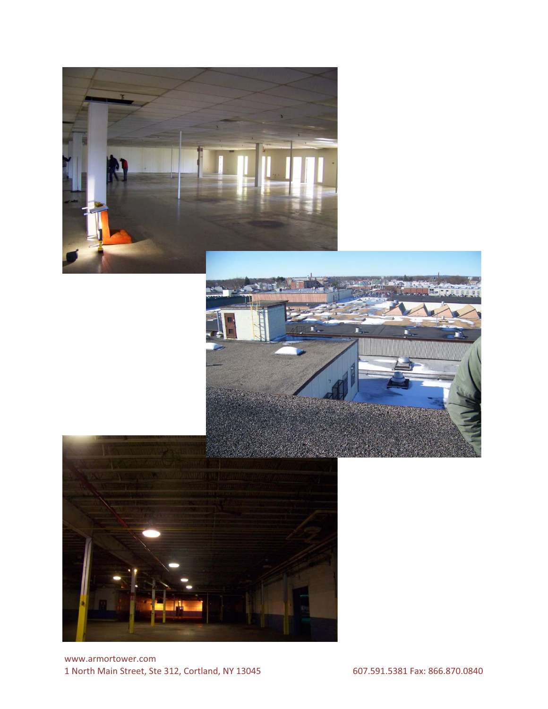

www.armortower.com- 1 North Main Street, Ste 312, Cortland, NY 13045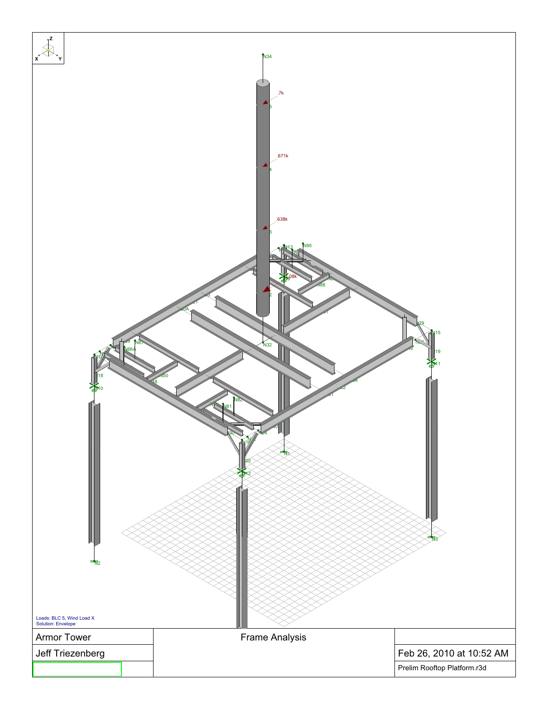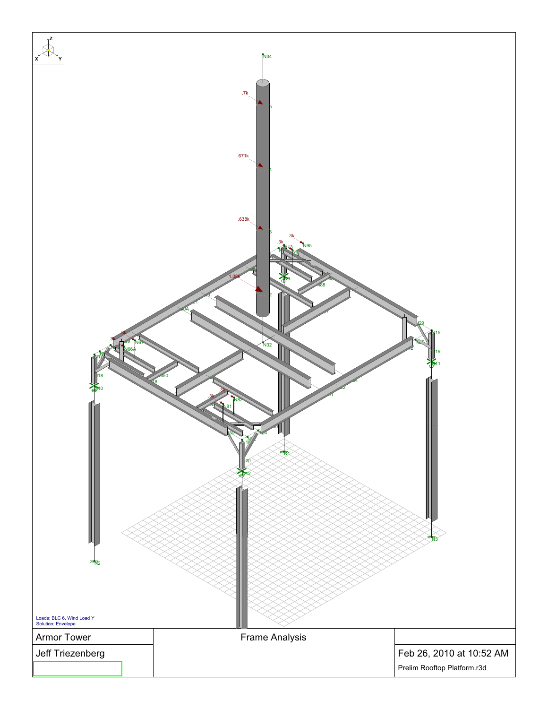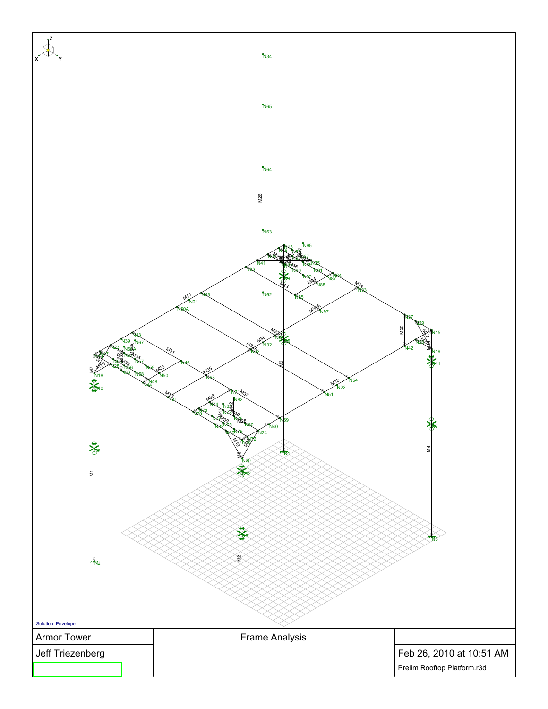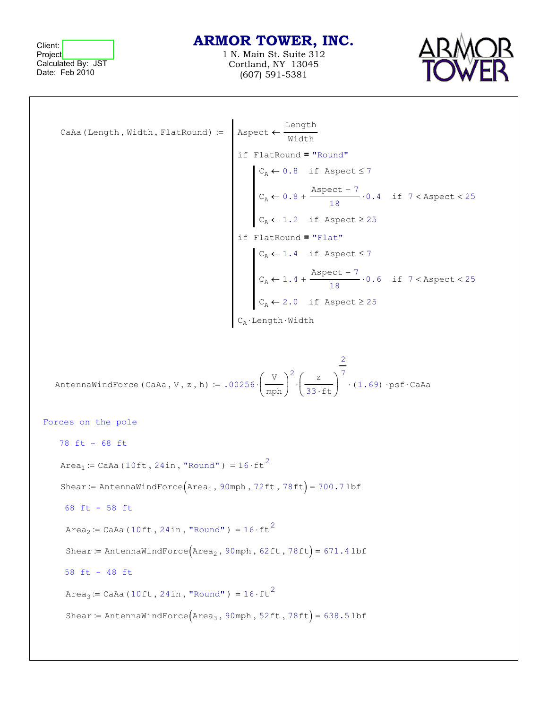| Client: I |                    |
|-----------|--------------------|
| Project   |                    |
|           | Calculated By: JST |
|           | Date: Feb 2010     |

### **ARMOR TOWER, INC.**

1 N. Main St. Suite 312 Cortland, NY 13045 (607) 591-5381



 $\texttt{CaAa}$  (Length, Width, FlatRound) :=  $\vert$  Aspect Length Width  $\leftarrow$  $C_A \leftarrow 0.8$  if Aspect  $\leq 7$  $C_A \leftarrow 0.8$ Aspect  $-7$  $\leftarrow 0.8 + \frac{115 \text{ p} \text{ csc}^2}{18} \cdot 0.4 \quad \text{if } 7 < \text{Aspect} < 25$  $C_A \leftarrow 1.2$  if Aspect  $\geq 25$ if FlatRound **=** "Round"  $C_A \leftarrow 1.4$  if Aspect  $\leq 7$  $C_A \leftarrow 1.4$ Aspect  $-7$  $\leftarrow 1.4 + \frac{115 \text{ pCCC}}{18} \cdot 0.6 \text{ if } 7 < \text{Aspect} < 25$  $C_A \leftarrow 2.0$  if Aspect  $\geq 25$ if FlatRound **=** "Flat"  $C_A \cdot$ Length $\cdot$ Width AntennaWindForce (CaAa, V, z, h) := .00256. $\begin{pmatrix} V \ -v \end{pmatrix}$ mph  $\int$ l  $\left.\rule{0pt}{10pt}\right)$ J  $\left(\frac{V}{V}\right)^2 \left(\frac{Z}{V}\right)$  $33 \cdot ft$  $\int$ l  $\left.\rule{0pt}{10pt}\right)$ J 2 7  $:= .00256 \cdot \left| \frac{1}{\sqrt{2}} \right| \cdot \left| \frac{2}{\sqrt{2}} \right| \cdot (1.69) \cdot \text{psf} \cdot \text{CaAa}$ Forces on the pole 78 ft - 68 ft Area $_1$  := CaAa(10ft,24in,"Round") = 16 $\cdot$ ft $^2$ Shear := AntennaWindForce $\left(\texttt{Area}_1, \texttt{90mph}$  ,  $\texttt{72ft}$  ,  $\texttt{78ft} \right)$  =  $\texttt{700.7lbf}$ 68 ft - 58 ft Area $_2$  := CaAa(10ft,24in,"Round") = 16 $\cdot$ ft $^2$ Shear := AntennaWindForce $\left(\texttt{Area}_{2}, \, \texttt{90mph}$  ,  $\texttt{62ft}$  ,  $\texttt{78ft} \right)$  =  $\texttt{671.4}$  lbf 58 ft - 48 ft Area $_3$  := CaAa(10ft,24in,"Round") = 16 $\cdot$ ft $^2$ Shear := AntennaWindForce $\left($ Area $_3\,,\,$ 90mph  $,\,$  52ft  $,\,$  78ft $\right)$  = 638.5 lbf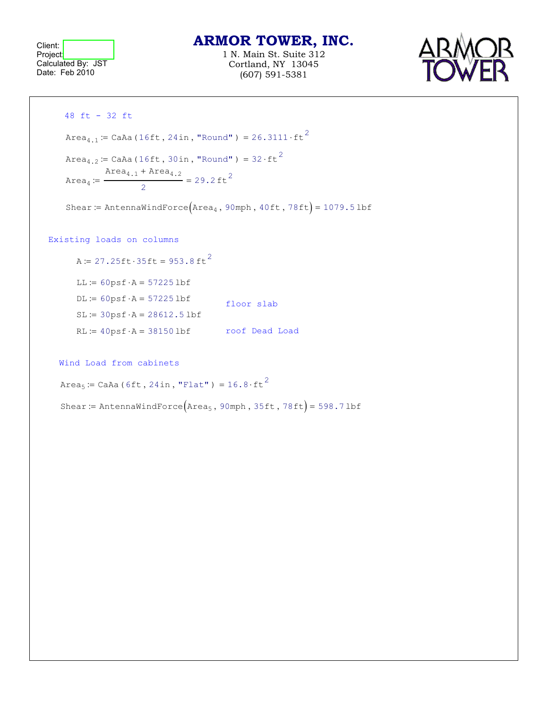### **ARMOR TOWER, INC.**

Client: Project: Calculated By: JST Date: Feb 2010

#### 1 N. Main St. Suite 312 Cortland, NY 13045 (607) 591-5381



```
48 ft - 32 ft
Area_{4.1} := CaAa (16ft, 24in, "Round") = 26.3111 \cdot ft ^2Area_{4.2} := CaAa(16ft,30in,"Round") = 32\cdotft^2Area4
          Area_{4.1} + Area_{4.2}= \frac{2}{2} = 29.2 \text{ ft}^2
```
Shear := AntennaWindForce $\left($ Area $_4\,,\,$ 90mph, 40ft, 78ft $\right)$  = 1079.51bf

Existing loads on columns

 $A = 27.25$ ft  $35$ ft = 953.8 ft<sup>2</sup>  $LL := 60 \text{psf} \cdot A = 57225 \text{ lbf}$  $DL = 60 \text{psf} \cdot A = 57225 \text{ lbf}$  floor slab  $SL = 30psf·A = 28612.5 lbf$  $RL = 40psf \cdot A = 38150 lbf$  roof Dead Load

Wind Load from cabinets

Area<sub>5</sub> := CaAa (6ft, 24in, "Flat") = 16.8 $\cdot$ ft $^2$ 

Shear:= AntennaWindForce $\left(\texttt{Area}_5\,,\,90\text{mph}\,,\,35\text{ft}\,,\,78\text{ft}\right)$  = 598.7 lbf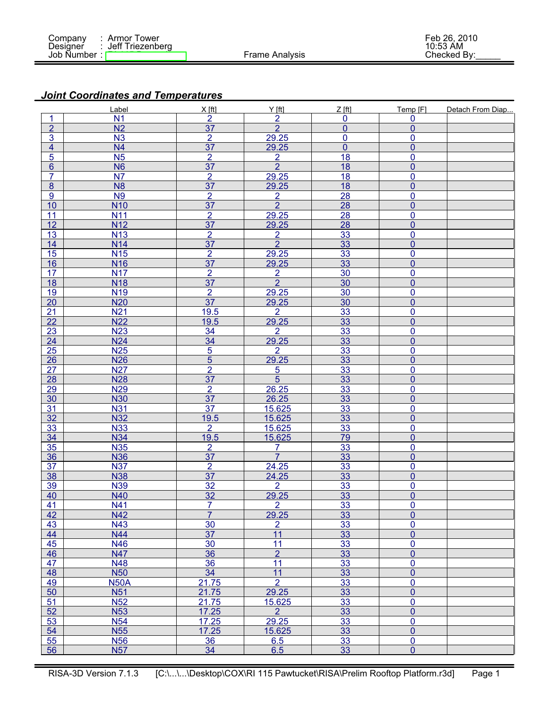| Company        | : Armor Tower      |                       | Feb 26, 2 |
|----------------|--------------------|-----------------------|-----------|
| Designer       | : Jeff Triezenberg |                       | 10:53 AM  |
| Job Ñumber : [ |                    | <b>Frame Analysis</b> | Checked   |

#### *Joint Coordinates and Temperatures*

|                 | Label                    | $X$ [ft]                         | $Y$ [ft]                | Z[ft]           | Temp [F]                         | Detach From Diap |
|-----------------|--------------------------|----------------------------------|-------------------------|-----------------|----------------------------------|------------------|
| 1               | N <sub>1</sub>           | $\overline{2}$                   | $\overline{2}$          | 0               | 0                                |                  |
| $\overline{2}$  | N <sub>2</sub>           | $\overline{37}$                  | $\overline{2}$          | $\overline{0}$  | $\overline{0}$                   |                  |
| $\overline{3}$  | N <sub>3</sub>           | $\overline{2}$                   | 29.25                   | $\overline{0}$  | $\overline{0}$                   |                  |
| $\overline{4}$  | N <sub>4</sub>           | $\overline{37}$                  | 29.25                   | $\overline{0}$  | $\overline{0}$                   |                  |
| $\overline{5}$  | N <sub>5</sub>           | $\overline{2}$                   | $\overline{2}$          | 18              | 0                                |                  |
| $6\overline{6}$ | N <sub>6</sub>           | $\overline{37}$                  | $\overline{2}$          | 18              | $\overline{0}$                   |                  |
| $\overline{7}$  | N7                       | $\overline{2}$                   | 29.25                   | 18              | $\mathbf 0$                      |                  |
| $\overline{8}$  | N <sub>8</sub>           | 37                               | 29.25                   | 18              | 0                                |                  |
| $\overline{9}$  | N <sub>9</sub>           | $\overline{2}$                   | $\frac{2}{2}$           | 28              | $\pmb{0}$                        |                  |
| 10              | N10                      | $\overline{37}$                  |                         | 28              | $\overline{0}$                   |                  |
| 11              | <b>N11</b>               | $\overline{2}$                   | 29.25                   | 28              | $\pmb{0}$                        |                  |
| 12              | <b>N12</b>               | 37                               | 29.25                   | 28              | $\overline{0}$                   |                  |
| 13              | <b>N13</b>               | $\overline{2}$                   | $\frac{2}{2}$           | 33              | $\overline{0}$                   |                  |
| 14              | <b>N14</b>               | $\overline{37}$                  |                         | 33              | $\overline{0}$                   |                  |
| 15              | <b>N15</b>               | $\overline{2}$                   | 29.25                   | 33              | 0                                |                  |
| 16              | <b>N16</b>               | $\overline{37}$                  | 29.25                   | 33              | $\overline{0}$                   |                  |
| 17              | <b>N17</b>               | $\overline{2}$                   | $\overline{2}$          | 30              | $\mathbf 0$                      |                  |
| 18              | <b>N18</b>               | 37                               | $\overline{2}$          | 30              | 0                                |                  |
| 19              | N <sub>19</sub>          | $\overline{2}$                   | 29.25                   | 30              | $\pmb{0}$                        |                  |
| 20              | <b>N20</b>               | $\overline{37}$                  | 29.25                   | 30              | $\overline{0}$                   |                  |
| 21              | <b>N21</b>               | 19.5                             | $\overline{2}$          | 33              | $\pmb{0}$                        |                  |
| 22              | <b>N22</b>               | 19.5                             | 29.25                   | 33              | $\overline{0}$                   |                  |
| 23              | <b>N23</b>               | 34<br>$\overline{34}$            | $\overline{2}$<br>29.25 | 33<br>33        | $\overline{0}$<br>$\overline{0}$ |                  |
| 24              | <b>N24</b>               |                                  | $\overline{2}$          | 33              |                                  |                  |
| 25<br>26        | <b>N25</b><br><b>N26</b> | $\overline{5}$<br>$\overline{5}$ | 29.25                   | 33              | 0<br>$\overline{0}$              |                  |
| 27              | <b>N27</b>               | $\overline{2}$                   |                         | 33              | $\mathbf 0$                      |                  |
| 28              | <b>N28</b>               | 37                               | $\overline{5}$<br>5     | 33              | 0                                |                  |
| 29              | <b>N29</b>               | $\overline{2}$                   | 26.25                   | 33              | 0                                |                  |
| 30              | <b>N30</b>               | $\overline{37}$                  | 26.25                   | 33              | $\overline{0}$                   |                  |
| 31              | <b>N31</b>               | $\overline{37}$                  | 15.625                  | 33              | $\pmb{0}$                        |                  |
| 32              | <b>N32</b>               | 19.5                             | 15.625                  | 33              | $\overline{0}$                   |                  |
| 33              | <b>N33</b>               | $\overline{2}$                   | 15.625                  | 33              | $\overline{0}$                   |                  |
| 34              | <b>N34</b>               | 19.5                             | 15.625                  | 79              | $\overline{0}$                   |                  |
| 35              | <b>N35</b>               | $\overline{2}$                   | 7                       | 33              | 0                                |                  |
| 36              | <b>N36</b>               | $\overline{37}$                  | $\overline{7}$          | 33              | $\overline{0}$                   |                  |
| 37              | <b>N37</b>               | $\overline{2}$                   | 24.25                   | 33              | $\mathbf 0$                      |                  |
| 38              | <b>N38</b>               | 37                               | 24.25                   | 33              | 0                                |                  |
| 39              | <b>N39</b>               | 32                               | $\overline{2}$          | 33              | 0                                |                  |
| 40              | N40                      | $\overline{32}$                  | 29.25                   | 33              | $\overline{0}$                   |                  |
| 41              | N41                      | $\overline{7}$                   | $\overline{2}$          | $\overline{33}$ | $\overline{0}$                   |                  |
| 42              | <b>N42</b>               | $\overline{7}$                   | 29.25                   | 33              | $\overline{0}$                   |                  |
| 43              | N43                      | 30                               | $\overline{2}$          | 33              | $\bf{0}$                         |                  |
| 44              | N44                      | 37                               | 11                      | 33              | 0                                |                  |
| 45              | N46                      | 30                               | 11                      | 33              | 0                                |                  |
| 46              | <b>N47</b>               | 36                               | $\overline{2}$          | 33              | $\overline{0}$                   |                  |
| 47              | N48                      | 36                               | 11                      | 33              | $\mathbf 0$                      |                  |
| 48              | <b>N50</b>               | 34                               | 11                      | 33              | 0                                |                  |
| 49              | <b>N50A</b>              | 21.75                            | $\overline{2}$          | 33              | 0                                |                  |
| 50              | <b>N51</b>               | 21.75                            | 29.25                   | 33              | $\overline{0}$                   |                  |
| 51              | <b>N52</b>               | 21.75                            | 15.625                  | 33              | 0                                |                  |
| 52              | <b>N53</b>               | 17.25                            | $\overline{2}$          | 33              | $\overline{0}$                   |                  |
| 53              | <b>N54</b>               | 17.25                            | 29.25                   | 33              | $\overline{0}$                   |                  |
| 54              | <b>N55</b>               | 17.25                            | 15.625                  | 33              | 0                                |                  |
| 55              | N <sub>56</sub>          | 36                               | 6.5                     | 33              | $\overline{0}$                   |                  |
| 56              | <b>N57</b>               | 34                               | 6.5                     | 33              | $\overline{0}$                   |                  |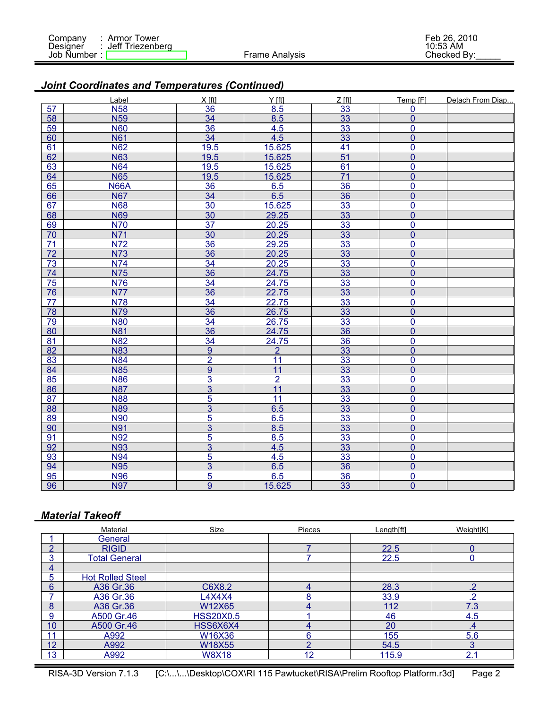| Company    | : Armor Tower    |                       | Feb 26, 2 |
|------------|------------------|-----------------------|-----------|
| Designer   | Jeff Triezenberg |                       | 10:53 AM  |
| Job Ñumber |                  | <b>Frame Analysis</b> | Checked   |

#### *Joint Coordinates and Temperatures (Continued)*

|                 | Label           | $X$ [ft]        | $Y$ [ft]         | $Z$ [ft]        | Temp [F]       | Detach From Diap |
|-----------------|-----------------|-----------------|------------------|-----------------|----------------|------------------|
| 57              | <b>N58</b>      | 36              | 8.5              | 33              | 0              |                  |
| 58              | <b>N59</b>      | 34              | 8.5              | 33              | $\overline{0}$ |                  |
| 59              | <b>N60</b>      | 36              | 4.5              | 33              | $\overline{0}$ |                  |
| 60              | N <sub>61</sub> | $\overline{34}$ | 4.5              | 33              | $\overline{0}$ |                  |
| 61              | <b>N62</b>      | 19.5            | 15.625           | 41              | $\overline{0}$ |                  |
| 62              | <b>N63</b>      | 19.5            | 15.625           | $\overline{51}$ | $\overline{0}$ |                  |
| 63              | <b>N64</b>      | 19.5            | 15.625           | 61              | $\mathbf 0$    |                  |
| 64              | <b>N65</b>      | 19.5            | 15.625           | 71              | $\overline{0}$ |                  |
| 65              | <b>N66A</b>     | 36              | 6.5              | 36              | $\mathbf 0$    |                  |
| 66              | <b>N67</b>      | 34              | 6.5              | 36              | $\overline{0}$ |                  |
| 67              | <b>N68</b>      | $\overline{30}$ | 15.625           | 33              | $\overline{0}$ |                  |
| 68              | <b>N69</b>      | $\overline{30}$ | 29.25            | $\overline{33}$ | $\overline{0}$ |                  |
| 69              | <b>N70</b>      | 37              | 20.25            | 33              | $\overline{0}$ |                  |
| 70              | <b>N71</b>      | 30              | 20.25            | 33              | $\overline{0}$ |                  |
| 71              | N72             | 36              | 29.25            | 33              | $\mathbf 0$    |                  |
| $\overline{72}$ | <b>N73</b>      | $\overline{36}$ | 20.25            | 33              | $\overline{0}$ |                  |
| 73              | N74             | 34              | 20.25            | 33              | $\overline{0}$ |                  |
| 74              | <b>N75</b>      | 36              | 24.75            | 33              | $\overline{0}$ |                  |
| 75              | <b>N76</b>      | 34              | 24.75            | 33              | $\mathbf 0$    |                  |
| 76              | <b>N77</b>      | 36              | 22.75            | 33              | $\mathbf 0$    |                  |
| 77              | <b>N78</b>      | 34              | 22.75            | 33              | $\overline{0}$ |                  |
| 78              | <b>N79</b>      | $\overline{36}$ | 26.75            | 33              | $\overline{0}$ |                  |
| 79              | <b>N80</b>      | 34              | 26.75            | 33              | $\overline{0}$ |                  |
| 80              | <b>N81</b>      | 36              | 24.75            | 36              | $\overline{0}$ |                  |
| 81              | <b>N82</b>      | 34              | 24.75            | 36              | $\mathbf 0$    |                  |
| 82              | <b>N83</b>      | 9               | $\overline{2}$   | 33              | $\overline{0}$ |                  |
| 83              | <b>N84</b>      | $\overline{2}$  | 11               | 33              | $\mathbf 0$    |                  |
| 84              | <b>N85</b>      | 9               | 11               | 33              | $\overline{0}$ |                  |
| 85              | <b>N86</b>      | 3               | $\overline{2}$   | 33              | $\mathbf 0$    |                  |
| 86              | <b>N87</b>      | 3               | 11               | 33              | $\overline{0}$ |                  |
| 87              | <b>N88</b>      | $\overline{5}$  | 11               | 33              | $\mathbf 0$    |                  |
| 88              | <b>N89</b>      | 3               | 6.5              | 33              | $\overline{0}$ |                  |
| 89              | <b>N90</b>      | $\overline{5}$  | 6.5              | 33              | $\mathbf 0$    |                  |
| 90              | <b>N91</b>      | $\overline{3}$  | 8.5              | 33              | $\overline{0}$ |                  |
| 91              | <b>N92</b>      | $\overline{5}$  | 8.5              | 33              | $\mathbf 0$    |                  |
| $\overline{92}$ | <b>N93</b>      | $\overline{3}$  | $\overline{4.5}$ | $\overline{33}$ | $\overline{0}$ |                  |
| 93              | <b>N94</b>      | $\overline{5}$  | 4.5              | 33              | $\overline{0}$ |                  |
| 94              | <b>N95</b>      | 3               | 6.5              | 36              | $\overline{0}$ |                  |
| 95              | <b>N96</b>      | 5               | 6.5              | 36              | $\overline{0}$ |                  |
| 96              | <b>N97</b>      | 9               | 15.625           | 33              | $\mathbf{0}$   |                  |

#### *Material Takeoff*

|    | Material                | Size             | Pieces | Length[ft] | Weight[K] |
|----|-------------------------|------------------|--------|------------|-----------|
|    | General                 |                  |        |            |           |
| ⌒  | <b>RIGID</b>            |                  |        | 22.5       |           |
| 3  | <b>Total General</b>    |                  |        | 22.5       |           |
| 4  |                         |                  |        |            |           |
| 5  | <b>Hot Rolled Steel</b> |                  |        |            |           |
| 6  | A36 Gr.36               | C6X8.2           |        | 28.3       | റ         |
|    | A36 Gr.36               | L4X4X4           | 8      | 33.9       | $\sim$    |
| 8  | A36 Gr.36               | W12X65           |        | 112        | 7.3       |
| 9  | A500 Gr.46              | <b>HSS20X0.5</b> |        | 46         | 4.5       |
| 10 | A500 Gr.46              | HSS6X6X4         |        | 20         | .4        |
| 11 | A992                    | W16X36           | 6      | 155        | 5.6       |
| 12 | A992                    | W18X55           | റ      | 54.5       | 3         |
| 13 | A992                    | <b>W8X18</b>     | 12     | 115.9      | 2.1       |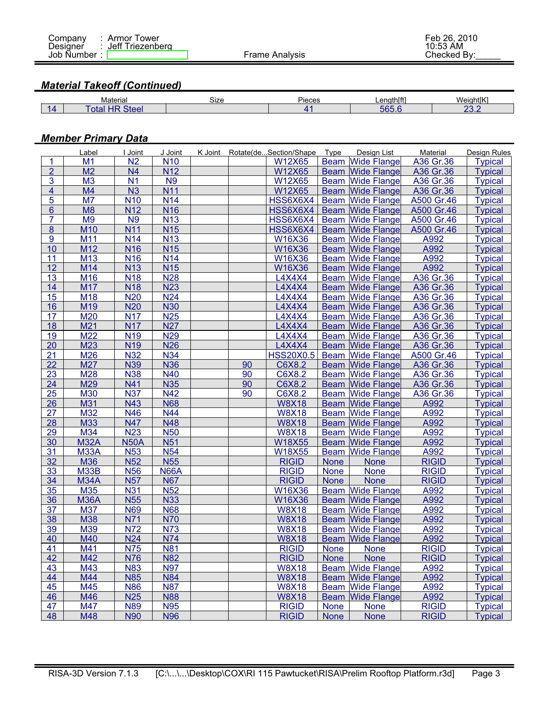| Company        | : Armor Tower :    |                       | Feb 26, 2 |
|----------------|--------------------|-----------------------|-----------|
| Designer       | : Jeff Triezenberg |                       | 10:53 AM  |
| Job Number : . |                    | <b>Frame Analysis</b> | Checked   |

#### *Material Takeoff (Continued)*

|                         | Materia   | Size | عمصمته<br>סטסט | .enath[ft]       | 1.51.43<br>$\cdot$ .<br>WeightlK |
|-------------------------|-----------|------|----------------|------------------|----------------------------------|
| $\overline{\mathbf{A}}$ | ota<br>ഹ' |      |                | $T = T$<br>565.t | $\sim$ $\sim$<br>LU.L            |

#### *Member Primary Data*

|                | Label          | I Joint         | J Joint         |    | K Joint Rotate(deSection/Shape  | <b>Type</b> | Design List             | <b>Material</b>       | Design Rules   |
|----------------|----------------|-----------------|-----------------|----|---------------------------------|-------------|-------------------------|-----------------------|----------------|
| 1              | M1             | N <sub>2</sub>  | <b>N10</b>      |    | W <sub>12</sub> X <sub>65</sub> |             | Beam Wide Flange        | A36 Gr.36             | <b>Typical</b> |
| $\overline{2}$ | M <sub>2</sub> | N <sub>4</sub>  | <b>N12</b>      |    | W12X65                          |             | Beam Wide Flange        | A36 Gr.36             | <b>Typical</b> |
| 3              | M <sub>3</sub> | N <sub>1</sub>  | <b>N9</b>       |    | W12X65                          |             | Beam Wide Flange        | A36 Gr.36             | <b>Typical</b> |
| $\overline{4}$ | M4             | N <sub>3</sub>  | <b>N11</b>      |    | <b>W12X65</b>                   |             | <b>Beam Wide Flange</b> | A36 Gr.36             | <b>Typical</b> |
| $\overline{5}$ | M <sub>7</sub> | <b>N10</b>      | N <sub>14</sub> |    | HSS6X6X4                        |             | <b>Beam Wide Flange</b> | A500 Gr.46            | <b>Typical</b> |
| $6\phantom{a}$ | M <sub>8</sub> | <b>N12</b>      | <b>N16</b>      |    | <b>HSS6X6X4</b>                 |             | Beam Wide Flange        | A500 Gr.46            | <b>Typical</b> |
| $\overline{7}$ | M <sub>9</sub> | <b>N9</b>       | <b>N13</b>      |    | <b>HSS6X6X4</b>                 |             | <b>Beam Wide Flange</b> | A500 Gr.46            | <b>Typical</b> |
| 8              | M10            | <b>N11</b>      | <b>N15</b>      |    | <b>HSS6X6X4</b>                 |             | Beam Wide Flange        | A500 Gr.46            | <b>Typical</b> |
| 9              | M11            | <b>N14</b>      | N <sub>13</sub> |    | W16X36                          |             | Beam Wide Flange        | A992                  | <b>Typical</b> |
| 10             | M12            | <b>N16</b>      | <b>N15</b>      |    | W16X36                          | <b>Beam</b> | <b>Wide Flange</b>      | A992                  | <b>Typical</b> |
| 11             | M13            | N <sub>16</sub> | N <sub>14</sub> |    | W16X36                          |             | Beam Wide Flange        | A992                  | <b>Typical</b> |
| 12             | M14            | <b>N13</b>      | <b>N15</b>      |    | W16X36                          |             | Beam Wide Flange        | A992                  | <b>Typical</b> |
| 13             | M16            | <b>N18</b>      | <b>N28</b>      |    | L4X4X4                          |             | <b>Beam Wide Flange</b> | A36 Gr.36             | <b>Typical</b> |
| 14             | M17            | <b>N18</b>      | <b>N23</b>      |    | L4X4X4                          |             | <b>Beam Wide Flange</b> | A36 Gr.36             | <b>Typical</b> |
| 15             | M18            | N <sub>20</sub> | N <sub>24</sub> |    | L4X4X4                          |             | <b>Beam Wide Flange</b> | A36 Gr.36             | <b>Typical</b> |
| 16             | M19            | <b>N20</b>      | <b>N30</b>      |    | L4X4X4                          |             | Beam Wide Flange        | A36 Gr.36             | <b>Typical</b> |
| 17             | M20            | <b>N17</b>      | <b>N25</b>      |    | L4X4X4                          |             | Beam Wide Flange        | A36 Gr.36             | <b>Typical</b> |
| 18             | M21            | <b>N17</b>      | <b>N27</b>      |    | L4X4X4                          |             | Beam Wide Flange        | A36 Gr.36             | <b>Typical</b> |
| 19             | M22            | N <sub>19</sub> | N <sub>29</sub> |    | L4X4X4                          |             | Beam Wide Flange        | A36 Gr.36             | <b>Typical</b> |
| 20             | M23            | N <sub>19</sub> | N <sub>26</sub> |    | L4X4X4                          |             | <b>Beam Wide Flange</b> | A36 Gr.36             | <b>Typical</b> |
| 21             | M26            | <b>N32</b>      | <b>N34</b>      |    | <b>HSS20X0.5</b>                |             | Beam Wide Flange        | A500 Gr.46            | <b>Typical</b> |
| 22             | M27            | <b>N39</b>      | <b>N36</b>      | 90 | C6X8.2                          |             | Beam Wide Flange        | A36 Gr.36             | <b>Typical</b> |
| 23             | M28            | N38             | N40             | 90 | C6X8.2                          |             | Beam Wide Flange        | A <sub>36</sub> Gr.36 | <b>Typical</b> |
| 24             | M29            | N41             | <b>N35</b>      | 90 | C6X8.2                          |             | <b>Beam Wide Flange</b> | A36 Gr.36             | <b>Typical</b> |
| 25             | M30            | <b>N37</b>      | N42             | 90 | C6X8.2                          |             | <b>Beam Wide Flange</b> | A36 Gr.36             | <b>Typical</b> |
| 26             | M31            | N43             | <b>N68</b>      |    | <b>W8X18</b>                    |             | Beam Wide Flange        | A992                  | <b>Typical</b> |
| 27             | M32            | N46             | N44             |    | <b>W8X18</b>                    |             | Beam Wide Flange        | A992                  | <b>Typical</b> |
| 28             | M33            | <b>N47</b>      | <b>N48</b>      |    | <b>W8X18</b>                    |             | Beam Wide Flange        | A992                  | <b>Typical</b> |
| 29             | M34            | <b>N23</b>      | <b>N50</b>      |    | <b>W8X18</b>                    |             | Beam Wide Flange        | A992                  | <b>Typical</b> |
| 30             | <b>M32A</b>    | <b>N50A</b>     | <b>N51</b>      |    | W18X55                          | <b>Beam</b> | <b>Wide Flange</b>      | A992                  | <b>Typical</b> |
| 31             | <b>M33A</b>    | <b>N53</b>      | <b>N54</b>      |    | W18X55                          |             | <b>Beam Wide Flange</b> | A992                  | <b>Typical</b> |
| 32             | M36            | <b>N52</b>      | <b>N55</b>      |    | <b>RIGID</b>                    | <b>None</b> | <b>None</b>             | <b>RIGID</b>          | <b>Typical</b> |
| 33             | <b>M33B</b>    | N <sub>56</sub> | <b>N66A</b>     |    | <b>RIGID</b>                    | <b>None</b> | <b>None</b>             | <b>RIGID</b>          | <b>Typical</b> |
| 34             | <b>M34A</b>    | <b>N57</b>      | <b>N67</b>      |    | <b>RIGID</b>                    | None        | <b>None</b>             | <b>RIGID</b>          | <b>Typical</b> |
| 35             | M35            | <b>N31</b>      | <b>N52</b>      |    | W16X36                          |             | <b>Beam Wide Flange</b> | A992                  | <b>Typical</b> |
| 36             | <b>M36A</b>    | <b>N55</b>      | <b>N33</b>      |    | W16X36                          |             | Beam Wide Flange        | A992                  | <b>Typical</b> |
| 37             | M37            | <b>N69</b>      | <b>N68</b>      |    | <b>W8X18</b>                    |             | Beam Wide Flange        | A992                  | <b>Typical</b> |
| 38             | <b>M38</b>     | <b>N71</b>      | N70             |    | <b>W8X18</b>                    |             | Beam Wide Flange        | A992                  | <b>Typical</b> |
| 39             | M39            | <b>N72</b>      | <b>N73</b>      |    | <b>W8X18</b>                    |             | Beam Wide Flange        | A992                  | <b>Typical</b> |
| 40             | M40            | <b>N24</b>      | <b>N74</b>      |    | <b>W8X18</b>                    |             | <b>Beam Wide Flange</b> | A992                  | <b>Typical</b> |
| 41             | M41            | N75             | <b>N81</b>      |    | <b>RIGID</b>                    |             | None None               | <b>RIGID</b>          | <b>Typical</b> |
| 42             | M42            | <b>N76</b>      | <b>N82</b>      |    | <b>RIGID</b>                    | <b>None</b> | <b>None</b>             | <b>RIGID</b>          | <b>Typical</b> |
| 43             | M43            | <b>N83</b>      | <b>N97</b>      |    | <b>W8X18</b>                    |             | <b>Beam Wide Flange</b> | A992                  | <b>Typical</b> |
| 44             | M44            | <b>N85</b>      | <b>N84</b>      |    | <b>W8X18</b>                    |             | <b>Beam Wide Flange</b> | A992                  | <b>Typical</b> |
| 45             | M45            | N <sub>86</sub> | <b>N87</b>      |    | <b>W8X18</b>                    |             | Beam Wide Flange        | A992                  | <b>Typical</b> |
| 46             | M46            | <b>N25</b>      | <b>N88</b>      |    | <b>W8X18</b>                    |             | Beam Wide Flange        | A992                  | <b>Typical</b> |
| 47             | M47            | <b>N89</b>      | <b>N95</b>      |    | <b>RIGID</b>                    | <b>None</b> | <b>None</b>             | <b>RIGID</b>          | <b>Typical</b> |
| 48             | M48            | N90             | <b>N96</b>      |    | <b>RIGID</b>                    | <b>None</b> | <b>None</b>             | <b>RIGID</b>          | <b>Typical</b> |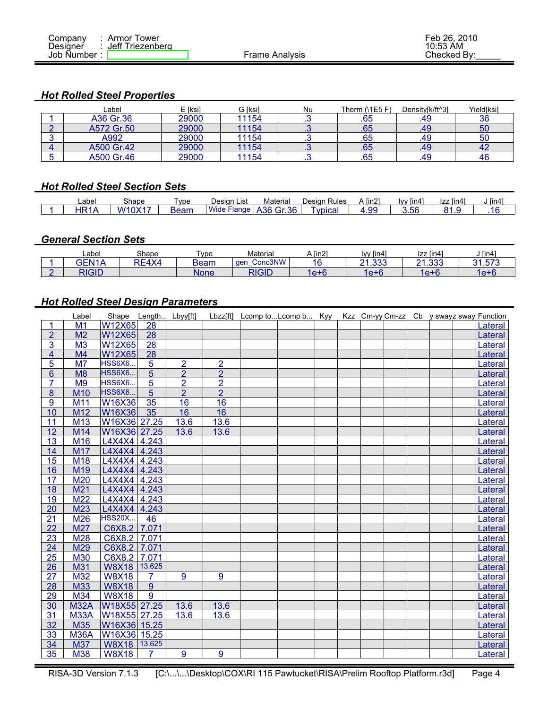| Company     | : Armor Tower      |                       | Feb 26, 2 |
|-------------|--------------------|-----------------------|-----------|
| Designer    | : Jeff Triezenberg |                       | 10:53 AM  |
| Job Number: |                    | <b>Frame Analysis</b> | Checked   |

#### *Hot Rolled Steel Properties*

| Label      | E [ksi] | G [ksi] | Nu  | Therm $(\{1E5 F\})$ | Density[k/ft^3] | Yield[ksi] |
|------------|---------|---------|-----|---------------------|-----------------|------------|
| A36 Gr.36  | 29000   | 11154   | w   | .65                 | .49             | 36         |
| A572 Gr.50 | 29000   | 11154   |     | .65                 | .49             | 50         |
| A992       | 29000   | 11154   |     | .65                 |                 | 50         |
| A500 Gr.42 | 29000   | 11154   | . ب | .65                 | .49             | 42         |
| A500 Gr.46 | 29000   | 11154   |     | .65                 | .49             | 46         |

#### *Hot Rolled Steel Section Sets*

| Labe | Shape         | vpe  | <b>Desian</b><br>List | Material  | Desian i<br>Rules | √lin2,<br>,, | Ivy lin4 | lin4<br>Izz | $\int$ lin4 |
|------|---------------|------|-----------------------|-----------|-------------------|--------------|----------|-------------|-------------|
| HR 1 | <b>M10X17</b> | Beam | Wide<br><b>Flange</b> | A36 Gr.36 | <b>VDICA</b>      | .99          | 3.56     | $\cdots$    | י           |

#### *General Section Sets*

|   | ∟abel                          | Shape | vpe         | Material       | $\sqrt{1}$ in 2 <sup>1</sup> | Ivy lin4           | lin4<br>ے ا         | $J$ $\text{lin4}^{\cdot}$ |
|---|--------------------------------|-------|-------------|----------------|------------------------------|--------------------|---------------------|---------------------------|
|   | <b>AFN1A</b><br>$\blacksquare$ | RFAYA | Beam        | Conc3NW<br>aer | 16                           | ാററ<br>ົ<br>၊ .၁၁၁ | ാററ<br>ົ<br>500.1 م | EZO<br>ີ<br>ں ، ں .       |
| - | RIGID                          |       | <b>None</b> | RIGID          | $1e+6$                       | $1e+6$             | $1e+6$              | $1\alpha + 6$<br>י סי     |

#### *Hot Rolled Steel Design Parameters*

|                  | Label           |                |                | Shape Length Lbyy[ft] |                |  |  |  | Lbzz[ft] Lcomp toLcomp b Kyy Kzz Cm-yy Cm-zz Cb y swayz sway Function |
|------------------|-----------------|----------------|----------------|-----------------------|----------------|--|--|--|-----------------------------------------------------------------------|
| 1                | M <sub>1</sub>  | W12X65         | 28             |                       |                |  |  |  | Lateral                                                               |
| $\overline{2}$   | M <sub>2</sub>  | W12X65         | 28             |                       |                |  |  |  | Lateral                                                               |
| 3                | M <sub>3</sub>  | W12X65         | 28             |                       |                |  |  |  | Lateral                                                               |
| $\overline{4}$   | M <sub>4</sub>  | <b>W12X65</b>  | 28             |                       |                |  |  |  | Lateral                                                               |
| 5                | M7              | <b>HSS6X6</b>  | 5              | 2                     | $\overline{2}$ |  |  |  | Lateral                                                               |
| $6\phantom{1}$   | M8              | HSS6X6         | 5              | $\overline{2}$        | $\overline{2}$ |  |  |  | Lateral                                                               |
| 7                | M <sub>9</sub>  | <b>HSS6X6</b>  | 5              | 2                     | 2              |  |  |  | Lateral                                                               |
| $\boldsymbol{8}$ | M <sub>10</sub> | HSS6X6         | 5              | $\overline{2}$        | $\overline{2}$ |  |  |  | Lateral                                                               |
| $9\,$            | M <sub>11</sub> | W16X36         | 35             | 16                    | 16             |  |  |  | Lateral                                                               |
| 10               | M12             | W16X36         | 35             | 16                    | 16             |  |  |  | Lateral                                                               |
| 11               | M13             | W16X36 27.25   |                | 13.6                  | 13.6           |  |  |  | Lateral                                                               |
| 12               | M14             | W16X36 27.25   |                | 13.6                  | 13.6           |  |  |  | Lateral                                                               |
| 13               | M16             | $L4X4X4$ 4.243 |                |                       |                |  |  |  | Lateral                                                               |
| 14               | M17             | $L4X4X4$ 4.243 |                |                       |                |  |  |  | Lateral                                                               |
| 15               | M <sub>18</sub> | $L4X4X4$ 4.243 |                |                       |                |  |  |  | Lateral                                                               |
| 16               | M19             | $L4X4X4$ 4.243 |                |                       |                |  |  |  | Lateral                                                               |
| 17               | M20             | $L4X4X4$ 4.243 |                |                       |                |  |  |  | Lateral                                                               |
| 18               | M21             | $L4X4X4$ 4.243 |                |                       |                |  |  |  | Lateral                                                               |
| 19               | M22             | $L4X4X4$ 4.243 |                |                       |                |  |  |  | Lateral                                                               |
| 20               | M23             | L4X4X4 4.243   |                |                       |                |  |  |  | Lateral                                                               |
| 21               | M26             | <b>HSS20X</b>  | 46             |                       |                |  |  |  | Lateral                                                               |
| 22               | M27             | C6X8.2         | 7.071          |                       |                |  |  |  | Lateral                                                               |
| 23               | M28             | C6X8.2 7.071   |                |                       |                |  |  |  | Lateral                                                               |
| 24               | M29             | C6X8.2 7.071   |                |                       |                |  |  |  | Lateral                                                               |
| 25               | M30             | C6X8.2         | 7.071          |                       |                |  |  |  | Lateral                                                               |
| 26               | M31             | <b>W8X18</b>   | 13.625         |                       |                |  |  |  | Lateral                                                               |
| 27               | M32             | <b>W8X18</b>   | $\overline{7}$ | 9                     | 9              |  |  |  | Lateral                                                               |
| 28               | M33             | <b>W8X18</b>   | 9              |                       |                |  |  |  | Lateral                                                               |
| 29               | M34             | <b>W8X18</b>   | 9              |                       |                |  |  |  | Lateral                                                               |
| 30               | <b>M32A</b>     | W18X55 27.25   |                | 13.6                  | 13.6           |  |  |  | Lateral                                                               |
| 31               | <b>M33A</b>     | W18X55 27.25   |                | 13.6                  | 13.6           |  |  |  | Lateral                                                               |
| 32               | M35             | W16X36 15.25   |                |                       |                |  |  |  | Lateral                                                               |
| 33               | <b>M36A</b>     | W16X36 15.25   |                |                       |                |  |  |  | Lateral                                                               |
| 34               | <b>M37</b>      | W8X18   13.625 |                |                       |                |  |  |  | Lateral                                                               |
| 35               | M38             | <b>W8X18</b>   | 7              | 9                     | 9              |  |  |  | Lateral                                                               |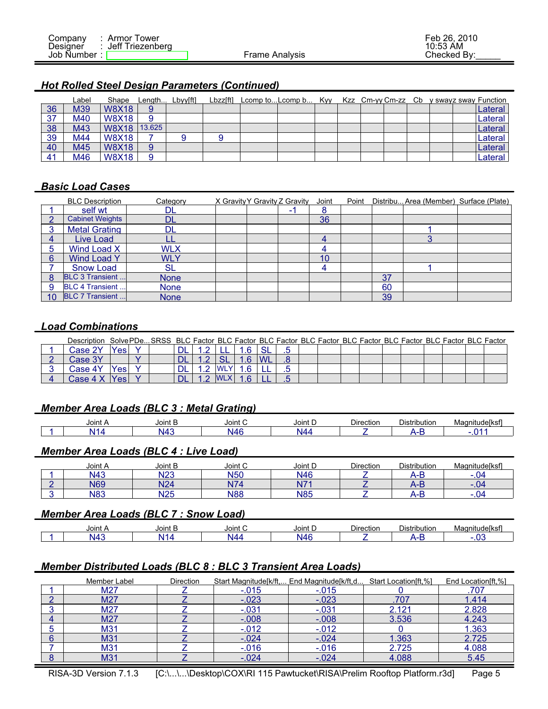#### *Hot Rolled Steel Design Parameters (Continued)*

|    | Label | Shape        |        | Length Lbyy[ft] | Lbzziftl | Leomp toLeomp b Kyy Kzz $\mathsf{Cm}\text{-}\mathsf{vy}\mathsf{Cm}\text{-}\mathsf{zz}$ Cb y swayz sway Function |  |  |  |         |
|----|-------|--------------|--------|-----------------|----------|-----------------------------------------------------------------------------------------------------------------|--|--|--|---------|
| 36 | M39   | <b>W8X18</b> |        |                 |          |                                                                                                                 |  |  |  | Lateral |
| 37 | M40   | <b>W8X18</b> |        |                 |          |                                                                                                                 |  |  |  | Lateral |
| 38 | M43   | <b>W8X18</b> | 13.625 |                 |          |                                                                                                                 |  |  |  | Lateral |
| 39 | M44   | <b>W8X18</b> |        |                 |          |                                                                                                                 |  |  |  | Lateral |
| 40 | M45   | <b>W8X18</b> |        |                 |          |                                                                                                                 |  |  |  | Lateral |
| 41 | M46   | <b>W8X18</b> |        |                 |          |                                                                                                                 |  |  |  | Lateral |

#### *Basic Load Cases*

|    | <b>BLC Description</b>  | Category    | X Gravity Y Gravity Z Gravity |   | Joint | Point |    | Distribu Area (Member) Surface (Plate) |  |
|----|-------------------------|-------------|-------------------------------|---|-------|-------|----|----------------------------------------|--|
|    | self wt                 | DL          |                               | ۰ |       |       |    |                                        |  |
|    | <b>Cabinet Weights</b>  | DL          |                               |   | 36    |       |    |                                        |  |
|    | <b>Metal Grating</b>    | DL          |                               |   |       |       |    |                                        |  |
|    | Live Load               |             |                               |   |       |       |    |                                        |  |
| 5  | <b>Wind Load X</b>      | <b>WLX</b>  |                               |   |       |       |    |                                        |  |
| 6  | <b>Wind Load Y</b>      | <b>WLY</b>  |                               |   | 10    |       |    |                                        |  |
|    | <b>Snow Load</b>        | SL          |                               |   |       |       |    |                                        |  |
| 8  | <b>BLC 3 Transient </b> | <b>None</b> |                               |   |       |       | 37 |                                        |  |
| 9  | <b>BLC 4 Transient</b>  | <b>None</b> |                               |   |       |       | 60 |                                        |  |
| 10 | <b>BLC 7 Transient </b> | <b>None</b> |                               |   |       |       | 39 |                                        |  |

#### *Load Combinations*

| Description SolvePDeSRSS BLC Factor BLC Factor BLC Factor BLC Factor BLC Factor BLC Factor BLC Factor BLC Factor |            |  |  |            |  |  |  |  |  |  |  |
|------------------------------------------------------------------------------------------------------------------|------------|--|--|------------|--|--|--|--|--|--|--|
| Case 2Y                                                                                                          | Yesl       |  |  |            |  |  |  |  |  |  |  |
| Case 3Y                                                                                                          |            |  |  |            |  |  |  |  |  |  |  |
| Case 4Y                                                                                                          | Yesl       |  |  |            |  |  |  |  |  |  |  |
| Case 4                                                                                                           | <b>Vac</b> |  |  | <b>MIX</b> |  |  |  |  |  |  |  |

#### *Member Area Loads (BLC 3 : Metal Grating)*

| $\cdot$<br>Joint | Joint E   | ۱٬۰۱۳<br>JUIII         | Joint | Directior | --<br>Distribution | <b>Magnitudelkst</b> |
|------------------|-----------|------------------------|-------|-----------|--------------------|----------------------|
| n i              | .<br>IN 4 | .<br>AIZ.<br><b>TV</b> |       |           |                    | . .                  |

#### *Member Area Loads (BLC 4 : Live Load)*

| Joint A    | Joint B         | Joint C | Joint D    | Direction | Distribution | Magnitude[ksf] |
|------------|-----------------|---------|------------|-----------|--------------|----------------|
| N43        | N23             | N50     | N46        |           | A-B          | -.04           |
| <b>N69</b> | N24             | N74     | <b>N71</b> |           | ——           | $-.04$         |
| <b>N83</b> | N <sub>25</sub> | N88     | N85        |           |              |                |

#### *Member Area Loads (BLC 7 : Snow Load)*

| Joint | ∴l∩" | . ان | Joir<br>ււ | люг | <br>1.0.01<br>טוויי. | IM.    |
|-------|------|------|------------|-----|----------------------|--------|
| -NL   |      | w    |            |     |                      | $\sim$ |

#### *Member Distributed Loads (BLC 8 : BLC 3 Transient Area Loads)*

|         | Member Label | <b>Direction</b> |         | Start Magnitude [k/ft, End Magnitude [k/ft,d Start Location [ft,%] |       | End Location[ft,%] |
|---------|--------------|------------------|---------|--------------------------------------------------------------------|-------|--------------------|
|         | M27          |                  | $-.015$ | $-.015$                                                            |       | .707               |
|         | M27          |                  | $-.023$ | $-.023$                                                            | .707  | 1.414              |
|         | M27          |                  | $-.031$ | $-.031$                                                            | 2.121 | 2.828              |
|         | M27          |                  | $-.008$ | $-0.008$                                                           | 3.536 | 4.243              |
|         | M31          |                  | $-.012$ | $-.012$                                                            |       | 1.363              |
| 6       | M31          |                  | $-.024$ | $-.024$                                                            | 1.363 | 2.725              |
|         | M31          |                  | $-.016$ | $-.016$                                                            | 2.725 | 4.088              |
| $\circ$ | M31          |                  | $-.024$ | $-.024$                                                            | 4.088 | 5.45               |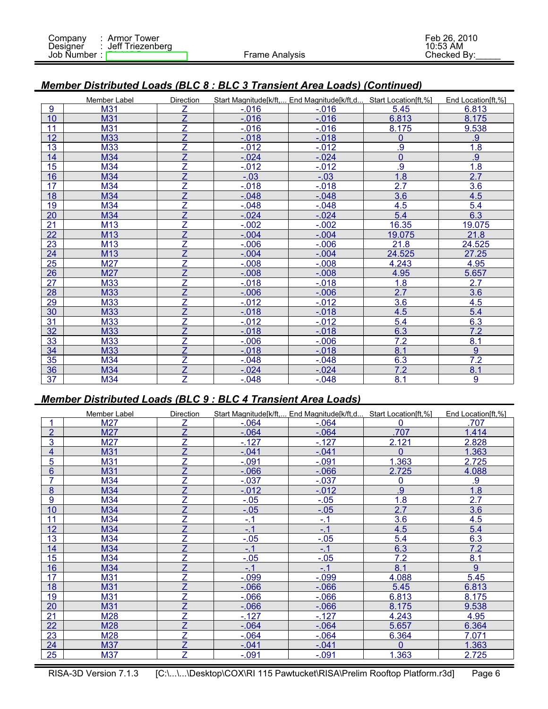#### *Member Distributed Loads (BLC 8 : BLC 3 Transient Area Loads) (Continued)*

|    | Member Label    | <b>Direction</b>        |          | Start Magnitude [k/ft End Magnitude [k/ft.d Start Location [ft.%] |                | End Location[ft,%] |
|----|-----------------|-------------------------|----------|-------------------------------------------------------------------|----------------|--------------------|
| 9  | M31             | Z                       | $-0.016$ | $-0.016$                                                          | 5.45           | 6.813              |
| 10 | M31             | Z                       | $-.016$  | $-0.016$                                                          | 6.813          | 8.175              |
| 11 | M31             | Z                       | $-.016$  | $-0.016$                                                          | 8.175          | 9.538              |
| 12 | M33             | Z                       | $-.018$  | $-.018$                                                           | $\Omega$       | .9                 |
| 13 | M33             | Z                       | $-.012$  | $-0.012$                                                          | .9             | 1.8                |
| 14 | M34             | $\overline{Z}$          | $-.024$  | $-.024$                                                           | $\overline{0}$ | .9                 |
| 15 | M34             | $\overline{\mathsf{z}}$ | $-.012$  | $-0.012$                                                          | .9             | 1.8                |
| 16 | M34             | Z                       | $-.03$   | $-.03$                                                            | 1.8            | 2.7                |
| 17 | M34             | Z                       | $-0.018$ | $-0.018$                                                          | 2.7            | 3.6                |
| 18 | M34             | Z                       | $-.048$  | $-.048$                                                           | 3.6            | 4.5                |
| 19 | M34             | Ż                       | $-.048$  | $-.048$                                                           | 4.5            | 5.4                |
| 20 | M34             | Z                       | $-.024$  | $-.024$                                                           | 5.4            | 6.3                |
| 21 | M <sub>13</sub> | Ż                       | $-.002$  | $-0.002$                                                          | 16.35          | 19.075             |
| 22 | M13             | Z                       | $-.004$  | $-.004$                                                           | 19.075         | 21.8               |
| 23 | M13             | Z                       | $-0.006$ | $-0.06$                                                           | 21.8           | 24.525             |
| 24 | M13             | Z                       | $-.004$  | $-.004$                                                           | 24.525         | 27.25              |
| 25 | M27             | Z                       | $-0.008$ | $-0.008$                                                          | 4.243          | 4.95               |
| 26 | M27             | Z                       | $-0.008$ | $-0.08$                                                           | 4.95           | 5.657              |
| 27 | M33             | $\overline{Z}$          | $-.018$  | $-0.018$                                                          | 1.8            | 2.7                |
| 28 | M33             | $\overline{Z}$          | $-0.006$ | $-0.006$                                                          | 2.7            | 3.6                |
| 29 | M33             | $\overline{z}$          | $-.012$  | $-0.012$                                                          | 3.6            | 4.5                |
| 30 | M33             | $\overline{z}$          | $-.018$  | $-0.018$                                                          | 4.5            | 5.4                |
| 31 | M33             | Z                       | $-0.012$ | $-0.012$                                                          | 5.4            | 6.3                |
| 32 | M33             | $\overline{Z}$          | $-.018$  | $-0.018$                                                          | 6.3            | 7.2                |
| 33 | M33             | $\overline{Z}$          | $-0.006$ | $-0.006$                                                          | 7.2            | 8.1                |
| 34 | M33             | $\overline{z}$          | $-.018$  | $-0.018$                                                          | 8.1            | 9                  |
| 35 | M34             | Z                       | $-.048$  | $-.048$                                                           | 6.3            | 7.2                |
| 36 | M34             | Z                       | $-.024$  | $-.024$                                                           | 7.2            | 8.1                |
| 37 | M34             | Z                       | $-.048$  | $-.048$                                                           | 8.1            | 9                  |

#### *Member Distributed Loads (BLC 9 : BLC 4 Transient Area Loads)*

|                | Member Label | Direction      |          | Start Magnitude [k/ft, End Magnitude [k/ft,d Start Location [ft,%] |          | End Location[ft,%] |
|----------------|--------------|----------------|----------|--------------------------------------------------------------------|----------|--------------------|
|                | M27          | Z              | $-.064$  | $-.064$                                                            | 0        | .707               |
| $\overline{2}$ | M27          | Z              | $-.064$  | $-.064$                                                            | .707     | 1.414              |
| $\overline{3}$ | M27          | Z              | $-.127$  | $-.127$                                                            | 2.121    | 2.828              |
| $\overline{4}$ | M31          | Z              | $-.041$  | $-.041$                                                            | $\Omega$ | 1.363              |
| 5              | M31          | Z              | $-.091$  | $-.091$                                                            | 1.363    | 2.725              |
| $6\phantom{1}$ | M31          | $\overline{z}$ | $-0.066$ | $-0.066$                                                           | 2.725    | 4.088              |
| $\overline{7}$ | M34          | Z              | $-.037$  | $-.037$                                                            | $\Omega$ | .9                 |
| 8              | M34          | Z              | $-.012$  | $-.012$                                                            | .9       | 1.8                |
| 9              | M34          | Z              | $-.05$   | $-.05$                                                             | 1.8      | 2.7                |
| 10             | M34          | Z              | $-.05$   | $-.05$                                                             | 2.7      | 3.6                |
| 11             | M34          | Z              | $-.1$    | $-.1$                                                              | 3.6      | 4.5                |
| 12             | M34          | Z              | $-.1$    | $-1$                                                               | 4.5      | 5.4                |
| 13             | M34          | $\overline{z}$ | $-.05$   | $-.05$                                                             | 5.4      | 6.3                |
| 14             | M34          | Z              | $-.1$    | $-.1$                                                              | 6.3      | 7.2                |
| 15             | M34          | Z              | $-.05$   | $-.05$                                                             | 7.2      | 8.1                |
| 16             | M34          | Z              | $-.1$    | $-.1$                                                              | 8.1      | 9                  |
| 17             | M31          | Z              | $-.099$  | $-.099$                                                            | 4.088    | 5.45               |
| 18             | M31          | Ż              | $-0.066$ | $-0.066$                                                           | 5.45     | 6.813              |
| 19             | M31          | Z              | $-0.066$ | $-0.066$                                                           | 6.813    | 8.175              |
| 20             | M31          | Z              | $-066$   | $-0.066$                                                           | 8.175    | 9.538              |
| 21             | M28          | Z              | $-0.127$ | $-.127$                                                            | 4.243    | 4.95               |
| 22             | M28          | Z              | $-.064$  | $-.064$                                                            | 5.657    | 6.364              |
| 23             | M28          | Z              | $-.064$  | $-.064$                                                            | 6.364    | 7.071              |
| 24             | M37          | Z              | $-.041$  | $-.041$                                                            | $\Omega$ | 1.363              |
| 25             | M37          | Z              | $-.091$  | $-.091$                                                            | 1.363    | 2.725              |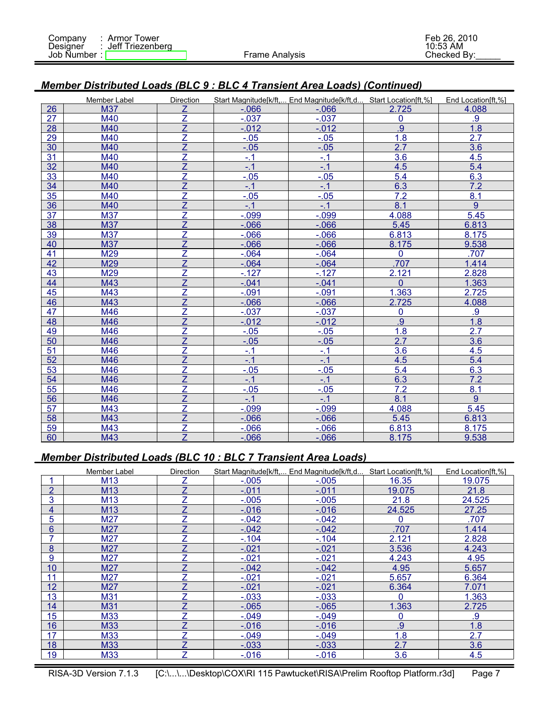### *Member Distributed Loads (BLC 9 : BLC 4 Transient Area Loads) (Continued)*

|    | Member Label | Direction               |          | Start Magnitude [k/ft, End Magnitude [k/ft,d | Start Location[ft,%] | End Location[ft,%] |
|----|--------------|-------------------------|----------|----------------------------------------------|----------------------|--------------------|
| 26 | M37          | Ζ                       | $-0.066$ | $-0.066$                                     | 2.725                | 4.088              |
| 27 | M40          | Z                       | $-.037$  | $-.037$                                      | $\mathbf 0$          | .9                 |
| 28 | M40          | Ź                       | $-.012$  | $-.012$                                      | .9                   | 1.8                |
| 29 | M40          | Z                       | $-.05$   | $-.05$                                       | 1.8                  | 2.7                |
| 30 | M40          | Z                       | $-.05$   | $-.05$                                       | 2.7                  | 3.6                |
| 31 | M40          | $\overline{Z}$          | $-.1$    | $-.1$                                        | 3.6                  | 4.5                |
| 32 | M40          | $\overline{Z}$          | $-.1$    | $-.1$                                        | 4.5                  | 5.4                |
| 33 | M40          | Z                       | $-.05$   | $-.05$                                       | 5.4                  | 6.3                |
| 34 | M40          | $\overline{Z}$          | $-.1$    | $-.1$                                        | 6.3                  | 7.2                |
| 35 | M40          | $\overline{\mathsf{z}}$ | $-.05$   | $-.05$                                       | $\overline{7.2}$     | 8.1                |
| 36 | M40          | $\overline{7}$          | $-.1$    | $-.1$                                        | 8.1                  | $\overline{9}$     |
| 37 | <b>M37</b>   | Z                       | $-.099$  | $-.099$                                      | 4.088                | 5.45               |
| 38 | M37          | Z                       | $-0.066$ | $-0.066$                                     | 5.45                 | 6.813              |
| 39 | M37          | Ζ                       | $-0.066$ | $-0.066$                                     | 6.813                | 8.175              |
| 40 | <b>M37</b>   | $\overline{Z}$          | $-0.066$ | $-0.066$                                     | 8.175                | 9.538              |
| 41 | M29          | Z                       | $-.064$  | $-0.064$                                     | 0                    | .707               |
| 42 | M29          | $\overline{Z}$          | $-.064$  | $-.064$                                      | .707                 | 1.414              |
| 43 | M29          | Z                       | $-.127$  | $-.127$                                      | 2.121                | 2.828              |
| 44 | M43          | Z                       | $-.041$  | $-.041$                                      | $\Omega$             | 1.363              |
| 45 | M43          | $\overline{z}$          | $-.091$  | $-.091$                                      | 1.363                | 2.725              |
| 46 | M43          | $\overline{Z}$          | $-0.066$ | $-0.066$                                     | 2.725                | 4.088              |
| 47 | M46          | $\overline{z}$          | $-0.037$ | $-.037$                                      | $\mathbf 0$          | $.9^{\circ}$       |
| 48 | M46          | $\overline{Z}$          | $-.012$  | $-.012$                                      | .9                   | 1.8                |
| 49 | M46          | $\overline{Z}$          | $-.05$   | $-.05$                                       | 1.8                  | 2.7                |
| 50 | M46          | $\overline{z}$          | $-.05$   | $-.05$                                       | 2.7                  | 3.6                |
| 51 | M46          | $\overline{Z}$          | $-1.1$   | $-1$                                         | 3.6                  | 4.5                |
| 52 | M46          | $\overline{z}$          | $-.1$    | $-1$                                         | 4.5                  | 5.4                |
| 53 | M46          | Z                       | $-.05$   | $-.05$                                       | 5.4                  | 6.3                |
| 54 | M46          | $\overline{Z}$          | $-.1$    | $-.1$                                        | 6.3                  | 7.2                |
| 55 | M46          | Z                       | $-.05$   | $-.05$                                       | 7.2                  | 8.1                |
| 56 | M46          | $\overline{Z}$          | $-.1$    | $-.1$                                        | 8.1                  | $9^{\circ}$        |
| 57 | M43          | Z                       | $-.099$  | $-.099$                                      | 4.088                | 5.45               |
| 58 | M43          | Z                       | $-0.066$ | $-0.066$                                     | 5.45                 | 6.813              |
| 59 | M43          | $\overline{Z}$          | $-0.066$ | $-0.066$                                     | 6.813                | 8.175              |
| 60 | M43          | $\overline{z}$          | $-0.066$ | $-0.066$                                     | 8.175                | 9.538              |

#### *Member Distributed Loads (BLC 10 : BLC 7 Transient Area Loads)*

|                | Member Label | <b>Direction</b> |         | Start Magnitude [k/ft, End Magnitude [k/ft,d | Start Location[ft,%] | End Location[ft,%] |
|----------------|--------------|------------------|---------|----------------------------------------------|----------------------|--------------------|
|                | M13          |                  | $-.005$ | $-.005$                                      | 16.35                | 19.075             |
| $\overline{2}$ | M13          | Z                | $-.011$ | $-.011$                                      | 19.075               | 21.8               |
| 3              | M13          | Z                | $-.005$ | $-.005$                                      | 21.8                 | 24.525             |
| 4              | M13          | $\overline{z}$   | $-.016$ | $-.016$                                      | 24.525               | 27.25              |
| 5              | M27          | Z                | $-.042$ | $-.042$                                      | $\Omega$             | .707               |
| 6              | M27          | Z                | $-.042$ | $-.042$                                      | .707                 | 1.414              |
|                | M27          | 7                | $-.104$ | $-.104$                                      | 2.121                | 2.828              |
| 8              | M27          | 7                | $-.021$ | $-.021$                                      | 3.536                | 4.243              |
| 9              | M27          | Z                | $-.021$ | $-.021$                                      | 4.243                | 4.95               |
| 10             | M27          | 7                | $-.042$ | $-.042$                                      | 4.95                 | 5.657              |
| 11             | M27          | Z                | $-.021$ | $-.021$                                      | 5.657                | 6.364              |
| 12             | M27          | 7                | $-.021$ | $-.021$                                      | 6.364                | 7.071              |
| 13             | M31          | Z                | $-.033$ | $-.033$                                      | $\Omega$             | 1.363              |
| 14             | M31          | Z                | $-.065$ | $-.065$                                      | 1.363                | 2.725              |
| 15             | M33          | Z                | $-.049$ | $-.049$                                      | $\Omega$             | .9                 |
| 16             | M33          | Z                | $-.016$ | $-.016$                                      | .9                   | 1.8                |
| 17             | M33          | Z                | $-.049$ | $-.049$                                      | 1.8                  | 2.7                |
| 18             | M33          | 7                | $-.033$ | $-.033$                                      | 2.7                  | 3.6                |
| 19             | M33          | Z                | $-.016$ | $-.016$                                      | 3.6                  | 4.5                |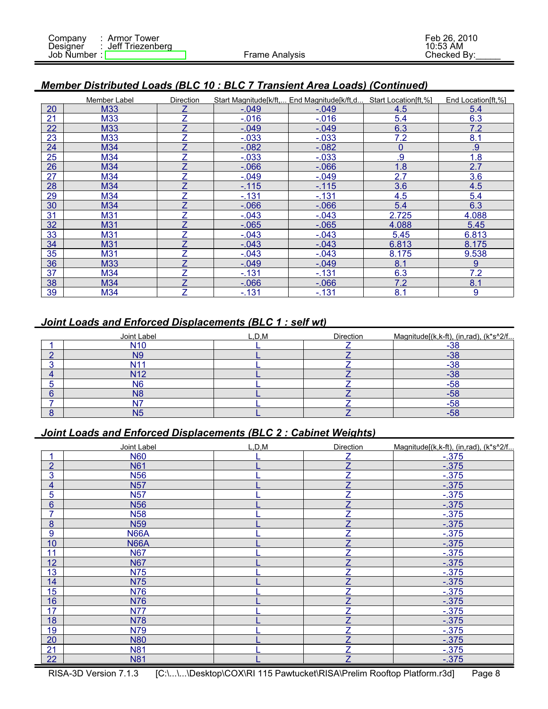### *Member Distributed Loads (BLC 10 : BLC 7 Transient Area Loads) (Continued)*

|    | Member Label | <b>Direction</b>         |          | Start Magnitude [k/ft, End Magnitude [k/ft,d Start Location [ft,%] |              | End Location[ft,%] |
|----|--------------|--------------------------|----------|--------------------------------------------------------------------|--------------|--------------------|
| 20 | M33          | Z                        | $-.049$  | $-.049$                                                            | 4.5          | 5.4                |
| 21 | M33          | Z                        | $-.016$  | $-0.016$                                                           | 5.4          | 6.3                |
| 22 | M33          | Z                        | $-.049$  | $-.049$                                                            | 6.3          | 7.2                |
| 23 | M33          | Ż                        | $-.033$  | $-.033$                                                            | 7.2          | 8.1                |
| 24 | M34          | 7                        | $-.082$  | $-.082$                                                            | $\mathbf{0}$ | .9                 |
| 25 | M34          | 7                        | $-.033$  | $-.033$                                                            | .9           | 1.8                |
| 26 | M34          | Z                        | $-0.066$ | $-0.066$                                                           | 1.8          | 2.7                |
| 27 | M34          | 7                        | $-.049$  | $-.049$                                                            | 2.7          | 3.6                |
| 28 | M34          | $\overline{\phantom{a}}$ | $-.115$  | $-.115$                                                            | 3.6          | 4.5                |
| 29 | M34          | 7                        | $-0.131$ | $-.131$                                                            | 4.5          | 5.4                |
| 30 | M34          | $\overline{\phantom{a}}$ | $-0.066$ | $-0.066$                                                           | 5.4          | 6.3                |
| 31 | M31          | Ź                        | $-.043$  | $-.043$                                                            | 2.725        | 4.088              |
| 32 | M31          | Z                        | $-.065$  | $-0.065$                                                           | 4.088        | 5.45               |
| 33 | M31          | Z                        | $-.043$  | $-.043$                                                            | 5.45         | 6.813              |
| 34 | M31          | 7                        | $-.043$  | $-.043$                                                            | 6.813        | 8.175              |
| 35 | M31          | Ż                        | $-.043$  | $-.043$                                                            | 8.175        | 9.538              |
| 36 | M33          | 7                        | $-.049$  | $-.049$                                                            | 8.1          | 9                  |
| 37 | M34          | 7                        | $-.131$  | $-.131$                                                            | 6.3          | 7.2                |
| 38 | M34          | $\overline{ }$           | $-0.066$ | $-0.066$                                                           | 7.2          | 8.1                |
| 39 | M34          | Z                        | $-.131$  | $-0.131$                                                           | 8.1          | 9                  |

#### *Joint Loads and Enforced Displacements (BLC 1 : self wt)*

|            | Joint Label     | L, D, M | Direction | Magnitude[(k,k-ft), (in,rad), (k*s^2/f |
|------------|-----------------|---------|-----------|----------------------------------------|
|            | N <sub>10</sub> |         |           | -38                                    |
| ⌒          | N9              |         |           | $-38$                                  |
| $\sqrt{2}$ | <b>M14</b>      |         |           | $-38$                                  |
|            | N140            |         |           | $-38$                                  |
| -<br>5     | N <sub>6</sub>  |         |           | $-58$                                  |
| 6          | N8              |         |           | $-58$                                  |
|            |                 |         |           | $-58$                                  |
| ົ          |                 |         |           | $-58$                                  |

#### *Joint Loads and Enforced Displacements (BLC 2 : Cabinet Weights)*

|                | Joint Label | L, D, M | Direction | Magnitude[(k,k-ft), (in,rad), (k*s^2/f |  |  |  |
|----------------|-------------|---------|-----------|----------------------------------------|--|--|--|
|                | <b>N60</b>  |         | Z         | $-.375$                                |  |  |  |
| $\overline{2}$ | <b>N61</b>  |         | Z         | $-.375$                                |  |  |  |
| 3              | <b>N56</b>  |         | Z         | $-.375$                                |  |  |  |
| $\overline{4}$ | <b>N57</b>  |         | Z         | $-.375$                                |  |  |  |
| 5              | <b>N57</b>  |         | Z         | $-.375$                                |  |  |  |
| $6\phantom{1}$ | <b>N56</b>  |         | Z         | $-.375$                                |  |  |  |
| 7              | <b>N58</b>  |         | Z         | $-.375$                                |  |  |  |
| 8              | <b>N59</b>  |         | Z         | $-.375$                                |  |  |  |
| 9              | <b>N66A</b> |         | Z         | $-.375$                                |  |  |  |
| 10             | <b>N66A</b> |         | Z         | $-.375$                                |  |  |  |
| 11             | <b>N67</b>  |         | Z         | $-.375$                                |  |  |  |
| 12             | <b>N67</b>  |         | Z         | $-.375$                                |  |  |  |
| 13             | <b>N75</b>  |         | Z         | $-.375$                                |  |  |  |
| 14             | <b>N75</b>  |         | Z         | $-.375$                                |  |  |  |
| 15             | N76         |         | Z         | $-.375$                                |  |  |  |
| 16             | <b>N76</b>  |         | Z         | $-.375$                                |  |  |  |
| 17             | <b>N77</b>  |         | Z         | $-.375$                                |  |  |  |
| 18             | <b>N78</b>  |         | Z         | $-.375$                                |  |  |  |
| 19             | N79         |         | Z         | $-.375$                                |  |  |  |
| 20             | <b>N80</b>  |         | Z         | $-.375$                                |  |  |  |
| 21             | <b>N81</b>  |         | Z         | $-.375$                                |  |  |  |
| 22             | <b>N81</b>  |         | Z         | $-0.375$                               |  |  |  |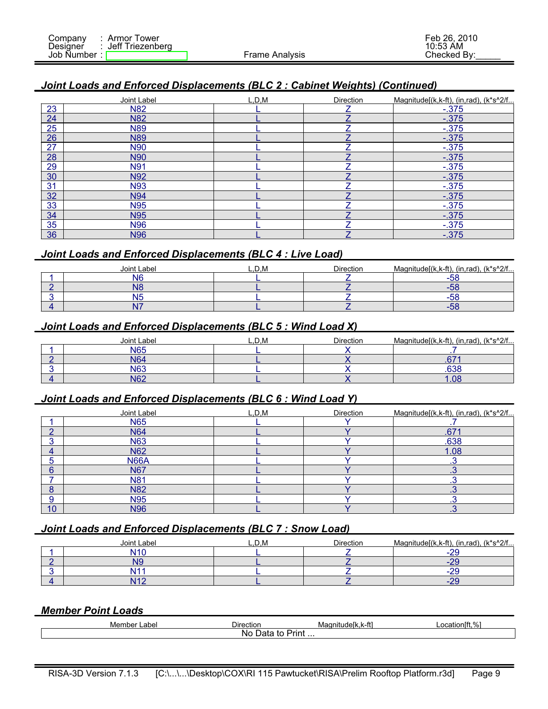#### *Joint Loads and Enforced Displacements (BLC 2 : Cabinet Weights) (Continued)*

|    | Joint Label     | L.D.M | Direction | Magnitude[(k,k-ft), (in,rad), (k*s^2/f |
|----|-----------------|-------|-----------|----------------------------------------|
| 23 | <b>N82</b>      |       |           | $-.375$                                |
| 24 | <b>N82</b>      |       |           | $-.375$                                |
| 25 | <b>N89</b>      |       | ⇁         | $-.375$                                |
| 26 | <b>N89</b>      |       |           | $-.375$                                |
| 27 | N <sub>90</sub> |       | ⇁         | $-.375$                                |
| 28 | <b>N90</b>      |       |           | $-.375$                                |
| 29 | N91             |       |           | $-.375$                                |
| 30 | <b>N92</b>      |       |           | $-.375$                                |
| 31 | N93             |       | ⇁         | $-.375$                                |
| 32 | <b>N94</b>      |       |           | $-.375$                                |
| 33 | <b>N95</b>      |       |           | $-.375$                                |
| 34 | <b>N95</b>      |       |           | $-.375$                                |
| 35 | <b>N96</b>      |       |           | $-.375$                                |
| 36 | <b>N96</b>      |       |           | $-.375$                                |

#### *Joint Loads and Enforced Displacements (BLC 4 : Live Load)*

| Joint Label | L.D.M | <b>Direction</b> | Magnitude[(k,k-ft), (in,rad), (k*s^2/f |
|-------------|-------|------------------|----------------------------------------|
| งเค         |       |                  |                                        |
|             |       |                  |                                        |
|             |       |                  |                                        |
|             |       |                  | ึงเ                                    |

#### *Joint Loads and Enforced Displacements (BLC 5 : Wind Load X)*

| Joint Label | L,D,M | <b>Direction</b> | Magnitude[(k,k-ft), (in,rad), (k*s^2/f |
|-------------|-------|------------------|----------------------------------------|
| <b>N65</b>  |       |                  |                                        |
| N64         |       |                  | $\cdot$ .                              |
| <b>N63</b>  |       |                  | .638                                   |
| <b>NIG2</b> |       |                  | 08،،                                   |

#### *Joint Loads and Enforced Displacements (BLC 6 : Wind Load Y)*

|    | Joint Label | L, D, M | Direction | Magnitude[(k,k-ft), (in,rad), (k*s^2/f |
|----|-------------|---------|-----------|----------------------------------------|
|    | <b>N65</b>  |         |           |                                        |
| ⌒  | <b>N64</b>  |         |           | .67                                    |
| ົ  | <b>N63</b>  |         |           | .638                                   |
|    | <b>N62</b>  |         |           | 1.08                                   |
| 5  | <b>N66A</b> |         |           |                                        |
| 6  | <b>N67</b>  |         |           |                                        |
|    | N81         |         |           |                                        |
| 8  | <b>N82</b>  |         |           |                                        |
| 9  | <b>N95</b>  |         |           |                                        |
| 10 | <b>N96</b>  |         |           |                                        |

#### *Joint Loads and Enforced Displacements (BLC 7 : Snow Load)*

| Joint Label  | L.D.M | Direction | Magnitude[(k,k-ft), (in,rad), (k*s^2/f |
|--------------|-------|-----------|----------------------------------------|
| $\mathbf{M}$ |       |           |                                        |
|              |       |           | - 1                                    |
|              |       |           |                                        |
| 140          |       |           |                                        |

#### *Member Point Loads*

| M٤<br>Label<br>.<br>чин. | Direction          | Magnit      | <b>TEL 0/ T</b><br>. ocatic<br>- 70 |
|--------------------------|--------------------|-------------|-------------------------------------|
|                          | No.<br>Jal.<br>. . | .<br>rınt … |                                     |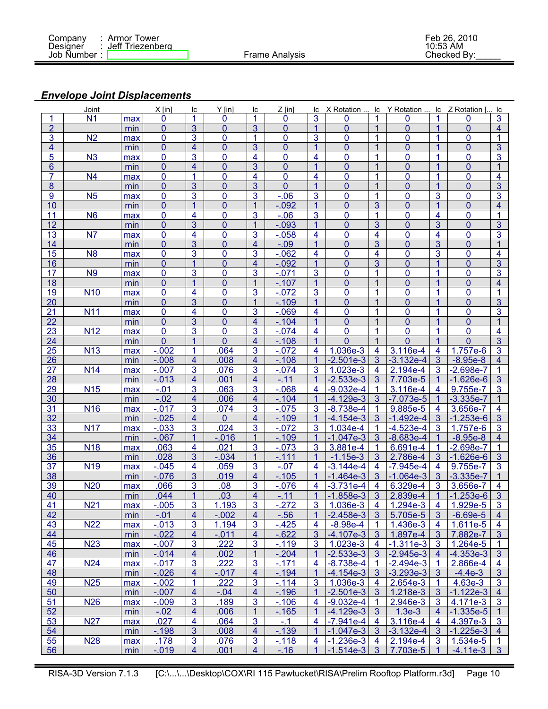#### *Envelope Joint Displacements*

|                  | Joint           |            | $X$ [in]       | lс                      | $Y$ [in]       | lс                      | $Z$ [in]       |                | Ic X Rotation  Ic Y Rotation |                |                |                | Ic Z Rotation [ | lc             |
|------------------|-----------------|------------|----------------|-------------------------|----------------|-------------------------|----------------|----------------|------------------------------|----------------|----------------|----------------|-----------------|----------------|
| 1                | N <sub>1</sub>  | max        | 0              | 1                       | 0              | 1                       | 0              | 3              | $\Omega$                     | 1              | $\mathbf{0}$   |                | 0               | 3              |
| $\overline{2}$   |                 | min        | $\mathbf{0}$   | $\overline{3}$          | $\overline{0}$ | 3                       | $\overline{0}$ | $\mathbf{1}$   | $\overline{0}$               | $\overline{1}$ | $\overline{0}$ | $\overline{1}$ | $\mathbf{0}$    | $\overline{4}$ |
| 3                | N <sub>2</sub>  | max        | $\mathbf{0}$   | 3                       | 0              | 1                       | 0              | 3              | $\mathbf{0}$                 | 1              | $\mathbf 0$    | 1              | 0               | 1              |
| $\overline{4}$   |                 | min        | $\overline{0}$ | 4                       | $\overline{0}$ | 3                       | $\overline{0}$ | 1              | $\Omega$                     | 1              | 0              | 1              | $\overline{0}$  | 3              |
| 5                | N <sub>3</sub>  | max        | $\mathbf{0}$   | 3                       | 0              | $\overline{4}$          | 0              | 4              | $\overline{0}$               | 1              | 0              | 1              | 0               | 3              |
| $6\phantom{1}6$  |                 | min        | $\Omega$       | $\overline{4}$          | $\overline{0}$ | 3                       | $\Omega$       | $\overline{1}$ | $\Omega$                     | $\overline{1}$ | $\overline{0}$ | $\overline{1}$ | $\overline{0}$  | $\overline{1}$ |
| 7                | N <sub>4</sub>  | max        | 0              | 1                       | 0              | 4                       | 0              | 4              | 0                            | 1              | $\mathbf 0$    | 1              | 0               | 4              |
| $\boldsymbol{8}$ |                 | min        | $\mathbf{0}$   | 3                       | $\overline{0}$ | 3                       | $\Omega$       |                | $\overline{0}$               | $\overline{1}$ | 0              |                | 0               | 3              |
| 9                | N <sub>5</sub>  | max        | 0              | 3                       | 0              | 3                       | $-.06$         | 3              | 0                            | 1              | $\mathbf 0$    | 3              | 0               | 3              |
| 10               |                 | min        | $\overline{0}$ | $\mathbf{1}$            | $\Omega$       | 1                       | $-.092$        | 1              | $\Omega$                     | 3              | $\overline{0}$ | $\overline{1}$ | $\overline{0}$  | $\overline{4}$ |
| 11               | N <sub>6</sub>  | max        | $\mathbf 0$    | 4                       | $\overline{0}$ | 3                       | $-.06$         | 3              | $\overline{0}$               | 1              | $\mathbf 0$    | 4              | $\mathbf 0$     | 1              |
| 12               |                 | min        | $\mathbf{0}$   | 3                       | $\overline{0}$ | $\mathbf{1}$            | $-.093$        | 1              | $\overline{0}$               | 3              | $\overline{0}$ | 3              | $\mathbf{0}$    | 3              |
| 13               | N7              | max        | 0              | 4                       | 0              | 3                       | $-0.058$       | 4              | 0                            | 4              | $\mathbf 0$    | 4              | 0               | 3              |
| 14               |                 | min        | $\overline{0}$ | 3                       | $\overline{0}$ | 4                       | $-.09$         | 1              | $\Omega$                     | 3              | 0              | 3              | 0               | 1              |
| 15               | N <sub>8</sub>  | max        | $\mathbf{0}$   | 3                       | 0              | 3                       | $-0.062$       | 4              | 0                            | 4              | 0              | 3              | 0               | 4              |
| 16               |                 | min        | $\overline{0}$ | $\overline{1}$          | $\overline{0}$ | $\overline{4}$          | $-.092$        | $\overline{1}$ | $\Omega$                     | 3              | $\overline{0}$ | $\overline{1}$ | $\overline{0}$  | 3              |
| 17               | N <sub>9</sub>  | max        | 0              | 3                       | $\mathbf{0}$   | 3                       | $-.071$        | $\overline{3}$ | 0                            | 1              | $\mathbf 0$    | 1              | 0               | $\overline{3}$ |
| 18               |                 | min        | $\mathbf{0}$   | $\mathbf{1}$            | 0              | $\mathbf{1}$            | $-.107$        | 1              | $\overline{0}$               | 1              | 0              |                | $\mathbf{0}$    | $\overline{4}$ |
| 19               | <b>N10</b>      |            | 0              | 4                       | 0              | 3                       | $-0.072$       | 3              | 0                            | 1              | $\mathbf 0$    | 1              | 0               | 1              |
| 20               |                 | max        | $\overline{0}$ | 3                       | $\Omega$       | 1                       | $-.109$        | 1              | $\Omega$                     | $\overline{1}$ | $\Omega$       | 1              | $\overline{0}$  | $\overline{3}$ |
| 21               | <b>N11</b>      | min        |                |                         |                | 3                       |                |                |                              | 1              |                | 1              |                 |                |
|                  |                 | max        | $\mathbf 0$    | 4                       | $\overline{0}$ |                         | $-069$         | 4              | $\overline{0}$               | $\overline{1}$ | $\mathbf 0$    | 1              | 0               | 3              |
| 22               |                 | min        | $\overline{0}$ | 3                       | $\overline{0}$ | $\overline{4}$          | $-.104$        | 1              | $\Omega$                     |                | $\Omega$       |                | $\mathbf{0}$    | 1              |
| 23               | <b>N12</b>      | max        | $\mathbf{0}$   | 3                       | $\mathbf{0}$   | 3                       | $-0.074$       | 4              | 0                            | 1              | $\mathbf 0$    |                | 0               | 4              |
| 24               |                 | min        | $\overline{0}$ | 1                       | $\overline{0}$ | 4                       | $-.108$        | 1              | $\Omega$                     | 1              | $\Omega$       |                | 0               | $\overline{3}$ |
| 25               | <b>N13</b>      | max        | $-.002$        | 1                       | 064            | 3                       | $-.072$        | 4              | 1.036e-3                     | $\overline{4}$ | 3.116e-4       | 4              | 1.757e-6        | 3              |
| 26               |                 | min        | $-.008$        | $\overline{4}$          | .008           | $\overline{4}$          | $-0.108$       | $\mathbf 1$    | $-2.501e-3$                  | 3              | $-3.132e-4$    | 3              | $-8.95e-8$      | $\overline{4}$ |
| 27               | <b>N14</b>      | max        | $-.007$        | 3                       | .076           | 3                       | $-.074$        | 3              | $1.023e-3$                   | $\overline{4}$ | 2.194e-4       | 3              | $-2.698e-7$     | 1              |
| 28               |                 | min        | $-.013$        | $\overline{4}$          | .001           | $\overline{4}$          | $-.11$         | 1              | $-2.533e-3$                  | 3              | 7.703e-5       | 1              | $-1.626e-6$     | 3              |
| 29               | <b>N15</b>      | max        | $-.01$         | 3                       | .063           | 3                       | $-0.068$       | 4              | $-9.032e-4$                  | 1              | 3.116e-4       | 4              | 9.755e-7        | 3              |
| 30               |                 | min        | $-.02$         | $\overline{4}$          | .006           | $\overline{4}$          | $-.104$        | 1              | $-4.129e-3$                  | 3              | $-7.073e-5$    | 1              | $-3.335e-7$     | 1              |
| 31               | <b>N16</b>      | max        | $-.017$        | 3                       | .074           | 3                       | $-0.075$       | 3              | $-8.738e-4$                  | 1              | 9.885e-5       | 4              | 3.656e-7        | 4              |
| 32               |                 | min        | $-.025$        | $\overline{4}$          | $\Omega$       | $\overline{4}$          | $-.109$        | 1              | $-4.154e-3$                  | 3              | $-1.492e-4$    | 3              | $-1.253e-6$     | $\mathbf{3}$   |
| 33               | <b>N17</b>      | max        | $-.033$        | 3                       | .024           | 3                       | $-.072$        | 3              | 1.034e-4                     | 1              | $-4.523e-4$    | 3              | 1.757e-6        | 3              |
| 34               |                 | min        | $-067$         | 1                       | $-0.016$       | $\mathbf{1}$            | $-.109$        | 1              | $-1.047e-3$                  | 3              | $-8.683e-4$    | 1              | $-8.95e-8$      | 4              |
| 35               | <b>N18</b>      | max        | .063           | $\overline{\mathbf{4}}$ | .021           | 3                       | $-073$         | 3              | 3.881e-4                     | 1              | 6.691e-4       | 1              | $-2.698e-7$     |                |
| 36               |                 | min        | .028           | 3                       | $-.034$        | $\overline{1}$          | $-0.111$       | 1              | $-1.15e-3$                   | 3              | 2.786e-4       | 3              | $-1.626e-6$     | 3              |
| 37               | <b>N19</b>      | max        | $-.045$        | $\overline{\mathbf{4}}$ | .059           | 3                       | $-.07$         | 4              | $-3.144e-4$                  | $\overline{4}$ | $-7.945e-4$    | 4              | 9.755e-7        | 3              |
| 38               |                 | min        | $-.076$        | 3                       | .019           | $\overline{4}$          | $-0.105$       | 1              | $-1.464e-3$                  | 3              | $-1.064e-3$    | 3              | $-3.335e-7$     | 1              |
| 39               | <b>N20</b>      | max        | .066           | 3                       | 80.            | 3                       | $-0.076$       | 4              | $-3.731e-4$                  | 4              | 6.329e-4       | 3              | 3.656e-7        | 4              |
| 40               |                 | min        | .044           | $\mathbf{1}$            | .03            | $\overline{\mathbf{4}}$ | $-.11$         | 1              | $-1.858e-3$                  | 3              | 2.839e-4       | $\mathbf{1}$   | $-1.253e-6$     | $\mathbf{3}$   |
| 41               | N <sub>21</sub> | max        | $-.005$        | $\overline{3}$          | 1.193          | $\overline{3}$          | $-272$         | 3              | 1.036e-3                     | $\overline{4}$ | $1.294e-3$     | $\overline{4}$ | $1.929e-5$      | $\overline{3}$ |
| 42               |                 | <u>min</u> | $-.01$         | $\overline{4}$          | $-.002$        | $\overline{4}$          | $-.56$         | $\overline{1}$ | $-2.458e-3$                  | 3              | $5.705e-5$     | $\mathbf{3}$   | $-6.69e-5$      | $\overline{4}$ |
| 43               | <b>N22</b>      | max        | $-.013$        | 3                       | 1.194          | 3                       | $-.425$        | 4              | $-8.98e-4$                   | -1             | 1.436e-3       | 4              | $1.611e-5$      | 4              |
| 44               |                 | <u>min</u> | $-.022$        | $\overline{4}$          | $-.011$        | $\overline{4}$          | $-0.622$       | 3              | $-4.107e-3$                  | 3              | 1.897e-4       | $\overline{3}$ | 7.882e-7        | 3              |
| 45               | <b>N23</b>      | max        | $-.007$        | 3                       | .222           | 3                       | $-.119$        | 3              | $1.023e-3$                   | $\overline{4}$ | $-1.311e-3$    | 3              | 1.264e-5        | 1              |
| 46               |                 | min        | $-.014$        | $\overline{4}$          | .002           | $\overline{1}$          | $-.204$        | $\mathbf{1}$   | $-2.533e-3$                  | 3              | $-2.945e-3$    | $\overline{4}$ | $-4.353e-3$     | $\mathbf{3}$   |
| 47               | <b>N24</b>      | max        | $-.017$        | $\mathbf{3}$            | .222           | 3                       | $-.171$        | 4              | $-8.738e-4$                  | -1             | $-2.494e-3$    | 1              | 2.866e-4        | $\overline{4}$ |
| 48               |                 | min        | $-.026$        | $\overline{4}$          | $-.017$        | 4                       | $-.194$        | 1              | $-4.154e-3$                  | 3              | $-3.293e-3$    | 3              | $-4.4e-3$       | 3              |
| 49               | <b>N25</b>      | max        | $-.002$        | 1                       | .222           | 3                       | $-.114$        | 3              | 1.036e-3                     | 4              | $2.654e-3$     | 1              | 4.63e-3         | <u>3</u>       |
| 50               |                 | <u>min</u> | $-.007$        | $\overline{4}$          | $-.04$         | $\overline{4}$          | $-0.196$       | 1              | $-2.501e-3$                  | 3              | 1.218e-3       | 3              | $-1.122e-3$     | $\overline{4}$ |
| 51               | <b>N26</b>      |            | $-.009$        | 3                       | 189            | 3                       | $-.106$        | 4              | $-9.032e-4$                  | -1             | 2.946e-3       | 3              | 4.171e-3        | 3              |
| 52               |                 | max        |                |                         |                | $\mathbf{1}$            |                |                | $-4.129e-3$                  |                | $1.3e-3$       |                | $-1.335e-5$     |                |
|                  |                 | min        | $-.02$         | $\overline{4}$          | .006           |                         | $-0.165$       | $\mathbf 1$    |                              | 3              |                | 4              |                 | $\mathbf{1}$   |
| 53               | <b>N27</b>      | max        | .027           | 4                       | .064           | 3                       | $-.1$          | 4              | $-7.941e-4$                  | 4              | 3.116e-4       | 4              | 4.397e-3        | 3              |
| 54               |                 | <u>min</u> | $-.198$        | 3                       | .008           | 4                       | $-0.139$       | 1              | $-1.047e-3$                  | 3              | $-3.132e-4$    | $\overline{3}$ | $-1.225e-3$     | 4              |
| 55               | <b>N28</b>      | max        | .178           | 3                       | .076           | 3                       | $-.118$        | 4              | $-1.236e-3$                  | $\overline{4}$ | $2.194e-4$     | 3              | 1.534e-5        | 1.             |
| 56               |                 | min        | $-.019$        | $\overline{4}$          | .001           | $\overline{4}$          | $-.16$         | $\mathbf{1}$   | $-1.514e-3$                  | $\overline{3}$ | 7.703e-5       | $\overline{1}$ | $-4.11e-3$      | 3 <sup>2</sup> |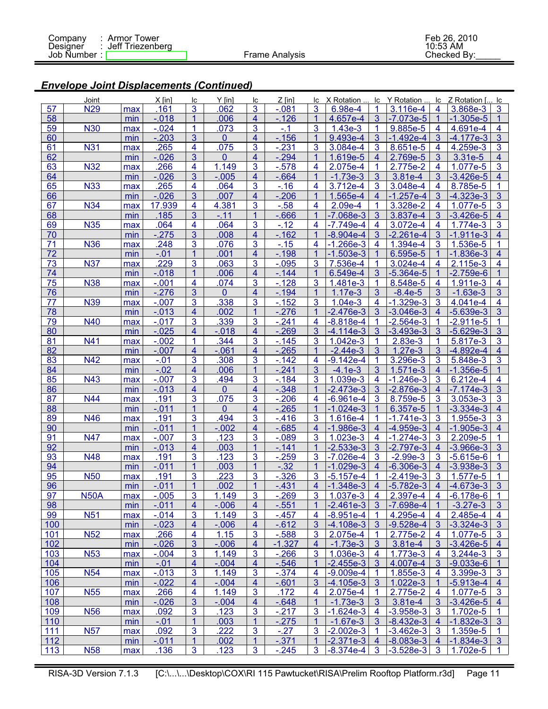### *Envelope Joint Displacements (Continued)*

|     | Joint       |            | $X$ [in] | lс             | $Y$ [in]     | <u>lc</u>      | $Z$ [in] |                | Ic X Rotation |                | Ic Y Rotation. |                | Ic Z Rotation [<br>Ic         |
|-----|-------------|------------|----------|----------------|--------------|----------------|----------|----------------|---------------|----------------|----------------|----------------|-------------------------------|
| 57  | <b>N29</b>  | max        | .161     | 3              | .062         | 3              | $-.081$  | 3              | 6.98e-4       | 1              | 3.116e-4       | 4              | 3.868e-3<br>3                 |
| 58  |             | min        | $-.018$  | 1              | .006         | 4              | $-.126$  | 1              | 4.657e-4      | 3              | $-7.073e-5$    | -1             | $-1.305e-5$                   |
| 59  | <b>N30</b>  | max        | $-.024$  | 1              | 073          | 3              | -.1      | 3              | $1.43e-3$     | 1              | 9.885e-5       | 4              | 4.691e-4<br>4                 |
| 60  |             | min        | $-.203$  | 3              | $\mathbf{0}$ | 4              | $-.156$  | $\mathbf{1}$   | 9.493e-4      | $\overline{3}$ | $-1.492e-4$    | 3              | $\mathbf{3}$<br>-4.177e-3     |
| 61  | <b>N31</b>  | max        | .265     | 4              | .075         | 3              | $-.231$  | 3              | 3.084e-4      | 3              | 8.651e-5       | 4              | 3<br>4.259e-3                 |
| 62  |             | min        | $-.026$  | 3              | $\Omega$     | 4              | $-.294$  | $\mathbf 1$    | $1.619e-5$    | $\overline{4}$ | 2.769e-5       | 3              | 3.31e-5<br>$\overline{4}$     |
| 63  | <b>N32</b>  | max        | .266     | 4              | 1.149        | 3              | $-0.578$ | 4              | 2.075e-4      | -1             | 2.775e-2       | 4              | 3<br>1.077e-5                 |
| 64  |             | min        | $-0.026$ | 3              | $-.005$      | 4              | $-0.664$ | 1              | $-1.73e-3$    | 3              | 3.81e-4        | 3              | $-3.426e-5$<br>$\overline{4}$ |
| 65  | <b>N33</b>  | max        | .265     | 4              | .064         | 3              | $-.16$   | 4              | 3.712e-4      | 3              | 3.048e-4       | 4              | 8.785e-5                      |
| 66  |             | min        | $-0.026$ | 3              | .007         | $\overline{4}$ | $-0.206$ | 1              | 1.565e-4      | $\overline{4}$ | $-1.257e-4$    | 3              | $-4.323e-3$<br>$\mathbf{3}$   |
| 67  | <b>N34</b>  | max        | 17.939   | 4              | 4.381        | 3              | $-.58$   | 4              | 2.09e-4       | 1              | 3.328e-2       | 4              | 3<br>1.077e-5                 |
| 68  |             | min        | 185      | 3              | $-.11$       | 1              | $-0.666$ | 1              | $-7.068e-3$   | 3              | 3.837e-4       | 3              | $-3.426e-5$<br>4              |
| 69  | <b>N35</b>  |            | .064     | 4              | .064         | 3              | $-.12$   | 4              | $-7.749e-4$   | $\overline{4}$ | 3.072e-4       | 4              | 1.774e-3<br>3                 |
| 70  |             | max        | $-275$   | 3              | .008         | 4              | $-0.162$ | 1              | $-8.904e-4$   | 3              | $-2.261e-4$    | 3              | $-1.911e-3$<br>$\overline{4}$ |
| 71  | <b>N36</b>  | min        | .248     | 3              | .076         | 3              | $-.15$   | 4              | $-1.266e-3$   | $\overline{4}$ | 1.394e-4       | 3              | 1.536e-5<br>1.                |
| 72  |             | max        |          | 1              | .001         | $\overline{4}$ | $-.198$  | 1              | $-1.503e-3$   |                |                | 1              |                               |
|     |             | min        | $-.01$   |                |              |                |          |                |               | 1              | 6.595e-5       |                | $-1.836e-3$<br>$\overline{4}$ |
| 73  | <b>N37</b>  | max        | .229     | 3              | .063         | 3              | $-.095$  | 3              | 7.536e-4      | 1              | $3.024e-4$     | 4              | 2.115e-3<br>4                 |
| 74  |             | min        | $-0.018$ | 1              | .006         | 4              | $-0.144$ | 1              | 6.549e-4      | 3              | $-5.364e-5$    | 1              | $-2.759e-6$                   |
| 75  | <b>N38</b>  | max        | $-.001$  | 4              | .074         | 3              | $-.128$  | 3              | 1.481e-3      | -1             | 8.548e-5       | $\overline{4}$ | 1.911e-3<br>4                 |
| 76  |             | min        | $-276$   | 3              | $\mathbf{0}$ | 4              | $-0.194$ | $\mathbf{1}$   | $1.17e-3$     | 3              | $-8.4e-5$      | 3              | $-1.63e-3$<br>$\mathbf{3}$    |
| 77  | <b>N39</b>  | max        | $-.007$  | 3              | 338          | 3              | $-0.152$ | 3              | $1.04e-3$     | $\overline{4}$ | $-1.329e-3$    | 3              | $4.041e-4$<br>4               |
| 78  |             | min        | $-.013$  | 4              | .002         | 1              | $-.276$  | 1              | $-2.476e-3$   | 3              | $-3.046e-3$    | 4              | 3<br>$-5.639e-3$              |
| 79  | N40         | max        | $-0.017$ | 3              | 339          | 3              | $-.241$  | 4              | $-8.818e-4$   | -1             | $-2.564e-3$    | 1              | $-2.911e-5$                   |
| 80  |             | min        | $-.025$  | $\overline{4}$ | $-.018$      | 4              | $-0.269$ | 3              | $-4.114e-3$   | 3              | $-3.493e-3$    | 3              | 3<br>$-5.629e-3$              |
| 81  | N41         | max        | $-.002$  | 1              | 344          | 3              | $-.145$  | 3              | 1.042e-3      | $\mathbf 1$    | 2.83e-3        | 1              | 3<br>5.817e-3                 |
| 82  |             | min        | $-.007$  | $\overline{4}$ | $-.061$      | $\overline{4}$ | $-0.265$ | 1              | $-2.44e-3$    | 3              | $1.27e-3$      | 3              | $-4.892e-4$<br>$\overline{4}$ |
| 83  | N42         | max        | $-.01$   | 3              | .308         | 3              | $-0.142$ | 4              | $-9.142e-4$   | -1             | 3.296e-3       | 3              | 3<br>5.848e-3                 |
| 84  |             | min        | $-.02$   | 4              | .006         | 1              | $-.241$  | 3              | $-4.1e-3$     | 3              | $1.571e-3$     | 4              | $-1.356e-5$                   |
| 85  | <b>N43</b>  | max        | $-.007$  | 3              | 494          | 3              | $-.184$  | 3              | 1.039e-3      | 4              | $-1.246e-3$    | 3              | 6.212e-4<br>4                 |
| 86  |             | min        | $-0.013$ | $\overline{4}$ | $\mathbf{0}$ | 4              | $-.348$  | 1              | $-2.473e-3$   | $\mathbf{3}$   | $-2.876e-3$    | $\overline{4}$ | 3<br>$-7.174e-3$              |
| 87  | <b>N44</b>  | max        | .191     | 3              | .075         | 3              | $-0.206$ | 4              | $-6.961e-4$   | 3              | 8.759e-5       | 3              | 3<br>3.053e-3                 |
| 88  |             | min        | $-.011$  | 1              | $\mathbf{0}$ | 4              | $-0.265$ | 1              | $-1.024e-3$   | -1             | 6.357e-5       | 1              | $-3.334e-3$<br>4              |
| 89  | N46         | max        | .191     | 3              | .494         | 3              | $-416$   | 3              | 1.616e-4      | -1             | $-1.741e-3$    | 3              | 1.955e-3<br>3                 |
| 90  |             | min        | $-.011$  | 1              | $-.002$      | 4              | $-0.685$ | 4              | $-1.986e-3$   | $\overline{4}$ | $-4.959e-3$    | $\overline{4}$ | $-1.905e-3$<br>$\overline{4}$ |
| 91  | <b>N47</b>  | max        | $-.007$  | 3              | 123          | 3              | $-.089$  | 3              | $1.023e-3$    | $\overline{4}$ | $-1.274e-3$    | 3              | 2.209e-5<br>1                 |
| 92  |             | min        | $-.013$  | $\overline{4}$ | .003         | 1              | $-.141$  | 1              | $-2.533e-3$   | 3              | $-2.797e-3$    | 4              | 3<br>$-3.966e-3$              |
| 93  | <b>N48</b>  | max        | .191     | 3              | 123          | 3              | $-0.259$ | 3              | $-7.026e-4$   | 3              | $-2.99e-3$     | 3              | -5.615e-6                     |
| 94  |             | min        | $-.011$  | 1              | .003         | 1              | $-.32$   | 1              | $-1.029e-3$   | $\overline{4}$ | $-6.306e-3$    | $\overline{4}$ | $\overline{3}$<br>$-3.938e-3$ |
| 95  | <b>N50</b>  | max        | .191     | 3              | 223          | 3              | $-0.326$ | 3              | $-5.157e-4$   | -1             | $-2.419e-3$    | 3              | 1.577e-5<br>1                 |
| 96  |             | min        | $-.011$  | $\mathbf{1}$   | .002         | 1              | $-.431$  | $\overline{4}$ | $-1.348e-3$   | $\overline{4}$ | $-5.782e-3$    | 4              | 3<br>$-4.673e-3$              |
| 97  | <b>N50A</b> | max        | $-.005$  | 3              | 1.149        | 3              | $-0.269$ | 3              | $1.037e-3$    | 4              | $2.397e-4$     | 4              | 1<br>$-6.178e-6$              |
| 98  |             | min        | $-.011$  | $\overline{4}$ | $-.006$      | 4              | $-.551$  | 1              | $-2.461e-3$ 3 |                | $-7.698e-4$    | $\overline{1}$ | $-3.27e-3$<br>3               |
| 99  | <b>N51</b>  |            | $-.014$  | 3              | 1.149        | 3              | $-.457$  | 4              | $-8.951e-4$   | $\overline{1}$ | 4.295e-4       | 4              | 2.485e-4<br>4                 |
| 100 |             | max<br>min | $-.023$  | $\overline{4}$ | $-.006$      | $\overline{4}$ | $-0.612$ | 3              | $-4.108e-3$   | $\overline{3}$ | $-9.528e-4$    | 3              | $-3.324e-3$<br>$\mathbf{3}$   |
|     | <b>N52</b>  |            |          |                |              |                |          |                | 2.075e-4      |                | 2.775e-2       |                |                               |
| 101 |             | max        | .266     | 4              | 1.15         | $\overline{3}$ | $-0.588$ | $\overline{3}$ |               | -1             |                | 4              | 1.077e-5<br>$\overline{3}$    |
| 102 |             | min        | $-.026$  | 3              | $-.006$      | 4              | $-1.327$ | 4              | $-1.73e-3$    | 3              | $3.81e-4$      | 3              | $-3.426e-5$<br>$\overline{4}$ |
| 103 | <b>N53</b>  | max        | $-.004$  | 3              | 1.149        | 3              | $-.266$  | 3              | 1.036e-3      | 4              | 1.773e-3       | 4              | $3.244e-3$<br>3               |
| 104 |             | min        | $-.01$   | 4              | $-.004$      | 4              | $-0.546$ | 1              | $-2.455e-3$   | $\overline{3}$ | 4.007e-4       | 3              | $-9.033e-6$<br>1              |
| 105 | <b>N54</b>  | max        | $-.013$  | 3              | 1.149        | 3              | $-.374$  | 4              | $-9.009e-4$   | -1             | $1.855e-3$     | $\overline{4}$ | 3.399e-3<br>$\overline{3}$    |
| 106 |             | min        | $-0.022$ | $\overline{4}$ | $-.004$      | $\overline{4}$ | $-.601$  | 3              | $-4.105e-3$   | $\mathbf{3}$   | $1.022e-3$     | -1             | $-5.913e-4$<br>$\overline{4}$ |
| 107 | <b>N55</b>  | max        | .266     | 4              | 1.149        | 3              | .172     | 4              | 2.075e-4      | 1              | 2.775e-2       | 4              | 1.077e-5<br>$\overline{3}$    |
| 108 |             | min        | $-.026$  | 3              | $-.004$      | 4              | $-0.648$ | 1              | $-1.73e-3$    | 3              | $3.81e-4$      | 3              | $-3.426e-5$<br>$\overline{4}$ |
| 109 | <b>N56</b>  | max        | .092     | 3              | .123         | 3              | $-217$   | 3              | $-1.624e-3$   | 4              | $-3.958e-3$    | 3              | 1.702e-5<br>1                 |
| 110 |             | min        | $-.01$   | 1              | .003         | 1              | $-275$   | $\mathbf{1}$   | $-1.67e-3$    | $\mathbf{3}$   | $-8.432e-3$    | $\overline{4}$ | $-1.832e-3$<br>$\mathbf{3}$   |
| 111 | <b>N57</b>  | max        | .092     | $\overline{3}$ | .222         | $\overline{3}$ | $-.27$   | 3              | $-2.002e-3$   | -1             | $-3.462e-3$    | 3              | 1.359e-5<br>$\mathbf 1$       |
| 112 |             | min        | $-.011$  | $\mathbf{1}$   | .002         | 1              | $-0.371$ | $\mathbf{1}$   | $-2.371e-3$   | $\overline{4}$ | $-8.083e-3$    | $\overline{4}$ | $-1.834e-3$<br>3 <sup>1</sup> |
| 113 | <b>N58</b>  | max        | .136     | 3              | .123         | 3              | $-.245$  | 3              | $-8.374e-4$   | -3             | $-3.528e-3$    | 3              | 1.702e-5<br>1.                |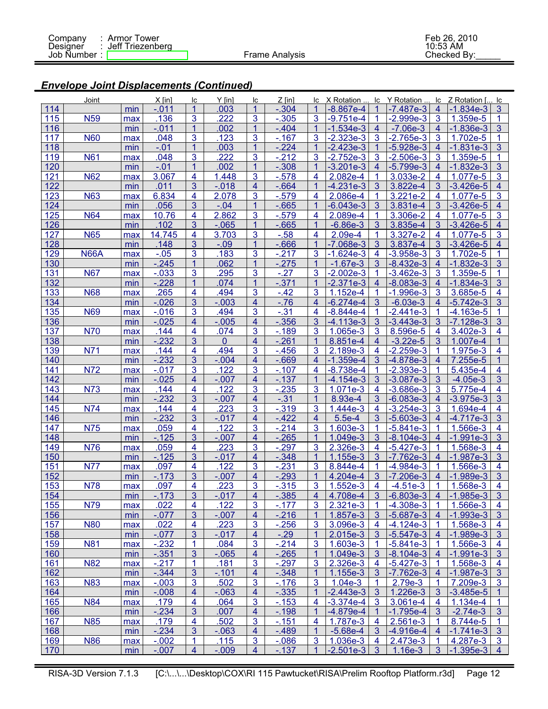### *Envelope Joint Displacements (Continued)*

|            | Joint       |            | $X$ [in] | <u>lc</u>               | $Y$ [in]     | c                   | $Z$ [in] |                | Ic X Rotation. |                | Ic Y Rotation |                | Ic Z Rotation [.<br><u>. Ic </u> |
|------------|-------------|------------|----------|-------------------------|--------------|---------------------|----------|----------------|----------------|----------------|---------------|----------------|----------------------------------|
| 114        |             | min        | $-.011$  | 1                       | .003         | 1                   | $-.304$  | 1              | $-8.867e-4$    | -1             | $-7.487e-3$   | 4              | $-1.834e-3$<br>3                 |
| 115        | <b>N59</b>  | max        | 136      | 3                       | 222          | 3                   | $-.305$  | 3              | -9.751e-4      | -1             | $-2.999e-3$   | 3              | $1.359e-5$                       |
| 116        |             | min        | $-.011$  | $\mathbf 1$             | 002          | 1                   | $-.404$  | 1              | $-1.534e-3$    | $\overline{4}$ | $-7.06e-3$    | 4              | $-1.836e-3$<br>3                 |
| 117        | <b>N60</b>  | max        | .048     | 3                       | 123          | 3                   | $-0.167$ | 3              | $-2.323e-3$    | 3              | $-2.765e-3$   | 3              | $1.702e-5$<br>1                  |
| 118        |             | min        | $-.01$   | $\mathbf{1}$            | .003         | 1                   | $-.224$  | 1              | $-2.423e-3$    | $\overline{1}$ | $-5.928e-3$   | $\overline{4}$ | $\mathbf{3}$<br>$-1.831e-3$      |
| 119        | <b>N61</b>  | max        | .048     | 3                       | 222          | 3                   | $-212$   | 3              | $-2.752e-3$    | 3              | $-2.506e-3$   | 3              | 1.359e-5<br>1                    |
| 120        |             | min        | $-.01$   | $\overline{1}$          | .002         | 1                   | $-.308$  | 1              | $-3.201e-3$    | 4              | $-5.799e-3$   | 4              | $-1.832e-3$<br>3                 |
|            | <b>N62</b>  |            |          |                         |              |                     |          |                |                | 1              |               | 4              |                                  |
| 121<br>122 |             | max        | 3.067    | 4<br>3                  | 1.448        | 3<br>$\overline{4}$ | $-0.578$ | 4<br>1         | 2.082e-4       |                | 3.033e-2      |                | 3<br>1.077e-5<br>$\overline{4}$  |
|            |             | min        | .011     |                         | $-.018$      |                     | $-0.664$ |                | $-4.231e-3$    | 3              | 3.822e-4      | 3              | $-3.426e-5$                      |
| 123        | <b>N63</b>  | max        | 6.834    | $\overline{\mathbf{4}}$ | 2.078        | 3                   | $-0.579$ | 4              | 2.086e-4       | 1              | 3.221e-2      | $\overline{4}$ | 3<br>1.077e-5                    |
| 124        |             | min        | .056     | 3                       | $-.04$       | 1                   | $-0.665$ | 1              | $-6.043e-3$    | 3              | 3.831e-4      | 3              | $-3.426e-5$<br>$\overline{4}$    |
| 125        | <b>N64</b>  | max        | 10.76    | 4                       | 2.862        | 3                   | $-0.579$ | 4              | 2.089e-4       | 1              | 3.306e-2      | 4              | 3<br>1.077e-5                    |
| 126        |             | min        | .102     | 3                       | $-0.065$     | 1                   | $-0.665$ | 1              | $-6.86e-3$     | 3              | 3.835e-4      | 3              | $-3.426e-5$<br>$\overline{4}$    |
| 127        | <b>N65</b>  | max        | 14.745   | 4                       | 3.703        | 3                   | $-.58$   | 4              | $2.09e-4$      | 1              | 3.327e-2      | $\overline{4}$ | 3<br>1.077e-5                    |
| 128        |             | min        | .148     | 3                       | $-.09$       | $\mathbf{1}$        | $-0.666$ | 1              | $-7.068e-3$    | 3              | 3.837e-4      | 3              | $-3.426e-5$<br>$\overline{4}$    |
| 129        | <b>N66A</b> | max        | $-.05$   | 3                       | 183          | 3                   | $-217$   | 3              | -1.624e-3      | $\overline{4}$ | $-3.958e-3$   | 3              | 1.702e-5<br>1                    |
| 130        |             | min        | $-.245$  | $\overline{1}$          | 062          | 1                   | $-275$   | 1              | $-1.67e-3$     | 3              | $-8.432e-3$   | 4              | $-1.832e-3$<br>3                 |
| 131        | <b>N67</b>  | max        | $-0.033$ | 3                       | 295          | 3                   | $-27$    | 3              | $-2.002e-3$    | -1             | $-3.462e-3$   | 3              | 1.359e-5<br>1                    |
| 132        |             | min        | $-.228$  | $\mathbf{1}$            | .074         | $\overline{1}$      | $-0.371$ | 1              | $-2.371e-3$    | $\overline{4}$ | $-8.083e-3$   | $\overline{4}$ | 3<br>$-1.834e-3$                 |
| 133        | <b>N68</b>  | max        | .265     | 4                       | 494          | 3                   | $-.42$   | 3              | 1.152e-4       | -1             | $-1.996e-3$   | 3              | 3.685e-5<br>4                    |
| 134        |             | min        | $-.026$  | 3                       | $-.003$      | $\overline{4}$      | $-76$    | 4              | $-6.274e-4$    | 3              | $-6.03e-3$    | 4              | $-5.742e-3$<br>3                 |
| 135        | <b>N69</b>  | max        | $-.016$  | 3                       | 494          | 3                   | $-.31$   | 4              | $-8.844e-4$    | 1              | $-2.441e-3$   | 1              | $-4.163e-5$                      |
| 136        |             | min        | $-.025$  | $\overline{4}$          | $-.005$      | $\overline{4}$      | $-0.356$ | 3              | $-4.113e-3$    | 3              | $-3.443e-3$   | 3              | $-7.128e-3$<br>3                 |
| 137        | N70         | max        | .144     | 4                       | .074         | 3                   | $-0.189$ | 3              | 1.065e-3       | 3              | 8.596e-5      | $\overline{4}$ | $3.402e-3$<br>4                  |
| 138        |             |            | $-232$   | 3                       | $\mathbf{0}$ | $\overline{4}$      | $-0.261$ | 1              | 8.851e-4       | 4              | $-3.22e-5$    | 3              | $1.007e-4$<br>1                  |
|            |             | min        |          |                         |              |                     |          |                |                |                |               |                |                                  |
| 139        | N71         | max        | .144     | $\overline{4}$          | .494         | 3                   | $-456$   | 3              | 2.189e-3       | 4              | $-2.259e-3$   | 1              | 1.975e-3<br>4                    |
| 140        |             | min        | $-.232$  | 3                       | $-.004$      | $\overline{4}$      | $-0.669$ | 4              | $-1.359e-4$    | 3              | $-4.878e-3$   | 4              | 7.255e-5<br>1                    |
| 141        | <b>N72</b>  | max        | $-.017$  | 3                       | 122          | 3                   | $-.107$  | 4              | $-8.738e-4$    | 1              | $-2.393e-3$   | 1              | 5.435e-4<br>4                    |
| 142        |             | min        | $-.025$  | $\overline{4}$          | $-.007$      | $\overline{4}$      | $-.137$  | 1              | $-4.154e-3$    | 3              | $-3.087e-3$   | 3              | 3<br>$-4.05e-3$                  |
| 143        | <b>N73</b>  | max        | 144      | 4                       | 122          | 3                   | $-235$   | 3              | 1.071e-3       | 4              | $-3.686e-3$   | 3              | 5.775e-4<br>4                    |
| 144        |             | min        | $-.232$  | 3                       | $-.007$      | $\overline{4}$      | $-.31$   | 1              | 8.93e-4        | 3              | $-6.083e-3$   | 4              | 3<br>$-3.975e-3$                 |
| 145        | <b>N74</b>  | max        | .144     | 4                       | 223          | 3                   | $-0.319$ | 3              | 1.444e-3       | 4              | $-3.254e-3$   | 3              | 1.694e-4<br>4                    |
| 146        |             | min        | $-0.232$ | 3                       | $-.017$      | $\overline{4}$      | $-422$   | 4              | $5.5e-4$       | 3              | $-5.603e-3$   | 4              | $-4.717e-3$<br>3                 |
| 147        | <b>N75</b>  | max        | .059     | 4                       | 122          | 3                   | $-.214$  | 3              | 1.603e-3       | 1              | $-5.841e-3$   | 1              | 1.566e-3<br>4                    |
| 148        |             | min        | $-.125$  | 3                       | $-.007$      | $\overline{4}$      | $-0.265$ | 1              | 1.049e-3       | 3              | $-8.104e-3$   | $\overline{4}$ | $\mathbf{3}$<br>$-1.991e-3$      |
| 149        | <b>N76</b>  | max        | .059     | $\overline{\mathbf{4}}$ | .223         | 3                   | $-.297$  | 3              | 2.326e-3       | 4              | $-5.427e-3$   | 1              | 1.568e-3<br>4                    |
| 150        |             | min        | $-.125$  | 3                       | $-.017$      | $\overline{4}$      | $-.348$  | 1              | 1.155e-3       | 3              | $-7.762e-3$   | 4              | $-1.987e-3$<br>3                 |
| 151        | <b>N77</b>  | max        | .097     | 4                       | 122          | 3                   | $-0.231$ | 3              | 8.844e-4       | 1              | $-4.984e-3$   | 1              | 1.566e-3<br>4                    |
| 152        |             | min        | $-.173$  | 3                       | $-.007$      | $\overline{4}$      | $-0.293$ | 1              | $4.204e-4$     | 3              | $-7.206e-3$   | $\overline{4}$ | $\mathbf{3}$<br>$-1.989e-3$      |
| 153        | <b>N78</b>  | max        | .097     | $\overline{\mathbf{4}}$ | .223         | 3                   | $-0.315$ | $\mathbf{3}$   | $1.552e-3$     | $\overline{4}$ | $-4.51e-3$    | $\mathbf{1}$   | 1.568e-3<br>4                    |
| 154        |             | min        | $-173$   | 3                       | $-.017$      | $\overline{4}$      | $-.385$  | $\overline{4}$ | 4.708e-4       | 3              | $-6.803e-3$   | $\overline{4}$ | $\overline{3}$<br>$-1.985e-3$    |
| 155        | N79         | max        | .022     | 4                       | 122          | 3                   | $-.177$  | 3              | 2.321e-3       | -1             | $-4.308e-3$   | 1              | 1.566e-3<br>4                    |
| 156        |             | min        | $-.077$  | $\overline{3}$          | $-.007$      | $\overline{4}$      | $-216$   | 1              | 1.857e-3       | 3              | $-5.687e-3$   | $\overline{4}$ | $-1.993e-3$<br>$\mathbf{3}$      |
| 157        | <b>N80</b>  |            | .022     | 4                       | 223          | 3                   | $-0.256$ | 3              | 3.096e-3       | $\overline{4}$ | $-4.124e-3$   | 1              | 1.568e-3<br>$\overline{4}$       |
| 158        |             | max        | $-.077$  | 3                       | $-.017$      | $\overline{4}$      | $-.29$   | 1              |                | 3              | $-5.547e-3$   | $\overline{4}$ | $-1.989e-3$<br>$\mathbf{3}$      |
|            |             | min        |          |                         |              |                     |          |                | 2.015e-3       |                |               |                |                                  |
| 159        | <b>N81</b>  | max        | $-.232$  | 1                       | .084         | $\overline{3}$      | $-214$   | 3              | 1.603e-3       | 1              | $-5.841e-3$   | 1              | 1.566e-3<br>4                    |
| 160        |             | min        | $-.351$  | 3                       | $-0.065$     | $\overline{4}$      | $-0.265$ | 1              | 1.049e-3       | 3              | $-8.104e-3$   | 4              | $-1.991e-3$<br>3                 |
| 161        | <b>N82</b>  | max        | $-.217$  | 1                       | <b>181</b>   | 3                   | $-.297$  | 3              | 2.326e-3       | 4              | $-5.427e-3$   | 1              | 1.568e-3<br>4                    |
| 162        |             | <u>min</u> | $-.344$  | 3                       | $-.101$      | $\overline{4}$      | $-.348$  | 1              | $1.155e-3$     | 3              | $-7.762e-3$   | $\overline{4}$ | 3<br>$-1.987e-3$                 |
| 163        | <b>N83</b>  | max        | $-.003$  | $\overline{3}$          | 502          | $\overline{3}$      | $-.176$  | 3              | $1.04e-3$      | 1              | 2.79e-3       | 1              | 7.209e-3<br>$\overline{3}$       |
| 164        |             | min        | $-.008$  | $\overline{4}$          | $-063$       | $\overline{4}$      | $-.335$  | 1              | $-2.443e-3$    | 3              | 1.226e-3      | 3              | $-3.485e-5$<br>1.                |
| 165        | <b>N84</b>  | max        | .179     | 4                       | 064          | 3                   | $-0.153$ | 4              | $-3.374e-4$    | 3              | 3.061e-4      | 4              | $1.134e-4$<br>1                  |
| 166        |             | min        | $-.234$  | $\overline{3}$          | .007         | $\overline{4}$      | $-0.198$ | 1              | $-4.879e-4$    | 1              | $-1.795e-4$   | 3              | $-2.74e-3$<br>$\overline{3}$     |
| 167        | <b>N85</b>  | max        | .179     | 4                       | 502          | 3                   | $-0.151$ | 4              | 1.787e-3       | 4              | $2.561e-3$    | 1              | 8.744e-5<br>1                    |
| 168        |             | <u>min</u> | $-.234$  | 3                       | $-.063$      | $\overline{4}$      | $-.489$  | 1              | $-5.68e-4$     | 3              | $-4.916e-4$   | $\overline{4}$ | $-1.741e-3$<br>$\overline{3}$    |
| 169        | <b>N86</b>  | max        | $-.002$  | 1                       | .115         | $\overline{3}$      | $-.086$  | 3              | 1.036e-3       | 4              | $2.473e-3$    | 1              | 4.287e-3<br>3                    |
| 170        |             | min        | $-.007$  | $\overline{4}$          | $-.009$      | $\overline{4}$      | $-.137$  | $\mathbf{1}$   | $-2.501e-3$    | 3              | $1.16e-3$     | 3              | $-1.395e-3$<br>$\overline{4}$    |
|            |             |            |          |                         |              |                     |          |                |                |                |               |                |                                  |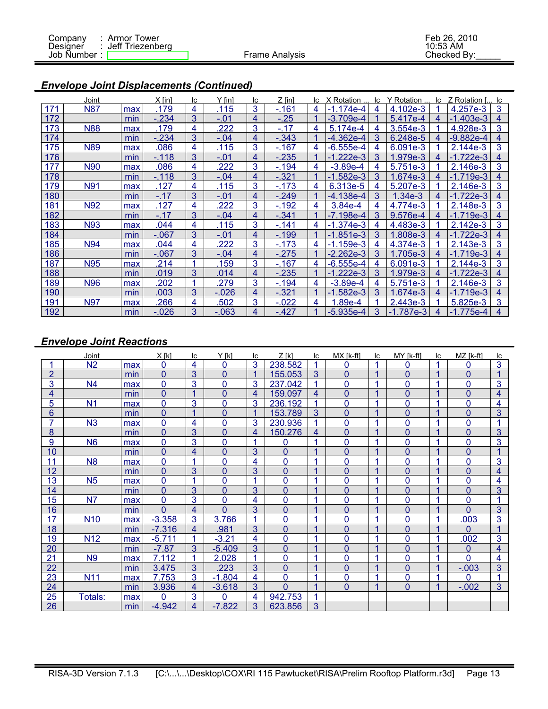#### *Envelope Joint Displacements (Continued)*

|     | Joint           |     | $X$ [in] | lc | Y [in]  | lc             | $Z$ [in] | lc. | X Rotation  | Ic | Y Rotation  | lc | Z Rotation [<br>lc            |
|-----|-----------------|-----|----------|----|---------|----------------|----------|-----|-------------|----|-------------|----|-------------------------------|
| 171 | <b>N87</b>      | max | 179      | 4  | 115     | 3              | $-.161$  | 4   | -1.174e-4   | 4  | 4.102e-3    |    | 3<br>4.257e-3                 |
| 172 |                 | min | $-.234$  | 3  | $-.01$  | 4              | $-.25$   |     | $-3.709e-4$ |    | 5.417e-4    | 4  | $-1.403e-3$<br>4              |
| 173 | <b>N88</b>      | max | 179      | 4  | 222     | 3              | $-.17$   | 4   | 5.174e-4    | 4  | $3.554e-3$  |    | 3<br>4.928e-3                 |
| 174 |                 | min | $-.234$  | 3  | $-.04$  | 4              | $-.343$  |     | $-4.362e-4$ | 3  | 6.248e-5    | 4  | $-9.882e-4$<br>4              |
| 175 | <b>N89</b>      | max | .086     | 4  | 115     | 3              | $-.167$  | 4   | $-6.555e-4$ | 4  | 6.091e-3    |    | 3<br>$2.144e-3$               |
| 176 |                 | min | $-.118$  | 3  | $-.01$  | 4              | $-235$   |     | $-1.222e-3$ | 3  | 1.979e-3    | 4  | $-1.722e-3$<br>4              |
| 177 | N <sub>90</sub> | max | .086     | 4  | 222     | 3              | -.194    | 4   | $-3.89e-4$  | 4  | 5.751e-3    |    | 3<br>2.146e-3                 |
| 178 |                 | min | $-.118$  | 3  | $-.04$  | 4              | $-.321$  |     | -1.582e-3   | 3  | 1.674e-3    | 4  | $-1.719e-3$<br>4              |
| 179 | <b>N91</b>      | max | .127     | 4  | .115    | 3              | $-.173$  |     | 6.313e-5    | 4  | 5.207e-3    |    | 2.146e-3<br>3                 |
| 180 |                 | min | $-.17$   | 3  | $-.01$  | 4              | $-.249$  |     | -4.138e-4   | 3  | $1.34e-3$   | 4  | $-1.722e-3$<br>4              |
| 181 | <b>N92</b>      | max | .127     | 4  | 222     | 3              | -.192    | 4   | $3.84e-4$   | 4  | 4.774e-3    |    | 3<br>2.148e-3                 |
| 182 |                 | min | $-.17$   | 3  | $-.04$  | 4              | $-.341$  |     | $-7.198e-4$ | 3  | 9.576e-4    | 4  | $-1.719e-3$<br>4              |
| 183 | <b>N93</b>      | max | 044      | 4  | 115     | 3              | $-.141$  | 4   | $-1.374e-3$ | 4  | 4.483e-3    |    | 2.142e-3<br>3                 |
| 184 |                 | min | $-.067$  | 3  | $-.01$  | 4              | $-.199$  |     | $-1.851e-3$ | 3  | 1.808e-3    | 4  | $-1.722e-3$<br>4              |
| 185 | <b>N94</b>      | max | .044     | 4  | 222     | 3              | $-173$   | 4   | $-1.159e-3$ | 4  | 4.374e-3    |    | 3<br>$2.143e-3$               |
| 186 |                 | min | $-.067$  | 3  | $-.04$  | 4              | $-275$   |     | $-2.262e-3$ | 3  | 1.705e-3    | 4  | $-1.719e-3$<br>$\overline{4}$ |
| 187 | N <sub>95</sub> | max | .214     | 1  | 159     | 3              | -.167    |     | $-6.555e-4$ | 4  | 6.091e-3    |    | 3<br>2.144e-3                 |
| 188 |                 | min | .019     | 3  | .014    | $\overline{4}$ | $-235$   |     | $-1.222e-3$ | 3  | 1.979e-3    | 4  | $-1.722e-3$<br>4              |
| 189 | <b>N96</b>      | max | .202     | 1  | .279    | 3              | -.194    | 4   | $-3.89e-4$  | 4  | 5.751e-3    |    | 3<br>2.146e-3                 |
| 190 |                 | min | .003     | 3  | $-.026$ | 4              | -.321    |     | $-1.582e-3$ | 3  | 1.674e-3    | 4  | $-1.719e-3$<br>4              |
| 191 | N97             | max | .266     | 4  | .502    | 3              | $-0.022$ | 4   | $1.89e-4$   |    | $2.443e-3$  |    | 3<br>5.825e-3                 |
| 192 |                 | min | $-.026$  | 3  | $-.063$ | 4              | $-.427$  |     | -5.935e-4   | 3  | $-1.787e-3$ | 4  | $-1.775e-4$<br>4              |

#### *Envelope Joint Reactions*

|                | Joint           |     | X[k]           | lс             | Y [k]          | lc             | Z [k]          | lc | MX [k-ft]      | lc             | $MY[k-ft]$     | lc.            | MZ [k-ft]      | lc.            |
|----------------|-----------------|-----|----------------|----------------|----------------|----------------|----------------|----|----------------|----------------|----------------|----------------|----------------|----------------|
|                | N <sub>2</sub>  | max | $\mathbf{0}$   | 4              | $\mathbf 0$    | 3              | 238.582        |    | 0              |                | 0              |                | 0              | 3              |
| $\overline{2}$ |                 | min | $\Omega$       | 3              | $\Omega$       | $\overline{1}$ | 155.053        | 3  | $\Omega$       | $\overline{A}$ | $\Omega$       |                | $\mathbf{0}$   |                |
| 3              | N <sub>4</sub>  | max | $\Omega$       | 3              | $\Omega$       | 3              | 237.042        |    | $\Omega$       | 1              | $\overline{0}$ | 4              | 0              | 3              |
| 4              |                 | min | $\Omega$       | 1              | $\Omega$       | 4              | 159.097        | 4  | $\Omega$       | 1              | $\Omega$       |                | $\Omega$       | $\overline{4}$ |
| 5              | N <sub>1</sub>  | max | $\Omega$       | 3              | $\Omega$       | 3              | 236.192        |    | $\Omega$       | 1              | $\Omega$       | 1              | 0              | 4              |
| 6              |                 | min | $\Omega$       | $\overline{1}$ | $\overline{0}$ | 1              | 153.789        | 3  | $\Omega$       | $\overline{A}$ | $\overline{0}$ |                | $\overline{0}$ | 3              |
| 7              | N3              | max | $\overline{0}$ | 4              | $\overline{0}$ | 3              | 230.936        |    | $\Omega$       | 4              | $\mathbf 0$    | 1              | $\mathbf 0$    |                |
| 8              |                 | min | $\Omega$       | 3              | $\overline{0}$ | 4              | 150.276        | 4  | $\Omega$       | $\overline{A}$ | $\overline{0}$ |                | $\overline{0}$ | 3              |
| 9              | N6              | max | $\Omega$       | $\overline{3}$ | $\overline{0}$ |                | 0              |    | $\Omega$       | 4              | $\mathbf 0$    |                | $\mathbf 0$    | 3              |
| 10             |                 | min | $\Omega$       | $\overline{4}$ | $\overline{0}$ | 3              | $\Omega$       |    | $\Omega$       | $\overline{A}$ | $\overline{0}$ |                | $\Omega$       |                |
| 11             | N <sub>8</sub>  | max | $\overline{0}$ | 1              | $\overline{0}$ | 4              | $\overline{0}$ |    | $\overline{0}$ | 1              | $\overline{0}$ | 4              | $\mathbf 0$    | 3              |
| 12             |                 | min | $\Omega$       | 3              | $\Omega$       | 3              | $\Omega$       |    | $\Omega$       | $\overline{1}$ | $\overline{0}$ | 1              | $\overline{0}$ | $\overline{4}$ |
| 13             | N <sub>5</sub>  | max | $\Omega$       | 1              | $\Omega$       |                | $\overline{0}$ |    | $\Omega$       | 1              | $\overline{0}$ |                | $\overline{0}$ | 4              |
| 14             |                 | min | $\Omega$       | 3              | $\Omega$       | 3              | $\Omega$       |    | $\Omega$       | $\overline{ }$ | $\overline{0}$ |                | $\overline{0}$ | $\overline{3}$ |
| 15             | <b>N7</b>       | max | $\Omega$       | 3              | $\overline{0}$ | 4              | $\overline{0}$ |    | $\overline{0}$ | 4              | $\overline{0}$ | 4              | 0              |                |
| 16             |                 | min | $\Omega$       | $\overline{4}$ | $\Omega$       | 3              | $\Omega$       |    | $\Omega$       | 1              | $\overline{0}$ |                | $\Omega$       | 3              |
| 17             | <b>N10</b>      | max | $-3.358$       | 3              | 3.766          | 1              | 0              |    | $\overline{0}$ | 1              | $\overline{0}$ | 1              | .003           | 3              |
| 18             |                 | min | $-7.316$       | 4              | .981           | 3              | $\overline{0}$ |    | $\Omega$       | 1              | $\overline{0}$ |                | <sup>0</sup>   |                |
| 19             | N <sub>12</sub> | max | $-5.711$       | 1              | $-3.21$        | 4              | $\Omega$       |    | $\Omega$       | 4              | $\overline{0}$ |                | .002           | 3              |
| 20             |                 | min | $-7.87$        | 3              | $-5.409$       | 3              | $\Omega$       |    | $\Omega$       | $\overline{ }$ | $\overline{0}$ | $\overline{ }$ | $\mathbf{0}$   | $\overline{4}$ |
| 21             | N <sub>9</sub>  | max | 7.112          | 1              | 2.028          |                | $\Omega$       |    | $\Omega$       | 4              | $\overline{0}$ |                | $\Omega$       | 4              |
| 22             |                 | min | 3.475          | 3              | 223            | 3              | $\Omega$       |    | $\Omega$       | $\overline{1}$ | $\overline{0}$ |                | $-.003$        | 3              |
| 23             | <b>N11</b>      | max | 7.753          | 3              | $-1.804$       | 4              | $\Omega$       |    | $\overline{0}$ | 4              | $\overline{0}$ |                | $\Omega$       |                |
| 24             |                 | min | 3.936          | 4              | $-3.618$       | 3              | O              |    | $\Omega$       | $\overline{1}$ | $\Omega$       |                | $-.002$        | 3              |
| 25             | Totals:         | max | $\Omega$       | 3              | $\Omega$       | 4              | 942.753        |    |                |                |                |                |                |                |
| 26             |                 | min | $-4.942$       | $\overline{4}$ | $-7.822$       | 3              | 623.856        | 3  |                |                |                |                |                |                |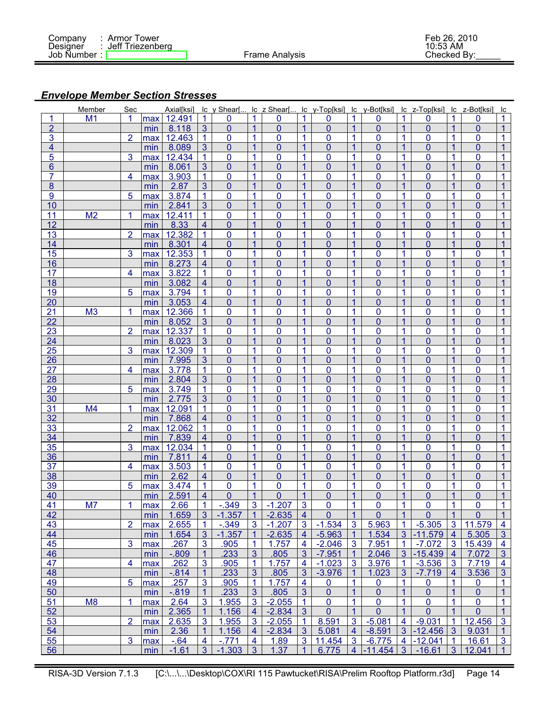| Company<br>: Armor Tower     |                       | Feb 26, 2 |
|------------------------------|-----------------------|-----------|
| Jeff Triezenberg<br>Designer |                       | 10:53 AM  |
| Job Number:                  | <b>Frame Analysis</b> | Checked   |

#### *Envelope Member Section Stresses*

|                                  | Member         | Sec            |            | Axial[ksi]       |                   |                                |                           |                          |                   |                      |                  | Ic y Shear[ Ic z Shear[ Ic y-Top[ksi] Ic y-Bot[ksi] Ic z-Top[ksi] Ic z-Bot[ksi] |                |                       |                      |                 | lc.                  |
|----------------------------------|----------------|----------------|------------|------------------|-------------------|--------------------------------|---------------------------|--------------------------|-------------------|----------------------|------------------|---------------------------------------------------------------------------------|----------------|-----------------------|----------------------|-----------------|----------------------|
| 1                                | M <sub>1</sub> | 1              | max        | 12.491           | 1                 | 0                              | 1                         | 0                        | 1                 | 0                    | 1                | 0                                                                               | 1              | 0                     | 1                    | 0               | 1.                   |
| $\overline{2}$                   |                |                | min        | 8.118            | $\overline{3}$    | $\overline{0}$                 | $\mathbf{1}$              | $\overline{0}$           | $\mathbf{1}$      | $\overline{0}$       | $\overline{1}$   | $\overline{0}$                                                                  | 1              | $\Omega$              | $\overline{1}$       | $\Omega$        | $\mathbf{1}$         |
| 3                                |                | $\overline{2}$ | max        | 12.463           | 1.                | 0                              | 1                         | 0                        | 1.                | 0                    | 1                | 0                                                                               | 1              | 0                     | 1                    | $\Omega$        | 1                    |
| 4                                |                |                | min        | 8.089            | 3                 | $\mathbf{0}$                   | 1                         | 0                        | $\mathbf{1}$      | 0                    | $\overline{1}$   | $\mathbf{0}$                                                                    | 1              | $\Omega$              | 1                    | 0               | $\mathbf{1}$         |
| 5                                |                | 3              | max        | 12.434           | 1                 | 0                              | 1                         | 0                        | 1.                | 0                    | 1                | 0                                                                               | 1              | 0                     | 1                    | $\Omega$        | 1                    |
| $6\phantom{1}$<br>$\overline{7}$ |                |                | min        | 8.061            | 3                 | $\mathbf{0}$                   | 1                         | $\mathbf{0}$             | $\mathbf{1}$      | 0                    | 1<br>1           | 0                                                                               | 1<br>1         | $\Omega$              | 1<br>1               | 0               | $\mathbf{1}$         |
| $\boldsymbol{8}$                 |                | 4              | max        | 3.903<br>2.87    | 1<br>3            | $\overline{0}$<br>$\mathbf{0}$ | 1<br>$\mathbf{1}$         | $\Omega$<br>$\mathbf{0}$ | 1<br>1            | 0<br>0               | 1                | 0<br>$\Omega$                                                                   | 1              | $\Omega$<br>0         | 1                    | $\Omega$<br>0   | 1<br>$\mathbf{1}$    |
| 9                                |                | 5              | min        | 3.874            | 1                 | 0                              | 1                         | 0                        | 1                 | 0                    | 1                | 0                                                                               | 1              | 0                     | 1                    | $\Omega$        | 1                    |
| 10                               |                |                | max<br>min | 2.841            | 3                 | 0                              | 1                         | 0                        | 1                 | 0                    | 1                | 0                                                                               | 1              | 0                     |                      | 0               | $\mathbf 1$          |
| 11                               | M <sub>2</sub> | 1              | max        | 12.411           | 1                 | 0                              | 1                         | 0                        | 1                 | 0                    | 1                | 0                                                                               | 1              | 0                     | 1                    | 0               | 1                    |
| 12                               |                |                | min        | 8.33             | $\overline{4}$    | $\overline{0}$                 | $\mathbf{1}$              | $\overline{0}$           | $\mathbf{1}$      | $\Omega$             | $\overline{1}$   | 0                                                                               | 1              | $\Omega$              | 1                    | $\Omega$        | $\mathbf{1}$         |
| 13                               |                | 2              | max        | 12.382           | 1                 | 0                              | 1                         | 0                        | 1                 | 0                    | 1                | 0                                                                               | 1              | 0                     | 1                    | $\Omega$        | 1                    |
| 14                               |                |                | min        | 8.301            | $\overline{4}$    | $\mathbf{0}$                   | $\mathbf{1}$              | 0                        | $\mathbf{1}$      | 0                    | 1                | $\overline{0}$                                                                  | 1              | $\Omega$              | 1                    | 0               | $\mathbf{1}$         |
| 15                               |                | 3              | max        | 12.353           | 1                 | 0                              | 1                         | 0                        | 1                 | 0                    | 1                | 0                                                                               | 1              | 0                     | 1                    | 0               | 1                    |
| 16                               |                |                | min        | 8.273            | $\overline{4}$    | 0                              | 1                         | $\Omega$                 | 1                 | 0                    | 1                | 0                                                                               | 1              | $\Omega$              | 1                    | $\Omega$        | $\overline{1}$       |
| 17                               |                | 4              | max        | 3.822            | 1.                | $\overline{0}$                 | 1                         | $\Omega$                 | 1                 | 0                    | 1                | 0                                                                               | 1              | 0                     | 1                    | $\Omega$        | 1                    |
| 18                               |                |                | min        | 3.082            | $\overline{4}$    | $\mathbf{0}$                   | $\mathbf{1}$              | 0                        | 1                 | 0                    | 1                | 0                                                                               | 1              | 0                     | 1                    | 0               | 1                    |
| 19                               |                | 5              | max        | 3.794            | 1                 | 0                              | 1                         | 0                        | 1                 | 0                    | 1                | 0                                                                               | 1              | 0                     | 1                    | $\Omega$        | 1                    |
| 20                               |                |                | min        | 3.053            | $\overline{4}$    | 0                              | 1                         | 0                        | $\mathbf 1$       | 0                    | 1                | 0                                                                               | 1              | 0                     |                      | $\Omega$        | $\mathbf{1}$         |
| 21                               | M <sub>3</sub> | 1              | max        | 12.366           | 1                 | 0                              | 1                         | 0                        | 1                 | 0                    | 1                | 0                                                                               | 1              | 0                     | 1                    | 0               | 1                    |
| 22                               |                |                | min        | 8.052            | $\overline{3}$    | $\overline{0}$                 | $\overline{1}$            | $\overline{0}$           | $\mathbf{1}$      | $\Omega$             | $\overline{1}$   | 0                                                                               | 1              | $\Omega$              | 1                    | $\Omega$        | $\mathbf{1}$         |
| 23                               |                | 2              | max        | 12.337           | 1.                | 0                              | 1                         | 0                        | 1                 | 0                    | 1                | 0                                                                               | 1              | 0                     | 1                    | $\Omega$        | 1                    |
| 24                               |                |                | min        | 8.023            | 3                 | $\mathbf{0}$                   | $\mathbf{1}$              | 0                        | $\mathbf 1$       | 0                    | $\overline{1}$   | $\Omega$                                                                        | 1              | $\Omega$              | 1                    | 0               | $\blacktriangleleft$ |
| 25                               |                | 3              | max        | 12.309           | 1                 | 0                              | 1                         | 0                        | 1                 | 0                    | 1                | 0                                                                               | 1              | 0                     | 1                    | 0               | 1                    |
| 26                               |                |                | min        | 7.995            | 3                 | $\mathbf{0}$                   | 1                         | $\mathbf{0}$             | 1                 | 0                    | 1                | 0                                                                               | 1              | $\Omega$              | 1                    | 0               | $\mathbf{1}$         |
| 27                               |                | 4              | max        | 3.778            | 1                 | $\overline{0}$<br>$\mathbf{0}$ | 1<br>$\mathbf{1}$         | $\Omega$                 | 1<br>1            | $\Omega$<br>0        | 1<br>1           | $\Omega$<br>0                                                                   | 1<br>1         | 0<br>0                | 1<br>1               | $\Omega$<br>0   | 1<br>1               |
| 28<br>29                         |                | 5              | min        | 2.804<br>3.749   | 3<br>1            | 0                              | 1                         | 0<br>0                   | 1                 | 0                    | 1                | 0                                                                               | 1              | 0                     | 1                    | $\Omega$        | 1                    |
| 30                               |                |                | max<br>min | 2.775            | 3                 | 0                              | 1                         | 0                        | 1                 | 0                    | 1                | 0                                                                               | 1              | 0                     |                      | 0               | $\mathbf{1}$         |
| 31                               | M4             | 1              | max        | 12.091           | 1                 | $\mathbf 0$                    | 1                         | 0                        | 1                 | 0                    | 1                | 0                                                                               | 1              | 0                     | 1                    | 0               | 1                    |
| 32                               |                |                | min        | 7.868            | $\overline{4}$    | $\mathbf{0}$                   | $\mathbf{1}$              | $\overline{0}$           | $\mathbf{1}$      | $\Omega$             | $\overline{1}$   | 0                                                                               | 1              | $\Omega$              | 1                    | $\Omega$        | $\mathbf{1}$         |
| 33                               |                | 2              | max        | 12.062           | 1.                | 0                              | 1                         | 0                        | 1.                | 0                    | 1                | 0                                                                               | 1              | 0                     | 1                    | $\Omega$        | 1                    |
| 34                               |                |                | min        | 7.839            | $\overline{4}$    | $\mathbf{0}$                   | $\mathbf{1}$              | 0                        | $\mathbf{1}$      | 0                    | $\overline{1}$   | $\Omega$                                                                        | 1              | $\Omega$              | 1                    | 0               | $\mathbf{1}$         |
| 35                               |                | 3              | max        | 12.034           | 1                 | 0                              | 1                         | 0                        | 1                 | 0                    | 1                | 0                                                                               | 1              | 0                     | 1                    | $\Omega$        | 1                    |
| 36                               |                |                | min        | 7.811            | $\overline{4}$    | $\mathbf{0}$                   | $\mathbf{1}$              | $\mathbf{0}$             | $\mathbf{1}$      | 0                    | 1                | 0                                                                               | 1              | $\Omega$              | 1                    | 0               | $\mathbf{1}$         |
| 37                               |                | 4              | max        | 3.503            | 1                 | $\overline{0}$                 | 1                         | $\mathbf{0}$             | 1                 | 0                    | 1                | 0                                                                               | 1              | 0                     | 1                    | $\Omega$        | 1                    |
| 38                               |                |                | min        | 2.62             | $\overline{4}$    | $\mathbf{0}$                   | $\mathbf{1}$              | 0                        | $\mathbf{1}$      | 0                    | 1                | 0                                                                               | 1              | 0                     | 1                    | 0               | $\mathbf{1}$         |
| 39                               |                | 5              | max        | 3.474            | 1.                | 0                              | 1                         | 0                        | 1.                | 0                    | 1                | 0                                                                               | 1              | 0                     | 1                    | $\Omega$        | 1                    |
| 40                               |                |                | min        | 2.591            | $\overline{4}$    | 0                              | $\mathbf{1}$              | 0                        | $\mathbf{1}$      | 0                    | 1                | 0                                                                               | 1              | 0                     | 1                    | $\mathbf{0}$    | $\mathbf{1}$         |
| 41                               | M <sub>7</sub> | $\mathbf{1}$   | max        | 2.66             | $\mathbf{1}$      | $-.349$                        | $\overline{3}$            | $-1.207$                 | $\overline{3}$    | $\overline{0}$       | $\mathbf{1}$     | $\overline{0}$                                                                  | $\mathbf{1}$   | $\overline{0}$        | $\mathbf{1}$         | $\overline{0}$  | $\mathbf{1}$         |
| 42                               |                |                | <u>min</u> | 1.659            | $\overline{3}$    | $-1.357$                       | $\blacktriangleleft$      | $-2.635$                 | $\overline{4}$    | $\Omega$             | $\overline{1}$   | $\Omega$                                                                        | $\overline{1}$ | $\Omega$              | $\blacktriangleleft$ | $\Omega$        | $\mathbf{1}$         |
| 43                               |                | 2              | max        | 2.655            | $\mathbf{1}$      | $-.349$                        | 3                         | $-1.207$                 | 3                 | $-1.534$             | 3                | 5.963                                                                           | 1.             | $-5.305$              | 3                    | 11.579          | 4                    |
| 44                               |                |                | min        | 1.654            | 3                 | $-1.357$                       | $\mathbf{1}$              | $-2.635$                 | $\overline{4}$    | $-5.963$             | 1                | 1.534                                                                           | 3              | $-11.579$             | $\overline{4}$       | 5.305           | 3 <sup>2</sup>       |
| 45                               |                | 3              | max        | .267             | 3<br>$\mathbf{1}$ | .905                           | 1                         | 1.757                    | 4                 | $-2.046$             | 3                | 7.951                                                                           | 1              | $-7.072$              | 3                    | 15.439<br>7.072 | $\overline{4}$       |
| 46<br>47                         |                | 4              | min        | $-0.809$<br>.262 | 3                 | .233<br>.905                   | 3<br>$\blacktriangleleft$ | .805<br>1.757            | $\mathbf{3}$<br>4 | $-7.951$<br>$-1.023$ | $\mathbf 1$<br>3 | 2.046<br>3.976                                                                  | 3<br>1         | $-15.439$<br>$-3.536$ | $\overline{4}$<br>3  | 7.719           | 3<br>$\overline{4}$  |
| 48                               |                |                | max<br>min | $-0.814$         | $\mathbf{1}$      | .233                           | 3                         | .805                     | 3 <sup>1</sup>    | $-3.976$             | 1                | 1.023                                                                           | 3              | $-7.719$              | $\overline{4}$       | 3.536           | 3 <sup>2</sup>       |
| 49                               |                | 5              | max        | .257             | 3                 | .905                           | $\mathbf{1}$              | 1.757                    | 4                 | $\overline{0}$       | $\mathbf{1}$     | <u>0</u>                                                                        | 1.             | 0                     | 1                    | $\mathbf 0$     | $\mathbf{1}$         |
| 50                               |                |                | min        | $-0.819$         | $\mathbf{1}$      | .233                           | 3                         | .805                     | $\mathbf{3}$      | $\mathbf 0$          | $\mathbf{1}$     | $\overline{0}$                                                                  | 1              | $\mathbf{0}$          | 1                    | $\mathbf{0}$    | $\mathbf{1}$         |
| 51                               | M <sub>8</sub> | 1              | max        | 2.64             | 3                 | 1.955                          | 3                         | $-2.055$                 | $\mathbf{1}$      | $\mathbf 0$          | 1                | $\mathbf 0$                                                                     | 1              | $\mathbf 0$           | 1                    | $\mathbf{0}$    | 1                    |
| 52                               |                |                | min        | 2.365            | $\mathbf{1}$      | 1.156                          | $\overline{4}$            | $-2.834$                 | 3 <sup>1</sup>    | $\mathbf{0}$         | $\overline{1}$   | $\Omega$                                                                        | $\overline{1}$ | $\Omega$              | $\overline{1}$       | $\Omega$        | $\mathbf{1}$         |
| 53                               |                | 2              | max        | 2.635            | 3                 | 1.955                          | 3                         | $-2.055$                 | $\mathbf{1}$      | 8.591                | 3                | $-5.081$                                                                        | 4              | $-9.031$              | -1                   | 12.456          | 3                    |
| 54                               |                |                | min        | 2.36             | $\mathbf{1}$      | 1.156                          | $\overline{4}$            | $-2.834$                 | 3                 | 5.081                | $\overline{4}$   | $-8.591$                                                                        | $\mathbf{3}$   | $ -12.456 $           | 3                    | 9.031           | $\mathbf{1}$         |
| 55                               |                | 3              | max        | $-.64$           | 4                 | $-.771$                        | 4                         | 1.89                     | 3 <sup>1</sup>    | 11.454               | 3                | $-6.775$                                                                        | 4              | $-12.041$             | -1                   | 16.61           | $\mathbf{3}$         |
| 56                               |                |                | min        | $-1.61$          | 3 <sup>°</sup>    | $-1.303$                       | 3 <sup>1</sup>            | 1.37                     | $\mathbf{1}$      | 6.775                |                  | $4$ -11.454                                                                     | 3 <sup>°</sup> | $-16.61$              | 3 <sup>1</sup>       | 12.041          | $\mathbf{1}$         |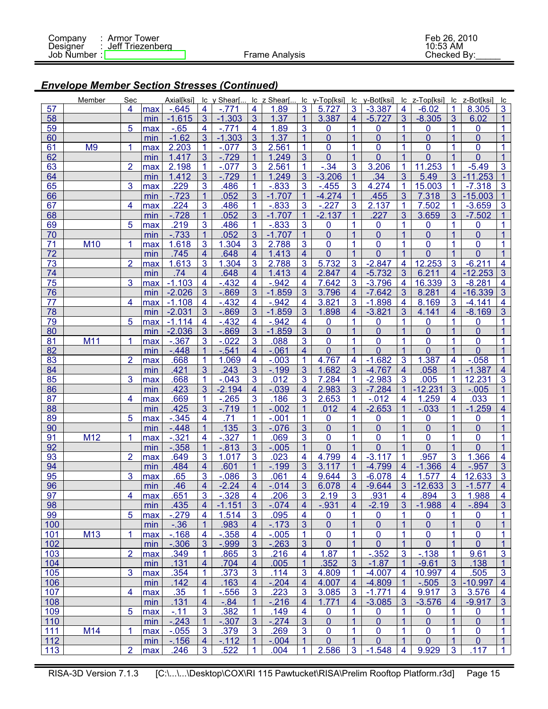|     | Member         | <b>Sec</b>     |            | Axial[ksi]  |                | Ic y Shear[ |                | Ic z Shear[     |                | Ic y-Top[ksi] Ic y-Bot[ksi] |                      |                |                         | Ic z-Top[ksi] Ic z-Bot[ksi] |                      |                | c                  |
|-----|----------------|----------------|------------|-------------|----------------|-------------|----------------|-----------------|----------------|-----------------------------|----------------------|----------------|-------------------------|-----------------------------|----------------------|----------------|--------------------|
| 57  |                | 4              | max        | $-0.645$    | 4              | $-.771$     | 4              | 1.89            | 3              | 5.727                       | 3                    | $-3.387$       | 4                       | $-6.02$                     | 1                    | 8.305          | $\mathbf{3}$       |
| 58  |                |                | min        | $-1.615$    | 3              | $-1.303$    | 3              | 1.37            | $\mathbf{1}$   | 3.387                       | $\overline{4}$       | $-5.727$       | 3                       | $-8.305$                    | 3                    | 6.02           | 1.                 |
| 59  |                | 5              | max        | $-.65$      | 4              | $-.771$     | 4              | 1.89            | 3              | 0                           | 1                    | 0              | 1                       | 0                           | 1                    | 0              | 1.                 |
| 60  |                |                | min        | $-1.62$     | 3              | $-1.303$    | 3              | 1.37            | 1              | $\mathbf{0}$                | 1                    | 0              | 1                       | $\Omega$                    |                      | $\Omega$       | $\mathbf{1}$       |
| 61  | M <sub>9</sub> | 1              | max        | 2.203       | 1              | $-.077$     | 3              | 2.561           | 1              | $\mathbf 0$                 | $\mathbf{1}$         | 0              | 1                       | 0                           | 1                    | $\mathbf{0}$   | $\mathbf{1}$       |
| 62  |                |                | min        | 1.417       | 3              | $-.729$     | $\mathbf{1}$   | 1.249           | 3              | $\overline{0}$              | $\mathbf{1}$         | $\Omega$       | 1                       | $\Omega$                    | 1                    | $\Omega$       | $\mathbf{1}$       |
| 63  |                | 2              | max        | 2.198       | 1              | $-.077$     | 3              | 2.561           | 1              | $-.34$                      | 3                    | 3.206          | 1                       | 11.253                      | 1                    | $-5.49$        | 3                  |
| 64  |                |                | min        | 1.412       | 3              | $-.729$     | 1              | 1.249           | 3              | $-3.206$                    | $\mathbf{1}$         | .34            | 3                       | 5.49                        | 3                    | $-11.253$      | $\mathbf{1}$       |
| 65  |                | 3              | max        | .229        | 3              | .486        | 1              | $-.833$         | 3              | $-.455$                     | 3                    | 4.274          | 1                       | 15.003                      | 1                    | $-7.318$       | $\overline{3}$     |
| 66  |                |                | min        | $-723$      | $\overline{1}$ | .052        | 3              | $-1.707$        | $\mathbf{1}$   | $-4.274$                    | $\mathbf{1}$         | .455           | 3                       | 7.318                       | 3                    | $-15.003$      | $\mathbf{1}$       |
| 67  |                | 4              | max        | .224        | 3              | .486        | 1              | $-0.833$        | 3              | $-.227$                     | 3                    | 2.137          | 1                       | 7.502                       | 1                    | $-3.659$       | $\mathbf{3}$       |
| 68  |                |                | min        | $-.728$     | 1              | .052        | 3              | $-1.707$        | $\mathbf{1}$   | $-2.137$                    | $\mathbf{1}$         | 227            | 3                       | 3.659                       | 3                    | $-7.502$       | 1.                 |
| 69  |                | 5              | max        | .219        | 3              | .486        | 1              | $-.833$         | 3              | 0                           | 1                    | 0              | 1                       | 0                           | 1                    | 0              | 1.                 |
| 70  |                |                | min        | $-733$      | $\overline{1}$ | .052        | 3              | $-1.707$        | 1              | $\mathbf{0}$                | 1                    | 0              | 1                       | $\Omega$                    | 1                    | $\Omega$       | $\mathbf{1}$       |
| 71  | M10            | 1              | max        | 1.618       | 3              | 1.304       | 3              | 2.788           | 3              | $\mathbf 0$                 | $\mathbf{1}$         | 0              | 1                       | 0                           | 1                    | $\mathbf{0}$   | $\mathbf{1}$       |
| 72  |                |                | min        | .745        | $\overline{4}$ | .648        | $\overline{4}$ | 1.413           | $\overline{4}$ | $\Omega$                    | $\mathbf{1}$         | $\Omega$       | 1                       | $\Omega$                    | $\blacktriangleleft$ | $\Omega$       | $\mathbf{1}$       |
| 73  |                | $\overline{2}$ | max        | 1.613       | 3              | 1.304       | 3              | 2.788           | 3              | 5.732                       | 3                    | $-2.847$       | 4                       | 12.253                      | 3                    | $-6.211$       | 4                  |
| 74  |                |                | min        | .74         | $\overline{4}$ | .648        | $\overline{4}$ | 1.413           | $\overline{4}$ | 2.847                       | 4                    | $-5.732$       | 3                       | 6.211                       | 4                    | $-12.253$      | $\overline{3}$     |
| 75  |                | 3              | max        | $-1.103$    | 4              | $-.432$     | 4              | $-0.942$        | 4              | 7.642                       | 3                    | $-3.796$       | 4                       | 16.339                      | 3                    | $-8.281$       | 4                  |
| 76  |                |                | min        | $-2.026$    | 3              | $-0.869$    | 3              | $-1.859$        | 3              | 3.796                       | $\overline{4}$       | $-7.642$       | 3                       | 8.281                       | $\overline{4}$       | $-16.339$      | 3 <sup>2</sup>     |
| 77  |                | 4              | max        | $-1.108$    | 4              | $-0.432$    | 4              | $-0.942$        | 4              | 3.821                       | 3                    | $-1.898$       | 4                       | 8.169                       | 3                    | $-4.141$       | 4                  |
| 78  |                |                | min        | $-2.031$    | 3              | $-0.869$    | 3              | $-1.859$        | 3              | 1.898                       | $\overline{4}$       | $-3.821$       | 3                       | 4.141                       | 4                    | $-8.169$       | 3 <sup>5</sup>     |
|     |                |                |            | $-1.114$    | 4              |             |                |                 | 4              |                             | 1                    |                | 1                       |                             | 1                    |                |                    |
| 79  |                | 5              | max        |             |                | $-.432$     | 4              | $-.942$         |                | 0                           | 1                    | 0              |                         | 0                           |                      | 0              | 1.<br>$\mathbf{1}$ |
| 80  |                |                | min        | $-2.036$    | 3              | $-0.869$    | 3              | $-1.859$        | 3              | $\mathbf{0}$                |                      | 0              |                         | $\mathbf 0$                 | 1                    | $\Omega$       |                    |
| 81  | M11            | 1              | max        | $-.367$     | 3              | $-.022$     | 3              | .088            | 3              | $\mathbf 0$                 | $\mathbf{1}$         | 0              | 1                       | 0                           | 1                    | $\mathbf{0}$   | $\mathbf{1}$       |
| 82  |                |                | min        | $-.448$     | 1              | $-.541$     | $\overline{4}$ | $-.061$         | $\overline{4}$ | $\overline{0}$              | $\mathbf{1}$         | $\Omega$       | 1                       | $\Omega$                    | $\blacktriangleleft$ | $\Omega$       | $\mathbf{1}$       |
| 83  |                | $\overline{2}$ | max        | .668        | 1              | 1.069       | 4              | $-.003$         | $\mathbf{1}$   | 4.767                       | 4                    | $-1.682$       | 3                       | 1.387                       | 4                    | $-.058$        | 1.                 |
| 84  |                |                | min        | .421        | $\overline{3}$ | .243        | $\overline{3}$ | $-0.199$        | $\overline{3}$ | 1.682                       | 3                    | $-4.767$       | $\overline{4}$          | .058                        |                      | $-1.387$       | $\overline{4}$     |
| 85  |                | 3              | max        | <u>668.</u> | 1              | $-0.043$    | 3              | .012            | 3              | 7.284                       | 1                    | $-2.983$       | 3                       | 005                         | 1                    | 12.231         | 3                  |
| 86  |                |                | min        | .423        | 3              | $-2.194$    | $\overline{4}$ | $-.039$         | $\overline{4}$ | 2.983                       | 3                    | $-7.284$       | $\overline{1}$          | $-12.231$                   | 3                    | $-.005$        | $\mathbf{1}$       |
| 87  |                | 4              | max        | .669        | 1              | $-0.265$    | 3              | .186            | 3              | 2.653                       | $\mathbf{1}$         | $-0.012$       | 4                       | 1.259                       | 4                    | .033           | 1                  |
| 88  |                |                | min        | .425        | 3              | $-.719$     | 1              | $-.002$         | $\mathbf{1}$   | .012                        | $\overline{4}$       | $-2.653$       | 1                       | $-.033$                     | 1                    | $-1.259$       | $\overline{4}$     |
| 89  |                | 5              | max        | $-0.345$    | 4              | .71         | 1              | $-.001$         | 1              | $\mathbf 0$                 | 1                    | 0              | 1                       | 0                           | 1                    | 0              | 1                  |
| 90  |                |                | min        | $-.448$     | 1              | 135         | 3              | $-.076$         | 3              | $\mathbf{0}$                | 1                    | 0              |                         | $\mathbf 0$                 |                      | $\Omega$       | $\mathbf{1}$       |
| 91  | M12            | 1              | max        | $-.321$     | 4              | $-0.327$    | 1              | .069            | 3              | $\mathbf 0$                 | $\mathbf{1}$         | 0              | 1                       | 0                           | 1                    | $\mathbf{0}$   | $\mathbf{1}$       |
| 92  |                |                | min        | $-0.358$    | 1              | $-0.813$    | 3              | $-.005$         | $\mathbf{1}$   | $\Omega$                    | $\mathbf{1}$         | $\Omega$       | 1                       | $\mathbf 0$                 | 1                    | $\Omega$       | $\mathbf{1}$       |
| 93  |                | $\overline{2}$ | max        | .649        | 3              | 1.017       | 3              | .023            | 4              | 4.799                       | 4                    | $-3.117$       | 1                       | .957                        | 3                    | 1.366          | 4                  |
| 94  |                |                | min        | .484        | 4              | .601        | 1              | $-0.199$        | 3              | 3.117                       | $\mathbf{1}$         | $-4.799$       | 4                       | $-1.366$                    | 4                    | $-0.957$       | $\overline{3}$     |
| 95  |                | 3              | max        | .65         | 3              | $-0.086$    | 3              | .061            | 4              | 9.644                       | 3                    | $-6.078$       | 4                       | 1.577                       | 4                    | 12.633         | 3                  |
| 96  |                |                | min        | .46         | $\overline{4}$ | $-2.24$     | $\overline{4}$ | $-.014$         | 3              | 6.078                       | $\overline{4}$       | $-9.644$       | $\mathbf{3}$            | $-12.633$                   | 3                    | $-1.577$       | $\overline{4}$     |
| 97  |                | 4              | max        | .651        | $\overline{3}$ | 328         | $\overline{4}$ | .206            | $\overline{3}$ | 2.19                        | $\overline{3}$       | <u>.931</u>    | $\overline{\mathbf{4}}$ | <u>.894</u>                 | $\overline{3}$       | 1.988          | 4                  |
| 98  |                |                | <u>min</u> | .435        | $\overline{4}$ | $-1.151$    | 3              | $-.074$         | $\overline{4}$ | $-.931$                     | $\overline{4}$       | $-2.19$        | 3 <sup>°</sup>          | $-1.988$                    | 4                    | $-.894$        | 3 <sup>1</sup>     |
| 99  |                | 5              | max        | $-.279$     | 4              | 1.514       | 3              | .095            | 4              | 0                           | $\blacktriangleleft$ | 0              | 1                       | 0                           | 1.                   | 0              | 1.                 |
| 100 |                |                | min        | $-.36$      | 1              | .983        | $\overline{4}$ | $-.173$         | 3              | $\mathbf{0}$                | $\mathbf{1}$         | $\mathbf{0}$   | 1                       | $\mathbf{0}$                | $\overline{1}$       | $\Omega$       | $\mathbf{1}$       |
| 101 | M13            | 1              | max        | $-0.168$    | 4              | $-0.358$    | 4              | $-.005$         | 1              | $\pmb{0}$                   | $\mathbf{1}$         | $\pmb{0}$      | 1                       | 0                           | 1                    | $\mathbf{0}$   | 1                  |
| 102 |                |                | min        | $-.306$     | 3              | $-0.999$    | 3              | $-0.263$        | 3              | $\mathbf{0}$                | $\mathbf{1}$         | $\mathbf{0}$   | 1                       | $\mathbf{0}$                | $\mathbf{1}$         | $\mathbf{0}$   | $\mathbf{1}$       |
| 103 |                | $\overline{2}$ | max        | .349        | 1.             | .865        | 3              | .216            | 4              | 1.87                        | 1                    | $-.352$        | 3                       | $-.138$                     | 1                    | 9.61           | $\mathbf{3}$       |
| 104 |                |                | min        | 131         | 4              | .704        | $\overline{4}$ | .005            | 1              | .352                        | 3                    | $-1.87$        | $\blacktriangleleft$    | $-9.61$                     | 3                    | .138           | $\mathbf{1}$       |
| 105 |                | 3              | max        | .354        | 1              | .373        | 3              | .114            | 3              | 4.809                       | $\blacktriangleleft$ | $-4.007$       | $\overline{4}$          | 10.997                      | 4                    | .505           | $\overline{3}$     |
| 106 |                |                | min        | 142         | 4              | .163        | $\overline{4}$ | $-.204$         | $\overline{4}$ | 4.007                       | $\overline{4}$       | $-4.809$       | -1                      | $-.505$                     | 3                    | $-10.997$      | $\overline{4}$     |
| 107 |                | 4              | max        | .35         | 1              | $-0.556$    | 3              | .223            | $\overline{3}$ | 3.085                       | 3                    | $-1.771$       | 4                       | 9.917                       | 3                    | 3.576          | $\overline{4}$     |
| 108 |                |                | min        | .131        | 4              | $-.84$      | 1              | $-.216$         | $\overline{4}$ | 1.771                       | $\overline{4}$       | $-3.085$       | 3                       | $-3.576$                    | 4                    | $-9.917$       | 3 <sup>5</sup>     |
| 109 |                | 5              |            |             | $\overline{3}$ | .382        | 1              |                 | 4              | $\mathbf 0$                 | $\mathbf{1}$         |                | 1                       |                             | 1                    |                | 1.                 |
|     |                |                | max        | $-.11$      | 1              |             | 3              | .149<br>$-.274$ | 3              |                             | $\mathbf{1}$         | 0              | 1                       | 0                           | 1                    | 0              | $\mathbf{1}$       |
| 110 |                | 1              | <u>min</u> | $-.243$     |                | $-.307$     |                |                 |                | $\mathbf{0}$                | $\mathbf{1}$         | $\mathbf 0$    | 1                       | $\mathbf{0}$<br>$\mathbf 0$ | 1                    | $\mathbf{0}$   | $\mathbf{1}$       |
| 111 | M14            |                | max        | $-.055$     | 3              | .379        | 3              | .269            | 3              | $\mathbf 0$                 |                      | $\pmb{0}$      |                         |                             |                      | $\mathbf{0}$   |                    |
| 112 |                |                | min        | $-0.156$    | $\overline{4}$ | $-.112$     | $\mathbf{1}$   | $-.004$         | $\mathbf{1}$   | $\mathbf{0}$                | $\mathbf{1}$         | $\overline{0}$ | $\mathbf{1}$            | $\mathbf{0}$                | $\mathbf{1}$         | $\overline{0}$ | $\mathbf{1}$       |
| 113 |                | $\overline{2}$ | max        | .246        | 3 <sup>1</sup> | .522        | 1.             | .004            | $\mathbf{1}$   | 2.586                       | 3 <sup>1</sup>       | $-1.548$       | $\overline{4}$          | 9.929                       | 3                    | .117           | $\mathbf{1}$       |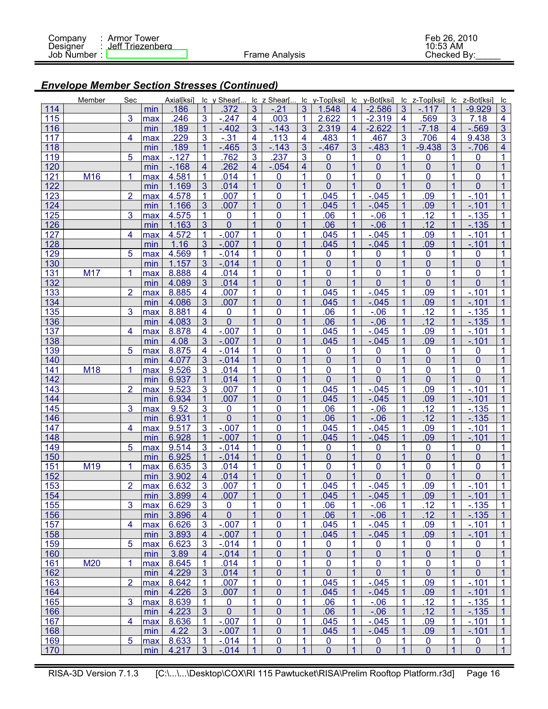| 3<br>114<br>$\mathbf{1}$<br>372<br>3<br>$-21$<br>$-2.586$<br>$\mathbf{3}$<br>186<br>1.548<br>$\overline{4}$<br>$-.117$<br>min<br>3<br>3<br>115<br>.246<br>$\overline{4}$<br>2.622<br>$\mathbf{1}$<br>$-2.319$<br>$\overline{4}$<br>569<br>$-.247$<br>.003<br>$\blacktriangleleft$<br>max<br>3<br>3 <sup>1</sup><br>116<br>189<br>1<br>$-.402$<br>$-.143$<br>2.319<br>$-2.622$<br>1<br>$-7.18$<br>$\overline{4}$<br>min<br>117<br>4<br>.229<br>3<br>$-.31$<br>.113<br>.483<br>.467<br>3<br>.706<br>4<br>4<br>1<br>max<br>$\overline{3}$<br>$\mathbf{3}$<br>118<br>189<br>$-465$<br>$-.143$<br>$-467$<br>3<br>$-483$<br>$-9.438$<br>$\mathbf{1}$<br>1<br>min<br>3<br>119<br>5<br>1<br>3<br>.237<br>1<br>1<br>$-.127$<br>.762<br>$\mathbf 0$<br>$\mathbf 0$<br>0<br>max<br>120<br>$\overline{4}$<br>.262<br>$\overline{4}$<br>$\mathbf{0}$<br>0<br>$-0.168$<br>$-.054$<br>$\overline{4}$<br>$\mathbf{0}$<br>$\mathbf{1}$<br>1<br>min<br>121<br>M16<br>1<br>4.581<br>1<br>.014<br>$\mathbf{1}$<br>1.<br>$\mathbf 0$<br>1<br>0<br>1<br>0<br>0<br>max<br>$\overline{1}$<br>0<br>122<br>1.169<br>3<br>.014<br>0<br>1<br>$\mathbf{0}$<br>1<br>$\mathbf{0}$<br>1<br>min<br>123<br>$\overline{2}$<br>1<br>1<br>1<br>$-.045$<br>4.578<br>1<br>.007<br>0<br>045<br>1<br>.09<br>max<br>3<br>$\overline{1}$<br>$\mathbf{1}$<br>124<br>0<br>045<br>$\mathbf{1}$<br>$-.045$<br>1<br>.09<br>1.166<br>.007<br>min<br>3<br>$\mathbf{1}$<br>125<br>4.575<br>$\mathbf 0$<br>$\blacktriangleleft$<br>$-.06$<br>.12<br>1<br>$\bf{0}$<br>1<br>.06<br>1.<br>max<br>3<br>$\mathbf{1}$<br>.12<br>126<br>1.163<br>$\mathbf{0}$<br>0<br>1<br>.06<br>1<br>$-.06$<br>1<br>min<br>$-.007$<br>127<br>4<br>4.572<br>1<br>1<br>0<br>045<br>1<br>$-0.045$<br>1<br>.09<br>1<br>max<br>128<br>3<br>$-.007$<br>$\mathbf{1}$<br>$\mathbf{1}$<br>045<br>$-.045$<br>1<br>1.16<br>$\mathbf{0}$<br>1<br>.09<br>min | $\overline{1}$<br>3 | $-9.929$<br>3 <sup>2</sup>                                    |
|------------------------------------------------------------------------------------------------------------------------------------------------------------------------------------------------------------------------------------------------------------------------------------------------------------------------------------------------------------------------------------------------------------------------------------------------------------------------------------------------------------------------------------------------------------------------------------------------------------------------------------------------------------------------------------------------------------------------------------------------------------------------------------------------------------------------------------------------------------------------------------------------------------------------------------------------------------------------------------------------------------------------------------------------------------------------------------------------------------------------------------------------------------------------------------------------------------------------------------------------------------------------------------------------------------------------------------------------------------------------------------------------------------------------------------------------------------------------------------------------------------------------------------------------------------------------------------------------------------------------------------------------------------------------------------------------------------------------------------------------------------------------------------------------------------------------------------------------------------------------|---------------------|---------------------------------------------------------------|
|                                                                                                                                                                                                                                                                                                                                                                                                                                                                                                                                                                                                                                                                                                                                                                                                                                                                                                                                                                                                                                                                                                                                                                                                                                                                                                                                                                                                                                                                                                                                                                                                                                                                                                                                                                                                                                                                        |                     |                                                               |
|                                                                                                                                                                                                                                                                                                                                                                                                                                                                                                                                                                                                                                                                                                                                                                                                                                                                                                                                                                                                                                                                                                                                                                                                                                                                                                                                                                                                                                                                                                                                                                                                                                                                                                                                                                                                                                                                        |                     | 7.18<br>4                                                     |
|                                                                                                                                                                                                                                                                                                                                                                                                                                                                                                                                                                                                                                                                                                                                                                                                                                                                                                                                                                                                                                                                                                                                                                                                                                                                                                                                                                                                                                                                                                                                                                                                                                                                                                                                                                                                                                                                        | 4                   | 3 <sup>1</sup><br>$-0.569$                                    |
|                                                                                                                                                                                                                                                                                                                                                                                                                                                                                                                                                                                                                                                                                                                                                                                                                                                                                                                                                                                                                                                                                                                                                                                                                                                                                                                                                                                                                                                                                                                                                                                                                                                                                                                                                                                                                                                                        | 4                   | $\overline{3}$<br>9.438                                       |
|                                                                                                                                                                                                                                                                                                                                                                                                                                                                                                                                                                                                                                                                                                                                                                                                                                                                                                                                                                                                                                                                                                                                                                                                                                                                                                                                                                                                                                                                                                                                                                                                                                                                                                                                                                                                                                                                        | 3<br>1              | $-706$<br>$\overline{4}$                                      |
|                                                                                                                                                                                                                                                                                                                                                                                                                                                                                                                                                                                                                                                                                                                                                                                                                                                                                                                                                                                                                                                                                                                                                                                                                                                                                                                                                                                                                                                                                                                                                                                                                                                                                                                                                                                                                                                                        | 1                   | $\mathbf{1}$<br>$\mathbf 0$<br>$\overline{1}$<br>$\mathbf{0}$ |
|                                                                                                                                                                                                                                                                                                                                                                                                                                                                                                                                                                                                                                                                                                                                                                                                                                                                                                                                                                                                                                                                                                                                                                                                                                                                                                                                                                                                                                                                                                                                                                                                                                                                                                                                                                                                                                                                        |                     |                                                               |
|                                                                                                                                                                                                                                                                                                                                                                                                                                                                                                                                                                                                                                                                                                                                                                                                                                                                                                                                                                                                                                                                                                                                                                                                                                                                                                                                                                                                                                                                                                                                                                                                                                                                                                                                                                                                                                                                        | 1<br>1              | $\mathbf{0}$<br>1<br>$\mathbf{1}$<br>$\mathbf{0}$             |
|                                                                                                                                                                                                                                                                                                                                                                                                                                                                                                                                                                                                                                                                                                                                                                                                                                                                                                                                                                                                                                                                                                                                                                                                                                                                                                                                                                                                                                                                                                                                                                                                                                                                                                                                                                                                                                                                        | 1                   | $-.101$<br>1                                                  |
|                                                                                                                                                                                                                                                                                                                                                                                                                                                                                                                                                                                                                                                                                                                                                                                                                                                                                                                                                                                                                                                                                                                                                                                                                                                                                                                                                                                                                                                                                                                                                                                                                                                                                                                                                                                                                                                                        | $\overline{1}$      | $\overline{1}$<br>$-.101$                                     |
|                                                                                                                                                                                                                                                                                                                                                                                                                                                                                                                                                                                                                                                                                                                                                                                                                                                                                                                                                                                                                                                                                                                                                                                                                                                                                                                                                                                                                                                                                                                                                                                                                                                                                                                                                                                                                                                                        | 1                   | $-0.135$<br>1.                                                |
|                                                                                                                                                                                                                                                                                                                                                                                                                                                                                                                                                                                                                                                                                                                                                                                                                                                                                                                                                                                                                                                                                                                                                                                                                                                                                                                                                                                                                                                                                                                                                                                                                                                                                                                                                                                                                                                                        | 1                   | $-0.135$<br>1                                                 |
|                                                                                                                                                                                                                                                                                                                                                                                                                                                                                                                                                                                                                                                                                                                                                                                                                                                                                                                                                                                                                                                                                                                                                                                                                                                                                                                                                                                                                                                                                                                                                                                                                                                                                                                                                                                                                                                                        | 1                   | $-.101$<br>1.                                                 |
|                                                                                                                                                                                                                                                                                                                                                                                                                                                                                                                                                                                                                                                                                                                                                                                                                                                                                                                                                                                                                                                                                                                                                                                                                                                                                                                                                                                                                                                                                                                                                                                                                                                                                                                                                                                                                                                                        | 1                   | $-.101$<br>$\mathbf{1}$                                       |
| 129<br>5<br>$\mathbf{1}$<br>0<br>1<br>1<br>1<br>4.569<br>1<br>$-.014$<br>$\mathbf 0$<br>0<br>$\mathbf 0$<br>max                                                                                                                                                                                                                                                                                                                                                                                                                                                                                                                                                                                                                                                                                                                                                                                                                                                                                                                                                                                                                                                                                                                                                                                                                                                                                                                                                                                                                                                                                                                                                                                                                                                                                                                                                        | 1                   | $\mathbf 0$<br>1                                              |
| 3<br>$\overline{1}$<br>130<br>$\mathbf{1}$<br>$\mathbf{0}$<br>1.157<br>$-.014$<br>$\mathbf{0}$<br>$\mathbf{0}$<br>$\mathbf{1}$<br>1<br>$\mathbf{0}$<br>min                                                                                                                                                                                                                                                                                                                                                                                                                                                                                                                                                                                                                                                                                                                                                                                                                                                                                                                                                                                                                                                                                                                                                                                                                                                                                                                                                                                                                                                                                                                                                                                                                                                                                                             | 1                   | $\overline{1}$<br>$\mathbf{0}$                                |
| $\mathbf{1}$<br>131<br>M17<br>1<br>8.888<br>4<br>.014<br>0<br>1<br>$\mathbf 0$<br>1<br>0<br>1<br>0<br>max                                                                                                                                                                                                                                                                                                                                                                                                                                                                                                                                                                                                                                                                                                                                                                                                                                                                                                                                                                                                                                                                                                                                                                                                                                                                                                                                                                                                                                                                                                                                                                                                                                                                                                                                                              | 1                   | $\mathbf{0}$<br>1.                                            |
| $\overline{1}$<br>$\overline{0}$<br>0<br>132<br>4.089<br>3<br>.014<br>0<br>1<br>1<br>$\mathbf{0}$<br>1<br>min                                                                                                                                                                                                                                                                                                                                                                                                                                                                                                                                                                                                                                                                                                                                                                                                                                                                                                                                                                                                                                                                                                                                                                                                                                                                                                                                                                                                                                                                                                                                                                                                                                                                                                                                                          | 1                   | $\overline{0}$<br>$\mathbf{1}$                                |
| 133<br>$\overline{2}$<br>1<br>1<br>1<br>$-.045$<br>1<br>8.885<br>4<br>.007<br>0<br>045<br>.09<br>max                                                                                                                                                                                                                                                                                                                                                                                                                                                                                                                                                                                                                                                                                                                                                                                                                                                                                                                                                                                                                                                                                                                                                                                                                                                                                                                                                                                                                                                                                                                                                                                                                                                                                                                                                                   | 1                   | $-.101$<br>1                                                  |
| 3<br>$\overline{1}$<br>$\mathbf{1}$<br>134<br>0<br>045<br>$\mathbf{1}$<br>$-.045$<br>1<br>.09<br>4.086<br>.007<br>min                                                                                                                                                                                                                                                                                                                                                                                                                                                                                                                                                                                                                                                                                                                                                                                                                                                                                                                                                                                                                                                                                                                                                                                                                                                                                                                                                                                                                                                                                                                                                                                                                                                                                                                                                  | $\overline{1}$      | $\overline{1}$<br>$-.101$                                     |
| 3<br>$\mathbf{1}$<br>135<br>8.881<br>4<br>0<br>$\blacktriangleleft$<br>$-.06$<br>.12<br>$\bf{0}$<br>1<br>.06<br>1<br>max                                                                                                                                                                                                                                                                                                                                                                                                                                                                                                                                                                                                                                                                                                                                                                                                                                                                                                                                                                                                                                                                                                                                                                                                                                                                                                                                                                                                                                                                                                                                                                                                                                                                                                                                               | 1                   | $-0.135$<br>1.                                                |
| 3<br>$\mathbf{1}$<br>.12<br>136<br>4.083<br>$\mathbf{0}$<br>0<br>1<br>.06<br>$\mathbf 1$<br>$-.06$<br>1<br>min                                                                                                                                                                                                                                                                                                                                                                                                                                                                                                                                                                                                                                                                                                                                                                                                                                                                                                                                                                                                                                                                                                                                                                                                                                                                                                                                                                                                                                                                                                                                                                                                                                                                                                                                                         | 1                   | $-0.135$<br>1                                                 |
| $-.007$<br>1<br>137<br>4<br>8.878<br>4<br>0<br>1<br>045<br>1<br>$-.045$<br>1<br>.09<br>max                                                                                                                                                                                                                                                                                                                                                                                                                                                                                                                                                                                                                                                                                                                                                                                                                                                                                                                                                                                                                                                                                                                                                                                                                                                                                                                                                                                                                                                                                                                                                                                                                                                                                                                                                                             | 1                   | $-.101$<br>1.                                                 |
| 138<br>3<br>$-.007$<br>$\mathbf{1}$<br>$\mathbf{1}$<br>045<br>$-.045$<br>1<br>4.08<br>$\mathbf{0}$<br>1<br>.09<br>min                                                                                                                                                                                                                                                                                                                                                                                                                                                                                                                                                                                                                                                                                                                                                                                                                                                                                                                                                                                                                                                                                                                                                                                                                                                                                                                                                                                                                                                                                                                                                                                                                                                                                                                                                  | 1                   | $-.101$<br>$\mathbf{1}$                                       |
| 139<br>5<br>$\mathbf{1}$<br>0<br>1<br>1<br>1<br>8.875<br>$\overline{4}$<br>$-.014$<br>$\mathbf 0$<br>0<br>$\mathbf 0$<br>max                                                                                                                                                                                                                                                                                                                                                                                                                                                                                                                                                                                                                                                                                                                                                                                                                                                                                                                                                                                                                                                                                                                                                                                                                                                                                                                                                                                                                                                                                                                                                                                                                                                                                                                                           | 1                   | $\mathbf 0$<br>1                                              |
| $\overline{1}$<br>3<br>$\mathbf{1}$<br>$\mathbf{0}$<br>140<br>4.077<br>$-.014$<br>$\mathbf{0}$<br>$\mathbf{0}$<br>$\mathbf{1}$<br>1<br>$\mathbf{0}$<br>min                                                                                                                                                                                                                                                                                                                                                                                                                                                                                                                                                                                                                                                                                                                                                                                                                                                                                                                                                                                                                                                                                                                                                                                                                                                                                                                                                                                                                                                                                                                                                                                                                                                                                                             | 1                   | $\overline{1}$<br>$\Omega$                                    |
| 3<br>$\mathbf{1}$<br>141<br>M18<br>1<br>9.526<br>0<br>1<br>$\mathbf 0$<br>1<br>0<br>1<br>0<br>.014<br>max                                                                                                                                                                                                                                                                                                                                                                                                                                                                                                                                                                                                                                                                                                                                                                                                                                                                                                                                                                                                                                                                                                                                                                                                                                                                                                                                                                                                                                                                                                                                                                                                                                                                                                                                                              | 1                   | $\mathbf{0}$<br>1.                                            |
| $\overline{1}$<br>$\overline{0}$<br>0<br>142<br>6.937<br>$\mathbf{1}$<br>.014<br>0<br>1<br>1<br>$\mathbf{0}$<br>1<br>min                                                                                                                                                                                                                                                                                                                                                                                                                                                                                                                                                                                                                                                                                                                                                                                                                                                                                                                                                                                                                                                                                                                                                                                                                                                                                                                                                                                                                                                                                                                                                                                                                                                                                                                                               | 1                   | $\mathbf{1}$<br>$\mathbf{0}$                                  |
| 143<br>$\overline{2}$<br>9.523<br>3<br>1<br>1<br>1<br>$-.045$<br>.007<br>0<br>045<br>1<br>.09<br>max                                                                                                                                                                                                                                                                                                                                                                                                                                                                                                                                                                                                                                                                                                                                                                                                                                                                                                                                                                                                                                                                                                                                                                                                                                                                                                                                                                                                                                                                                                                                                                                                                                                                                                                                                                   | 1                   | $-.101$<br>1                                                  |
| $\overline{1}$<br>$\mathbf{1}$<br>144<br>$\mathbf{1}$<br>0<br>045<br>$\mathbf{1}$<br>$-.045$<br>1<br>.09<br>6.934<br>.007<br>min                                                                                                                                                                                                                                                                                                                                                                                                                                                                                                                                                                                                                                                                                                                                                                                                                                                                                                                                                                                                                                                                                                                                                                                                                                                                                                                                                                                                                                                                                                                                                                                                                                                                                                                                       | $\overline{1}$      | $\overline{1}$<br>$-.101$                                     |
| $\mathbf{1}$<br>145<br>3<br>9.52<br>3<br>0<br>$\blacktriangleleft$<br>$-.06$<br>.12<br>$\mathbf 0$<br>1<br>.06<br>1<br>max                                                                                                                                                                                                                                                                                                                                                                                                                                                                                                                                                                                                                                                                                                                                                                                                                                                                                                                                                                                                                                                                                                                                                                                                                                                                                                                                                                                                                                                                                                                                                                                                                                                                                                                                             | 1                   | $-0.135$<br>1.                                                |
| $\mathbf{1}$<br>.12<br>146<br>6.931<br>1<br>$\mathbf{0}$<br>0<br>$\mathbf{1}$<br>.06<br>$\mathbf 1$<br>$-.06$<br>1<br>min                                                                                                                                                                                                                                                                                                                                                                                                                                                                                                                                                                                                                                                                                                                                                                                                                                                                                                                                                                                                                                                                                                                                                                                                                                                                                                                                                                                                                                                                                                                                                                                                                                                                                                                                              | 1                   | $-0.135$<br>1                                                 |
| 3<br>$-.007$<br>1<br>147<br>4<br>9.517<br>0<br>1<br>045<br>1<br>$-.045$<br>1<br>.09<br>max                                                                                                                                                                                                                                                                                                                                                                                                                                                                                                                                                                                                                                                                                                                                                                                                                                                                                                                                                                                                                                                                                                                                                                                                                                                                                                                                                                                                                                                                                                                                                                                                                                                                                                                                                                             | 1                   | $-.101$<br>1.                                                 |
| 148<br>$-.007$<br>$\mathbf{1}$<br>$\mathbf{1}$<br>045<br>$-.045$<br>1<br>6.928<br>$\mathbf{1}$<br>$\mathbf{0}$<br>1<br>.09<br>min                                                                                                                                                                                                                                                                                                                                                                                                                                                                                                                                                                                                                                                                                                                                                                                                                                                                                                                                                                                                                                                                                                                                                                                                                                                                                                                                                                                                                                                                                                                                                                                                                                                                                                                                      | 1                   | $-.101$<br>$\mathbf{1}$                                       |
| 149<br>5<br>3<br>$\mathbf{1}$<br>0<br>1<br>1<br>1<br>9.514<br>$-.014$<br>$\mathbf 0$<br>0<br>$\mathbf 0$<br>max                                                                                                                                                                                                                                                                                                                                                                                                                                                                                                                                                                                                                                                                                                                                                                                                                                                                                                                                                                                                                                                                                                                                                                                                                                                                                                                                                                                                                                                                                                                                                                                                                                                                                                                                                        | 1                   | $\mathbf 0$<br>1                                              |
| $\overline{1}$<br>150<br>6.925<br>$\mathbf{1}$<br>$\mathbf{1}$<br>$\overline{0}$<br>$-.014$<br>$\mathbf{0}$<br>$\mathbf{0}$<br>$\mathbf 1$<br>1<br>$\mathbf{0}$<br>min                                                                                                                                                                                                                                                                                                                                                                                                                                                                                                                                                                                                                                                                                                                                                                                                                                                                                                                                                                                                                                                                                                                                                                                                                                                                                                                                                                                                                                                                                                                                                                                                                                                                                                 | 1                   | $\overline{1}$<br>$\Omega$                                    |
| 3<br>151<br>M19<br>6.635<br>$\mathbf{1}$<br>0<br>1<br>$\mathbf 0$<br>1<br>1<br>1<br>.014<br>0<br>0<br>max                                                                                                                                                                                                                                                                                                                                                                                                                                                                                                                                                                                                                                                                                                                                                                                                                                                                                                                                                                                                                                                                                                                                                                                                                                                                                                                                                                                                                                                                                                                                                                                                                                                                                                                                                              | 1                   | $\mathbf{0}$<br>1.                                            |
| 152<br>$\overline{1}$<br>3.902<br>4<br>.014<br>0<br>1<br>$\mathbf{0}$<br>1<br>$\mathbf{0}$<br>1<br>0<br>min                                                                                                                                                                                                                                                                                                                                                                                                                                                                                                                                                                                                                                                                                                                                                                                                                                                                                                                                                                                                                                                                                                                                                                                                                                                                                                                                                                                                                                                                                                                                                                                                                                                                                                                                                            | 1                   | $\mathbf{1}$<br>$\mathbf{0}$                                  |
| $\overline{2}$<br>3<br>$\mathbf{1}$<br>153<br>0<br>1<br>1<br>1<br>6.632<br>.007<br>045<br>$-.045$<br>.09<br>max<br>$\overline{1}$<br>$\overline{1}$<br>1<br>$\vert$ 1<br>4                                                                                                                                                                                                                                                                                                                                                                                                                                                                                                                                                                                                                                                                                                                                                                                                                                                                                                                                                                                                                                                                                                                                                                                                                                                                                                                                                                                                                                                                                                                                                                                                                                                                                             | 1<br>$\overline{1}$ | $-.101$<br>$\mathbf{1}$<br>1                                  |
| 154<br>$min$ 3.899<br>.007<br>$\overline{0}$<br>.045<br>$-.045$<br>.09<br>$\overline{3}$<br>$\mathbf{1}$<br>.12<br>3<br>$\mathbf 0$<br>$\bf{0}$<br>$\mathbf{1}$<br>.06<br>$\mathbf{1}$<br>$-.06$<br>$\mathbf{1}$                                                                                                                                                                                                                                                                                                                                                                                                                                                                                                                                                                                                                                                                                                                                                                                                                                                                                                                                                                                                                                                                                                                                                                                                                                                                                                                                                                                                                                                                                                                                                                                                                                                       | 1                   | $-.101$<br>$\mathbf{1}$                                       |
| 155<br>6.629<br>max<br>$\mathbf{1}$<br>$\mathbf{1}$<br>156<br>3.896<br>$\overline{4}$<br>$\overline{0}$<br>.06<br>$\mathbf{1}$<br>$-.06$<br>$\mathbf{1}$<br>.12<br>$\mathbf{0}$                                                                                                                                                                                                                                                                                                                                                                                                                                                                                                                                                                                                                                                                                                                                                                                                                                                                                                                                                                                                                                                                                                                                                                                                                                                                                                                                                                                                                                                                                                                                                                                                                                                                                        | 1                   | $-135$<br>$-.135$<br>$\mathbf{1}$                             |
| min<br>6.626<br>$-.007$<br>1<br>$-.045$<br>.09<br>157<br>4<br>3<br>$\bf{0}$<br>1<br>.045<br>$\mathbf 1$<br>1<br>max                                                                                                                                                                                                                                                                                                                                                                                                                                                                                                                                                                                                                                                                                                                                                                                                                                                                                                                                                                                                                                                                                                                                                                                                                                                                                                                                                                                                                                                                                                                                                                                                                                                                                                                                                    | 1                   | $-.101$<br>$\mathbf{1}$                                       |
| 158<br>$\overline{4}$<br>$-.007$<br>$\mathbf{1}$<br>$\overline{0}$<br>$\mathbf{1}$<br>045<br>$\mathbf{1}$<br>$-.045$<br>$\mathbf{1}$<br>.09<br>3.893<br>min                                                                                                                                                                                                                                                                                                                                                                                                                                                                                                                                                                                                                                                                                                                                                                                                                                                                                                                                                                                                                                                                                                                                                                                                                                                                                                                                                                                                                                                                                                                                                                                                                                                                                                            | $\overline{1}$      | $-.101$<br>$\overline{1}$                                     |
| $\mathbf{1}$<br>$\mathbf{1}$<br>159<br>5<br>3<br>$\pmb{0}$<br>$\pmb{0}$<br>$\mathbf{1}$<br>$\overline{0}$<br>1<br>6.623<br>$-.014$<br>$\mathbf 0$<br>max                                                                                                                                                                                                                                                                                                                                                                                                                                                                                                                                                                                                                                                                                                                                                                                                                                                                                                                                                                                                                                                                                                                                                                                                                                                                                                                                                                                                                                                                                                                                                                                                                                                                                                               | $\mathbf{1}$        | $\mathbf{1}$<br>$\mathbf 0$                                   |
| $\overline{1}$<br>160<br>3.89<br>$\overline{4}$<br>$-.014$<br>$\mathbf{0}$<br>$\mathbf{1}$<br>$\mathbf{0}$<br>$\mathbf{1}$<br>$\mathbf{0}$<br>1<br>$\overline{0}$<br>min                                                                                                                                                                                                                                                                                                                                                                                                                                                                                                                                                                                                                                                                                                                                                                                                                                                                                                                                                                                                                                                                                                                                                                                                                                                                                                                                                                                                                                                                                                                                                                                                                                                                                               | $\mathbf{1}$        | $\overline{1}$<br>$\mathbf{0}$                                |
| M20<br>$\mathbf{1}$<br>1<br>161<br>1<br>8.645<br>1<br>$\bf{0}$<br>$\mathbf 0$<br>1<br>1<br>$\bf{0}$<br>.014<br>$\mathbf 0$<br>max                                                                                                                                                                                                                                                                                                                                                                                                                                                                                                                                                                                                                                                                                                                                                                                                                                                                                                                                                                                                                                                                                                                                                                                                                                                                                                                                                                                                                                                                                                                                                                                                                                                                                                                                      | 1                   | 1<br>$\mathbf 0$                                              |
| $\mathbf{1}$<br>$\mathbf{0}$<br>$\mathbf{0}$<br>$\mathbf 0$<br>162<br>4.229<br>$\overline{3}$<br>.014<br>0<br>$\mathbf{1}$<br>1<br>1<br>min                                                                                                                                                                                                                                                                                                                                                                                                                                                                                                                                                                                                                                                                                                                                                                                                                                                                                                                                                                                                                                                                                                                                                                                                                                                                                                                                                                                                                                                                                                                                                                                                                                                                                                                            | $\mathbf{1}$        | $\mathbf{0}$<br>$\mathbf{1}$                                  |
| 163<br>2<br>$\mathbf{1}$<br>0<br>1<br>1<br>$-.045$<br>8.642<br>1<br>.007<br>045<br>1<br>.09<br>max                                                                                                                                                                                                                                                                                                                                                                                                                                                                                                                                                                                                                                                                                                                                                                                                                                                                                                                                                                                                                                                                                                                                                                                                                                                                                                                                                                                                                                                                                                                                                                                                                                                                                                                                                                     | 1                   | $-.101$<br>1                                                  |
| 3<br>$\overline{1}$<br>$\mathbf{1}$<br>$\mathbf{1}$<br>164<br>4.226<br>0<br>045<br>$\mathbf{1}$<br>$-.045$<br>.09<br>.007<br>min                                                                                                                                                                                                                                                                                                                                                                                                                                                                                                                                                                                                                                                                                                                                                                                                                                                                                                                                                                                                                                                                                                                                                                                                                                                                                                                                                                                                                                                                                                                                                                                                                                                                                                                                       | $\overline{1}$      | $\overline{1}$<br>$-.101$                                     |
| $\mathbf{1}$<br>165<br>3<br>8.639<br>1<br>$\mathbf{1}$<br>.06<br>$\mathbf{1}$<br>$-.06$<br>.12<br>$\mathbf 0$<br>$\bf{0}$<br>1.<br>max                                                                                                                                                                                                                                                                                                                                                                                                                                                                                                                                                                                                                                                                                                                                                                                                                                                                                                                                                                                                                                                                                                                                                                                                                                                                                                                                                                                                                                                                                                                                                                                                                                                                                                                                 | 1                   | $-135$<br>$\mathbf{1}$                                        |
| 4.223<br>3<br>$\mathbf{1}$<br>$\mathbf{1}$<br>.12<br>166<br>$\overline{0}$<br>0<br>.06<br>$\mathbf{1}$<br>$-.06$<br>$\mathbf{1}$<br>min                                                                                                                                                                                                                                                                                                                                                                                                                                                                                                                                                                                                                                                                                                                                                                                                                                                                                                                                                                                                                                                                                                                                                                                                                                                                                                                                                                                                                                                                                                                                                                                                                                                                                                                                | 1                   | $-135$<br>$\mathbf{1}$                                        |
| $-.007$<br>1<br>$-.045$<br>167<br>4<br>8.636<br>1<br>$\bf{0}$<br>1<br>.045<br>1<br>1<br>.09<br>max                                                                                                                                                                                                                                                                                                                                                                                                                                                                                                                                                                                                                                                                                                                                                                                                                                                                                                                                                                                                                                                                                                                                                                                                                                                                                                                                                                                                                                                                                                                                                                                                                                                                                                                                                                     | 1                   | $-.101$<br>$\mathbf{1}$                                       |
| 3<br>168<br>4.22<br>$-.007$<br>$\mathbf{1}$<br>$\mathbf{1}$<br>045<br>$\mathbf{1}$<br>$-.045$<br>$\mathbf{1}$<br>.09<br>$\mathbf{0}$<br>min                                                                                                                                                                                                                                                                                                                                                                                                                                                                                                                                                                                                                                                                                                                                                                                                                                                                                                                                                                                                                                                                                                                                                                                                                                                                                                                                                                                                                                                                                                                                                                                                                                                                                                                            | 1                   | $-.101$<br>$\mathbf{1}$                                       |
| 169<br>5<br>8.633<br>1<br>$\mathbf{1}$<br>$\pmb{0}$<br>1<br>$\mathbf{1}$<br>1<br>$-.014$<br>$\overline{0}$<br>$\overline{0}$<br>$\mathbf 0$<br>max                                                                                                                                                                                                                                                                                                                                                                                                                                                                                                                                                                                                                                                                                                                                                                                                                                                                                                                                                                                                                                                                                                                                                                                                                                                                                                                                                                                                                                                                                                                                                                                                                                                                                                                     | 1                   | $\mathbf 0$<br>1                                              |
| 3 <sup>1</sup><br>$\overline{1}$<br>$\overline{1}$<br>$\mathbf{1}$<br>170<br>$\overline{0}$<br>$\overline{0}$<br>1<br>$\overline{0}$<br>4.217<br>$-.014$<br>$\overline{0}$<br>min                                                                                                                                                                                                                                                                                                                                                                                                                                                                                                                                                                                                                                                                                                                                                                                                                                                                                                                                                                                                                                                                                                                                                                                                                                                                                                                                                                                                                                                                                                                                                                                                                                                                                      | $\overline{1}$      | 1 <sup>1</sup><br>$\Omega$                                    |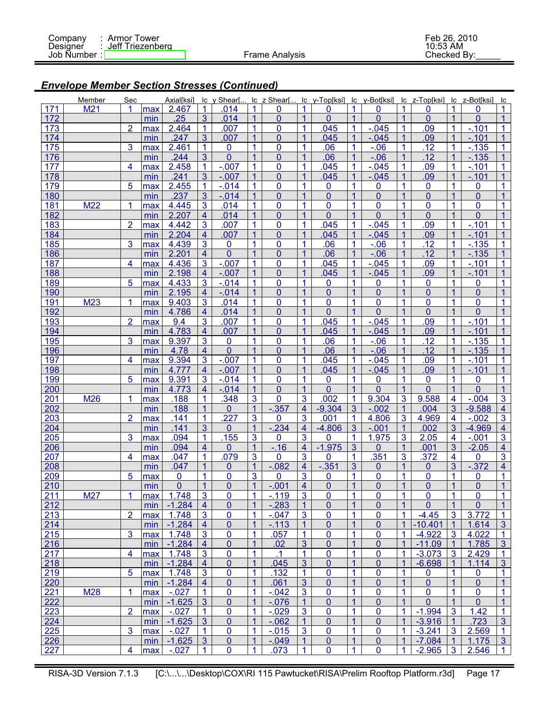|            | Member          | Sec            |                     | Axial[ksi]        |                     | Ic y Shear[           |                   |                     |                      |                        |                                |                      |                      | lc z Shear[ lc y-Top[ksi] lc y-Bot[ksi] lc z-Top[ksi] lc z-Bot[ksi] lc |                |                     |                      |
|------------|-----------------|----------------|---------------------|-------------------|---------------------|-----------------------|-------------------|---------------------|----------------------|------------------------|--------------------------------|----------------------|----------------------|------------------------------------------------------------------------|----------------|---------------------|----------------------|
| 171        | M <sub>21</sub> | 1              | max                 | 2.467             | 1                   | .014                  | 1                 | 0                   | -1                   | $\mathbf{0}$           | 1.                             | 0                    | 1                    | 0                                                                      | 1              | 0                   | 1.                   |
| 172        |                 |                | min                 | .25               | 3                   | .014                  | 1                 | $\mathbf{0}$        | 1                    | $\mathbf{0}$           | $\mathbf{1}$                   | $\mathbf{0}$         | 1                    | 0                                                                      | 1              | $\mathbf{0}$        | $\mathbf{1}$         |
| 173        |                 | $\overline{2}$ | max                 | 2.464             | 1                   | .007                  | 1.                | 0                   | 1                    | .045                   | 1.                             | $-.045$              | 1                    | .09                                                                    | 1              | $-.101$             | 1                    |
| 174        |                 |                | min                 | .247              | 3                   | .007                  | $\mathbf{1}$      | $\overline{0}$      | 1                    | 045                    | 1                              | $-.045$              | 1                    | .09                                                                    | 1              | $-.101$             | $\mathbf{1}$         |
| 175        |                 | 3              | max                 | 2.461             | $\mathbf{1}$        | 0                     | 1                 | 0                   | 1                    | .06                    | $\mathbf{1}$                   | $-0.06$              | $\mathbf{1}$         | .12                                                                    | 1              | $-0.135$            | $\mathbf{1}$         |
| 176        |                 |                | min                 | .244              | 3                   | $\overline{0}$        | $\mathbf{1}$      | $\overline{0}$      | $\mathbf{1}$         | .06                    | $\mathbf{1}$                   | $-.06$               | $\mathbf{1}$         | .12                                                                    | 1              | $-0.135$            | $\blacktriangleleft$ |
| 177        |                 | 4              | max                 | 2.458             | 1                   | $-.007$               | 1                 | 0                   | 1                    | .045                   | $\mathbf{1}$                   | $-.045$              | 1.                   | .09                                                                    | 1              | $-.101$             | 1                    |
| 178        |                 |                | min                 | .241              | 3                   | $-.007$               | 1                 | $\overline{0}$      | $\mathbf{1}$         | .045                   | $\mathbf 1$                    | $-.045$              | 1                    | .09                                                                    | 1              | $-.101$             | 1                    |
| 179        |                 | 5              | max                 | 2.455             | 1                   | $-.014$               | 1                 | 0                   | 1                    | 0                      | 1                              | 0                    | 1                    | 0                                                                      | 1              | 0                   | 1                    |
| 180        |                 |                | min                 | .237              | 3                   | $-.014$               | $\mathbf{1}$      | $\mathbf 0$         | $\overline{1}$       | 0                      | $\mathbf{1}$                   | $\mathbf 0$          | 1                    | 0                                                                      | 1              | $\overline{0}$      | $\mathbf{1}$         |
| 181        | M22             | 1              | max                 | 4.445             | 3                   | .014                  | 1                 | $\pmb{0}$           | 1                    | 0                      | 1                              | 0                    | 1                    | $\mathbf 0$                                                            | 1              | 0                   | 1                    |
| 182        |                 |                | min                 | 2.207             | $\overline{4}$      | .014                  | 1                 | $\mathbf{0}$        | 1                    | $\mathbf{0}$           | $\mathbf{1}$                   | $\mathbf{0}$         | 1                    | $\mathbf{0}$                                                           | 1              | $\mathbf{0}$        | 1                    |
| 183        |                 | $\overline{2}$ | max                 | 4.442             | $\overline{3}$      | .007                  | 1                 | $\bf{0}$            | 1                    | 045                    | 1.                             | $-.045$              | 1                    | .09                                                                    | 1              | $-.101$             | 1                    |
| 184        |                 |                | min                 | 2.204             | $\overline{4}$      | .007                  | $\mathbf{1}$      | $\overline{0}$      | 1                    | 045                    | 1                              | $-.045$              | 1                    | .09                                                                    | 1              | $-.101$             | 1                    |
| 185        |                 | 3              | max                 | 4.439             | 3                   | $\bf{0}$              | $\mathbf{1}$      | 0                   | 1                    | .06                    | $\mathbf{1}$                   | $-0.06$              | $\mathbf{1}$         | .12                                                                    | 1              | $-0.135$            | $\mathbf{1}$         |
| 186        |                 |                | min                 | 2.201             | $\overline{4}$      | $\overline{0}$        | $\mathbf{1}$      | $\mathbf{0}$        | $\overline{1}$       | .06                    | $\mathbf{1}$                   | $-.06$               | $\mathbf{1}$         | .12                                                                    | 1              | $-0.135$            | $\blacktriangleleft$ |
| 187        |                 | 4              | max                 | 4.436             | 3                   | $-.007$               | 1                 | 0                   | 1                    | .045                   | $\mathbf{1}$                   | $-.045$              | 1.                   | .09                                                                    | 1              | $-.101$             | 1                    |
| 188        |                 |                | min                 | 2.198             | 4                   | $-.007$               | 1                 | $\overline{0}$      | 1                    | .045                   | 1.                             | $-.045$              | 1                    | .09                                                                    | 1              | $-.101$             | 1                    |
| 189        |                 | 5              | max                 | 4.433             | 3                   | $-.014$               | 1                 | 0                   | 1                    | 0                      | 1                              | 0                    | 1                    | 0                                                                      | 1              | 0                   | 1                    |
| 190        |                 |                | min                 | 2.195             | $\overline{4}$      | $-.014$               | $\mathbf{1}$      | $\mathbf 0$         | $\overline{1}$       | 0                      | $\mathbf{1}$                   | $\mathbf 0$          | 1                    | 0                                                                      | 1              | $\overline{0}$      | $\mathbf{1}$         |
| 191        | M23             | 1              | max                 | 9.403             | 3                   | .014                  | 1                 | $\pmb{0}$           | $\blacktriangleleft$ | $\mathbf 0$            | $\mathbf{1}$                   | $\mathbf 0$          | 1                    | $\mathbf 0$                                                            | 1              | 0                   | 1                    |
| 192        |                 |                | min                 | 4.786             | $\overline{4}$      | .014                  | $\mathbf{1}$      | $\mathbf{0}$        | 1                    | $\mathbf{0}$           | $\mathbf{1}$                   | $\mathbf{0}$         | 1                    | $\mathbf{0}$                                                           | 1              | $\overline{0}$      | 1                    |
| <u>193</u> |                 | $\overline{2}$ | max                 | 9.4               | $\overline{3}$      | .007                  | 1                 | $\bf{0}$            | 1                    | .045                   | 1.                             | $-.045$              | 1                    | .09                                                                    | 1              | $-.101$             | -1                   |
| 194        |                 |                | min                 | 4.783             | $\overline{4}$      | .007                  | $\mathbf{1}$      | $\overline{0}$      | 1                    | 045                    | 1                              | $-.045$              | 1                    | .09                                                                    | 1              | $-.101$             | 1                    |
| 195        |                 | 3              | max                 | 9.397             | 3                   | $\bf{0}$              | 1                 | 0                   | 1                    | .06                    | $\mathbf{1}$                   | $-.06$               | $\mathbf{1}$         | .12                                                                    | 1              | $-135$              | $\mathbf{1}$         |
| 196        |                 |                | min                 | 4.78              | $\overline{4}$      | $\overline{0}$        | $\mathbf{1}$      | $\mathbf{0}$        | $\overline{1}$       | .06                    | $\mathbf{1}$                   | $-.06$               | $\blacktriangleleft$ | .12                                                                    | 1              | $-0.135$            | $\blacktriangleleft$ |
| 197        |                 | 4              | max                 | 9.394             | 3                   | $-.007$               | 1                 | 0                   | 1                    | .045                   | $\mathbf{1}$                   | $-.045$              | $\mathbf{1}$         | .09                                                                    | 1              | $-.101$             | 1.                   |
| 198        |                 |                | min                 | 4.777             | 4                   | $-.007$               | 1                 | $\overline{0}$      | 1                    | .045                   | 1.                             | $-.045$              | 1                    | .09                                                                    | 1              | $-.101$             | 1                    |
| 199        |                 | 5              | max                 | 9.391             | 3                   | $-.014$               | 1                 | $\pmb{0}$           | 1                    | $\mathbf 0$            | 1.                             | 0                    | 1                    | $\bf{0}$                                                               | 1              | 0                   | 1                    |
| 200        |                 |                | min                 | 4.773             | $\overline{4}$      | $-.014$               | $\mathbf{1}$      | $\overline{0}$      | $\mathbf{1}$         | $\Omega$               | $\mathbf{1}$                   | $\Omega$             | $\overline{1}$       | 0                                                                      | 1              | $\Omega$            | $\overline{1}$       |
| 201        | M26             | 1              | max                 | .188              | 1                   | .348                  | 3                 | $\mathbf 0$         | 3                    | .002                   | $\mathbf{1}$                   | 9.304                | 3                    | 9.588                                                                  | 4              | $-.004$             | $\mathbf{3}$         |
| 202        |                 |                | min                 | 188               | $\mathbf{1}$        | 0                     | 1                 | $-.357$             | 4                    | $-9.304$               | 3                              | $-.002$              | $\mathbf{1}$         | 004                                                                    | 3              | $-9.588$            | 4                    |
| 203        |                 | $\overline{2}$ | max                 | .141<br>141       | 1<br>3              | 227<br>$\overline{0}$ | 3                 | $\bf{0}$<br>$-.234$ | $\overline{3}$       | .001                   | 1.                             | 4.806                | 3                    | 4.969                                                                  | 4              | $-.002$<br>$-4.969$ | 3                    |
| 204        |                 |                | min                 |                   |                     |                       | 1                 |                     | 4                    | $-4.806$               | 3                              | $-.001$              | $\mathbf{1}$         | .002                                                                   | 3              |                     | $\overline{4}$       |
| 205        |                 | 3              | max                 | .094              | $\mathbf{1}$        | 155                   | 3                 | 0                   | 3                    | $\mathbf 0$            | $\mathbf{1}$<br>$\overline{3}$ | 1.975                | 3<br>$\mathbf{1}$    | 2.05                                                                   | 4              | $-.001$             | 3                    |
| 206        |                 |                | min                 | .094              | $\overline{4}$<br>1 | $\overline{0}$        | $\mathbf{1}$<br>3 | $-.16$              | $\overline{4}$<br>3  | $-1.975$               | $\mathbf{1}$                   | $\mathbf{0}$<br>.351 | 3                    | .001<br>372                                                            | 3              | $-2.05$             | $\overline{4}$<br>3  |
| 207        |                 | 4              | max                 | .047              | $\mathbf{1}$        | .079                  | $\mathbf{1}$      | 0<br>$-.082$        |                      | $\mathbf 0$<br>$-.351$ | $\overline{3}$                 |                      | 1                    |                                                                        | 4              | 0                   |                      |
| 208<br>209 |                 | 5              | min                 | .047              | 1                   | 0<br>0                | 3                 | $\mathbf{0}$        | 4<br>3               |                        | 1.                             | $\mathbf 0$          | 1                    | $\mathbf 0$<br>0                                                       | 3<br>1         | $-0.372$<br>0       | $\overline{4}$<br>1  |
| 210        |                 |                | max                 | 0<br>$\mathbf{0}$ | $\mathbf{1}$        | 0                     | $\mathbf{1}$      | $-.001$             | $\overline{4}$       | 0<br>0                 | $\mathbf{1}$                   | 0<br>$\mathbf 0$     | $\mathbf{1}$         | 0                                                                      | 1              | $\mathbf 0$         | $\blacktriangleleft$ |
| 211        | M <sub>27</sub> | 1              | min<br>$\sqrt{max}$ | 1.748             | 3                   | $\overline{0}$        | $\mathbf{1}$      | $-0.119$            | 3                    | $\mathbf{0}$           | $\mathbf{1}$                   | $\mathbf 0$          | $\mathbf{1}$         | $\overline{0}$                                                         | $\mathbf{1}$   | $\overline{0}$      | $\mathbf{1}$         |
| 212        |                 |                |                     | $-1.284$          | $\overline{4}$      | 0                     | 1                 | $-.283$             | $\mathbf{1}$         | 0                      | $\mathbf{1}$                   | 0                    | $\mathbf{1}$         | $\overline{0}$                                                         | 1              | $\mathbf{0}$        | $\mathbf{1}$         |
| 213        |                 | $\overline{2}$ | min<br>max          | 1.748             | 3                   | 0                     | 1                 | $-.047$             | 3                    | $\mathbf 0$            | 1.                             | 0                    | 1                    | $-4.45$                                                                | 3              | 3.772               | 1                    |
| 214        |                 |                | min                 | $-1.284$          | $\overline{4}$      | 0                     | $\mathbf{1}$      | $-.113$             | $\mathbf{1}$         | $\mathbf{0}$           | $\mathbf{1}$                   | $\mathbf{0}$         | 1                    | $-10.401$                                                              | 1              | 1.614               | 3                    |
| 215        |                 | 3              | max                 | 1.748             | $\overline{3}$      | 0                     | 1                 | .057                | 1                    | $\mathbf 0$            | $\mathbf{1}$                   | $\mathbf 0$          | 1                    | $-4.922$                                                               | 3              | 4.022               | $\mathbf{1}$         |
| 216        |                 |                | min                 | $-1.284$          | $\overline{4}$      | 0                     | $\mathbf{1}$      | .02                 | 3                    | $\overline{0}$         | $\mathbf{1}$                   | $\mathbf 0$          | 1                    | $-11.09$                                                               | 1              | 1.785               | $\mathbf{3}$         |
| 217        |                 | 4              | max                 | 1.748             | 3                   | 0                     | 1                 | $\cdot$ 1           | 1                    | $\mathbf 0$            | $\mathbf{1}$                   | 0                    | 1                    | $-3.073$                                                               | 3              | 2.429               | 1                    |
| 218        |                 |                | min                 | $-1.284$          | 4                   | 0                     | $\mathbf{1}$      | .045                | $\overline{3}$       | 0                      | $\mathbf{1}$                   | 0                    | 1                    | $-6.698$                                                               | 1              | 1.114               | $\overline{3}$       |
| 219        |                 | 5              | max                 | 1.748             | 3                   | 0                     | 1                 | .132                | 1                    | 0                      | 1                              | 0                    | 1                    | 0                                                                      | 1              | $\mathbf{0}$        | 1                    |
| 220        |                 |                | min                 | $-1.284$          | $\overline{4}$      | 0                     | $\mathbf{1}$      | .061                | 3                    | 0                      | $\overline{1}$                 | $\mathbf 0$          | $\mathbf{1}$         | $\mathbf{0}$                                                           | $\mathbf{1}$   | $\mathbf{0}$        | $\mathbf{1}$         |
| 221        | M28             | 1              | max                 | $-.027$           | $\mathbf{1}$        | 0                     | 1                 | $-.042$             | 3                    | $\mathbf 0$            | $\mathbf{1}$                   | 0                    | 1.                   | $\mathbf 0$                                                            | 1.             | 0                   | 1                    |
| 222        |                 |                | min                 | $-1.625$          | 3                   | 0                     | 1                 | $-.076$             | $\mathbf{1}$         | 0                      | $\mathbf{1}$                   | $\mathbf{0}$         | $\mathbf{1}$         | $\mathbf{0}$                                                           | 1              | $\mathbf{0}$        | 1                    |
| 223        |                 | $\overline{2}$ | max                 | $-.027$           | 1                   | 0                     | 1                 | $-.029$             | $\overline{3}$       | $\mathbf 0$            | 1                              | $\bf{0}$             | 1                    | $-1.994$                                                               | 3              | 1.42                | 1                    |
| 224        |                 |                | min                 | $-1.625$          | 3                   | 0                     | $\mathbf{1}$      | $-.062$             | $\mathbf{1}$         | $\mathbf{0}$           | $\mathbf{1}$                   | $\mathbf{0}$         | 1                    | $-3.916$                                                               | 1              | .723                | 3                    |
| 225        |                 | 3              | max                 | $-.027$           | $\mathbf{1}$        | 0                     | 1                 | $-.015$             | 3                    | $\mathbf 0$            | 1                              | 0                    | 1                    | $-3.241$                                                               | 3              | 2.569               | $\mathbf{1}$         |
| 226        |                 |                | min                 | $-1.625$          | 3                   | 0                     | $\mathbf{1}$      | $-.049$             | $\mathbf{1}$         | $\mathbf 0$            | $\overline{1}$                 | $\mathbf{0}$         | $\mathbf{1}$         | $-7.084$                                                               | $\mathbf{1}$   | 1.175               | 3 <sup>1</sup>       |
| 227        |                 | 4              | max                 | $-.027$           | $\mathbf{1}$        | 0                     | 1.                | .073                | 1.                   | $\mathbf 0$            | $\mathbf{1}$                   | 0                    | $\mathbf{1}$         | $-2.965$                                                               | 3 <sup>1</sup> | 2.546               | $\mathbf{1}$         |
|            |                 |                |                     |                   |                     |                       |                   |                     |                      |                        |                                |                      |                      |                                                                        |                |                     |                      |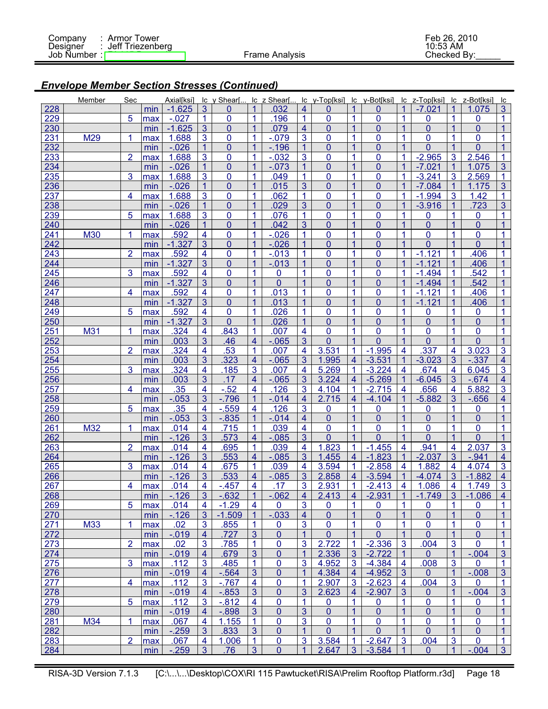|     | Member | Sec            |     | Axial[ksi] |                         | Ic y Shear[    |                      | Ic z Shear[    |                |                |                |                |                | Ic y-Top[ksi] Ic y-Bot[ksi] Ic z-Top[ksi] Ic z-Bot[ksi] |                      |              | <u>lc</u>      |
|-----|--------|----------------|-----|------------|-------------------------|----------------|----------------------|----------------|----------------|----------------|----------------|----------------|----------------|---------------------------------------------------------|----------------------|--------------|----------------|
| 228 |        |                | min | $-1.625$   | 3                       | 0              | $\mathbf{1}$         | .032           | $\overline{4}$ | 0              | $\mathbf{1}$   | 0              | 1              | $-7.021$                                                | $\blacktriangleleft$ | 1.075        | 3 <sup>5</sup> |
| 229 |        | 5              | max | $-.027$    | 1                       | 0              | 1                    | .196           | $\mathbf{1}$   | 0              | 1              | 0              | 1              | 0                                                       | 1                    | 0            | 1.             |
| 230 |        |                | min | $-1.625$   | 3                       | $\mathbf{0}$   | $\mathbf{1}$         | .079           | 4              | $\mathbf 0$    | 1              | 0              | 1              | 0                                                       |                      | $\mathbf{0}$ | $\mathbf{1}$   |
| 231 | M29    | 1              | max | 1.688      | 3                       | 0              | 1                    | $-.079$        | 3              | 0              | 1              | 0              | 1              | 0                                                       | 1                    | $\mathbf{0}$ | $\mathbf{1}$   |
| 232 |        |                | min | $-.026$    | $\mathbf{1}$            | $\overline{0}$ | $\mathbf{1}$         | $-.196$        | $\mathbf{1}$   | $\overline{0}$ | $\overline{1}$ | $\overline{0}$ | 1              | $\Omega$                                                | 1                    | $\Omega$     | $\mathbf{1}$   |
| 233 |        | 2              | max | 1.688      | 3                       | 0              | 1                    | $-0.032$       | 3              | 0              | 1              | 0              | 1              | $-2.965$                                                | 3                    | 2.546        | $\mathbf{1}$   |
| 234 |        |                | min | $-.026$    | $\mathbf{1}$            | $\mathbf{0}$   | $\mathbf{1}$         | $-.073$        | $\mathbf{1}$   | 0              | 1              | 0              | 1              | $-7.021$                                                | 1                    | 1.075        | 3              |
| 235 |        | 3              | max | 1.688      | 3                       | 0              | 1                    | 049.           | 1              | 0              | 1              | 0              | 1              | $-3.241$                                                | 3                    | 2.569        | 1.             |
| 236 |        |                | min | $-.026$    | $\mathbf{1}$            | $\mathbf{0}$   | 1                    | 015            | 3              | $\overline{0}$ | 1              | 0              | 1              | $-7.084$                                                | 1                    | 1.175        | 3              |
| 237 |        | 4              | max | 1.688      | 3                       | 0              | $\mathbf 1$          | .062           | 1              | 0              | 1              | 0              | 1              | $-1.994$                                                | 3                    | 1.42         | $\mathbf{1}$   |
| 238 |        |                | min | $-0.026$   | $\mathbf{1}$            | $\mathbf{0}$   | $\overline{1}$       | .029           | 3              | $\mathbf 0$    | 1              | $\overline{0}$ | 1              | $-3.916$                                                | $\mathbf 1$          | .723         | 3              |
| 239 |        | 5              | max | 1.688      | 3                       | 0              | 1                    | .076           | $\mathbf{1}$   | 0              | 1              | 0              | 1              | 0                                                       | 1                    | $\mathbf 0$  | 1              |
| 240 |        |                | min | $-.026$    | 1                       | $\mathbf{0}$   | $\mathbf{1}$         | .042           | $\overline{3}$ | $\mathbf 0$    | 1              | 0              | 1              | 0                                                       |                      | $\mathbf{0}$ | $\mathbf{1}$   |
| 241 | M30    | 1              | max | 592        | $\overline{4}$          | 0              | 1                    | $-0.026$       | 1              | 0              | 1              | 0              | 1              | 0                                                       | 1                    | $\mathbf{0}$ | $\mathbf 1$    |
| 242 |        |                | min | $-1.327$   | 3                       | $\overline{0}$ | $\mathbf{1}$         | $-0.026$       | $\mathbf{1}$   | $\overline{0}$ | 1              | $\overline{0}$ | 1              | $\Omega$                                                | 1                    | $\Omega$     | $\mathbf{1}$   |
| 243 |        | 2              | max | 592        | 4                       | 0              | 1                    | $-0.013$       | $\mathbf{1}$   | 0              | 1              | 0              | 1              | $-1.121$                                                | 1                    | .406         | $\mathbf{1}$   |
| 244 |        |                | min | $-1.327$   | 3                       | $\mathbf{0}$   | $\mathbf{1}$         | $-0.013$       | $\mathbf{1}$   | 0              | 1              | 0              | 1              | $-1.121$                                                | 1                    | .406         | $\mathbf{1}$   |
| 245 |        | 3              | max | 592        | 4                       | 0              | 1                    | 0              | 1              | 0              | 1              | 0              | 1              | $-1.494$                                                | 1                    | 542          | 1              |
| 246 |        |                | min | $-1.327$   | 3                       | $\mathbf{0}$   | $\mathbf{1}$         | $\Omega$       | 1              | $\overline{0}$ | 1              | 0              |                | $-1.494$                                                | 1                    | 542          | $\mathbf{1}$   |
| 247 |        | 4              | max | 592        | $\overline{\mathbf{4}}$ | $\mathbf 0$    | $\mathbf{1}$         | .013           | 1              | $\mathbf 0$    | 1              | 0              | 1              | $-1.121$                                                | 1                    | 406          | 1              |
| 248 |        |                | min | $-1.327$   | 3                       | $\mathbf{0}$   | $\overline{1}$       | .013           | $\mathbf{1}$   | $\mathbf 0$    | 1              | $\overline{0}$ | 1              | $-1.121$                                                | $\mathbf{1}$         | .406         | $\mathbf{1}$   |
| 249 |        | 5              | max | 592        | 4                       | $\mathbf 0$    | 1                    | .026           | $\mathbf{1}$   | 0              | 1              | 0              | 1              | 0                                                       | 1                    | $\mathbf 0$  | 1              |
| 250 |        |                | min | $-1.327$   | 3                       | $\overline{0}$ | $\mathbf{1}$         | .026           | $\mathbf{1}$   | $\mathbf 0$    | 1              | 0              | 1              | 0                                                       |                      | $\mathbf{0}$ | $\mathbf{1}$   |
| 251 | M31    | 1              | max | 324        | 4                       | .843           | 1                    | .007           | $\overline{4}$ | 0              | 1              | 0              | 1              | 0                                                       | 1                    | $\mathbf{0}$ | $\mathbf 1$    |
| 252 |        |                | min | .003       | 3                       | .46            | $\overline{4}$       | $-0.065$       | 3              | $\Omega$       | $\overline{1}$ | $\Omega$       | $\overline{1}$ | $\Omega$                                                | $\overline{1}$       | $\Omega$     | $\mathbf{1}$   |
| 253 |        | 2              | max | .324       | 4                       | .53            | $\blacktriangleleft$ | .007           | 4              | 3.531          | 1              | $-1.995$       | 4              | 337                                                     | 4                    | 3.023        | $\overline{3}$ |
| 254 |        |                | min | .003       | 3                       | .323           | $\overline{4}$       | $-.065$        | 3              | 1.995          | $\overline{4}$ | $-3.531$       | 1              | $-3.023$                                                | 3                    | $-.337$      | $\overline{4}$ |
| 255 |        | 3              | max | 324        | 4                       | .185           | 3                    | .007           | 4              | 5.269          | 1              | $-3.224$       | 4              | .674                                                    | 4                    | 6.045        | $\mathbf{3}$   |
| 256 |        |                | min | 003        | 3                       | .17            | $\overline{4}$       | $-0.065$       | 3              | 3.224          | 4              | $-5.269$       | 1              | $-6.045$                                                | 3                    | $-0.674$     | $\overline{4}$ |
| 257 |        | 4              | max | 35         | 4                       | $-.52$         | 4                    | 126            | 3              | 4.104          | 1              | $-2.715$       | 4              | .656                                                    | 4                    | 5.882        | 3              |
| 258 |        |                | min | $-0.053$   | 3                       | $-0.796$       | $\overline{1}$       | $-.014$        | $\overline{4}$ | 2.715          | $\overline{4}$ | $-4.104$       | 1              | $-5.882$                                                | 3                    | $-0.656$     | $\overline{4}$ |
| 259 |        | 5              | max | .35        | $\overline{4}$          | $-.559$        | 4                    | .126           | 3              | 0              | 1.             | 0              | 1              | 0                                                       | 1                    | $\mathbf 0$  | 1              |
| 260 |        |                | min | $-0.053$   | 3                       | $-0.835$       | $\mathbf{1}$         | $-0.014$       | $\overline{4}$ | $\mathbf 0$    | 1              | 0              |                | 0                                                       |                      | $\mathbf{0}$ | $\mathbf{1}$   |
| 261 | M32    | 1              | max | .014       | 4                       | .715           | 1                    | .039           | $\overline{4}$ | 0              | 1              | 0              | 1              | 0                                                       | 1                    | $\mathbf{0}$ | $\mathbf 1$    |
| 262 |        |                | min | $-.126$    | 3                       | 573            | $\overline{4}$       | $-0.085$       | 3              | $\Omega$       | $\overline{1}$ | $\Omega$       | $\overline{1}$ | $\Omega$                                                | $\overline{1}$       | $\Omega$     | $\mathbf{1}$   |
| 263 |        | $\overline{2}$ | max | .014       | 4                       | .695           | $\blacktriangleleft$ | .039           | 4              | 1.823          | 1              | $-1.455$       | 4              | .941                                                    | 4                    | 2.037        | $\overline{3}$ |
| 264 |        |                | min | $-.126$    | 3                       | .553           | $\overline{4}$       | $-.085$        | 3 <sup>2</sup> | 1.455          | $\overline{4}$ | $-1.823$       | 1              | $-2.037$                                                | 3                    | $-.941$      | $\overline{4}$ |
| 265 |        | 3              | max | .014       | 4                       | .675           | 1                    | .039           | 4              | 3.594          | 1              | $-2.858$       | 4              | 1.882                                                   | 4                    | 4.074        | 3              |
| 266 |        |                | min | $-.126$    | 3                       | 533            | $\overline{4}$       | $-.085$        | 3              | 2.858          | 4              | $-3.594$       | 1              | $-4.074$                                                | 3                    | $-1.882$     | $\overline{4}$ |
| 267 |        | 4              | max | .014       | $\overline{\mathbf{4}}$ | $-.457$        | $\overline{4}$       | 17             | 3              | 2.931          | $\mathbf{1}$   | $-2.413$       | $\overline{4}$ | 1.086                                                   | 4                    | 1.749        | 3              |
| 268 |        |                | min | $-0.126$   | 3 <sup>1</sup>          | $-0.632$       | $\mathbf{1}$         | .062           | $\overline{4}$ | 2.413          | 4              | $-2.931$       | $\overline{1}$ | $-1.749$                                                | $\overline{3}$       | $-1.086$     | 4 <sup>1</sup> |
| 269 |        | 5              | max | .014       | 4                       | $-1.29$        | 4                    | $\mathbf 0$    | 3              | $\overline{0}$ | $\mathbf{1}$   | 0              | 1.             | 0                                                       | 1.                   | 0            | 1              |
| 270 |        |                | min | $-.126$    | 3                       | $-1.509$       | $\mathbf{1}$         | $-.033$        | $\overline{4}$ | $\mathbf{0}$   | 1              | 0              | 1              | 0                                                       | $\blacktriangleleft$ | $\mathbf{0}$ | $\mathbf{1}$   |
| 271 | M33    | 1              | max | .02        | 3                       | .855           | 1                    | 0              | 3              | $\mathbf 0$    | 1              | 0              | 1              | 0                                                       | 1                    | 0            | 1              |
| 272 |        |                | min | $-.019$    | 4                       | .727           | $\overline{3}$       | $\overline{0}$ | $\mathbf{1}$   | $\mathbf{0}$   | $\mathbf{1}$   | $\Omega$       | $\overline{1}$ | $\overline{0}$                                          | $\overline{1}$       | $\Omega$     | $\mathbf{1}$   |
| 273 |        | 2              | max | .02        | 3                       | .785           | $\mathbf{1}$         | 0              | 3              | 2.722          | 1              | $-2.336$       | 3              | .004                                                    | 3                    | $\mathbf{0}$ | 1              |
| 274 |        |                | min | $-.019$    | 4                       | .679           | $\overline{3}$       | $\mathbf{0}$   | $\mathbf{1}$   | 2.336          | 3              | $-2.722$       | 1              | $\overline{0}$                                          | 1                    | $-.004$      | 3              |
| 275 |        | 3              | max | .112       | 3                       | .485           | 1                    | 0              | 3              | 4.952          | 3              | $-4.384$       | 4              | .008                                                    | 3                    | 0            | 1              |
| 276 |        |                | min | $-0.019$   | 4                       | $-0.564$       | $\overline{3}$       | 0              | 1              | 4.384          | 4              | $-4.952$       | 3              | 0                                                       | 1                    | $-0.008$     | $\mathbf{3}$   |
| 277 |        | 4              | max | .112       | 3                       | $-767$         | $\overline{4}$       | 0              | 1              | 2.907          | 3              | $-2.623$       | 4              | 004                                                     | 3                    | $\mathbf{0}$ | 1              |
| 278 |        |                | min | $-.019$    | $\overline{4}$          | $-.853$        | 3                    | 0              | 3              | 2.623          | $\overline{4}$ | $-2.907$       | 3              | 0                                                       | $\mathbf{1}$         | $-.004$      | 3              |
| 279 |        | 5              | max | .112       | 3                       | $-.812$        | 4                    | $\bf{0}$       | $\mathbf{1}$   | 0              | 1.             | 0              | 1              | $\mathbf 0$                                             | 1                    | 0            | 1.             |
| 280 |        |                | min | $-0.019$   | 4                       | $-0.898$       | $\overline{3}$       | 0              | $\overline{3}$ | $\overline{0}$ | 1              | $\mathbf{0}$   | 1              | 0                                                       | $\mathbf 1$          | $\mathbf{0}$ | $\mathbf{1}$   |
| 281 | M34    | 1              | max | .067       | 4                       | 1.155          | $\mathbf{1}$         | 0              | 3              | $\mathbf 0$    | 1              | 0              | 1              | 0                                                       | 1                    | 0            | 1              |
| 282 |        |                | min | $-.259$    | 3                       | .833           | 3                    | $\overline{0}$ | $\mathbf{1}$   | $\Omega$       | $\overline{1}$ | $\Omega$       | $\overline{1}$ | $\Omega$                                                | $\overline{1}$       | $\Omega$     | $\mathbf{1}$   |
| 283 |        | $\overline{2}$ | max | .067       | 4                       | 1.006          | $\mathbf{1}$         | 0              | 3              | 3.584          | $\mathbf 1$    | $-2.647$       | 3              | .004                                                    | 3                    | $\mathbf{0}$ | 1              |
| 284 |        |                | min | $-.259$    | 3 <sup>1</sup>          | .76            | $\overline{3}$       | $\mathbf{0}$   | $\mathbf{1}$   | 2.647          | 3 <sup>1</sup> | $-3.584$       | 1.             | $\overline{0}$                                          | $\mathbf{1}$         | $-.004$      | 3 <sup>1</sup> |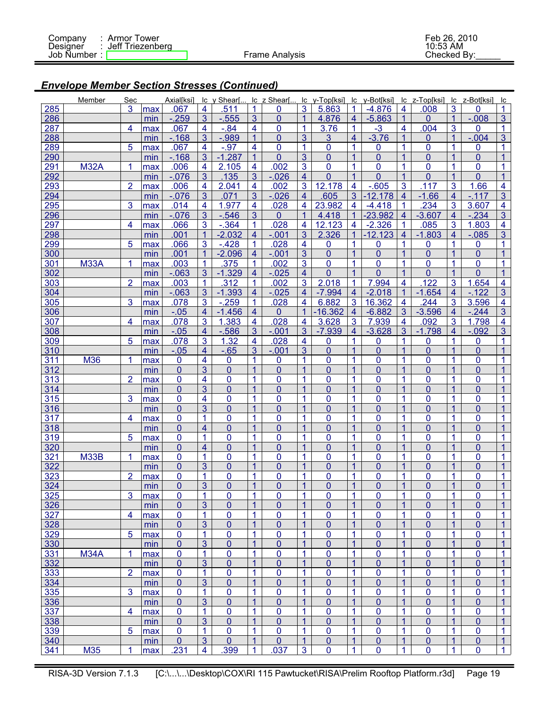|     | Member      | Sec            |     | Axial[ksi]     |                | Ic y Shear[    |                         |                |                | Ic z Shear[ Ic y-Top[ksi] Ic y-Bot[ksi] |                |                |                         | Ic z-Top[ksi]  |                | Ic z-Bot[ksi]  | c                    |
|-----|-------------|----------------|-----|----------------|----------------|----------------|-------------------------|----------------|----------------|-----------------------------------------|----------------|----------------|-------------------------|----------------|----------------|----------------|----------------------|
| 285 |             | 3              | max | .067           | 4              | .511           | 1                       | 0              | 3              | 5.863                                   | 1              | $-4.876$       | 4                       | .008           | 3              | 0              | 1.                   |
| 286 |             |                | min | $-0.259$       | 3              | $-0.555$       | $\overline{3}$          | $\overline{0}$ | $\mathbf{1}$   | 4.876                                   | $\overline{4}$ | $-5.863$       | $\mathbf{1}$            | 0              | 1              | $-.008$        | $\overline{3}$       |
| 287 |             | 4              | max | .067           | 4              | $-0.84$        | 4                       | 0              | 1              | 3.76                                    | 1.             | $-3$           | 4                       | .004           | 3              | 0              | 1                    |
| 288 |             |                | min | $-0.168$       | 3              | $-0.989$       | $\mathbf{1}$            | $\overline{0}$ | 3              | 3                                       | 4              | $-3.76$        | 1                       | 0              | $\mathbf 1$    | $-.004$        | 3                    |
| 289 |             | 5              | max | .067           | 4              | $-.97$         | 4                       | 0              | 1              | 0                                       | 1              | 0              | 1                       | 0              | 1              | $\mathbf{0}$   | 1                    |
| 290 |             |                | min | $-0.168$       | 3              | $-1.287$       | $\mathbf{1}$            | $\mathbf{0}$   | $\mathbf{3}$   | $\overline{0}$                          | 1              | $\overline{0}$ | 1                       | $\overline{0}$ | $\mathbf 1$    | $\Omega$       | $\mathbf{1}$         |
| 291 | <b>M32A</b> | 1              | max | .006           | $\overline{4}$ | 2.105          | 4                       | .002           | 3              | 0                                       | 1              | 0              | 1                       | 0              | 1              | $\Omega$       | 1                    |
| 292 |             |                | min | $-.076$        | 3              | .135           | $\overline{3}$          | $-.026$        | $\overline{4}$ | $\mathbf 0$                             | $\mathbf 1$    | 0              | 1                       | 0              | 1              | $\Omega$       | $\mathbf{1}$         |
| 293 |             | $\overline{2}$ | max | .006           | 4              | 2.041          | 4                       | .002           | 3              | 12.178                                  | 4              | $-0.605$       | 3                       | 117            | 3              | 1.66           | $\overline{4}$       |
| 294 |             |                | min | $-.076$        | 3              | .071           | 3                       | $-.026$        | $\overline{4}$ | .605                                    | 3              | $-12.178$      | $\overline{4}$          | $-1.66$        | $\overline{4}$ | $-.117$        | 3 <sup>2</sup>       |
| 295 |             | 3              | max | .014           | 4              | 1.977          | $\overline{\mathbf{4}}$ | .028           | $\overline{4}$ | 23.982                                  | 4              | $-4.418$       | 1                       | 234            | 3              | 3.607          | $\overline{4}$       |
| 296 |             |                | min | $-.076$        | 3              | $-0.546$       | 3                       | 0              | $\mathbf{1}$   | 4.418                                   | 1              | $-23.982$      | $\overline{4}$          | $-3.607$       | 4              | $-234$         | $\mathbf{3}$         |
| 297 |             | 4              | max | .066           | 3              | $-.364$        | 1.                      | .028           | 4              | 12.123                                  | 4              | $-2.326$       | 1.                      | .085           | 3              | 1.803          | 4                    |
| 298 |             |                | min | .001           | 1              | $-2.032$       | $\overline{4}$          | $-.001$        | 3              | 2.326                                   | 1              | $-12.123$      | $\overline{4}$          | $-1.803$       | $\overline{4}$ | $-0.085$       | 3                    |
| 299 |             | 5              | max | .066           | 3              | $-.428$        | $\mathbf{1}$            | .028           | 4              | 0                                       | 1              | 0              | 1                       | 0              | 1              | 0              | 1                    |
| 300 |             |                | min | .001           | $\mathbf{1}$   | $-2.096$       | $\overline{4}$          | $-.001$        | $\mathbf{3}$   | $\overline{0}$                          | $\mathbf{1}$   | $\overline{0}$ | 1                       | $\overline{0}$ | $\mathbf 1$    | $\overline{0}$ | $\overline{1}$       |
| 301 | <b>M33A</b> | 1              | max | .003           | 1              | 375            | 1                       | .002           | 3              | 0                                       | 1              | 0              | 1                       | 0              | 1              | $\Omega$       | 1                    |
| 302 |             |                | min | $-063$         | 3              | $-1.329$       | $\overline{4}$          | $-.025$        | $\overline{4}$ | $\mathbf 0$                             | 1              | 0              | 1                       | 0              | 1              | $\Omega$       | $\mathbf{1}$         |
| 303 |             | $\overline{2}$ | max | .003           | 1              | .312           | 1                       | .002           | 3              | 2.018                                   | 1              | 7.994          | 4                       | 122            | 3              | 1.654          | $\overline{4}$       |
| 304 |             |                | min | $-063$         | 3              | $-1.393$       | $\overline{4}$          | $-.025$        | $\overline{4}$ | $-7.994$                                | $\overline{4}$ | $-2.018$       | 1                       | $-1.654$       | $\overline{4}$ | $-122$         | 3 <sup>2</sup>       |
| 305 |             | 3              | max | .078           | 3              | $-0.259$       | $\mathbf{1}$            | .028           | $\overline{4}$ | 6.882                                   | 3              | 16.362         | $\overline{\mathbf{4}}$ | 244            | 3              | 3.596          | $\overline{4}$       |
| 306 |             |                | min | $-.05$         | $\overline{4}$ | $-1.456$       | $\overline{4}$          | $\Omega$       | $\mathbf{1}$   | $-16.362$                               | $\overline{4}$ | $-6.882$       | 3                       | $-3.596$       | $\overline{4}$ | $-.244$        | 3 <sup>5</sup>       |
| 307 |             | 4              | max | .078           | 3              | 1.383          | 4                       | .028           | 4              | 3.628                                   | 3              | 7.939          | 4                       | .092           | 3              | 1.798          | 4                    |
| 308 |             |                | min | $-.05$         | $\overline{4}$ | $-0.586$       | 3                       | $-.001$        | 3              | $-7.939$                                | 4              | $-3.628$       | 3                       | $-1.798$       | $\overline{4}$ | $-0.092$       | 3                    |
| 309 |             | 5              | max | .078           | 3              | 1.32           | 4                       | .028           | 4              | 0                                       | 1              | 0              | 1                       | 0              | 1              | $\mathbf{0}$   | $\mathbf{1}$         |
| 310 |             |                | min | $-.05$         | $\overline{4}$ | $-.65$         | 3                       | $-.001$        | 3              | $\overline{0}$                          | 1              | $\overline{0}$ | 1                       | $\overline{0}$ | $\mathbf 1$    | $\overline{0}$ | $\overline{1}$       |
| 311 | M36         | 1              | max | $\mathbf 0$    | 4              | 0              | 1                       | 0              | 1              | 0                                       | 1              | 0              | 1                       | 0              | 1              | $\Omega$       | $\mathbf{1}$         |
| 312 |             |                | min | 0              | 3              | $\mathbf{0}$   | $\mathbf{1}$            | 0              | $\mathbf{1}$   | $\overline{0}$                          | 1              | 0              | 1                       | 0              | 1              | 0              | $\mathbf{1}$         |
| 313 |             | $\overline{2}$ | max | 0              | 4              | 0              | 1                       | 0              | 1              | 0                                       | 1              | 0              | 1                       | 0              | 1              | $\mathbf{0}$   | 1                    |
| 314 |             |                | min | 0              | 3              | $\mathbf{0}$   | $\mathbf{1}$            | 0              | 1              | $\mathbf 0$                             | 1              | $\overline{0}$ | 1                       | 0              | 1              | $\mathbf{0}$   | $\mathbf{1}$         |
| 315 |             | 3              | max | 0              | 4              | 0              | $\mathbf{1}$            | $\mathbf 0$    | 1              | $\mathbf 0$                             | 1              | 0              | 1                       | 0              | 1              | $\mathbf{0}$   | $\mathbf 1$          |
| 316 |             |                | min | 0              | 3              | $\mathbf{0}$   | $\mathbf{1}$            | $\overline{0}$ | $\mathbf{1}$   | $\overline{0}$                          | 1              | $\Omega$       | 1                       | $\Omega$       | 1              | 0              | $\mathbf{1}$         |
| 317 |             | 4              | max | 0              | 1              | $\mathbf 0$    | 1                       | 0              | 1              | 0                                       | 1              | 0              | 1                       | 0              | 1              | 0              | 1                    |
| 318 |             |                | min | $\mathbf{0}$   | 4              | $\overline{0}$ | $\mathbf{1}$            | $\overline{0}$ | $\overline{1}$ | $\overline{0}$                          | 1              | $\Omega$       | 1                       | $\Omega$       | 1              | $\Omega$       | $\mathbf{1}$         |
| 319 |             | 5              | max | 0              | 1              | 0              | 1                       | 0              | 1              | 0                                       | 1              | 0              | 1                       | 0              | 1              | $\mathbf{0}$   | $\mathbf{1}$         |
| 320 |             |                | min | 0              | 4              | $\mathbf{0}$   | $\overline{1}$          | 0              | $\mathbf{1}$   | $\overline{0}$                          | 1              | $\overline{0}$ | 1                       | $\overline{0}$ | $\overline{1}$ | $\Omega$       | $\overline{1}$       |
| 321 | <b>M33B</b> | 1              | max | 0              | 1              | 0              | $\mathbf{1}$            | 0              | 1              | 0                                       | 1              | 0              | 1                       | 0              | 1              | $\Omega$       | $\mathbf{1}$         |
| 322 |             |                | min | 0              | 3              | $\mathbf{0}$   | $\mathbf{1}$            | 0              | $\mathbf{1}$   | $\overline{0}$                          | 1              | 0              | 1                       | 0              | 1              | 0              | $\mathbf{1}$         |
| 323 |             | $\overline{2}$ | max | 0              | 1              | 0              | 1                       | 0              | 1              | 0                                       | 1              | 0              | 1                       | 0              | 1              | $\mathbf{0}$   | 1                    |
| 324 |             |                | min | 0              | 3              | 0              | $\mathbf{1}$            | 0              | 1              | $\overline{0}$                          | 1              | 0              | 1                       | 0              | 1              | $\mathbf{0}$   | $\mathbf{1}$         |
| 325 |             | 3              | max | $\overline{0}$ | 1              | $\overline{0}$ | $\mathbf{1}$            | $\overline{0}$ | $\mathbf{1}$   | $\overline{0}$                          | $\mathbf 1$    | $\overline{0}$ | 1                       | $\overline{0}$ | 1              | 0              | $\blacktriangleleft$ |
| 326 |             |                | min | 0              | 3              | $\mathbf{0}$   | $\mathbf{1}$            | 0              | $\mathbf{1}$   | $\mathbf 0$                             | $\mathbf{1}$   | 0              | $\mathbf{1}$            | $\Omega$       | 1              | $\Omega$       | $\mathbf{1}$         |
| 327 |             | 4              | max | $\mathbf 0$    | 1              | 0              | 1                       | 0              | 1              | 0                                       | 1              | 0              | 1                       | 0              | 1              | 0              | 1                    |
| 328 |             |                | min | $\mathbf{0}$   | 3              | $\overline{0}$ | $\overline{1}$          | $\overline{0}$ | $\mathbf{1}$   | $\overline{0}$                          | $\overline{1}$ | $\Omega$       | 1                       | $\overline{0}$ | $\overline{1}$ | $\Omega$       | $\mathbf{1}$         |
| 329 |             | 5              | max | 0              | 1              | 0              | 1                       | 0              | 1              | 0                                       | 1              | 0              | 1                       | 0              | 1              | 0              | 1                    |
| 330 |             |                | min | $\overline{0}$ | 3              | $\mathbf 0$    | $\mathbf{1}$            | $\overline{0}$ | $\overline{1}$ | $\overline{0}$                          | $\mathbf{1}$   | $\overline{0}$ | 1                       | $\overline{0}$ | $\overline{1}$ | $\overline{0}$ | $\overline{1}$       |
| 331 | <b>M34A</b> | 1              | max | 0              | 1              | 0              | $\mathbf{1}$            | 0              | $\mathbf{1}$   | 0                                       | 1              | 0              | 1                       | 0              | 1              | 0              | 1                    |
| 332 |             |                | min | $\overline{0}$ | 3              | $\mathbf{0}$   | $\overline{1}$          | 0              | $\overline{1}$ | $\mathbf 0$                             | 1              | $\overline{0}$ | 1                       | 0              | $\overline{1}$ | $\mathbf{0}$   | $\overline{1}$       |
| 333 |             | $\overline{2}$ | max | $\mathbf 0$    | 1              | 0              | $\mathbf{1}$            | 0              | 1              | 0                                       | 1              | 0              | 1                       | 0              | 1              | 0              | 1                    |
| 334 |             |                | min | 0              | 3              | $\mathbf{0}$   | $\overline{1}$          | $\overline{0}$ | $\mathbf{1}$   | $\overline{0}$                          | 1              | $\overline{0}$ | 1                       | $\overline{0}$ | $\overline{1}$ | $\Omega$       | $\mathbf{1}$         |
| 335 |             | 3              | max | 0              | 1              | 0              | $\mathbf{1}$            | 0              | 1              | $\overline{0}$                          | 1              | 0              | 1                       | 0              | 1              | 0              | $\mathbf 1$          |
| 336 |             |                | min | 0              | 3              | 0              | $\mathbf{1}$            | $\overline{0}$ | $\mathbf{1}$   | $\overline{0}$                          | 1              | $\overline{0}$ | 1                       | $\Omega$       | 1              | $\Omega$       | $\mathbf{1}$         |
| 337 |             | 4              | max | 0              | 1              | $\bf{0}$       | 1                       | 0              | 1              | 0                                       | 1              | 0              | 1                       | 0              | 1              | $\mathbf{0}$   | 1                    |
| 338 |             |                | min | $\overline{0}$ | 3              | $\overline{0}$ | $\overline{1}$          | $\overline{0}$ | $\mathbf{1}$   | $\overline{0}$                          | $\overline{1}$ | $\Omega$       | 1                       | $\overline{0}$ | $\overline{1}$ | $\Omega$       | $\mathbf{1}$         |
| 339 |             | 5              | max | $\pmb{0}$      | 1              | 0              | 1                       | 0              | 1              | 0                                       | 1              | 0              | 1                       | 0              | 1              | 0              | $\mathbf{1}$         |
| 340 |             |                | min | $\overline{0}$ | $\overline{3}$ | $\overline{0}$ | $\overline{1}$          | $\overline{0}$ | $\overline{1}$ | $\overline{0}$                          | $\mathbf{1}$   | 0              | 1                       | $\mathbf 0$    | $\mathbf 1$    | $\mathbf 0$    | $\mathbf{1}$         |
| 341 | M35         | 1              | max | 231            | $\overline{4}$ | 399            | 1                       | 037            | $\overline{3}$ | $\mathbf 0$                             | 1              | 0              | 1                       | $\overline{0}$ | 1              | 0              | $\mathbf{1}$         |
|     |             |                |     |                |                |                |                         |                |                |                                         |                |                |                         |                |                |                |                      |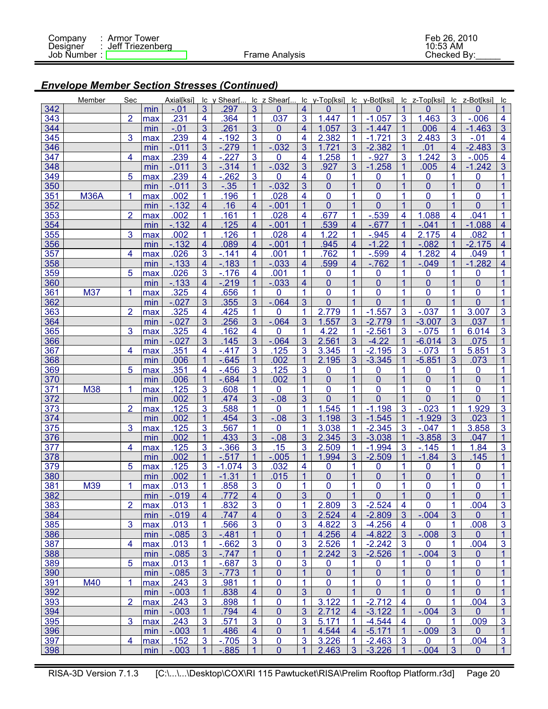|            | Member      | Sec            |            | Axial[ksi]      |                | Ic y Shear[. |                | Ic z Shear[             |                |                             |                      | Ic y-Top[ksi] Ic y-Bot[ksi] Ic z-Top[ksi] Ic z-Bot[ksi] |                |                             |                      |                   | c                 |
|------------|-------------|----------------|------------|-----------------|----------------|--------------|----------------|-------------------------|----------------|-----------------------------|----------------------|---------------------------------------------------------|----------------|-----------------------------|----------------------|-------------------|-------------------|
| 342        |             |                | min        | $-.01$          | 3              | .297         | 3              | 0                       | $\overline{4}$ | 0                           | $\mathbf{1}$         | 0                                                       | $\mathbf 1$    | 0                           | $\mathbf{1}$         | 0                 | $\mathbf{1}$      |
| 343        |             | $\overline{2}$ | max        | .231            | 4              | .364         | 1              | .037                    | 3              | 1.447                       | 1                    | $-1.057$                                                | 3              | 1.463                       | 3                    | $-0.006$          | 4                 |
| 344        |             |                | min        | $-.01$          | 3              | .261         | $\overline{3}$ | 0                       | $\overline{4}$ | 1.057                       | 3                    | $-1.447$                                                | 1              | .006                        | 4                    | $-1.463$          | $\overline{3}$    |
| 345        |             | 3              | max        | .239            | 4              | $-.192$      | 3              | $\mathbf{0}$            | 4              | 2.382                       | 1                    | $-1.721$                                                | 3              | 2.483                       | 3                    | $-.01$            | 4                 |
| 346        |             |                | min        | $-.011$         | 3              | $-.279$      | $\mathbf{1}$   | $-.032$                 | 3              | 1.721                       | 3                    | $-2.382$                                                | $\mathbf{1}$   | .01                         | $\overline{4}$       | $-2.483$          | 3                 |
| 347        |             | 4              | max        | .239            | 4              | $-.227$      | 3              | 0                       | 4              | 1.258                       | $\mathbf{1}$         | $-0.927$                                                | 3              | 1.242                       | 3                    | $-0.005$          | 4                 |
| 348        |             |                | min        | $-.011$         | 3              | $-.314$      | $\mathbf{1}$   | $-.032$                 | 3              | .927                        | 3                    | $-1.258$                                                | 1              | .005                        | 4                    | $-1.242$          | 3                 |
| 349        |             | 5              | max        | .239            | 4              | $-.262$      | 3              | 0                       | 4              | 0                           | 1                    | 0                                                       | 1              | 0                           | 1                    | 0                 | 1                 |
| 350        |             |                | min        | $-.011$         | 3              | $-.35$       | 1              | $-0.032$                | 3              | $\mathbf{0}$                | 1                    | 0                                                       | 1              | $\mathbf{0}$                | $\overline{1}$       | 0                 | $\mathbf{1}$      |
| 351        | <b>M36A</b> | 1              | max        | .002            | 1              | 196          | $\mathbf{1}$   | .028                    | $\overline{4}$ | $\mathbf 0$                 | 1                    | 0                                                       | 1              | $\mathbf 0$                 | 1                    | $\mathbf{0}$      | 1                 |
| 352        |             |                | min        | $-0.132$        | $\overline{4}$ | .16          | $\overline{4}$ | $-.001$                 | $\mathbf{1}$   | $\mathbf{0}$                | $\mathbf{1}$         | $\overline{0}$                                          | 1              | $\Omega$                    | 1                    | $\mathbf{0}$      | $\mathbf{1}$      |
| 353        |             | $\overline{2}$ | max        | .002            | 1              | .161         | 1              | .028                    | 4              | .677                        | 1                    | $-0.539$                                                | 4              | 1.088                       | 4                    | .041              | 1                 |
| 354        |             |                | min        | $-0.132$        | $\overline{4}$ | .125         | $\overline{4}$ | $-.001$                 | 1              | 539                         | $\overline{4}$       | $-0.677$                                                | 1              | $-.041$                     | 1                    | $-1.088$          | $\overline{4}$    |
| 355        |             | 3              | max        | .002            | 1              | 126          | 1              | .028                    | 4              | 1.22                        | 1                    | $-0.945$                                                | 4              | 2.175                       | 4                    | 082               | 1                 |
| 356        |             |                | min        | $-0.132$        | $\overline{4}$ | .089         | $\overline{4}$ | $-.001$                 | $\mathbf{1}$   | .945                        | $\overline{4}$       | $-1.22$                                                 | 1              | $-.082$                     | $\overline{1}$       | $-2.175$          | $\overline{4}$    |
| 357        |             | 4              | max        | .026            | 3              | $-0.141$     | 4              | .001                    | 1              | .762                        | $\mathbf{1}$         | $-0.599$                                                | $\overline{4}$ | 1.282                       | 4                    | 049               | 1                 |
| 358        |             |                | min        | $-.133$         | 4              | $-.183$      | $\mathbf 1$    | $-0.033$                | $\overline{4}$ | 599                         | $\overline{4}$       | $-762$                                                  | 1              | $-.049$                     | 1                    | $-1.282$          | $\overline{4}$    |
| 359        |             | 5              | max        | .026            | 3              | $-.176$      | 4              | .001                    | 1              | 0                           | 1                    | 0                                                       | 1              | 0                           | 1<br>$\overline{1}$  | 0                 | 1                 |
| 360        |             | 1              | min        | $-0.133$        | 4              | $-219$       | 1              | $-.033$<br>$\mathbf{0}$ | 4<br>1         | $\mathbf{0}$<br>$\mathbf 0$ | 1<br>1               | 0                                                       | 1<br>1         | $\mathbf{0}$<br>$\mathbf 0$ | 1                    | 0<br>$\mathbf{0}$ | $\mathbf{1}$      |
| 361<br>362 | M37         |                | max        | .325<br>$-.027$ | 4<br>3         | .656<br>.355 | 1<br>3         | $-0.064$                | 3              | $\overline{0}$              | $\mathbf{1}$         | 0<br>$\Omega$                                           | 1              | $\Omega$                    | $\mathbf 1$          | 0                 | 1<br>$\mathbf{1}$ |
|            |             | 2              | min        | .325            | 4              | .425         | 1              | $\mathbf 0$             | 1              | 2.779                       | 1                    | $-1.557$                                                | 3              | $-.037$                     | 1                    | 3.007             | 3                 |
| 363<br>364 |             |                | max        | $-.027$         | 3              | .256         | 3              | $-.064$                 | $\overline{3}$ | 1.557                       | 3                    | $-2.779$                                                | 1              | $-3.007$                    | 3                    | .037              | 1                 |
| 365        |             | 3              | min        | .325            | 4              | 162          | 4              | $\mathbf{0}$            | 1              | 4.22                        | 1                    |                                                         |                | $-.075$                     | 1                    | 6.014             | $\overline{3}$    |
| 366        |             |                | max        | $-.027$         | 3              | .145         | 3              | $-.064$                 | 3              | 2.561                       | 3                    | $-2.561$<br>$-4.22$                                     | 3<br>1         | $-6.014$                    | 3                    | .075              | $\mathbf{1}$      |
| 367        |             | 4              | min        | .351            | 4              | $-.417$      | 3              | 125                     | 3              | 3.345                       | $\blacktriangleleft$ | $-2.195$                                                | 3              | $-.073$                     | 1                    | 5.851             | $\overline{3}$    |
| 368        |             |                | max<br>min | .006            | 1              | $-0.645$     | $\mathbf{1}$   | .002                    | $\mathbf{1}$   | 2.195                       | $\mathbf{3}$         | $-3.345$                                                | 1              | $-5.851$                    | 3                    | .073              | $\mathbf{1}$      |
| 369        |             | 5              | max        | .351            | 4              | $-456$       | 3              | 125                     | 3              | 0                           | 1                    | 0                                                       | 1              | 0                           | 1                    | 0                 | 1                 |
| 370        |             |                | min        | .006            | 1              | $-0.684$     | $\mathbf{1}$   | 002                     | $\mathbf{1}$   | $\mathbf{0}$                | 1                    | 0                                                       | 1              | $\mathbf 0$                 | 1                    | 0                 | $\mathbf{1}$      |
| 371        | M38         | 1              | max        | 125             | 3              | .608         | 1              | $\mathbf{0}$            | 1              | $\mathbf 0$                 | $\mathbf{1}$         | 0                                                       | 1              | 0                           | 1                    | $\mathbf{0}$      | 1                 |
| 372        |             |                | min        | .002            | 1              | .474         | 3              | $-.08$                  | 3              | $\overline{0}$              | $\mathbf{1}$         | $\Omega$                                                | 1              | $\Omega$                    | 1                    | $\Omega$          | $\overline{1}$    |
| 373        |             | $\overline{2}$ | max        | .125            | 3              | .588         | 1              | $\mathbf 0$             | 1              | 1.545                       | 1                    | $-1.198$                                                | 3              | $-.023$                     | 1                    | 1.929             | $\mathbf{3}$      |
| 374        |             |                | min        | .002            | 1              | .454         | 3              | $-0.08$                 | $\overline{3}$ | 1.198                       | $\mathbf{3}$         | $-1.545$                                                | 1              | $-1.929$                    | 3                    | .023              | 1                 |
| 375        |             | 3              | max        | 125             | 3              | .567         | 1              | $\mathbf{0}$            | 1              | 3.038                       | 1                    | $-2.345$                                                | 3              | $-.047$                     | 1                    | 3.858             | $\overline{3}$    |
| 376        |             |                | min        | .002            | $\mathbf 1$    | .433         | 3              | $-0.08$                 | $\mathbf{3}$   | 2.345                       | 3                    | $-3.038$                                                | 1              | $-3.858$                    | 3                    | 047               | $\mathbf{1}$      |
| 377        |             | 4              | max        | .125            | 3              | $-.366$      | 3              | 15                      | 3              | 2.509                       | $\blacktriangleleft$ | $-1.994$                                                | 3              | $-.145$                     | 1                    | 1.84              | $\overline{3}$    |
| 378        |             |                | min        | .002            | 1              | $-.517$      | 1              | $-.005$                 | $\mathbf{1}$   | 1.994                       | $\mathbf{3}$         | $-2.509$                                                | 1              | $-1.84$                     | 3                    | 145               | $\mathbf{1}$      |
| 379        |             | 5              | max        | 125             | 3              | $-1.074$     | 3              | .032                    | 4              | 0                           | 1                    | 0                                                       | 1              | 0                           | 1                    | 0                 | 1                 |
| 380        |             |                | min        | 002             | 1              | $-1.31$      | 1              | 015                     | $\mathbf 1$    | $\mathbf{0}$                | 1                    | 0                                                       | 1              | 0                           | 1                    | 0                 | $\mathbf{1}$      |
| 381        | M39         | 1              | max        | .013            | 1              | .858         | 3              | $\mathbf 0$             | 1              | $\mathbf 0$                 | $\mathbf{1}$         | 0                                                       | 1              | 0                           | 1                    | 0                 | 1                 |
| 382        |             |                | min        | 019             | $\overline{4}$ | .772         | $\overline{4}$ | $\overline{0}$          | $\overline{3}$ | $\mathbf{0}$                | $\overline{1}$       | $\overline{0}$                                          | $\overline{1}$ | $\overline{0}$              | $\overline{1}$       | $\pmb{0}$         | 1                 |
| 383        |             | 2              | max        | .013            | 1              | .832         | 3              | $\mathbf 0$             | 1              | 2.809                       | 3                    | $-2.524$                                                | $\overline{4}$ | $\mathbf{0}$                | $\mathbf{1}$         | .004              | 3                 |
| 384        |             |                | min        | $-.019$         | 4              | .747         | $\overline{4}$ | $\overline{0}$          | 3              | 2.524                       | $\overline{4}$       | $-2.809$                                                | $\mathbf{3}$   | $-.004$                     | 3                    | $\Omega$          | $\mathbf{1}$      |
| 385        |             | 3              | max        | .013            | 1              | 566          | 3              | $\mathbf 0$             | 3              | 4.822                       | 3                    | $-4.256$                                                | $\overline{4}$ | $\mathbf{0}$                | $\mathbf{1}$         | .008              | $\overline{3}$    |
| 386        |             |                | min        | $-0.085$        | 3              | $-.481$      | $\mathbf{1}$   | $\overline{0}$          | $\overline{1}$ | 4.256                       | $\overline{4}$       | $-4.822$                                                | $\mathbf{3}$   | $-.008$                     | 3                    | $\Omega$          | $\overline{1}$    |
| 387        |             | 4              | max        | .013            | 1              | $-0.662$     | 3              | 0                       | 3              | 2.526                       | $\mathbf 1$          | $-2.242$                                                | 3              | $\mathbf 0$                 | 1                    | .004              | $\overline{3}$    |
| 388        |             |                | min        | $-.085$         | 3              | $-.747$      | $\mathbf 1$    | $\boldsymbol{0}$        | $\mathbf{1}$   | 2.242                       | 3                    | $-2.526$                                                | 1              | $-.004$                     | 3                    | $\mathbf 0$       | 1                 |
| 389        |             | 5              | max        | .013            | 1              | $-0.687$     | 3              | 0                       | 3              | 0                           | $\mathbf{1}$         | 0                                                       | 1              | 0                           | 1                    | 0                 | 1                 |
| 390        |             |                | min        | $-.085$         | 3              | $-0.773$     | $\mathbf{1}$   | $\mathbf{0}$            | $\mathbf{1}$   | $\mathbf{0}$                | $\mathbf 1$          | 0                                                       | 1              | 0                           | $\mathbf 1$          | 0                 | $\mathbf{1}$      |
| 391        | M40         | 1              | max        | .243            | 3              | .981         | $\mathbf{1}$   | $\mathbf 0$             | 1              | $\mathbf 0$                 | $\mathbf{1}$         | 0                                                       | 1              | 0                           | 1                    | $\mathbf{0}$      | 1                 |
| 392        |             |                | min        | $-.003$         | 1              | .838         | $\overline{4}$ | $\mathbf{0}$            | 3              | $\Omega$                    | $\mathbf{1}$         | $\Omega$                                                | 1              | 0                           | 1                    | $\Omega$          | $\mathbf{1}$      |
| 393        |             | 2              | max        | .243            | 3              | .898         | 1              | $\pmb{0}$               | 1              | 3.122                       | 1                    | $-2.712$                                                | $\overline{4}$ | $\mathbf 0$                 | 1                    | .004              | 3                 |
| 394        |             |                | min        | $-.003$         | $\mathbf{1}$   | .794         | $\overline{4}$ | $\mathbf{0}$            | $\overline{3}$ | 2.712                       | $\overline{4}$       | $-3.122$                                                | 1              | $-.004$                     | 3                    | $\Omega$          | $\mathbf{1}$      |
| 395        |             | 3              | max        | .243            | 3              | .571         | 3              | $\mathbf 0$             | 3              | 5.171                       | 1                    | $-4.544$                                                | $\overline{4}$ | $\mathbf{0}$                | $\blacktriangleleft$ | .009              | $\overline{3}$    |
| 396        |             |                | min        | $-.003$         | 1              | .486         | $\overline{4}$ | $\overline{0}$          | $\mathbf{1}$   | 4.544                       | $\overline{4}$       | $-5.171$                                                | $\mathbf{1}$   | $-.009$                     | 3                    | $\overline{0}$    | $\overline{1}$    |
| 397        |             | 4              | max        | .152            | 3              | $-.705$      | 3              | $\pmb{0}$               | 3              | 3.226                       | $\mathbf{1}$         | $-2.463$                                                | 3              | $\mathbf 0$                 | 1                    | .004              | $\overline{3}$    |
| 398        |             |                | min        | $-.003$         | 1              | $-0.885$     | 1              | $\overline{0}$          | $\mathbf{1}$   | 2.463                       | 3 <sup>1</sup>       | $-3.226$                                                | $\mathbf{1}$   | $-.004$                     | $\overline{3}$       | $\overline{0}$    | 1 <sup>1</sup>    |
|            |             |                |            |                 |                |              |                |                         |                |                             |                      |                                                         |                |                             |                      |                   |                   |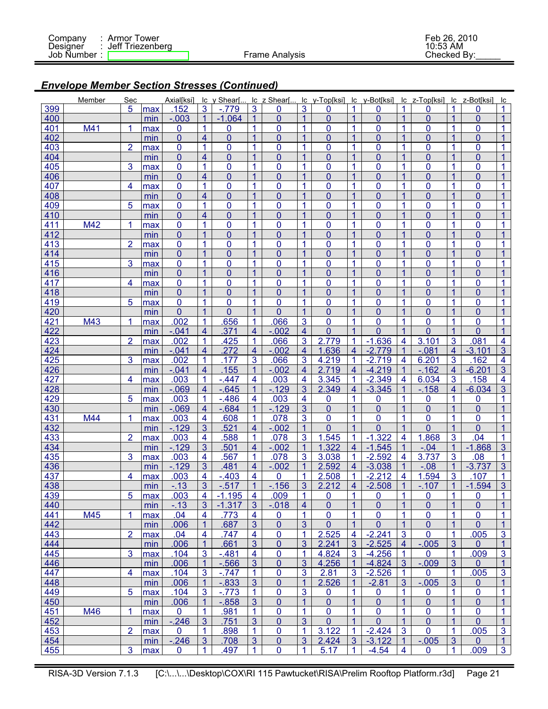| 399<br>3<br>3<br>3<br>5<br>.152<br>$-.779$<br>max<br>0<br>0<br>1<br>0<br>1<br>0<br>1<br>0<br>1.<br>$\mathbf{1}$<br>$\mathbf{1}$<br>1<br>400<br>$-.003$<br>1<br>$-1.064$<br>0<br>$\mathbf{0}$<br>0<br>1<br>0<br>$\mathbf{1}$<br>1<br>0<br>min<br>401<br>M41<br>1<br>1<br>1<br>0<br>0<br>$\mathbf{0}$<br>1<br>0<br>0<br>1<br>1<br>0<br>1<br>0<br>1<br>max<br>$\mathbf{1}$<br>402<br>$\overline{4}$<br>$\overline{0}$<br>$\overline{0}$<br>1<br>$\mathbf{0}$<br>1<br>$\Omega$<br>1<br>1<br>$\mathbf{1}$<br>$\overline{0}$<br>$\Omega$<br>$\Omega$<br>min<br>$\mathbf{1}$<br>1<br>$\overline{2}$<br>1<br>0<br>0<br>1<br>0<br>0<br>1<br>0<br>1<br>403<br>0<br>$\mathbf{0}$<br>$\mathbf{1}$<br>max<br>$\overline{1}$<br>$\overline{1}$<br>404<br>$\mathbf{0}$<br>$\overline{4}$<br>$\mathbf{0}$<br>$\overline{0}$<br>$\mathbf{1}$<br>$\overline{0}$<br>1<br>$\overline{0}$<br>1<br>$\Omega$<br>min<br>$\mathbf 1$<br>$\Omega$<br>3<br>1<br>$\mathbf{1}$<br>1<br>1<br>405<br>0<br>0<br>0<br>0<br>1<br>1<br>$\mathbf{1}$<br>0<br>0<br>0<br>max<br>$\mathbf{1}$<br>4<br>$\mathbf{0}$<br>0<br>$\mathbf 0$<br>$\mathbf{1}$<br>406<br>min<br>0<br>1<br>1<br>0<br>1<br>0<br>$\mathbf{0}$<br>1<br>$\mathbf{1}$<br>407<br>1<br>0<br>0<br>1<br>$\mathbf 0$<br>1<br>1<br>0<br>1<br>1<br>4<br>0<br>0<br>0<br>max<br>$\overline{1}$<br>$\boldsymbol{0}$<br>$\overline{0}$<br>$\mathbf{1}$<br>$\overline{0}$<br>$\overline{1}$<br>$\overline{0}$<br>$\overline{1}$<br>$\overline{1}$<br>408<br>0<br>4<br>$\overline{0}$<br>1<br>$\overline{0}$<br>min<br>5<br>0<br>$\mathbf{1}$<br>409<br>$\pmb{0}$<br>1<br>0<br>1<br>$\mathbf 0$<br>1<br>0<br>1<br>0<br>$\mathbf{1}$<br>1<br>$\mathbf{0}$<br>max<br>$\mathbf{1}$<br>$\mathbf{1}$<br>410<br>0<br>$\overline{4}$<br>$\mathbf{0}$<br>0<br>$\overline{0}$<br>1<br>0<br>1<br>0<br>$\mathbf{1}$<br>1<br>0<br>min<br>1<br>$\bf{0}$<br>1<br>411<br>M42<br>1<br>0<br>0<br>1<br>0<br>1<br>0<br>1<br>0<br>$\mathbf{0}$<br>1<br>1<br>max<br>$\mathbf{1}$<br>$\mathbf{1}$<br>412<br>$\mathbf{1}$<br>$\overline{0}$<br>$\overline{0}$<br>1<br>$\mathbf{0}$<br>1<br>$\overline{0}$<br>1<br>$\Omega$<br>1<br>$\overline{0}$<br>$\Omega$<br>min<br>1<br>$\mathbf{1}$<br>1<br>413<br>$\overline{2}$<br>0<br>0<br>1<br>0<br>0<br>1<br>0<br>1<br>1<br>0<br>$\mathbf{0}$<br>max<br>$\mathbf{1}$<br>$\overline{1}$<br>$\overline{1}$<br>414<br>$\mathbf{0}$<br>$\mathbf{0}$<br>$\overline{0}$<br>$\mathbf{1}$<br>$\overline{0}$<br>1<br>$\overline{0}$<br>1<br>$\Omega$<br>min<br>$\mathbf 1$<br>$\Omega$<br>415<br>3<br>1<br>$\mathbf{1}$<br>1<br>1<br>0<br>0<br>0<br>0<br>0<br>1<br>1<br>$\mathbf{1}$<br>0<br>0<br>max<br>$\mathbf{1}$<br>$\mathbf{1}$<br>$\mathbf{0}$<br>0<br>$\mathbf 0$<br>0<br>$\mathbf{1}$<br>416<br>min<br>0<br>$\mathbf{1}$<br>1<br>1<br>0<br>$\mathbf{0}$<br>1<br>$\mathbf{1}$<br>4<br>1<br>0<br>0<br>1<br>$\mathbf 0$<br>1<br>1<br>0<br>1<br>1<br>417<br>0<br>0<br>0<br>max<br>$\overline{1}$<br>$\mathbf{1}$<br>$\overline{0}$<br>$\overline{0}$<br>$\mathbf{1}$<br>$\overline{0}$<br>$\mathbf{1}$<br>$\overline{0}$<br>$\overline{1}$<br>$\overline{1}$<br>418<br>0<br>$\overline{0}$<br>1<br>$\overline{0}$<br>min<br>419<br>5<br>0<br>$\mathbf{1}$<br>$\pmb{0}$<br>1<br>0<br>1<br>0<br>1<br>0<br>0<br>$\mathbf{1}$<br>1<br>1<br>$\mathbf{0}$<br>max<br>420<br>$\mathbf{1}$<br>$\mathbf{1}$<br>$\overline{0}$<br>$\mathbf{0}$<br>0<br>1<br>$\overline{0}$<br>1<br>0<br>1<br>0<br>1<br>0<br>1<br>min<br>.002<br>656<br>$\mathbf 1$<br>.066<br>$\overline{3}$<br>0<br>421<br>M43<br>1<br>1<br>1<br>0<br>0<br>$\mathbf{0}$<br>1<br>1<br>1<br>max<br>422<br>371<br>$\overline{4}$<br>$-.002$<br>$\overline{4}$<br>$\mathbf{0}$<br>1<br>$\Omega$<br>1<br>$\Omega$<br>1<br>$\mathbf{1}$<br>$-.041$<br>$\overline{4}$<br>$\Omega$<br>min<br>2.779<br>$-1.636$<br>3<br>423<br>$\overline{2}$<br>.002<br>$\mathbf{1}$<br>.425<br>$\mathbf{1}$<br>.066<br>3<br>1<br>3.101<br>.081<br>$\overline{4}$<br>4<br>max<br>424<br>$-.041$<br>$\overline{4}$<br>.272<br>$\overline{4}$<br>$-.002$<br>1.636<br>$\overline{4}$<br>$-2.779$<br>$-.081$<br>$\overline{4}$<br>$-3.101$<br>3 <sup>5</sup><br>$\overline{4}$<br>$\blacktriangleleft$<br>min<br>425<br>3<br>3<br>.066<br>4.219<br>$-2.719$<br>6.201<br>162<br>.002<br>1<br>177<br>3<br>3<br>1.<br>$\overline{4}$<br>max<br>4<br>.155<br>$-.002$<br>2.719<br>$-4.219$<br>$-0.162$<br>$-6.201$<br>$\overline{3}$<br>426<br>$-.041$<br>4<br>$\mathbf{1}$<br>4<br>min<br>$\overline{4}$<br>$\overline{4}$<br>1<br>427<br>4<br>.003<br>$-0.447$<br>.003<br>3.345<br>$-2.349$<br>6.034<br>3<br>158<br>1<br>4<br>4<br>$\overline{4}$<br>4<br>1<br>max<br>428<br>$-0.129$<br>$-069$<br>$-0.645$<br>$\mathbf{1}$<br>$\mathbf{3}$<br>2.349<br>$-3.345$<br>1<br>$-0.158$<br>$-6.034$<br>3 <sup>5</sup><br>$\overline{4}$<br>4<br>$\overline{4}$<br>min<br>429<br>5<br>$-0.486$<br>$\overline{4}$<br>.003<br>4<br>$\mathbf{1}$<br>.003<br>1<br>0<br>0<br>1<br>0<br>1<br>$\mathbf 0$<br>1.<br>max<br>$\overline{3}$<br>430<br>$-0.129$<br>$-.069$<br>$-0.684$<br>$\mathbf{1}$<br>$\mathbf{0}$<br>1<br>1<br>4<br>0<br>0<br>1<br>$\mathbf{0}$<br>1<br>min<br>.078<br>$\overline{3}$<br>0<br>431<br>M44<br>1<br>.003<br>4<br>.608<br>1<br>1<br>0<br>$\mathbf{0}$<br>1<br>0<br>1<br>1<br>max<br>432<br>$-0.129$<br>3<br>521<br>$\overline{4}$<br>$-.002$<br>$\Omega$<br>1<br>$\Omega$<br>1<br>$\Omega$<br>$\overline{1}$<br>$\mathbf{1}$<br>$\mathbf{1}$<br>$\Omega$<br>min<br>1.545<br>$-1.322$<br>1.868<br>3<br>433<br>$\overline{2}$<br>$\mathbf{1}$<br>.078<br>3<br>1<br>$\overline{4}$<br>04<br>.003<br>4<br>.588<br>$\mathbf{1}$<br>max<br>3<br>1.322<br>$-1.545$<br>$-1.868$<br>$\mathbf{3}$<br>434<br>$-0.129$<br>.501<br>$\overline{4}$<br>$-.002$<br>$\overline{4}$<br>$\mathbf{1}$<br>$\mathbf{1}$<br>$-.04$<br>$\overline{1}$<br>min<br>3<br>3.038<br>$-2.592$<br>3.737<br>3<br>435<br>.003<br>4<br>.567<br>$\mathbf{1}$<br>.078<br>3<br>.08<br>1.<br>4<br>1.<br>max<br>3<br>$-.002$<br>2.592<br>$-3.038$<br>$-3.737$<br>$\overline{3}$<br>436<br>$-0.129$<br>.481<br>$\overline{4}$<br>$\mathbf{1}$<br>1<br>$-.08$<br>1<br>min<br>4<br>437<br>4<br>$-.403$<br>2.508<br>$-2.212$<br>1.594<br>3<br>107<br>.003<br>4<br>4<br>0<br>1<br>$\overline{4}$<br>1<br>1<br>max<br>3<br>$\overline{1}$<br>$-0.156$<br>$\overline{3}$<br>$\overline{1}$<br>438<br>$-.517$<br>2.212<br>$-2.508$<br>$-.107$<br>$\overline{1}$<br>$-1.594$<br>3 <sup>5</sup><br>$-.13$<br>$\overline{4}$<br>min<br>$\overline{4}$<br>1 <sup>1</sup><br>$\mathbf{1}$<br>$\mathbf{1}$<br>439<br>5<br>$\overline{4}$<br>$-1.195$<br>.009<br>$\mathbf{1}$<br>$\mathbf{0}$<br>$\mathbf{1}$<br>.003<br>$\mathbf{0}$<br>$\overline{0}$<br>0<br>max<br>$-13$<br>3<br>$-1.317$<br>3<br>$\mathbf{1}$<br>$\mathbf{1}$<br>$\mathbf{1}$<br>$\mathbf{1}$<br>440<br>$-.018$<br>$\overline{4}$<br>$\mathbf{0}$<br>0<br>0<br>0<br>min<br>441<br>M45<br>1<br>.04<br>4<br>.773<br>$\overline{4}$<br>1<br>$\mathbf 0$<br>1<br>1<br>$\mathbf{0}$<br>1<br>0<br>1.<br>0<br>0<br>max<br>$\overline{3}$<br>$\overline{1}$<br>442<br>3<br>$\mathbf{1}$<br>$\overline{0}$<br>1<br>$\mathbf 1$<br>.006<br>$\mathbf{1}$<br>.687<br>$\overline{0}$<br>$\mathbf{0}$<br>0<br>$\Omega$<br>min<br>2.525<br>$-2.241$<br>1<br>443<br>2<br>4<br>$\overline{\mathbf{4}}$<br>$\mathbf 0$<br>1<br>4<br>3<br>0<br>$\overline{3}$<br>.04<br>.747<br>.005<br>max<br>$\mathbf{3}$<br>$\overline{3}$<br>3<br>3<br>444<br>$\mathbf{1}$<br>$\overline{0}$<br>2.241<br>$-2.525$<br>$\overline{4}$<br>$-.005$<br>$\mathbf{1}$<br>.006<br>.661<br>$\overline{0}$<br>min<br>3<br>$-4.256$<br>3<br>445<br>3<br>104<br>$-0.481$<br>4<br>0<br>1.<br>4.824<br>3<br>1<br>.009<br>1<br>$\mathbf{0}$<br>max<br>$\overline{3}$<br>$\mathbf{1}$<br>$\overline{0}$<br>$\overline{3}$<br>$-4.824$<br>3<br>$-.009$<br>3<br>$\mathbf{1}$<br>446<br>.006<br>$-0.566$<br>4.256<br>min<br>1<br>$\overline{0}$<br>3<br>$\overline{3}$<br>447<br>.104<br>3<br>$-.747$<br>1<br>0<br>2.81<br>3<br>$-2.526$<br>1<br>.005<br>4<br>1<br>$\mathbf{0}$<br>max<br>$\overline{3}$<br>$\overline{1}$<br>448<br>$\mathbf{1}$<br>0<br>$\mathbf{1}$<br>2.526<br>3<br>$-.005$<br>3<br>.006<br>$-.833$<br>$\mathbf 1$<br>$-2.81$<br>min<br>0<br>449<br>5<br>3<br>$\mathbf{1}$<br>3<br>$\mathbf{1}$<br>.104<br>$-.773$<br>0<br>$\bf{0}$<br>1.<br>0<br>1<br>0<br>1<br>$\mathbf{0}$<br>max<br>3<br>$\mathbf{1}$<br>450<br>1<br>1<br>1<br>$\mathbf{1}$<br>.006<br>$-.858$<br>0<br>$\mathbf{0}$<br>0<br>0<br>1<br>min<br>0<br>1<br>1<br>1<br>1<br>451<br>M46<br>1<br>$\mathbf{0}$<br>.981<br>$\bf{0}$<br>$\mathbf 0$<br>1<br>1<br>0<br>1<br>$\mathbf 0$<br>0<br>max<br>3<br>$\mathbf{1}$<br>452<br>3<br>.751<br>3<br>1<br>$\Omega$<br>1<br>$\overline{1}$<br>$-0.246$<br>0<br>$\overline{0}$<br>0<br>$\Omega$<br>min<br>3.122<br>$-2.424$<br>$\mathbf 0$<br>1<br>453<br>2<br>$\mathbf{0}$<br>$\mathbf{1}$<br>$\mathbf{1}$<br>$\mathbf 0$<br>$\mathbf{1}$<br>1<br>3<br>$\overline{3}$<br>.898<br>.005<br>max<br>$\mathbf{3}$<br>$\overline{3}$<br>3<br>454<br>$-.246$<br>3<br>$\overline{0}$<br>3<br>2.424<br>$-3.122$<br>$\mathbf{1}$<br>$-.005$<br>$\mathbf{1}$<br>.708<br>$\overline{0}$<br>min<br>$\mathbf{1}$<br>3 <sup>7</sup><br>455<br>3<br>1<br>.497<br>0<br>$\mathbf{1}$<br>$\mathbf 1$<br>$-4.54$<br>4<br>$\mathbf{1}$<br>.009<br>0<br>5.17<br>$\mathbf{0}$<br>max | Member | Sec | Axial[ksi] | Ic y Shear[ |  |  |  | lc z Shear[ lc y-Top[ksi] lc y-Bot[ksi] lc z-Top[ksi] lc z-Bot[ksi] |  | c |
|---------------------------------------------------------------------------------------------------------------------------------------------------------------------------------------------------------------------------------------------------------------------------------------------------------------------------------------------------------------------------------------------------------------------------------------------------------------------------------------------------------------------------------------------------------------------------------------------------------------------------------------------------------------------------------------------------------------------------------------------------------------------------------------------------------------------------------------------------------------------------------------------------------------------------------------------------------------------------------------------------------------------------------------------------------------------------------------------------------------------------------------------------------------------------------------------------------------------------------------------------------------------------------------------------------------------------------------------------------------------------------------------------------------------------------------------------------------------------------------------------------------------------------------------------------------------------------------------------------------------------------------------------------------------------------------------------------------------------------------------------------------------------------------------------------------------------------------------------------------------------------------------------------------------------------------------------------------------------------------------------------------------------------------------------------------------------------------------------------------------------------------------------------------------------------------------------------------------------------------------------------------------------------------------------------------------------------------------------------------------------------------------------------------------------------------------------------------------------------------------------------------------------------------------------------------------------------------------------------------------------------------------------------------------------------------------------------------------------------------------------------------------------------------------------------------------------------------------------------------------------------------------------------------------------------------------------------------------------------------------------------------------------------------------------------------------------------------------------------------------------------------------------------------------------------------------------------------------------------------------------------------------------------------------------------------------------------------------------------------------------------------------------------------------------------------------------------------------------------------------------------------------------------------------------------------------------------------------------------------------------------------------------------------------------------------------------------------------------------------------------------------------------------------------------------------------------------------------------------------------------------------------------------------------------------------------------------------------------------------------------------------------------------------------------------------------------------------------------------------------------------------------------------------------------------------------------------------------------------------------------------------------------------------------------------------------------------------------------------------------------------------------------------------------------------------------------------------------------------------------------------------------------------------------------------------------------------------------------------------------------------------------------------------------------------------------------------------------------------------------------------------------------------------------------------------------------------------------------------------------------------------------------------------------------------------------------------------------------------------------------------------------------------------------------------------------------------------------------------------------------------------------------------------------------------------------------------------------------------------------------------------------------------------------------------------------------------------------------------------------------------------------------------------------------------------------------------------------------------------------------------------------------------------------------------------------------------------------------------------------------------------------------------------------------------------------------------------------------------------------------------------------------------------------------------------------------------------------------------------------------------------------------------------------------------------------------------------------------------------------------------------------------------------------------------------------------------------------------------------------------------------------------------------------------------------------------------------------------------------------------------------------------------------------------------------------------------------------------------------------------------------------------------------------------------------------------------------------------------------------------------------------------------------------------------------------------------------------------------------------------------------------------------------------------------------------------------------------------------------------------------------------------------------------------------------------------------------------------------------------------------------------------------------------------------------------------------------------------------------------------------------------------------------------------------------------------------------------------------------------------------------------------------------------------------------------------------------------------------------------------------------------------------------------------------------------------------------------------------------------------------------------------------------------------------------------------------------------------------------------------------------------------------------------------------------------------------------------------------------------------------------------------------------------------------------------------------------------------------------------------------------------------------------------------------------------------------------------------------------------------------------------------------------------------------------------------------------------------------------------------------------------------------------------------------------------------------------------------------------------------------------------------------------------------------------------------------------------------------------------------------------------------------------------------------------------------------------------------------------------------------------------------------------------------------------------------------------------------------------------------------------------------------------------------------------------------------------------------------------------------------------------------------------------------------------------------------------------------------------------------------------------------------------------------------------------------------------------------------------------------------------------------------------------------------------------------------------------------------------------------------------------------------------------------------------------------------------------------------------------------------------------------------------------------------------------------------------------------------------------------------------------------------------------------------------------------|--------|-----|------------|-------------|--|--|--|---------------------------------------------------------------------|--|---|
|                                                                                                                                                                                                                                                                                                                                                                                                                                                                                                                                                                                                                                                                                                                                                                                                                                                                                                                                                                                                                                                                                                                                                                                                                                                                                                                                                                                                                                                                                                                                                                                                                                                                                                                                                                                                                                                                                                                                                                                                                                                                                                                                                                                                                                                                                                                                                                                                                                                                                                                                                                                                                                                                                                                                                                                                                                                                                                                                                                                                                                                                                                                                                                                                                                                                                                                                                                                                                                                                                                                                                                                                                                                                                                                                                                                                                                                                                                                                                                                                                                                                                                                                                                                                                                                                                                                                                                                                                                                                                                                                                                                                                                                                                                                                                                                                                                                                                                                                                                                                                                                                                                                                                                                                                                                                                                                                                                                                                                                                                                                                                                                                                                                                                                                                                                                                                                                                                                                                                                                                                                                                                                                                                                                                                                                                                                                                                                                                                                                                                                                                                                                                                                                                                                                                                                                                                                                                                                                                                                                                                                                                                                                                                                                                                                                                                                                                                                                                                                                                                                                                                                                                                                                                                                                                                                                                                                                                                                                                                                                                                                                                                                                                                                                                                                                                                                                                                                                                                                                                                                                                                                                                                                                                                                                                                                                                                                                                                                                                                                                                                                                                                                                                                                                                                                                                                                                           |        |     |            |             |  |  |  |                                                                     |  |   |
|                                                                                                                                                                                                                                                                                                                                                                                                                                                                                                                                                                                                                                                                                                                                                                                                                                                                                                                                                                                                                                                                                                                                                                                                                                                                                                                                                                                                                                                                                                                                                                                                                                                                                                                                                                                                                                                                                                                                                                                                                                                                                                                                                                                                                                                                                                                                                                                                                                                                                                                                                                                                                                                                                                                                                                                                                                                                                                                                                                                                                                                                                                                                                                                                                                                                                                                                                                                                                                                                                                                                                                                                                                                                                                                                                                                                                                                                                                                                                                                                                                                                                                                                                                                                                                                                                                                                                                                                                                                                                                                                                                                                                                                                                                                                                                                                                                                                                                                                                                                                                                                                                                                                                                                                                                                                                                                                                                                                                                                                                                                                                                                                                                                                                                                                                                                                                                                                                                                                                                                                                                                                                                                                                                                                                                                                                                                                                                                                                                                                                                                                                                                                                                                                                                                                                                                                                                                                                                                                                                                                                                                                                                                                                                                                                                                                                                                                                                                                                                                                                                                                                                                                                                                                                                                                                                                                                                                                                                                                                                                                                                                                                                                                                                                                                                                                                                                                                                                                                                                                                                                                                                                                                                                                                                                                                                                                                                                                                                                                                                                                                                                                                                                                                                                                                                                                                                                           |        |     |            |             |  |  |  |                                                                     |  |   |
|                                                                                                                                                                                                                                                                                                                                                                                                                                                                                                                                                                                                                                                                                                                                                                                                                                                                                                                                                                                                                                                                                                                                                                                                                                                                                                                                                                                                                                                                                                                                                                                                                                                                                                                                                                                                                                                                                                                                                                                                                                                                                                                                                                                                                                                                                                                                                                                                                                                                                                                                                                                                                                                                                                                                                                                                                                                                                                                                                                                                                                                                                                                                                                                                                                                                                                                                                                                                                                                                                                                                                                                                                                                                                                                                                                                                                                                                                                                                                                                                                                                                                                                                                                                                                                                                                                                                                                                                                                                                                                                                                                                                                                                                                                                                                                                                                                                                                                                                                                                                                                                                                                                                                                                                                                                                                                                                                                                                                                                                                                                                                                                                                                                                                                                                                                                                                                                                                                                                                                                                                                                                                                                                                                                                                                                                                                                                                                                                                                                                                                                                                                                                                                                                                                                                                                                                                                                                                                                                                                                                                                                                                                                                                                                                                                                                                                                                                                                                                                                                                                                                                                                                                                                                                                                                                                                                                                                                                                                                                                                                                                                                                                                                                                                                                                                                                                                                                                                                                                                                                                                                                                                                                                                                                                                                                                                                                                                                                                                                                                                                                                                                                                                                                                                                                                                                                                                           |        |     |            |             |  |  |  |                                                                     |  |   |
|                                                                                                                                                                                                                                                                                                                                                                                                                                                                                                                                                                                                                                                                                                                                                                                                                                                                                                                                                                                                                                                                                                                                                                                                                                                                                                                                                                                                                                                                                                                                                                                                                                                                                                                                                                                                                                                                                                                                                                                                                                                                                                                                                                                                                                                                                                                                                                                                                                                                                                                                                                                                                                                                                                                                                                                                                                                                                                                                                                                                                                                                                                                                                                                                                                                                                                                                                                                                                                                                                                                                                                                                                                                                                                                                                                                                                                                                                                                                                                                                                                                                                                                                                                                                                                                                                                                                                                                                                                                                                                                                                                                                                                                                                                                                                                                                                                                                                                                                                                                                                                                                                                                                                                                                                                                                                                                                                                                                                                                                                                                                                                                                                                                                                                                                                                                                                                                                                                                                                                                                                                                                                                                                                                                                                                                                                                                                                                                                                                                                                                                                                                                                                                                                                                                                                                                                                                                                                                                                                                                                                                                                                                                                                                                                                                                                                                                                                                                                                                                                                                                                                                                                                                                                                                                                                                                                                                                                                                                                                                                                                                                                                                                                                                                                                                                                                                                                                                                                                                                                                                                                                                                                                                                                                                                                                                                                                                                                                                                                                                                                                                                                                                                                                                                                                                                                                                                           |        |     |            |             |  |  |  |                                                                     |  |   |
|                                                                                                                                                                                                                                                                                                                                                                                                                                                                                                                                                                                                                                                                                                                                                                                                                                                                                                                                                                                                                                                                                                                                                                                                                                                                                                                                                                                                                                                                                                                                                                                                                                                                                                                                                                                                                                                                                                                                                                                                                                                                                                                                                                                                                                                                                                                                                                                                                                                                                                                                                                                                                                                                                                                                                                                                                                                                                                                                                                                                                                                                                                                                                                                                                                                                                                                                                                                                                                                                                                                                                                                                                                                                                                                                                                                                                                                                                                                                                                                                                                                                                                                                                                                                                                                                                                                                                                                                                                                                                                                                                                                                                                                                                                                                                                                                                                                                                                                                                                                                                                                                                                                                                                                                                                                                                                                                                                                                                                                                                                                                                                                                                                                                                                                                                                                                                                                                                                                                                                                                                                                                                                                                                                                                                                                                                                                                                                                                                                                                                                                                                                                                                                                                                                                                                                                                                                                                                                                                                                                                                                                                                                                                                                                                                                                                                                                                                                                                                                                                                                                                                                                                                                                                                                                                                                                                                                                                                                                                                                                                                                                                                                                                                                                                                                                                                                                                                                                                                                                                                                                                                                                                                                                                                                                                                                                                                                                                                                                                                                                                                                                                                                                                                                                                                                                                                                                           |        |     |            |             |  |  |  |                                                                     |  |   |
|                                                                                                                                                                                                                                                                                                                                                                                                                                                                                                                                                                                                                                                                                                                                                                                                                                                                                                                                                                                                                                                                                                                                                                                                                                                                                                                                                                                                                                                                                                                                                                                                                                                                                                                                                                                                                                                                                                                                                                                                                                                                                                                                                                                                                                                                                                                                                                                                                                                                                                                                                                                                                                                                                                                                                                                                                                                                                                                                                                                                                                                                                                                                                                                                                                                                                                                                                                                                                                                                                                                                                                                                                                                                                                                                                                                                                                                                                                                                                                                                                                                                                                                                                                                                                                                                                                                                                                                                                                                                                                                                                                                                                                                                                                                                                                                                                                                                                                                                                                                                                                                                                                                                                                                                                                                                                                                                                                                                                                                                                                                                                                                                                                                                                                                                                                                                                                                                                                                                                                                                                                                                                                                                                                                                                                                                                                                                                                                                                                                                                                                                                                                                                                                                                                                                                                                                                                                                                                                                                                                                                                                                                                                                                                                                                                                                                                                                                                                                                                                                                                                                                                                                                                                                                                                                                                                                                                                                                                                                                                                                                                                                                                                                                                                                                                                                                                                                                                                                                                                                                                                                                                                                                                                                                                                                                                                                                                                                                                                                                                                                                                                                                                                                                                                                                                                                                                                           |        |     |            |             |  |  |  |                                                                     |  |   |
|                                                                                                                                                                                                                                                                                                                                                                                                                                                                                                                                                                                                                                                                                                                                                                                                                                                                                                                                                                                                                                                                                                                                                                                                                                                                                                                                                                                                                                                                                                                                                                                                                                                                                                                                                                                                                                                                                                                                                                                                                                                                                                                                                                                                                                                                                                                                                                                                                                                                                                                                                                                                                                                                                                                                                                                                                                                                                                                                                                                                                                                                                                                                                                                                                                                                                                                                                                                                                                                                                                                                                                                                                                                                                                                                                                                                                                                                                                                                                                                                                                                                                                                                                                                                                                                                                                                                                                                                                                                                                                                                                                                                                                                                                                                                                                                                                                                                                                                                                                                                                                                                                                                                                                                                                                                                                                                                                                                                                                                                                                                                                                                                                                                                                                                                                                                                                                                                                                                                                                                                                                                                                                                                                                                                                                                                                                                                                                                                                                                                                                                                                                                                                                                                                                                                                                                                                                                                                                                                                                                                                                                                                                                                                                                                                                                                                                                                                                                                                                                                                                                                                                                                                                                                                                                                                                                                                                                                                                                                                                                                                                                                                                                                                                                                                                                                                                                                                                                                                                                                                                                                                                                                                                                                                                                                                                                                                                                                                                                                                                                                                                                                                                                                                                                                                                                                                                                           |        |     |            |             |  |  |  |                                                                     |  |   |
|                                                                                                                                                                                                                                                                                                                                                                                                                                                                                                                                                                                                                                                                                                                                                                                                                                                                                                                                                                                                                                                                                                                                                                                                                                                                                                                                                                                                                                                                                                                                                                                                                                                                                                                                                                                                                                                                                                                                                                                                                                                                                                                                                                                                                                                                                                                                                                                                                                                                                                                                                                                                                                                                                                                                                                                                                                                                                                                                                                                                                                                                                                                                                                                                                                                                                                                                                                                                                                                                                                                                                                                                                                                                                                                                                                                                                                                                                                                                                                                                                                                                                                                                                                                                                                                                                                                                                                                                                                                                                                                                                                                                                                                                                                                                                                                                                                                                                                                                                                                                                                                                                                                                                                                                                                                                                                                                                                                                                                                                                                                                                                                                                                                                                                                                                                                                                                                                                                                                                                                                                                                                                                                                                                                                                                                                                                                                                                                                                                                                                                                                                                                                                                                                                                                                                                                                                                                                                                                                                                                                                                                                                                                                                                                                                                                                                                                                                                                                                                                                                                                                                                                                                                                                                                                                                                                                                                                                                                                                                                                                                                                                                                                                                                                                                                                                                                                                                                                                                                                                                                                                                                                                                                                                                                                                                                                                                                                                                                                                                                                                                                                                                                                                                                                                                                                                                                                           |        |     |            |             |  |  |  |                                                                     |  |   |
|                                                                                                                                                                                                                                                                                                                                                                                                                                                                                                                                                                                                                                                                                                                                                                                                                                                                                                                                                                                                                                                                                                                                                                                                                                                                                                                                                                                                                                                                                                                                                                                                                                                                                                                                                                                                                                                                                                                                                                                                                                                                                                                                                                                                                                                                                                                                                                                                                                                                                                                                                                                                                                                                                                                                                                                                                                                                                                                                                                                                                                                                                                                                                                                                                                                                                                                                                                                                                                                                                                                                                                                                                                                                                                                                                                                                                                                                                                                                                                                                                                                                                                                                                                                                                                                                                                                                                                                                                                                                                                                                                                                                                                                                                                                                                                                                                                                                                                                                                                                                                                                                                                                                                                                                                                                                                                                                                                                                                                                                                                                                                                                                                                                                                                                                                                                                                                                                                                                                                                                                                                                                                                                                                                                                                                                                                                                                                                                                                                                                                                                                                                                                                                                                                                                                                                                                                                                                                                                                                                                                                                                                                                                                                                                                                                                                                                                                                                                                                                                                                                                                                                                                                                                                                                                                                                                                                                                                                                                                                                                                                                                                                                                                                                                                                                                                                                                                                                                                                                                                                                                                                                                                                                                                                                                                                                                                                                                                                                                                                                                                                                                                                                                                                                                                                                                                                                                           |        |     |            |             |  |  |  |                                                                     |  |   |
|                                                                                                                                                                                                                                                                                                                                                                                                                                                                                                                                                                                                                                                                                                                                                                                                                                                                                                                                                                                                                                                                                                                                                                                                                                                                                                                                                                                                                                                                                                                                                                                                                                                                                                                                                                                                                                                                                                                                                                                                                                                                                                                                                                                                                                                                                                                                                                                                                                                                                                                                                                                                                                                                                                                                                                                                                                                                                                                                                                                                                                                                                                                                                                                                                                                                                                                                                                                                                                                                                                                                                                                                                                                                                                                                                                                                                                                                                                                                                                                                                                                                                                                                                                                                                                                                                                                                                                                                                                                                                                                                                                                                                                                                                                                                                                                                                                                                                                                                                                                                                                                                                                                                                                                                                                                                                                                                                                                                                                                                                                                                                                                                                                                                                                                                                                                                                                                                                                                                                                                                                                                                                                                                                                                                                                                                                                                                                                                                                                                                                                                                                                                                                                                                                                                                                                                                                                                                                                                                                                                                                                                                                                                                                                                                                                                                                                                                                                                                                                                                                                                                                                                                                                                                                                                                                                                                                                                                                                                                                                                                                                                                                                                                                                                                                                                                                                                                                                                                                                                                                                                                                                                                                                                                                                                                                                                                                                                                                                                                                                                                                                                                                                                                                                                                                                                                                                                           |        |     |            |             |  |  |  |                                                                     |  |   |
|                                                                                                                                                                                                                                                                                                                                                                                                                                                                                                                                                                                                                                                                                                                                                                                                                                                                                                                                                                                                                                                                                                                                                                                                                                                                                                                                                                                                                                                                                                                                                                                                                                                                                                                                                                                                                                                                                                                                                                                                                                                                                                                                                                                                                                                                                                                                                                                                                                                                                                                                                                                                                                                                                                                                                                                                                                                                                                                                                                                                                                                                                                                                                                                                                                                                                                                                                                                                                                                                                                                                                                                                                                                                                                                                                                                                                                                                                                                                                                                                                                                                                                                                                                                                                                                                                                                                                                                                                                                                                                                                                                                                                                                                                                                                                                                                                                                                                                                                                                                                                                                                                                                                                                                                                                                                                                                                                                                                                                                                                                                                                                                                                                                                                                                                                                                                                                                                                                                                                                                                                                                                                                                                                                                                                                                                                                                                                                                                                                                                                                                                                                                                                                                                                                                                                                                                                                                                                                                                                                                                                                                                                                                                                                                                                                                                                                                                                                                                                                                                                                                                                                                                                                                                                                                                                                                                                                                                                                                                                                                                                                                                                                                                                                                                                                                                                                                                                                                                                                                                                                                                                                                                                                                                                                                                                                                                                                                                                                                                                                                                                                                                                                                                                                                                                                                                                                                           |        |     |            |             |  |  |  |                                                                     |  |   |
|                                                                                                                                                                                                                                                                                                                                                                                                                                                                                                                                                                                                                                                                                                                                                                                                                                                                                                                                                                                                                                                                                                                                                                                                                                                                                                                                                                                                                                                                                                                                                                                                                                                                                                                                                                                                                                                                                                                                                                                                                                                                                                                                                                                                                                                                                                                                                                                                                                                                                                                                                                                                                                                                                                                                                                                                                                                                                                                                                                                                                                                                                                                                                                                                                                                                                                                                                                                                                                                                                                                                                                                                                                                                                                                                                                                                                                                                                                                                                                                                                                                                                                                                                                                                                                                                                                                                                                                                                                                                                                                                                                                                                                                                                                                                                                                                                                                                                                                                                                                                                                                                                                                                                                                                                                                                                                                                                                                                                                                                                                                                                                                                                                                                                                                                                                                                                                                                                                                                                                                                                                                                                                                                                                                                                                                                                                                                                                                                                                                                                                                                                                                                                                                                                                                                                                                                                                                                                                                                                                                                                                                                                                                                                                                                                                                                                                                                                                                                                                                                                                                                                                                                                                                                                                                                                                                                                                                                                                                                                                                                                                                                                                                                                                                                                                                                                                                                                                                                                                                                                                                                                                                                                                                                                                                                                                                                                                                                                                                                                                                                                                                                                                                                                                                                                                                                                                                           |        |     |            |             |  |  |  |                                                                     |  |   |
|                                                                                                                                                                                                                                                                                                                                                                                                                                                                                                                                                                                                                                                                                                                                                                                                                                                                                                                                                                                                                                                                                                                                                                                                                                                                                                                                                                                                                                                                                                                                                                                                                                                                                                                                                                                                                                                                                                                                                                                                                                                                                                                                                                                                                                                                                                                                                                                                                                                                                                                                                                                                                                                                                                                                                                                                                                                                                                                                                                                                                                                                                                                                                                                                                                                                                                                                                                                                                                                                                                                                                                                                                                                                                                                                                                                                                                                                                                                                                                                                                                                                                                                                                                                                                                                                                                                                                                                                                                                                                                                                                                                                                                                                                                                                                                                                                                                                                                                                                                                                                                                                                                                                                                                                                                                                                                                                                                                                                                                                                                                                                                                                                                                                                                                                                                                                                                                                                                                                                                                                                                                                                                                                                                                                                                                                                                                                                                                                                                                                                                                                                                                                                                                                                                                                                                                                                                                                                                                                                                                                                                                                                                                                                                                                                                                                                                                                                                                                                                                                                                                                                                                                                                                                                                                                                                                                                                                                                                                                                                                                                                                                                                                                                                                                                                                                                                                                                                                                                                                                                                                                                                                                                                                                                                                                                                                                                                                                                                                                                                                                                                                                                                                                                                                                                                                                                                                           |        |     |            |             |  |  |  |                                                                     |  |   |
|                                                                                                                                                                                                                                                                                                                                                                                                                                                                                                                                                                                                                                                                                                                                                                                                                                                                                                                                                                                                                                                                                                                                                                                                                                                                                                                                                                                                                                                                                                                                                                                                                                                                                                                                                                                                                                                                                                                                                                                                                                                                                                                                                                                                                                                                                                                                                                                                                                                                                                                                                                                                                                                                                                                                                                                                                                                                                                                                                                                                                                                                                                                                                                                                                                                                                                                                                                                                                                                                                                                                                                                                                                                                                                                                                                                                                                                                                                                                                                                                                                                                                                                                                                                                                                                                                                                                                                                                                                                                                                                                                                                                                                                                                                                                                                                                                                                                                                                                                                                                                                                                                                                                                                                                                                                                                                                                                                                                                                                                                                                                                                                                                                                                                                                                                                                                                                                                                                                                                                                                                                                                                                                                                                                                                                                                                                                                                                                                                                                                                                                                                                                                                                                                                                                                                                                                                                                                                                                                                                                                                                                                                                                                                                                                                                                                                                                                                                                                                                                                                                                                                                                                                                                                                                                                                                                                                                                                                                                                                                                                                                                                                                                                                                                                                                                                                                                                                                                                                                                                                                                                                                                                                                                                                                                                                                                                                                                                                                                                                                                                                                                                                                                                                                                                                                                                                                                           |        |     |            |             |  |  |  |                                                                     |  |   |
|                                                                                                                                                                                                                                                                                                                                                                                                                                                                                                                                                                                                                                                                                                                                                                                                                                                                                                                                                                                                                                                                                                                                                                                                                                                                                                                                                                                                                                                                                                                                                                                                                                                                                                                                                                                                                                                                                                                                                                                                                                                                                                                                                                                                                                                                                                                                                                                                                                                                                                                                                                                                                                                                                                                                                                                                                                                                                                                                                                                                                                                                                                                                                                                                                                                                                                                                                                                                                                                                                                                                                                                                                                                                                                                                                                                                                                                                                                                                                                                                                                                                                                                                                                                                                                                                                                                                                                                                                                                                                                                                                                                                                                                                                                                                                                                                                                                                                                                                                                                                                                                                                                                                                                                                                                                                                                                                                                                                                                                                                                                                                                                                                                                                                                                                                                                                                                                                                                                                                                                                                                                                                                                                                                                                                                                                                                                                                                                                                                                                                                                                                                                                                                                                                                                                                                                                                                                                                                                                                                                                                                                                                                                                                                                                                                                                                                                                                                                                                                                                                                                                                                                                                                                                                                                                                                                                                                                                                                                                                                                                                                                                                                                                                                                                                                                                                                                                                                                                                                                                                                                                                                                                                                                                                                                                                                                                                                                                                                                                                                                                                                                                                                                                                                                                                                                                                                                           |        |     |            |             |  |  |  |                                                                     |  |   |
|                                                                                                                                                                                                                                                                                                                                                                                                                                                                                                                                                                                                                                                                                                                                                                                                                                                                                                                                                                                                                                                                                                                                                                                                                                                                                                                                                                                                                                                                                                                                                                                                                                                                                                                                                                                                                                                                                                                                                                                                                                                                                                                                                                                                                                                                                                                                                                                                                                                                                                                                                                                                                                                                                                                                                                                                                                                                                                                                                                                                                                                                                                                                                                                                                                                                                                                                                                                                                                                                                                                                                                                                                                                                                                                                                                                                                                                                                                                                                                                                                                                                                                                                                                                                                                                                                                                                                                                                                                                                                                                                                                                                                                                                                                                                                                                                                                                                                                                                                                                                                                                                                                                                                                                                                                                                                                                                                                                                                                                                                                                                                                                                                                                                                                                                                                                                                                                                                                                                                                                                                                                                                                                                                                                                                                                                                                                                                                                                                                                                                                                                                                                                                                                                                                                                                                                                                                                                                                                                                                                                                                                                                                                                                                                                                                                                                                                                                                                                                                                                                                                                                                                                                                                                                                                                                                                                                                                                                                                                                                                                                                                                                                                                                                                                                                                                                                                                                                                                                                                                                                                                                                                                                                                                                                                                                                                                                                                                                                                                                                                                                                                                                                                                                                                                                                                                                                                           |        |     |            |             |  |  |  |                                                                     |  |   |
|                                                                                                                                                                                                                                                                                                                                                                                                                                                                                                                                                                                                                                                                                                                                                                                                                                                                                                                                                                                                                                                                                                                                                                                                                                                                                                                                                                                                                                                                                                                                                                                                                                                                                                                                                                                                                                                                                                                                                                                                                                                                                                                                                                                                                                                                                                                                                                                                                                                                                                                                                                                                                                                                                                                                                                                                                                                                                                                                                                                                                                                                                                                                                                                                                                                                                                                                                                                                                                                                                                                                                                                                                                                                                                                                                                                                                                                                                                                                                                                                                                                                                                                                                                                                                                                                                                                                                                                                                                                                                                                                                                                                                                                                                                                                                                                                                                                                                                                                                                                                                                                                                                                                                                                                                                                                                                                                                                                                                                                                                                                                                                                                                                                                                                                                                                                                                                                                                                                                                                                                                                                                                                                                                                                                                                                                                                                                                                                                                                                                                                                                                                                                                                                                                                                                                                                                                                                                                                                                                                                                                                                                                                                                                                                                                                                                                                                                                                                                                                                                                                                                                                                                                                                                                                                                                                                                                                                                                                                                                                                                                                                                                                                                                                                                                                                                                                                                                                                                                                                                                                                                                                                                                                                                                                                                                                                                                                                                                                                                                                                                                                                                                                                                                                                                                                                                                                                           |        |     |            |             |  |  |  |                                                                     |  |   |
|                                                                                                                                                                                                                                                                                                                                                                                                                                                                                                                                                                                                                                                                                                                                                                                                                                                                                                                                                                                                                                                                                                                                                                                                                                                                                                                                                                                                                                                                                                                                                                                                                                                                                                                                                                                                                                                                                                                                                                                                                                                                                                                                                                                                                                                                                                                                                                                                                                                                                                                                                                                                                                                                                                                                                                                                                                                                                                                                                                                                                                                                                                                                                                                                                                                                                                                                                                                                                                                                                                                                                                                                                                                                                                                                                                                                                                                                                                                                                                                                                                                                                                                                                                                                                                                                                                                                                                                                                                                                                                                                                                                                                                                                                                                                                                                                                                                                                                                                                                                                                                                                                                                                                                                                                                                                                                                                                                                                                                                                                                                                                                                                                                                                                                                                                                                                                                                                                                                                                                                                                                                                                                                                                                                                                                                                                                                                                                                                                                                                                                                                                                                                                                                                                                                                                                                                                                                                                                                                                                                                                                                                                                                                                                                                                                                                                                                                                                                                                                                                                                                                                                                                                                                                                                                                                                                                                                                                                                                                                                                                                                                                                                                                                                                                                                                                                                                                                                                                                                                                                                                                                                                                                                                                                                                                                                                                                                                                                                                                                                                                                                                                                                                                                                                                                                                                                                                           |        |     |            |             |  |  |  |                                                                     |  |   |
|                                                                                                                                                                                                                                                                                                                                                                                                                                                                                                                                                                                                                                                                                                                                                                                                                                                                                                                                                                                                                                                                                                                                                                                                                                                                                                                                                                                                                                                                                                                                                                                                                                                                                                                                                                                                                                                                                                                                                                                                                                                                                                                                                                                                                                                                                                                                                                                                                                                                                                                                                                                                                                                                                                                                                                                                                                                                                                                                                                                                                                                                                                                                                                                                                                                                                                                                                                                                                                                                                                                                                                                                                                                                                                                                                                                                                                                                                                                                                                                                                                                                                                                                                                                                                                                                                                                                                                                                                                                                                                                                                                                                                                                                                                                                                                                                                                                                                                                                                                                                                                                                                                                                                                                                                                                                                                                                                                                                                                                                                                                                                                                                                                                                                                                                                                                                                                                                                                                                                                                                                                                                                                                                                                                                                                                                                                                                                                                                                                                                                                                                                                                                                                                                                                                                                                                                                                                                                                                                                                                                                                                                                                                                                                                                                                                                                                                                                                                                                                                                                                                                                                                                                                                                                                                                                                                                                                                                                                                                                                                                                                                                                                                                                                                                                                                                                                                                                                                                                                                                                                                                                                                                                                                                                                                                                                                                                                                                                                                                                                                                                                                                                                                                                                                                                                                                                                                           |        |     |            |             |  |  |  |                                                                     |  |   |
|                                                                                                                                                                                                                                                                                                                                                                                                                                                                                                                                                                                                                                                                                                                                                                                                                                                                                                                                                                                                                                                                                                                                                                                                                                                                                                                                                                                                                                                                                                                                                                                                                                                                                                                                                                                                                                                                                                                                                                                                                                                                                                                                                                                                                                                                                                                                                                                                                                                                                                                                                                                                                                                                                                                                                                                                                                                                                                                                                                                                                                                                                                                                                                                                                                                                                                                                                                                                                                                                                                                                                                                                                                                                                                                                                                                                                                                                                                                                                                                                                                                                                                                                                                                                                                                                                                                                                                                                                                                                                                                                                                                                                                                                                                                                                                                                                                                                                                                                                                                                                                                                                                                                                                                                                                                                                                                                                                                                                                                                                                                                                                                                                                                                                                                                                                                                                                                                                                                                                                                                                                                                                                                                                                                                                                                                                                                                                                                                                                                                                                                                                                                                                                                                                                                                                                                                                                                                                                                                                                                                                                                                                                                                                                                                                                                                                                                                                                                                                                                                                                                                                                                                                                                                                                                                                                                                                                                                                                                                                                                                                                                                                                                                                                                                                                                                                                                                                                                                                                                                                                                                                                                                                                                                                                                                                                                                                                                                                                                                                                                                                                                                                                                                                                                                                                                                                                                           |        |     |            |             |  |  |  |                                                                     |  |   |
|                                                                                                                                                                                                                                                                                                                                                                                                                                                                                                                                                                                                                                                                                                                                                                                                                                                                                                                                                                                                                                                                                                                                                                                                                                                                                                                                                                                                                                                                                                                                                                                                                                                                                                                                                                                                                                                                                                                                                                                                                                                                                                                                                                                                                                                                                                                                                                                                                                                                                                                                                                                                                                                                                                                                                                                                                                                                                                                                                                                                                                                                                                                                                                                                                                                                                                                                                                                                                                                                                                                                                                                                                                                                                                                                                                                                                                                                                                                                                                                                                                                                                                                                                                                                                                                                                                                                                                                                                                                                                                                                                                                                                                                                                                                                                                                                                                                                                                                                                                                                                                                                                                                                                                                                                                                                                                                                                                                                                                                                                                                                                                                                                                                                                                                                                                                                                                                                                                                                                                                                                                                                                                                                                                                                                                                                                                                                                                                                                                                                                                                                                                                                                                                                                                                                                                                                                                                                                                                                                                                                                                                                                                                                                                                                                                                                                                                                                                                                                                                                                                                                                                                                                                                                                                                                                                                                                                                                                                                                                                                                                                                                                                                                                                                                                                                                                                                                                                                                                                                                                                                                                                                                                                                                                                                                                                                                                                                                                                                                                                                                                                                                                                                                                                                                                                                                                                                           |        |     |            |             |  |  |  |                                                                     |  |   |
|                                                                                                                                                                                                                                                                                                                                                                                                                                                                                                                                                                                                                                                                                                                                                                                                                                                                                                                                                                                                                                                                                                                                                                                                                                                                                                                                                                                                                                                                                                                                                                                                                                                                                                                                                                                                                                                                                                                                                                                                                                                                                                                                                                                                                                                                                                                                                                                                                                                                                                                                                                                                                                                                                                                                                                                                                                                                                                                                                                                                                                                                                                                                                                                                                                                                                                                                                                                                                                                                                                                                                                                                                                                                                                                                                                                                                                                                                                                                                                                                                                                                                                                                                                                                                                                                                                                                                                                                                                                                                                                                                                                                                                                                                                                                                                                                                                                                                                                                                                                                                                                                                                                                                                                                                                                                                                                                                                                                                                                                                                                                                                                                                                                                                                                                                                                                                                                                                                                                                                                                                                                                                                                                                                                                                                                                                                                                                                                                                                                                                                                                                                                                                                                                                                                                                                                                                                                                                                                                                                                                                                                                                                                                                                                                                                                                                                                                                                                                                                                                                                                                                                                                                                                                                                                                                                                                                                                                                                                                                                                                                                                                                                                                                                                                                                                                                                                                                                                                                                                                                                                                                                                                                                                                                                                                                                                                                                                                                                                                                                                                                                                                                                                                                                                                                                                                                                                           |        |     |            |             |  |  |  |                                                                     |  |   |
|                                                                                                                                                                                                                                                                                                                                                                                                                                                                                                                                                                                                                                                                                                                                                                                                                                                                                                                                                                                                                                                                                                                                                                                                                                                                                                                                                                                                                                                                                                                                                                                                                                                                                                                                                                                                                                                                                                                                                                                                                                                                                                                                                                                                                                                                                                                                                                                                                                                                                                                                                                                                                                                                                                                                                                                                                                                                                                                                                                                                                                                                                                                                                                                                                                                                                                                                                                                                                                                                                                                                                                                                                                                                                                                                                                                                                                                                                                                                                                                                                                                                                                                                                                                                                                                                                                                                                                                                                                                                                                                                                                                                                                                                                                                                                                                                                                                                                                                                                                                                                                                                                                                                                                                                                                                                                                                                                                                                                                                                                                                                                                                                                                                                                                                                                                                                                                                                                                                                                                                                                                                                                                                                                                                                                                                                                                                                                                                                                                                                                                                                                                                                                                                                                                                                                                                                                                                                                                                                                                                                                                                                                                                                                                                                                                                                                                                                                                                                                                                                                                                                                                                                                                                                                                                                                                                                                                                                                                                                                                                                                                                                                                                                                                                                                                                                                                                                                                                                                                                                                                                                                                                                                                                                                                                                                                                                                                                                                                                                                                                                                                                                                                                                                                                                                                                                                                                           |        |     |            |             |  |  |  |                                                                     |  |   |
|                                                                                                                                                                                                                                                                                                                                                                                                                                                                                                                                                                                                                                                                                                                                                                                                                                                                                                                                                                                                                                                                                                                                                                                                                                                                                                                                                                                                                                                                                                                                                                                                                                                                                                                                                                                                                                                                                                                                                                                                                                                                                                                                                                                                                                                                                                                                                                                                                                                                                                                                                                                                                                                                                                                                                                                                                                                                                                                                                                                                                                                                                                                                                                                                                                                                                                                                                                                                                                                                                                                                                                                                                                                                                                                                                                                                                                                                                                                                                                                                                                                                                                                                                                                                                                                                                                                                                                                                                                                                                                                                                                                                                                                                                                                                                                                                                                                                                                                                                                                                                                                                                                                                                                                                                                                                                                                                                                                                                                                                                                                                                                                                                                                                                                                                                                                                                                                                                                                                                                                                                                                                                                                                                                                                                                                                                                                                                                                                                                                                                                                                                                                                                                                                                                                                                                                                                                                                                                                                                                                                                                                                                                                                                                                                                                                                                                                                                                                                                                                                                                                                                                                                                                                                                                                                                                                                                                                                                                                                                                                                                                                                                                                                                                                                                                                                                                                                                                                                                                                                                                                                                                                                                                                                                                                                                                                                                                                                                                                                                                                                                                                                                                                                                                                                                                                                                                                           |        |     |            |             |  |  |  |                                                                     |  |   |
|                                                                                                                                                                                                                                                                                                                                                                                                                                                                                                                                                                                                                                                                                                                                                                                                                                                                                                                                                                                                                                                                                                                                                                                                                                                                                                                                                                                                                                                                                                                                                                                                                                                                                                                                                                                                                                                                                                                                                                                                                                                                                                                                                                                                                                                                                                                                                                                                                                                                                                                                                                                                                                                                                                                                                                                                                                                                                                                                                                                                                                                                                                                                                                                                                                                                                                                                                                                                                                                                                                                                                                                                                                                                                                                                                                                                                                                                                                                                                                                                                                                                                                                                                                                                                                                                                                                                                                                                                                                                                                                                                                                                                                                                                                                                                                                                                                                                                                                                                                                                                                                                                                                                                                                                                                                                                                                                                                                                                                                                                                                                                                                                                                                                                                                                                                                                                                                                                                                                                                                                                                                                                                                                                                                                                                                                                                                                                                                                                                                                                                                                                                                                                                                                                                                                                                                                                                                                                                                                                                                                                                                                                                                                                                                                                                                                                                                                                                                                                                                                                                                                                                                                                                                                                                                                                                                                                                                                                                                                                                                                                                                                                                                                                                                                                                                                                                                                                                                                                                                                                                                                                                                                                                                                                                                                                                                                                                                                                                                                                                                                                                                                                                                                                                                                                                                                                                                           |        |     |            |             |  |  |  |                                                                     |  |   |
|                                                                                                                                                                                                                                                                                                                                                                                                                                                                                                                                                                                                                                                                                                                                                                                                                                                                                                                                                                                                                                                                                                                                                                                                                                                                                                                                                                                                                                                                                                                                                                                                                                                                                                                                                                                                                                                                                                                                                                                                                                                                                                                                                                                                                                                                                                                                                                                                                                                                                                                                                                                                                                                                                                                                                                                                                                                                                                                                                                                                                                                                                                                                                                                                                                                                                                                                                                                                                                                                                                                                                                                                                                                                                                                                                                                                                                                                                                                                                                                                                                                                                                                                                                                                                                                                                                                                                                                                                                                                                                                                                                                                                                                                                                                                                                                                                                                                                                                                                                                                                                                                                                                                                                                                                                                                                                                                                                                                                                                                                                                                                                                                                                                                                                                                                                                                                                                                                                                                                                                                                                                                                                                                                                                                                                                                                                                                                                                                                                                                                                                                                                                                                                                                                                                                                                                                                                                                                                                                                                                                                                                                                                                                                                                                                                                                                                                                                                                                                                                                                                                                                                                                                                                                                                                                                                                                                                                                                                                                                                                                                                                                                                                                                                                                                                                                                                                                                                                                                                                                                                                                                                                                                                                                                                                                                                                                                                                                                                                                                                                                                                                                                                                                                                                                                                                                                                                           |        |     |            |             |  |  |  |                                                                     |  |   |
|                                                                                                                                                                                                                                                                                                                                                                                                                                                                                                                                                                                                                                                                                                                                                                                                                                                                                                                                                                                                                                                                                                                                                                                                                                                                                                                                                                                                                                                                                                                                                                                                                                                                                                                                                                                                                                                                                                                                                                                                                                                                                                                                                                                                                                                                                                                                                                                                                                                                                                                                                                                                                                                                                                                                                                                                                                                                                                                                                                                                                                                                                                                                                                                                                                                                                                                                                                                                                                                                                                                                                                                                                                                                                                                                                                                                                                                                                                                                                                                                                                                                                                                                                                                                                                                                                                                                                                                                                                                                                                                                                                                                                                                                                                                                                                                                                                                                                                                                                                                                                                                                                                                                                                                                                                                                                                                                                                                                                                                                                                                                                                                                                                                                                                                                                                                                                                                                                                                                                                                                                                                                                                                                                                                                                                                                                                                                                                                                                                                                                                                                                                                                                                                                                                                                                                                                                                                                                                                                                                                                                                                                                                                                                                                                                                                                                                                                                                                                                                                                                                                                                                                                                                                                                                                                                                                                                                                                                                                                                                                                                                                                                                                                                                                                                                                                                                                                                                                                                                                                                                                                                                                                                                                                                                                                                                                                                                                                                                                                                                                                                                                                                                                                                                                                                                                                                                                           |        |     |            |             |  |  |  |                                                                     |  |   |
|                                                                                                                                                                                                                                                                                                                                                                                                                                                                                                                                                                                                                                                                                                                                                                                                                                                                                                                                                                                                                                                                                                                                                                                                                                                                                                                                                                                                                                                                                                                                                                                                                                                                                                                                                                                                                                                                                                                                                                                                                                                                                                                                                                                                                                                                                                                                                                                                                                                                                                                                                                                                                                                                                                                                                                                                                                                                                                                                                                                                                                                                                                                                                                                                                                                                                                                                                                                                                                                                                                                                                                                                                                                                                                                                                                                                                                                                                                                                                                                                                                                                                                                                                                                                                                                                                                                                                                                                                                                                                                                                                                                                                                                                                                                                                                                                                                                                                                                                                                                                                                                                                                                                                                                                                                                                                                                                                                                                                                                                                                                                                                                                                                                                                                                                                                                                                                                                                                                                                                                                                                                                                                                                                                                                                                                                                                                                                                                                                                                                                                                                                                                                                                                                                                                                                                                                                                                                                                                                                                                                                                                                                                                                                                                                                                                                                                                                                                                                                                                                                                                                                                                                                                                                                                                                                                                                                                                                                                                                                                                                                                                                                                                                                                                                                                                                                                                                                                                                                                                                                                                                                                                                                                                                                                                                                                                                                                                                                                                                                                                                                                                                                                                                                                                                                                                                                                                           |        |     |            |             |  |  |  |                                                                     |  |   |
|                                                                                                                                                                                                                                                                                                                                                                                                                                                                                                                                                                                                                                                                                                                                                                                                                                                                                                                                                                                                                                                                                                                                                                                                                                                                                                                                                                                                                                                                                                                                                                                                                                                                                                                                                                                                                                                                                                                                                                                                                                                                                                                                                                                                                                                                                                                                                                                                                                                                                                                                                                                                                                                                                                                                                                                                                                                                                                                                                                                                                                                                                                                                                                                                                                                                                                                                                                                                                                                                                                                                                                                                                                                                                                                                                                                                                                                                                                                                                                                                                                                                                                                                                                                                                                                                                                                                                                                                                                                                                                                                                                                                                                                                                                                                                                                                                                                                                                                                                                                                                                                                                                                                                                                                                                                                                                                                                                                                                                                                                                                                                                                                                                                                                                                                                                                                                                                                                                                                                                                                                                                                                                                                                                                                                                                                                                                                                                                                                                                                                                                                                                                                                                                                                                                                                                                                                                                                                                                                                                                                                                                                                                                                                                                                                                                                                                                                                                                                                                                                                                                                                                                                                                                                                                                                                                                                                                                                                                                                                                                                                                                                                                                                                                                                                                                                                                                                                                                                                                                                                                                                                                                                                                                                                                                                                                                                                                                                                                                                                                                                                                                                                                                                                                                                                                                                                                                           |        |     |            |             |  |  |  |                                                                     |  |   |
|                                                                                                                                                                                                                                                                                                                                                                                                                                                                                                                                                                                                                                                                                                                                                                                                                                                                                                                                                                                                                                                                                                                                                                                                                                                                                                                                                                                                                                                                                                                                                                                                                                                                                                                                                                                                                                                                                                                                                                                                                                                                                                                                                                                                                                                                                                                                                                                                                                                                                                                                                                                                                                                                                                                                                                                                                                                                                                                                                                                                                                                                                                                                                                                                                                                                                                                                                                                                                                                                                                                                                                                                                                                                                                                                                                                                                                                                                                                                                                                                                                                                                                                                                                                                                                                                                                                                                                                                                                                                                                                                                                                                                                                                                                                                                                                                                                                                                                                                                                                                                                                                                                                                                                                                                                                                                                                                                                                                                                                                                                                                                                                                                                                                                                                                                                                                                                                                                                                                                                                                                                                                                                                                                                                                                                                                                                                                                                                                                                                                                                                                                                                                                                                                                                                                                                                                                                                                                                                                                                                                                                                                                                                                                                                                                                                                                                                                                                                                                                                                                                                                                                                                                                                                                                                                                                                                                                                                                                                                                                                                                                                                                                                                                                                                                                                                                                                                                                                                                                                                                                                                                                                                                                                                                                                                                                                                                                                                                                                                                                                                                                                                                                                                                                                                                                                                                                                           |        |     |            |             |  |  |  |                                                                     |  |   |
|                                                                                                                                                                                                                                                                                                                                                                                                                                                                                                                                                                                                                                                                                                                                                                                                                                                                                                                                                                                                                                                                                                                                                                                                                                                                                                                                                                                                                                                                                                                                                                                                                                                                                                                                                                                                                                                                                                                                                                                                                                                                                                                                                                                                                                                                                                                                                                                                                                                                                                                                                                                                                                                                                                                                                                                                                                                                                                                                                                                                                                                                                                                                                                                                                                                                                                                                                                                                                                                                                                                                                                                                                                                                                                                                                                                                                                                                                                                                                                                                                                                                                                                                                                                                                                                                                                                                                                                                                                                                                                                                                                                                                                                                                                                                                                                                                                                                                                                                                                                                                                                                                                                                                                                                                                                                                                                                                                                                                                                                                                                                                                                                                                                                                                                                                                                                                                                                                                                                                                                                                                                                                                                                                                                                                                                                                                                                                                                                                                                                                                                                                                                                                                                                                                                                                                                                                                                                                                                                                                                                                                                                                                                                                                                                                                                                                                                                                                                                                                                                                                                                                                                                                                                                                                                                                                                                                                                                                                                                                                                                                                                                                                                                                                                                                                                                                                                                                                                                                                                                                                                                                                                                                                                                                                                                                                                                                                                                                                                                                                                                                                                                                                                                                                                                                                                                                                                           |        |     |            |             |  |  |  |                                                                     |  |   |
|                                                                                                                                                                                                                                                                                                                                                                                                                                                                                                                                                                                                                                                                                                                                                                                                                                                                                                                                                                                                                                                                                                                                                                                                                                                                                                                                                                                                                                                                                                                                                                                                                                                                                                                                                                                                                                                                                                                                                                                                                                                                                                                                                                                                                                                                                                                                                                                                                                                                                                                                                                                                                                                                                                                                                                                                                                                                                                                                                                                                                                                                                                                                                                                                                                                                                                                                                                                                                                                                                                                                                                                                                                                                                                                                                                                                                                                                                                                                                                                                                                                                                                                                                                                                                                                                                                                                                                                                                                                                                                                                                                                                                                                                                                                                                                                                                                                                                                                                                                                                                                                                                                                                                                                                                                                                                                                                                                                                                                                                                                                                                                                                                                                                                                                                                                                                                                                                                                                                                                                                                                                                                                                                                                                                                                                                                                                                                                                                                                                                                                                                                                                                                                                                                                                                                                                                                                                                                                                                                                                                                                                                                                                                                                                                                                                                                                                                                                                                                                                                                                                                                                                                                                                                                                                                                                                                                                                                                                                                                                                                                                                                                                                                                                                                                                                                                                                                                                                                                                                                                                                                                                                                                                                                                                                                                                                                                                                                                                                                                                                                                                                                                                                                                                                                                                                                                                                           |        |     |            |             |  |  |  |                                                                     |  |   |
|                                                                                                                                                                                                                                                                                                                                                                                                                                                                                                                                                                                                                                                                                                                                                                                                                                                                                                                                                                                                                                                                                                                                                                                                                                                                                                                                                                                                                                                                                                                                                                                                                                                                                                                                                                                                                                                                                                                                                                                                                                                                                                                                                                                                                                                                                                                                                                                                                                                                                                                                                                                                                                                                                                                                                                                                                                                                                                                                                                                                                                                                                                                                                                                                                                                                                                                                                                                                                                                                                                                                                                                                                                                                                                                                                                                                                                                                                                                                                                                                                                                                                                                                                                                                                                                                                                                                                                                                                                                                                                                                                                                                                                                                                                                                                                                                                                                                                                                                                                                                                                                                                                                                                                                                                                                                                                                                                                                                                                                                                                                                                                                                                                                                                                                                                                                                                                                                                                                                                                                                                                                                                                                                                                                                                                                                                                                                                                                                                                                                                                                                                                                                                                                                                                                                                                                                                                                                                                                                                                                                                                                                                                                                                                                                                                                                                                                                                                                                                                                                                                                                                                                                                                                                                                                                                                                                                                                                                                                                                                                                                                                                                                                                                                                                                                                                                                                                                                                                                                                                                                                                                                                                                                                                                                                                                                                                                                                                                                                                                                                                                                                                                                                                                                                                                                                                                                                           |        |     |            |             |  |  |  |                                                                     |  |   |
|                                                                                                                                                                                                                                                                                                                                                                                                                                                                                                                                                                                                                                                                                                                                                                                                                                                                                                                                                                                                                                                                                                                                                                                                                                                                                                                                                                                                                                                                                                                                                                                                                                                                                                                                                                                                                                                                                                                                                                                                                                                                                                                                                                                                                                                                                                                                                                                                                                                                                                                                                                                                                                                                                                                                                                                                                                                                                                                                                                                                                                                                                                                                                                                                                                                                                                                                                                                                                                                                                                                                                                                                                                                                                                                                                                                                                                                                                                                                                                                                                                                                                                                                                                                                                                                                                                                                                                                                                                                                                                                                                                                                                                                                                                                                                                                                                                                                                                                                                                                                                                                                                                                                                                                                                                                                                                                                                                                                                                                                                                                                                                                                                                                                                                                                                                                                                                                                                                                                                                                                                                                                                                                                                                                                                                                                                                                                                                                                                                                                                                                                                                                                                                                                                                                                                                                                                                                                                                                                                                                                                                                                                                                                                                                                                                                                                                                                                                                                                                                                                                                                                                                                                                                                                                                                                                                                                                                                                                                                                                                                                                                                                                                                                                                                                                                                                                                                                                                                                                                                                                                                                                                                                                                                                                                                                                                                                                                                                                                                                                                                                                                                                                                                                                                                                                                                                                                           |        |     |            |             |  |  |  |                                                                     |  |   |
|                                                                                                                                                                                                                                                                                                                                                                                                                                                                                                                                                                                                                                                                                                                                                                                                                                                                                                                                                                                                                                                                                                                                                                                                                                                                                                                                                                                                                                                                                                                                                                                                                                                                                                                                                                                                                                                                                                                                                                                                                                                                                                                                                                                                                                                                                                                                                                                                                                                                                                                                                                                                                                                                                                                                                                                                                                                                                                                                                                                                                                                                                                                                                                                                                                                                                                                                                                                                                                                                                                                                                                                                                                                                                                                                                                                                                                                                                                                                                                                                                                                                                                                                                                                                                                                                                                                                                                                                                                                                                                                                                                                                                                                                                                                                                                                                                                                                                                                                                                                                                                                                                                                                                                                                                                                                                                                                                                                                                                                                                                                                                                                                                                                                                                                                                                                                                                                                                                                                                                                                                                                                                                                                                                                                                                                                                                                                                                                                                                                                                                                                                                                                                                                                                                                                                                                                                                                                                                                                                                                                                                                                                                                                                                                                                                                                                                                                                                                                                                                                                                                                                                                                                                                                                                                                                                                                                                                                                                                                                                                                                                                                                                                                                                                                                                                                                                                                                                                                                                                                                                                                                                                                                                                                                                                                                                                                                                                                                                                                                                                                                                                                                                                                                                                                                                                                                                                           |        |     |            |             |  |  |  |                                                                     |  |   |
|                                                                                                                                                                                                                                                                                                                                                                                                                                                                                                                                                                                                                                                                                                                                                                                                                                                                                                                                                                                                                                                                                                                                                                                                                                                                                                                                                                                                                                                                                                                                                                                                                                                                                                                                                                                                                                                                                                                                                                                                                                                                                                                                                                                                                                                                                                                                                                                                                                                                                                                                                                                                                                                                                                                                                                                                                                                                                                                                                                                                                                                                                                                                                                                                                                                                                                                                                                                                                                                                                                                                                                                                                                                                                                                                                                                                                                                                                                                                                                                                                                                                                                                                                                                                                                                                                                                                                                                                                                                                                                                                                                                                                                                                                                                                                                                                                                                                                                                                                                                                                                                                                                                                                                                                                                                                                                                                                                                                                                                                                                                                                                                                                                                                                                                                                                                                                                                                                                                                                                                                                                                                                                                                                                                                                                                                                                                                                                                                                                                                                                                                                                                                                                                                                                                                                                                                                                                                                                                                                                                                                                                                                                                                                                                                                                                                                                                                                                                                                                                                                                                                                                                                                                                                                                                                                                                                                                                                                                                                                                                                                                                                                                                                                                                                                                                                                                                                                                                                                                                                                                                                                                                                                                                                                                                                                                                                                                                                                                                                                                                                                                                                                                                                                                                                                                                                                                                           |        |     |            |             |  |  |  |                                                                     |  |   |
|                                                                                                                                                                                                                                                                                                                                                                                                                                                                                                                                                                                                                                                                                                                                                                                                                                                                                                                                                                                                                                                                                                                                                                                                                                                                                                                                                                                                                                                                                                                                                                                                                                                                                                                                                                                                                                                                                                                                                                                                                                                                                                                                                                                                                                                                                                                                                                                                                                                                                                                                                                                                                                                                                                                                                                                                                                                                                                                                                                                                                                                                                                                                                                                                                                                                                                                                                                                                                                                                                                                                                                                                                                                                                                                                                                                                                                                                                                                                                                                                                                                                                                                                                                                                                                                                                                                                                                                                                                                                                                                                                                                                                                                                                                                                                                                                                                                                                                                                                                                                                                                                                                                                                                                                                                                                                                                                                                                                                                                                                                                                                                                                                                                                                                                                                                                                                                                                                                                                                                                                                                                                                                                                                                                                                                                                                                                                                                                                                                                                                                                                                                                                                                                                                                                                                                                                                                                                                                                                                                                                                                                                                                                                                                                                                                                                                                                                                                                                                                                                                                                                                                                                                                                                                                                                                                                                                                                                                                                                                                                                                                                                                                                                                                                                                                                                                                                                                                                                                                                                                                                                                                                                                                                                                                                                                                                                                                                                                                                                                                                                                                                                                                                                                                                                                                                                                                                           |        |     |            |             |  |  |  |                                                                     |  |   |
|                                                                                                                                                                                                                                                                                                                                                                                                                                                                                                                                                                                                                                                                                                                                                                                                                                                                                                                                                                                                                                                                                                                                                                                                                                                                                                                                                                                                                                                                                                                                                                                                                                                                                                                                                                                                                                                                                                                                                                                                                                                                                                                                                                                                                                                                                                                                                                                                                                                                                                                                                                                                                                                                                                                                                                                                                                                                                                                                                                                                                                                                                                                                                                                                                                                                                                                                                                                                                                                                                                                                                                                                                                                                                                                                                                                                                                                                                                                                                                                                                                                                                                                                                                                                                                                                                                                                                                                                                                                                                                                                                                                                                                                                                                                                                                                                                                                                                                                                                                                                                                                                                                                                                                                                                                                                                                                                                                                                                                                                                                                                                                                                                                                                                                                                                                                                                                                                                                                                                                                                                                                                                                                                                                                                                                                                                                                                                                                                                                                                                                                                                                                                                                                                                                                                                                                                                                                                                                                                                                                                                                                                                                                                                                                                                                                                                                                                                                                                                                                                                                                                                                                                                                                                                                                                                                                                                                                                                                                                                                                                                                                                                                                                                                                                                                                                                                                                                                                                                                                                                                                                                                                                                                                                                                                                                                                                                                                                                                                                                                                                                                                                                                                                                                                                                                                                                                                           |        |     |            |             |  |  |  |                                                                     |  |   |
|                                                                                                                                                                                                                                                                                                                                                                                                                                                                                                                                                                                                                                                                                                                                                                                                                                                                                                                                                                                                                                                                                                                                                                                                                                                                                                                                                                                                                                                                                                                                                                                                                                                                                                                                                                                                                                                                                                                                                                                                                                                                                                                                                                                                                                                                                                                                                                                                                                                                                                                                                                                                                                                                                                                                                                                                                                                                                                                                                                                                                                                                                                                                                                                                                                                                                                                                                                                                                                                                                                                                                                                                                                                                                                                                                                                                                                                                                                                                                                                                                                                                                                                                                                                                                                                                                                                                                                                                                                                                                                                                                                                                                                                                                                                                                                                                                                                                                                                                                                                                                                                                                                                                                                                                                                                                                                                                                                                                                                                                                                                                                                                                                                                                                                                                                                                                                                                                                                                                                                                                                                                                                                                                                                                                                                                                                                                                                                                                                                                                                                                                                                                                                                                                                                                                                                                                                                                                                                                                                                                                                                                                                                                                                                                                                                                                                                                                                                                                                                                                                                                                                                                                                                                                                                                                                                                                                                                                                                                                                                                                                                                                                                                                                                                                                                                                                                                                                                                                                                                                                                                                                                                                                                                                                                                                                                                                                                                                                                                                                                                                                                                                                                                                                                                                                                                                                                                           |        |     |            |             |  |  |  |                                                                     |  |   |
|                                                                                                                                                                                                                                                                                                                                                                                                                                                                                                                                                                                                                                                                                                                                                                                                                                                                                                                                                                                                                                                                                                                                                                                                                                                                                                                                                                                                                                                                                                                                                                                                                                                                                                                                                                                                                                                                                                                                                                                                                                                                                                                                                                                                                                                                                                                                                                                                                                                                                                                                                                                                                                                                                                                                                                                                                                                                                                                                                                                                                                                                                                                                                                                                                                                                                                                                                                                                                                                                                                                                                                                                                                                                                                                                                                                                                                                                                                                                                                                                                                                                                                                                                                                                                                                                                                                                                                                                                                                                                                                                                                                                                                                                                                                                                                                                                                                                                                                                                                                                                                                                                                                                                                                                                                                                                                                                                                                                                                                                                                                                                                                                                                                                                                                                                                                                                                                                                                                                                                                                                                                                                                                                                                                                                                                                                                                                                                                                                                                                                                                                                                                                                                                                                                                                                                                                                                                                                                                                                                                                                                                                                                                                                                                                                                                                                                                                                                                                                                                                                                                                                                                                                                                                                                                                                                                                                                                                                                                                                                                                                                                                                                                                                                                                                                                                                                                                                                                                                                                                                                                                                                                                                                                                                                                                                                                                                                                                                                                                                                                                                                                                                                                                                                                                                                                                                                                           |        |     |            |             |  |  |  |                                                                     |  |   |
|                                                                                                                                                                                                                                                                                                                                                                                                                                                                                                                                                                                                                                                                                                                                                                                                                                                                                                                                                                                                                                                                                                                                                                                                                                                                                                                                                                                                                                                                                                                                                                                                                                                                                                                                                                                                                                                                                                                                                                                                                                                                                                                                                                                                                                                                                                                                                                                                                                                                                                                                                                                                                                                                                                                                                                                                                                                                                                                                                                                                                                                                                                                                                                                                                                                                                                                                                                                                                                                                                                                                                                                                                                                                                                                                                                                                                                                                                                                                                                                                                                                                                                                                                                                                                                                                                                                                                                                                                                                                                                                                                                                                                                                                                                                                                                                                                                                                                                                                                                                                                                                                                                                                                                                                                                                                                                                                                                                                                                                                                                                                                                                                                                                                                                                                                                                                                                                                                                                                                                                                                                                                                                                                                                                                                                                                                                                                                                                                                                                                                                                                                                                                                                                                                                                                                                                                                                                                                                                                                                                                                                                                                                                                                                                                                                                                                                                                                                                                                                                                                                                                                                                                                                                                                                                                                                                                                                                                                                                                                                                                                                                                                                                                                                                                                                                                                                                                                                                                                                                                                                                                                                                                                                                                                                                                                                                                                                                                                                                                                                                                                                                                                                                                                                                                                                                                                                                           |        |     |            |             |  |  |  |                                                                     |  |   |
|                                                                                                                                                                                                                                                                                                                                                                                                                                                                                                                                                                                                                                                                                                                                                                                                                                                                                                                                                                                                                                                                                                                                                                                                                                                                                                                                                                                                                                                                                                                                                                                                                                                                                                                                                                                                                                                                                                                                                                                                                                                                                                                                                                                                                                                                                                                                                                                                                                                                                                                                                                                                                                                                                                                                                                                                                                                                                                                                                                                                                                                                                                                                                                                                                                                                                                                                                                                                                                                                                                                                                                                                                                                                                                                                                                                                                                                                                                                                                                                                                                                                                                                                                                                                                                                                                                                                                                                                                                                                                                                                                                                                                                                                                                                                                                                                                                                                                                                                                                                                                                                                                                                                                                                                                                                                                                                                                                                                                                                                                                                                                                                                                                                                                                                                                                                                                                                                                                                                                                                                                                                                                                                                                                                                                                                                                                                                                                                                                                                                                                                                                                                                                                                                                                                                                                                                                                                                                                                                                                                                                                                                                                                                                                                                                                                                                                                                                                                                                                                                                                                                                                                                                                                                                                                                                                                                                                                                                                                                                                                                                                                                                                                                                                                                                                                                                                                                                                                                                                                                                                                                                                                                                                                                                                                                                                                                                                                                                                                                                                                                                                                                                                                                                                                                                                                                                                                           |        |     |            |             |  |  |  |                                                                     |  |   |
|                                                                                                                                                                                                                                                                                                                                                                                                                                                                                                                                                                                                                                                                                                                                                                                                                                                                                                                                                                                                                                                                                                                                                                                                                                                                                                                                                                                                                                                                                                                                                                                                                                                                                                                                                                                                                                                                                                                                                                                                                                                                                                                                                                                                                                                                                                                                                                                                                                                                                                                                                                                                                                                                                                                                                                                                                                                                                                                                                                                                                                                                                                                                                                                                                                                                                                                                                                                                                                                                                                                                                                                                                                                                                                                                                                                                                                                                                                                                                                                                                                                                                                                                                                                                                                                                                                                                                                                                                                                                                                                                                                                                                                                                                                                                                                                                                                                                                                                                                                                                                                                                                                                                                                                                                                                                                                                                                                                                                                                                                                                                                                                                                                                                                                                                                                                                                                                                                                                                                                                                                                                                                                                                                                                                                                                                                                                                                                                                                                                                                                                                                                                                                                                                                                                                                                                                                                                                                                                                                                                                                                                                                                                                                                                                                                                                                                                                                                                                                                                                                                                                                                                                                                                                                                                                                                                                                                                                                                                                                                                                                                                                                                                                                                                                                                                                                                                                                                                                                                                                                                                                                                                                                                                                                                                                                                                                                                                                                                                                                                                                                                                                                                                                                                                                                                                                                                                           |        |     |            |             |  |  |  |                                                                     |  |   |
|                                                                                                                                                                                                                                                                                                                                                                                                                                                                                                                                                                                                                                                                                                                                                                                                                                                                                                                                                                                                                                                                                                                                                                                                                                                                                                                                                                                                                                                                                                                                                                                                                                                                                                                                                                                                                                                                                                                                                                                                                                                                                                                                                                                                                                                                                                                                                                                                                                                                                                                                                                                                                                                                                                                                                                                                                                                                                                                                                                                                                                                                                                                                                                                                                                                                                                                                                                                                                                                                                                                                                                                                                                                                                                                                                                                                                                                                                                                                                                                                                                                                                                                                                                                                                                                                                                                                                                                                                                                                                                                                                                                                                                                                                                                                                                                                                                                                                                                                                                                                                                                                                                                                                                                                                                                                                                                                                                                                                                                                                                                                                                                                                                                                                                                                                                                                                                                                                                                                                                                                                                                                                                                                                                                                                                                                                                                                                                                                                                                                                                                                                                                                                                                                                                                                                                                                                                                                                                                                                                                                                                                                                                                                                                                                                                                                                                                                                                                                                                                                                                                                                                                                                                                                                                                                                                                                                                                                                                                                                                                                                                                                                                                                                                                                                                                                                                                                                                                                                                                                                                                                                                                                                                                                                                                                                                                                                                                                                                                                                                                                                                                                                                                                                                                                                                                                                                                           |        |     |            |             |  |  |  |                                                                     |  |   |
|                                                                                                                                                                                                                                                                                                                                                                                                                                                                                                                                                                                                                                                                                                                                                                                                                                                                                                                                                                                                                                                                                                                                                                                                                                                                                                                                                                                                                                                                                                                                                                                                                                                                                                                                                                                                                                                                                                                                                                                                                                                                                                                                                                                                                                                                                                                                                                                                                                                                                                                                                                                                                                                                                                                                                                                                                                                                                                                                                                                                                                                                                                                                                                                                                                                                                                                                                                                                                                                                                                                                                                                                                                                                                                                                                                                                                                                                                                                                                                                                                                                                                                                                                                                                                                                                                                                                                                                                                                                                                                                                                                                                                                                                                                                                                                                                                                                                                                                                                                                                                                                                                                                                                                                                                                                                                                                                                                                                                                                                                                                                                                                                                                                                                                                                                                                                                                                                                                                                                                                                                                                                                                                                                                                                                                                                                                                                                                                                                                                                                                                                                                                                                                                                                                                                                                                                                                                                                                                                                                                                                                                                                                                                                                                                                                                                                                                                                                                                                                                                                                                                                                                                                                                                                                                                                                                                                                                                                                                                                                                                                                                                                                                                                                                                                                                                                                                                                                                                                                                                                                                                                                                                                                                                                                                                                                                                                                                                                                                                                                                                                                                                                                                                                                                                                                                                                                                           |        |     |            |             |  |  |  |                                                                     |  |   |
|                                                                                                                                                                                                                                                                                                                                                                                                                                                                                                                                                                                                                                                                                                                                                                                                                                                                                                                                                                                                                                                                                                                                                                                                                                                                                                                                                                                                                                                                                                                                                                                                                                                                                                                                                                                                                                                                                                                                                                                                                                                                                                                                                                                                                                                                                                                                                                                                                                                                                                                                                                                                                                                                                                                                                                                                                                                                                                                                                                                                                                                                                                                                                                                                                                                                                                                                                                                                                                                                                                                                                                                                                                                                                                                                                                                                                                                                                                                                                                                                                                                                                                                                                                                                                                                                                                                                                                                                                                                                                                                                                                                                                                                                                                                                                                                                                                                                                                                                                                                                                                                                                                                                                                                                                                                                                                                                                                                                                                                                                                                                                                                                                                                                                                                                                                                                                                                                                                                                                                                                                                                                                                                                                                                                                                                                                                                                                                                                                                                                                                                                                                                                                                                                                                                                                                                                                                                                                                                                                                                                                                                                                                                                                                                                                                                                                                                                                                                                                                                                                                                                                                                                                                                                                                                                                                                                                                                                                                                                                                                                                                                                                                                                                                                                                                                                                                                                                                                                                                                                                                                                                                                                                                                                                                                                                                                                                                                                                                                                                                                                                                                                                                                                                                                                                                                                                                                           |        |     |            |             |  |  |  |                                                                     |  |   |
|                                                                                                                                                                                                                                                                                                                                                                                                                                                                                                                                                                                                                                                                                                                                                                                                                                                                                                                                                                                                                                                                                                                                                                                                                                                                                                                                                                                                                                                                                                                                                                                                                                                                                                                                                                                                                                                                                                                                                                                                                                                                                                                                                                                                                                                                                                                                                                                                                                                                                                                                                                                                                                                                                                                                                                                                                                                                                                                                                                                                                                                                                                                                                                                                                                                                                                                                                                                                                                                                                                                                                                                                                                                                                                                                                                                                                                                                                                                                                                                                                                                                                                                                                                                                                                                                                                                                                                                                                                                                                                                                                                                                                                                                                                                                                                                                                                                                                                                                                                                                                                                                                                                                                                                                                                                                                                                                                                                                                                                                                                                                                                                                                                                                                                                                                                                                                                                                                                                                                                                                                                                                                                                                                                                                                                                                                                                                                                                                                                                                                                                                                                                                                                                                                                                                                                                                                                                                                                                                                                                                                                                                                                                                                                                                                                                                                                                                                                                                                                                                                                                                                                                                                                                                                                                                                                                                                                                                                                                                                                                                                                                                                                                                                                                                                                                                                                                                                                                                                                                                                                                                                                                                                                                                                                                                                                                                                                                                                                                                                                                                                                                                                                                                                                                                                                                                                                                           |        |     |            |             |  |  |  |                                                                     |  |   |
|                                                                                                                                                                                                                                                                                                                                                                                                                                                                                                                                                                                                                                                                                                                                                                                                                                                                                                                                                                                                                                                                                                                                                                                                                                                                                                                                                                                                                                                                                                                                                                                                                                                                                                                                                                                                                                                                                                                                                                                                                                                                                                                                                                                                                                                                                                                                                                                                                                                                                                                                                                                                                                                                                                                                                                                                                                                                                                                                                                                                                                                                                                                                                                                                                                                                                                                                                                                                                                                                                                                                                                                                                                                                                                                                                                                                                                                                                                                                                                                                                                                                                                                                                                                                                                                                                                                                                                                                                                                                                                                                                                                                                                                                                                                                                                                                                                                                                                                                                                                                                                                                                                                                                                                                                                                                                                                                                                                                                                                                                                                                                                                                                                                                                                                                                                                                                                                                                                                                                                                                                                                                                                                                                                                                                                                                                                                                                                                                                                                                                                                                                                                                                                                                                                                                                                                                                                                                                                                                                                                                                                                                                                                                                                                                                                                                                                                                                                                                                                                                                                                                                                                                                                                                                                                                                                                                                                                                                                                                                                                                                                                                                                                                                                                                                                                                                                                                                                                                                                                                                                                                                                                                                                                                                                                                                                                                                                                                                                                                                                                                                                                                                                                                                                                                                                                                                                                           |        |     |            |             |  |  |  |                                                                     |  |   |
|                                                                                                                                                                                                                                                                                                                                                                                                                                                                                                                                                                                                                                                                                                                                                                                                                                                                                                                                                                                                                                                                                                                                                                                                                                                                                                                                                                                                                                                                                                                                                                                                                                                                                                                                                                                                                                                                                                                                                                                                                                                                                                                                                                                                                                                                                                                                                                                                                                                                                                                                                                                                                                                                                                                                                                                                                                                                                                                                                                                                                                                                                                                                                                                                                                                                                                                                                                                                                                                                                                                                                                                                                                                                                                                                                                                                                                                                                                                                                                                                                                                                                                                                                                                                                                                                                                                                                                                                                                                                                                                                                                                                                                                                                                                                                                                                                                                                                                                                                                                                                                                                                                                                                                                                                                                                                                                                                                                                                                                                                                                                                                                                                                                                                                                                                                                                                                                                                                                                                                                                                                                                                                                                                                                                                                                                                                                                                                                                                                                                                                                                                                                                                                                                                                                                                                                                                                                                                                                                                                                                                                                                                                                                                                                                                                                                                                                                                                                                                                                                                                                                                                                                                                                                                                                                                                                                                                                                                                                                                                                                                                                                                                                                                                                                                                                                                                                                                                                                                                                                                                                                                                                                                                                                                                                                                                                                                                                                                                                                                                                                                                                                                                                                                                                                                                                                                                                           |        |     |            |             |  |  |  |                                                                     |  |   |
|                                                                                                                                                                                                                                                                                                                                                                                                                                                                                                                                                                                                                                                                                                                                                                                                                                                                                                                                                                                                                                                                                                                                                                                                                                                                                                                                                                                                                                                                                                                                                                                                                                                                                                                                                                                                                                                                                                                                                                                                                                                                                                                                                                                                                                                                                                                                                                                                                                                                                                                                                                                                                                                                                                                                                                                                                                                                                                                                                                                                                                                                                                                                                                                                                                                                                                                                                                                                                                                                                                                                                                                                                                                                                                                                                                                                                                                                                                                                                                                                                                                                                                                                                                                                                                                                                                                                                                                                                                                                                                                                                                                                                                                                                                                                                                                                                                                                                                                                                                                                                                                                                                                                                                                                                                                                                                                                                                                                                                                                                                                                                                                                                                                                                                                                                                                                                                                                                                                                                                                                                                                                                                                                                                                                                                                                                                                                                                                                                                                                                                                                                                                                                                                                                                                                                                                                                                                                                                                                                                                                                                                                                                                                                                                                                                                                                                                                                                                                                                                                                                                                                                                                                                                                                                                                                                                                                                                                                                                                                                                                                                                                                                                                                                                                                                                                                                                                                                                                                                                                                                                                                                                                                                                                                                                                                                                                                                                                                                                                                                                                                                                                                                                                                                                                                                                                                                                           |        |     |            |             |  |  |  |                                                                     |  |   |
|                                                                                                                                                                                                                                                                                                                                                                                                                                                                                                                                                                                                                                                                                                                                                                                                                                                                                                                                                                                                                                                                                                                                                                                                                                                                                                                                                                                                                                                                                                                                                                                                                                                                                                                                                                                                                                                                                                                                                                                                                                                                                                                                                                                                                                                                                                                                                                                                                                                                                                                                                                                                                                                                                                                                                                                                                                                                                                                                                                                                                                                                                                                                                                                                                                                                                                                                                                                                                                                                                                                                                                                                                                                                                                                                                                                                                                                                                                                                                                                                                                                                                                                                                                                                                                                                                                                                                                                                                                                                                                                                                                                                                                                                                                                                                                                                                                                                                                                                                                                                                                                                                                                                                                                                                                                                                                                                                                                                                                                                                                                                                                                                                                                                                                                                                                                                                                                                                                                                                                                                                                                                                                                                                                                                                                                                                                                                                                                                                                                                                                                                                                                                                                                                                                                                                                                                                                                                                                                                                                                                                                                                                                                                                                                                                                                                                                                                                                                                                                                                                                                                                                                                                                                                                                                                                                                                                                                                                                                                                                                                                                                                                                                                                                                                                                                                                                                                                                                                                                                                                                                                                                                                                                                                                                                                                                                                                                                                                                                                                                                                                                                                                                                                                                                                                                                                                                                           |        |     |            |             |  |  |  |                                                                     |  |   |
|                                                                                                                                                                                                                                                                                                                                                                                                                                                                                                                                                                                                                                                                                                                                                                                                                                                                                                                                                                                                                                                                                                                                                                                                                                                                                                                                                                                                                                                                                                                                                                                                                                                                                                                                                                                                                                                                                                                                                                                                                                                                                                                                                                                                                                                                                                                                                                                                                                                                                                                                                                                                                                                                                                                                                                                                                                                                                                                                                                                                                                                                                                                                                                                                                                                                                                                                                                                                                                                                                                                                                                                                                                                                                                                                                                                                                                                                                                                                                                                                                                                                                                                                                                                                                                                                                                                                                                                                                                                                                                                                                                                                                                                                                                                                                                                                                                                                                                                                                                                                                                                                                                                                                                                                                                                                                                                                                                                                                                                                                                                                                                                                                                                                                                                                                                                                                                                                                                                                                                                                                                                                                                                                                                                                                                                                                                                                                                                                                                                                                                                                                                                                                                                                                                                                                                                                                                                                                                                                                                                                                                                                                                                                                                                                                                                                                                                                                                                                                                                                                                                                                                                                                                                                                                                                                                                                                                                                                                                                                                                                                                                                                                                                                                                                                                                                                                                                                                                                                                                                                                                                                                                                                                                                                                                                                                                                                                                                                                                                                                                                                                                                                                                                                                                                                                                                                                                           |        |     |            |             |  |  |  |                                                                     |  |   |
|                                                                                                                                                                                                                                                                                                                                                                                                                                                                                                                                                                                                                                                                                                                                                                                                                                                                                                                                                                                                                                                                                                                                                                                                                                                                                                                                                                                                                                                                                                                                                                                                                                                                                                                                                                                                                                                                                                                                                                                                                                                                                                                                                                                                                                                                                                                                                                                                                                                                                                                                                                                                                                                                                                                                                                                                                                                                                                                                                                                                                                                                                                                                                                                                                                                                                                                                                                                                                                                                                                                                                                                                                                                                                                                                                                                                                                                                                                                                                                                                                                                                                                                                                                                                                                                                                                                                                                                                                                                                                                                                                                                                                                                                                                                                                                                                                                                                                                                                                                                                                                                                                                                                                                                                                                                                                                                                                                                                                                                                                                                                                                                                                                                                                                                                                                                                                                                                                                                                                                                                                                                                                                                                                                                                                                                                                                                                                                                                                                                                                                                                                                                                                                                                                                                                                                                                                                                                                                                                                                                                                                                                                                                                                                                                                                                                                                                                                                                                                                                                                                                                                                                                                                                                                                                                                                                                                                                                                                                                                                                                                                                                                                                                                                                                                                                                                                                                                                                                                                                                                                                                                                                                                                                                                                                                                                                                                                                                                                                                                                                                                                                                                                                                                                                                                                                                                                                           |        |     |            |             |  |  |  |                                                                     |  |   |
|                                                                                                                                                                                                                                                                                                                                                                                                                                                                                                                                                                                                                                                                                                                                                                                                                                                                                                                                                                                                                                                                                                                                                                                                                                                                                                                                                                                                                                                                                                                                                                                                                                                                                                                                                                                                                                                                                                                                                                                                                                                                                                                                                                                                                                                                                                                                                                                                                                                                                                                                                                                                                                                                                                                                                                                                                                                                                                                                                                                                                                                                                                                                                                                                                                                                                                                                                                                                                                                                                                                                                                                                                                                                                                                                                                                                                                                                                                                                                                                                                                                                                                                                                                                                                                                                                                                                                                                                                                                                                                                                                                                                                                                                                                                                                                                                                                                                                                                                                                                                                                                                                                                                                                                                                                                                                                                                                                                                                                                                                                                                                                                                                                                                                                                                                                                                                                                                                                                                                                                                                                                                                                                                                                                                                                                                                                                                                                                                                                                                                                                                                                                                                                                                                                                                                                                                                                                                                                                                                                                                                                                                                                                                                                                                                                                                                                                                                                                                                                                                                                                                                                                                                                                                                                                                                                                                                                                                                                                                                                                                                                                                                                                                                                                                                                                                                                                                                                                                                                                                                                                                                                                                                                                                                                                                                                                                                                                                                                                                                                                                                                                                                                                                                                                                                                                                                                                           |        |     |            |             |  |  |  |                                                                     |  |   |
|                                                                                                                                                                                                                                                                                                                                                                                                                                                                                                                                                                                                                                                                                                                                                                                                                                                                                                                                                                                                                                                                                                                                                                                                                                                                                                                                                                                                                                                                                                                                                                                                                                                                                                                                                                                                                                                                                                                                                                                                                                                                                                                                                                                                                                                                                                                                                                                                                                                                                                                                                                                                                                                                                                                                                                                                                                                                                                                                                                                                                                                                                                                                                                                                                                                                                                                                                                                                                                                                                                                                                                                                                                                                                                                                                                                                                                                                                                                                                                                                                                                                                                                                                                                                                                                                                                                                                                                                                                                                                                                                                                                                                                                                                                                                                                                                                                                                                                                                                                                                                                                                                                                                                                                                                                                                                                                                                                                                                                                                                                                                                                                                                                                                                                                                                                                                                                                                                                                                                                                                                                                                                                                                                                                                                                                                                                                                                                                                                                                                                                                                                                                                                                                                                                                                                                                                                                                                                                                                                                                                                                                                                                                                                                                                                                                                                                                                                                                                                                                                                                                                                                                                                                                                                                                                                                                                                                                                                                                                                                                                                                                                                                                                                                                                                                                                                                                                                                                                                                                                                                                                                                                                                                                                                                                                                                                                                                                                                                                                                                                                                                                                                                                                                                                                                                                                                                                           |        |     |            |             |  |  |  |                                                                     |  |   |
|                                                                                                                                                                                                                                                                                                                                                                                                                                                                                                                                                                                                                                                                                                                                                                                                                                                                                                                                                                                                                                                                                                                                                                                                                                                                                                                                                                                                                                                                                                                                                                                                                                                                                                                                                                                                                                                                                                                                                                                                                                                                                                                                                                                                                                                                                                                                                                                                                                                                                                                                                                                                                                                                                                                                                                                                                                                                                                                                                                                                                                                                                                                                                                                                                                                                                                                                                                                                                                                                                                                                                                                                                                                                                                                                                                                                                                                                                                                                                                                                                                                                                                                                                                                                                                                                                                                                                                                                                                                                                                                                                                                                                                                                                                                                                                                                                                                                                                                                                                                                                                                                                                                                                                                                                                                                                                                                                                                                                                                                                                                                                                                                                                                                                                                                                                                                                                                                                                                                                                                                                                                                                                                                                                                                                                                                                                                                                                                                                                                                                                                                                                                                                                                                                                                                                                                                                                                                                                                                                                                                                                                                                                                                                                                                                                                                                                                                                                                                                                                                                                                                                                                                                                                                                                                                                                                                                                                                                                                                                                                                                                                                                                                                                                                                                                                                                                                                                                                                                                                                                                                                                                                                                                                                                                                                                                                                                                                                                                                                                                                                                                                                                                                                                                                                                                                                                                                           |        |     |            |             |  |  |  |                                                                     |  |   |
|                                                                                                                                                                                                                                                                                                                                                                                                                                                                                                                                                                                                                                                                                                                                                                                                                                                                                                                                                                                                                                                                                                                                                                                                                                                                                                                                                                                                                                                                                                                                                                                                                                                                                                                                                                                                                                                                                                                                                                                                                                                                                                                                                                                                                                                                                                                                                                                                                                                                                                                                                                                                                                                                                                                                                                                                                                                                                                                                                                                                                                                                                                                                                                                                                                                                                                                                                                                                                                                                                                                                                                                                                                                                                                                                                                                                                                                                                                                                                                                                                                                                                                                                                                                                                                                                                                                                                                                                                                                                                                                                                                                                                                                                                                                                                                                                                                                                                                                                                                                                                                                                                                                                                                                                                                                                                                                                                                                                                                                                                                                                                                                                                                                                                                                                                                                                                                                                                                                                                                                                                                                                                                                                                                                                                                                                                                                                                                                                                                                                                                                                                                                                                                                                                                                                                                                                                                                                                                                                                                                                                                                                                                                                                                                                                                                                                                                                                                                                                                                                                                                                                                                                                                                                                                                                                                                                                                                                                                                                                                                                                                                                                                                                                                                                                                                                                                                                                                                                                                                                                                                                                                                                                                                                                                                                                                                                                                                                                                                                                                                                                                                                                                                                                                                                                                                                                                                           |        |     |            |             |  |  |  |                                                                     |  |   |
|                                                                                                                                                                                                                                                                                                                                                                                                                                                                                                                                                                                                                                                                                                                                                                                                                                                                                                                                                                                                                                                                                                                                                                                                                                                                                                                                                                                                                                                                                                                                                                                                                                                                                                                                                                                                                                                                                                                                                                                                                                                                                                                                                                                                                                                                                                                                                                                                                                                                                                                                                                                                                                                                                                                                                                                                                                                                                                                                                                                                                                                                                                                                                                                                                                                                                                                                                                                                                                                                                                                                                                                                                                                                                                                                                                                                                                                                                                                                                                                                                                                                                                                                                                                                                                                                                                                                                                                                                                                                                                                                                                                                                                                                                                                                                                                                                                                                                                                                                                                                                                                                                                                                                                                                                                                                                                                                                                                                                                                                                                                                                                                                                                                                                                                                                                                                                                                                                                                                                                                                                                                                                                                                                                                                                                                                                                                                                                                                                                                                                                                                                                                                                                                                                                                                                                                                                                                                                                                                                                                                                                                                                                                                                                                                                                                                                                                                                                                                                                                                                                                                                                                                                                                                                                                                                                                                                                                                                                                                                                                                                                                                                                                                                                                                                                                                                                                                                                                                                                                                                                                                                                                                                                                                                                                                                                                                                                                                                                                                                                                                                                                                                                                                                                                                                                                                                                                           |        |     |            |             |  |  |  |                                                                     |  |   |
|                                                                                                                                                                                                                                                                                                                                                                                                                                                                                                                                                                                                                                                                                                                                                                                                                                                                                                                                                                                                                                                                                                                                                                                                                                                                                                                                                                                                                                                                                                                                                                                                                                                                                                                                                                                                                                                                                                                                                                                                                                                                                                                                                                                                                                                                                                                                                                                                                                                                                                                                                                                                                                                                                                                                                                                                                                                                                                                                                                                                                                                                                                                                                                                                                                                                                                                                                                                                                                                                                                                                                                                                                                                                                                                                                                                                                                                                                                                                                                                                                                                                                                                                                                                                                                                                                                                                                                                                                                                                                                                                                                                                                                                                                                                                                                                                                                                                                                                                                                                                                                                                                                                                                                                                                                                                                                                                                                                                                                                                                                                                                                                                                                                                                                                                                                                                                                                                                                                                                                                                                                                                                                                                                                                                                                                                                                                                                                                                                                                                                                                                                                                                                                                                                                                                                                                                                                                                                                                                                                                                                                                                                                                                                                                                                                                                                                                                                                                                                                                                                                                                                                                                                                                                                                                                                                                                                                                                                                                                                                                                                                                                                                                                                                                                                                                                                                                                                                                                                                                                                                                                                                                                                                                                                                                                                                                                                                                                                                                                                                                                                                                                                                                                                                                                                                                                                                                           |        |     |            |             |  |  |  |                                                                     |  |   |
|                                                                                                                                                                                                                                                                                                                                                                                                                                                                                                                                                                                                                                                                                                                                                                                                                                                                                                                                                                                                                                                                                                                                                                                                                                                                                                                                                                                                                                                                                                                                                                                                                                                                                                                                                                                                                                                                                                                                                                                                                                                                                                                                                                                                                                                                                                                                                                                                                                                                                                                                                                                                                                                                                                                                                                                                                                                                                                                                                                                                                                                                                                                                                                                                                                                                                                                                                                                                                                                                                                                                                                                                                                                                                                                                                                                                                                                                                                                                                                                                                                                                                                                                                                                                                                                                                                                                                                                                                                                                                                                                                                                                                                                                                                                                                                                                                                                                                                                                                                                                                                                                                                                                                                                                                                                                                                                                                                                                                                                                                                                                                                                                                                                                                                                                                                                                                                                                                                                                                                                                                                                                                                                                                                                                                                                                                                                                                                                                                                                                                                                                                                                                                                                                                                                                                                                                                                                                                                                                                                                                                                                                                                                                                                                                                                                                                                                                                                                                                                                                                                                                                                                                                                                                                                                                                                                                                                                                                                                                                                                                                                                                                                                                                                                                                                                                                                                                                                                                                                                                                                                                                                                                                                                                                                                                                                                                                                                                                                                                                                                                                                                                                                                                                                                                                                                                                                                           |        |     |            |             |  |  |  |                                                                     |  |   |
|                                                                                                                                                                                                                                                                                                                                                                                                                                                                                                                                                                                                                                                                                                                                                                                                                                                                                                                                                                                                                                                                                                                                                                                                                                                                                                                                                                                                                                                                                                                                                                                                                                                                                                                                                                                                                                                                                                                                                                                                                                                                                                                                                                                                                                                                                                                                                                                                                                                                                                                                                                                                                                                                                                                                                                                                                                                                                                                                                                                                                                                                                                                                                                                                                                                                                                                                                                                                                                                                                                                                                                                                                                                                                                                                                                                                                                                                                                                                                                                                                                                                                                                                                                                                                                                                                                                                                                                                                                                                                                                                                                                                                                                                                                                                                                                                                                                                                                                                                                                                                                                                                                                                                                                                                                                                                                                                                                                                                                                                                                                                                                                                                                                                                                                                                                                                                                                                                                                                                                                                                                                                                                                                                                                                                                                                                                                                                                                                                                                                                                                                                                                                                                                                                                                                                                                                                                                                                                                                                                                                                                                                                                                                                                                                                                                                                                                                                                                                                                                                                                                                                                                                                                                                                                                                                                                                                                                                                                                                                                                                                                                                                                                                                                                                                                                                                                                                                                                                                                                                                                                                                                                                                                                                                                                                                                                                                                                                                                                                                                                                                                                                                                                                                                                                                                                                                                                           |        |     |            |             |  |  |  |                                                                     |  |   |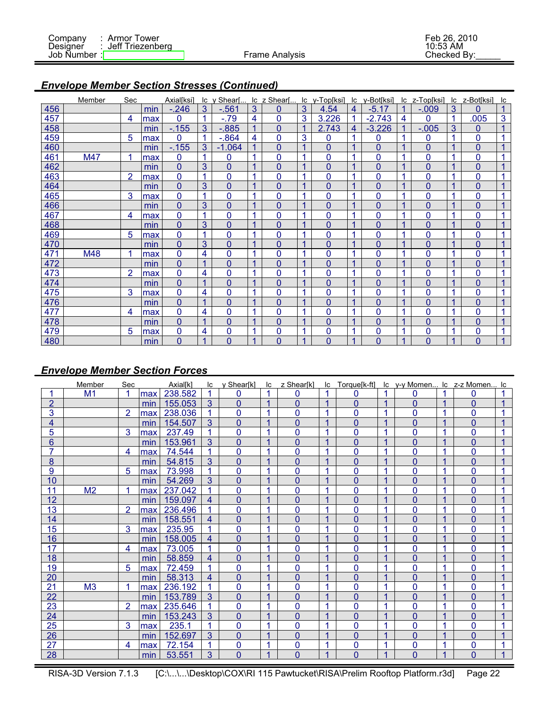|     | Member | Sec            |     | Axiallksil     |                | Ic v Shearl.   |                | $ c $ z Shears |   | Ic v-Toplksil  |                | Ic y-Bot[ksi]  |   | Ic z-Toplksil  |                | Ic z-Botiksil  | lc.            |
|-----|--------|----------------|-----|----------------|----------------|----------------|----------------|----------------|---|----------------|----------------|----------------|---|----------------|----------------|----------------|----------------|
| 456 |        |                | min | $-.246$        | 3              | $-.561$        | 3              | $\Omega$       | 3 | 4.54           | $\overline{4}$ | $-5.17$        | 1 | $-.009$        | 3              | $\Omega$       | $\mathbf{1}$   |
| 457 |        | 4              | max | 0              | 1              | $-.79$         | 4              | 0              | 3 | 3.226          | 1              | $-2.743$       | 4 | 0              | 1              | .005           | $\overline{3}$ |
| 458 |        |                | min | $-0.155$       | 3              | $-0.885$       | $\mathbf{1}$   | $\Omega$       | 1 | 2.743          | $\overline{4}$ | $-3.226$       |   | $-.005$        | 3              | $\Omega$       | 1              |
| 459 |        | 5              | max | 0              | 1              | $-0.864$       | 4              | 0              | 3 | 0              | 1              | 0              | 4 | 0              |                | $\mathbf{0}$   |                |
| 460 |        |                | min | $-0.155$       | 3              | $-1.064$       | 1              | $\overline{0}$ |   | $\overline{0}$ |                | $\overline{0}$ |   | $\overline{0}$ |                | $\Omega$       | и              |
| 461 | M47    | 1              | max | 0              | 1              | 0              | 1              | 0              | 1 | $\overline{0}$ | 1              | $\overline{0}$ |   | $\overline{0}$ | и              | $\overline{0}$ | 4              |
| 462 |        |                | min | 0              | 3              | $\Omega$       | $\overline{1}$ | $\Omega$       | 1 | $\Omega$       | и              | $\overline{0}$ | 4 | $\Omega$       |                | $\Omega$       | 4              |
| 463 |        | $\overline{2}$ | max | 0              | 1              | 0              | 1              | $\mathbf{0}$   | 1 | $\mathbf 0$    | 1              | $\overline{0}$ | 1 | 0              | 1              | $\overline{0}$ | 1              |
| 464 |        |                | min | 0              | 3              | $\overline{0}$ | 1              | $\overline{0}$ | 1 | $\Omega$       | 1              | $\Omega$       | и | $\Omega$       |                | $\Omega$       | 1              |
| 465 |        | 3              | max | 0              | 1              | $\overline{0}$ | 1              | 0              | 1 | $\overline{0}$ | 1              | $\mathbf 0$    | 4 | 0              | 4              | $\Omega$       | 4              |
| 466 |        |                | min | $\overline{0}$ | 3              | $\overline{0}$ | $\overline{1}$ | $\overline{0}$ | 1 | $\overline{0}$ |                | $\overline{0}$ | 4 | $\overline{0}$ |                | $\Omega$       |                |
| 467 |        | 4              | max | 0              | 1              | $\mathbf 0$    | 1              | 0              |   | $\overline{0}$ |                | 0              |   | 0              |                | $\Omega$       | и              |
| 468 |        |                | min | $\overline{0}$ | 3              | $\overline{0}$ | 1              | $\overline{0}$ |   | $\overline{0}$ |                | $\overline{0}$ |   | $\overline{0}$ |                | $\Omega$       |                |
| 469 |        | 5              | max | 0              | 1              | $\overline{0}$ | 1              | $\overline{0}$ | 4 | $\overline{0}$ | 1              | $\overline{0}$ | 4 | 0              | и              | $\Omega$       | 1              |
| 470 |        |                | min | $\overline{0}$ | 3              | $\overline{0}$ | $\mathbf{1}$   | $\overline{0}$ | 1 | $\Omega$       | 4              | $\overline{0}$ | 1 | $\overline{0}$ | $\overline{ }$ | $\Omega$       | $\overline{1}$ |
| 471 | M48    |                | max | $\overline{0}$ | 4              | $\overline{0}$ | 1              | 0              | 4 | $\overline{0}$ | 1              | $\overline{0}$ | 1 | $\overline{0}$ | 1              | $\Omega$       | 1              |
| 472 |        |                | min | $\overline{0}$ | 1              | $\overline{0}$ | 1              | $\overline{0}$ | 1 | $\overline{0}$ | 1              | $\overline{0}$ | 4 | 0              |                | $\overline{0}$ | 1              |
| 473 |        | $\overline{2}$ | max | 0              | 4              | $\mathbf 0$    | 1              | 0              |   | $\overline{0}$ |                | 0              | 4 | 0              |                | $\overline{0}$ |                |
| 474 |        |                | min | $\overline{0}$ | 1              | $\overline{0}$ | 1              | $\overline{0}$ |   | $\overline{0}$ |                | $\overline{0}$ |   | $\overline{0}$ |                | $\Omega$       | и              |
| 475 |        | 3              | max | 0              | 4              | $\mathbf 0$    | 1              | 0              | 1 | $\overline{0}$ | 1              | $\overline{0}$ | 4 | $\overline{0}$ | и              | $\Omega$       | 4              |
| 476 |        |                | min | 0              | 1              | $\Omega$       | $\overline{1}$ | $\Omega$       | 1 | $\Omega$       | и              | $\overline{0}$ | и | $\Omega$       |                | $\Omega$       | 1              |
| 477 |        | 4              | max | 0              | 4              | $\mathbf 0$    | 1              | $\mathbf{0}$   | 1 | $\Omega$       | 1              | $\overline{0}$ | 1 | 0              | 1              | $\mathbf{0}$   | 1              |
| 478 |        |                | min | $\overline{0}$ | $\overline{1}$ | $\Omega$       | 1              | $\Omega$       | 1 | $\Omega$       |                | $\Omega$       | 4 | $\Omega$       |                | $\Omega$       | $\overline{1}$ |
| 479 |        | 5              | max | 0              | 4              | $\mathbf 0$    | 1              | 0              | 1 | $\mathbf 0$    | 1              | 0              | и | 0              |                | $\mathbf 0$    |                |
| 480 |        |                | min | 0              | 1              | $\overline{0}$ | 1              | $\overline{0}$ | 1 | $\overline{0}$ |                | $\overline{0}$ | 4 | $\overline{0}$ |                | $\Omega$       | $\overline{ }$ |

#### *Envelope Member Section Forces*

|                 | Member | Sec            |     | <b>Axial</b> [k] |                | Ic y Shear[k]  |                      | Ic z Shear[k] |   |                |                |   | Ic Torque[k-ft] Ic y-y Momen Ic z-z Momen Ic |  |
|-----------------|--------|----------------|-----|------------------|----------------|----------------|----------------------|---------------|---|----------------|----------------|---|----------------------------------------------|--|
|                 | M1     |                | max | 238.582          |                | 0              |                      | 0             |   | 0              | 0              |   | 0                                            |  |
| $\overline{2}$  |        |                | min | 155.053          | 3              | $\overline{0}$ | $\mathbf{1}$         | $\Omega$      | 1 | $\overline{0}$ | $\overline{0}$ | 1 | $\overline{0}$                               |  |
| 3               |        | $\overline{2}$ | max | 238.036          |                | $\overline{0}$ | 1                    | $\Omega$      | 1 | 0              | 0              | 4 | 0                                            |  |
| $\overline{4}$  |        |                | min | 154.507          | 3              | $\Omega$       | $\overline{1}$       | $\Omega$      |   | $\Omega$       | $\Omega$       |   | $\Omega$                                     |  |
| 5               |        | 3              | max | 237.49           |                | 0              |                      | $\Omega$      |   | $\Omega$       | $\Omega$       |   | 0                                            |  |
| $6\overline{6}$ |        |                | min | 153.961          | 3              | $\Omega$       |                      | $\Omega$      |   | $\Omega$       | $\Omega$       |   | $\Omega$                                     |  |
| $\overline{7}$  |        | 4              | max | 74.544           |                | $\mathbf{0}$   | 4                    | $\Omega$      |   | 0              | 0              |   | 0                                            |  |
| 8               |        |                | min | 54.815           | 3              | $\Omega$       |                      | $\Omega$      |   | $\Omega$       | $\Omega$       |   | $\Omega$                                     |  |
| 9               |        | 5              | max | 73.998           | 1              | $\overline{0}$ | 1                    | $\Omega$      | 1 | 0              | 0              | 1 | 0                                            |  |
| 10              |        |                | min | 54.269           | 3              | $\overline{0}$ | 1                    | $\Omega$      |   | $\overline{0}$ | $\overline{0}$ |   | $\overline{0}$                               |  |
| 11              | M2     |                | max | 237.042          |                | $\Omega$       |                      | $\Omega$      |   | $\Omega$       | $\Omega$       |   | $\Omega$                                     |  |
| 12              |        |                | min | 159.097          | $\overline{4}$ | $\overline{0}$ | $\blacktriangleleft$ | $\Omega$      |   | $\Omega$       | $\overline{0}$ |   | $\overline{0}$                               |  |
| 13              |        | $\overline{2}$ | max | 236.496          |                | $\overline{0}$ | 1                    | $\Omega$      |   | 0              | 0              |   | 0                                            |  |
| 14              |        |                | min | 158.551          | $\overline{4}$ | $\Omega$       | 1                    | $\Omega$      |   | $\Omega$       | $\Omega$       |   | $\Omega$                                     |  |
| 15              |        | 3              | max | 235.95           |                | $\overline{0}$ |                      | $\mathbf{0}$  |   | 0              | 0              |   | 0                                            |  |
| 16              |        |                | min | 158.005          | $\overline{4}$ | $\Omega$       |                      | $\Omega$      | 1 | $\Omega$       | $\Omega$       |   | $\Omega$                                     |  |
| 17              |        | 4              | max | 73.005           | 1.             | 0              | 4                    | $\Omega$      | и | 0              | 0              |   | 0                                            |  |
| 18              |        |                | min | 58.859           | $\overline{4}$ | $\Omega$       | 1                    | $\Omega$      |   | $\Omega$       | $\Omega$       |   | $\Omega$                                     |  |
| 19              |        | 5              | max | 72.459           |                | 0              | 1                    | $\mathbf{0}$  |   | 0              | 0              |   | 0                                            |  |
| 20              |        |                | min | 58.313           | 4              | $\Omega$       | $\overline{A}$       | $\Omega$      |   | $\Omega$       | $\Omega$       |   | $\Omega$                                     |  |
| 21              | M3     |                | max | 236.192          |                | $\mathbf{0}$   |                      | $\Omega$      |   | $\Omega$       | 0              |   | 0                                            |  |
| 22              |        |                | min | 153.789          | 3              | $\overline{0}$ |                      | $\Omega$      |   | $\overline{0}$ | $\overline{0}$ |   | $\overline{0}$                               |  |
| 23              |        | $\overline{2}$ | max | 235.646          |                | $\overline{0}$ | 1                    | $\Omega$      | 1 | 0              | 0              | 4 | 0                                            |  |
| 24              |        |                | min | 153.243          | 3              | $\overline{0}$ | 1                    | $\Omega$      |   | $\overline{0}$ | $\overline{0}$ |   | $\overline{0}$                               |  |
| 25              |        | 3              | max | 235.1            |                | $\Omega$       | 1                    | $\Omega$      |   | $\Omega$       | $\Omega$       |   | 0                                            |  |
| 26              |        |                | min | 152.697          | 3              | 0              |                      | $\Omega$      |   | 0              | 0              |   | 0                                            |  |
| 27              |        | 4              | max | 72.154           |                | 0              |                      | $\mathbf{0}$  |   | $\overline{0}$ | 0              |   | 0                                            |  |
| 28              |        |                | min | 53.551           | 3              | $\overline{0}$ |                      | $\Omega$      |   | $\overline{0}$ | $\overline{0}$ |   | $\overline{0}$                               |  |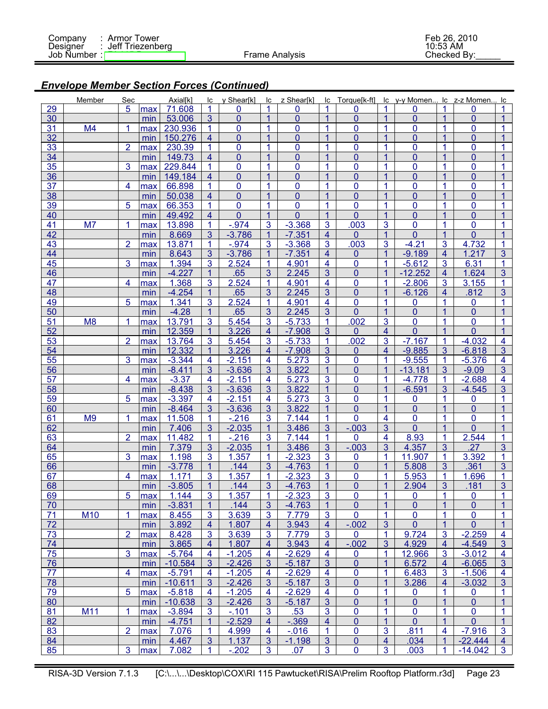|    | Member         | Sec            |     | Axial[k]  |                | $lc$ y Shear[k] | c              | z Shear[k]   |                | Ic Torque [k-ft] Ic y-y Momen Ic z-z Momen Ic |                      |                |                |                |                |
|----|----------------|----------------|-----|-----------|----------------|-----------------|----------------|--------------|----------------|-----------------------------------------------|----------------------|----------------|----------------|----------------|----------------|
| 29 |                | 5              | max | 71.608    | 1              | $\mathbf 0$     | 1              | 0            | 1              | 0                                             | 1                    | 0              | 1              | 0              | 1.             |
| 30 |                |                | min | 53.006    | 3              | $\mathbf 0$     |                | $\mathbf{0}$ |                | 0                                             |                      | 0              |                | 0              | 1              |
| 31 | M4             | 1              | max | 230.936   | 1.             | 0               | 1              | 0            | 1              | 0                                             | 1                    | 0              | 1              | 0              | 1.             |
| 32 |                |                | min | 150.276   | 4              | 0               | 1              | $\mathbf{0}$ | 1              | $\mathbf{0}$                                  | 1                    | 0              | 1              | 0              | 1              |
| 33 |                | $\overline{2}$ | max | 230.39    | 1.             | 0               | 1              | $\mathbf 0$  | 1              | 0                                             | 1                    | 0              | 1              | 0              | 1              |
| 34 |                |                | min | 149.73    | $\overline{4}$ | 0               | 1              | $\mathbf 0$  | 1              | 0                                             | 1                    | 0              | 1              | $\Omega$       | $\mathbf{1}$   |
| 35 |                | 3              | max | 229.844   | 1.             | 0               | 1              | 0            |                | 0                                             | 1                    | 0              | 1              | 0              | 1              |
|    |                |                |     |           | $\overline{4}$ | $\Omega$        | 1              | $\Omega$     | 1              | $\Omega$                                      |                      | $\overline{0}$ | 1              | $\Omega$       | $\mathbf{1}$   |
| 36 |                |                | min | 149.184   |                |                 |                |              |                |                                               |                      |                |                |                |                |
| 37 |                | 4              | max | 66.898    | 1              | 0               | 1              | 0            | 1              | 0                                             | 1                    | 0              | 1              | 0              | 1              |
| 38 |                |                | min | 50.038    | $\overline{4}$ | $\overline{0}$  | $\overline{1}$ | $\Omega$     | $\overline{1}$ | $\overline{0}$                                | $\overline{1}$       | $\overline{0}$ | $\overline{1}$ | $\overline{0}$ | $\mathbf{1}$   |
| 39 |                | 5              | max | 66.353    | 1              | 0               | 1              | 0            | 1              | 0                                             | 1                    | 0              | 1              | 0              | 1              |
| 40 |                |                | min | 49.492    | $\overline{4}$ | $\overline{0}$  |                | $\Omega$     |                | $\mathbf{0}$                                  |                      | 0              |                | 0              | 1              |
| 41 | M7             | 1              | max | 13.898    | 1              | $-0.974$        | 3              | $-3.368$     | 3              | 003                                           | 3                    | 0              | 1              | 0              | 1              |
| 42 |                |                | min | 8.669     | 3              | $-3.786$        | 1              | $-7.351$     | 4              | 0                                             | 1                    | $\mathbf{0}$   | 1              | 0              | $\mathbf{1}$   |
| 43 |                | $\overline{2}$ | max | 13.871    | 1              | $-0.974$        | 3              | $-3.368$     | 3              | .003                                          | 3                    | $-4.21$        | 3              | 4.732          | 1              |
| 44 |                |                | min | 8.643     | 3              | $-3.786$        | 1              | $-7.351$     | 4              | 0                                             | 1                    | $-9.189$       | $\overline{4}$ | 1.217          | $\overline{3}$ |
| 45 |                | 3              | max | 1.394     | 3              | 2.524           | 1              | 4.901        | 4              | 0                                             | 1                    | $-5.612$       | 3              | 6.31           | 1.             |
| 46 |                |                | min | $-4.227$  | $\mathbf{1}$   | .65             | 3              | 2.245        | 3              | 0                                             |                      | $-12.252$      | $\overline{4}$ | 1.624          | 3 <sup>1</sup> |
| 47 |                | 4              | max | 1.368     | 3              | 2.524           | 1              | 4.901        | 4              | 0                                             | 1                    | $-2.806$       | 3              | 3.155          | 1              |
| 48 |                |                | min | $-4.254$  | $\mathbf{1}$   | .65             | 3              | 2.245        | 3              | $\overline{0}$                                | $\overline{1}$       | $-6.126$       | $\overline{4}$ | .812           | $\overline{3}$ |
| 49 |                | 5              | max | 1.341     | 3              | 2.524           | 1              | 4.901        | 4              | 0                                             | 1                    | 0              | 1              | $\mathbf 0$    | 1              |
|    |                |                |     |           | 1              |                 |                |              | 3              |                                               |                      |                |                |                | 1              |
| 50 |                |                | min | $-4.28$   |                | 65              | 3              | 2.245        |                | $\mathbf{0}$                                  |                      | 0              |                | $\mathbf 0$    |                |
| 51 | M <sub>8</sub> | 1              | max | 13.791    | 3              | 5.454           | 3              | $-5.733$     | 1              | 002                                           | 3                    | 0              | 1              | 0              | 1              |
| 52 |                |                | min | 12.359    | 1              | 3.226           | $\overline{4}$ | $-7.908$     | 3              | 0                                             | $\overline{4}$       | $\mathbf{0}$   | 1              | $\Omega$       | 1              |
| 53 |                | $\overline{2}$ | max | 13.764    | 3              | 5.454           | 3              | $-5.733$     | 1              | .002                                          | 3                    | $-7.167$       | 1              | $-4.032$       | $\overline{4}$ |
| 54 |                |                | min | 12.332    | 1              | 3.226           | $\overline{4}$ | $-7.908$     | 3              | 0                                             | 4                    | $-9.885$       | 3              | $-6.818$       | 3 <sup>1</sup> |
| 55 |                | 3              | max | $-3.344$  | 4              | $-2.151$        | 4              | 5.273        | 3              | 0                                             | 1                    | $-9.555$       | 1              | $-5.376$       | 4              |
| 56 |                |                | min | $-8.411$  | 3              | $-3.636$        | 3              | 3.822        | 1              | 0                                             |                      | $-13.181$      | 3              | $-9.09$        | 3 <sup>1</sup> |
| 57 |                | 4              | max | $-3.37$   | 4              | $-2.151$        | 4              | 5.273        | 3              | 0                                             | 1                    | $-4.778$       | 1              | $-2.688$       | 4              |
| 58 |                |                | min | $-8.438$  | 3              | $-3.636$        | 3              | 3.822        | $\overline{1}$ | $\overline{0}$                                | $\overline{1}$       | $-6.591$       | $\overline{3}$ | $-4.545$       | 3 <sup>1</sup> |
| 59 |                | 5              | max | $-3.397$  | 4              | $-2.151$        | $\overline{4}$ | 5.273        | 3              | 0                                             | 1                    | 0              | 1              | 0              | 1.             |
| 60 |                |                | min | $-8.464$  | 3              | $-3.636$        | 3              | 3.822        |                | $\mathbf{0}$                                  |                      | 0              | 1              | 0              | 1              |
| 61 | M <sub>9</sub> | 1              | max | 11.508    | 1.             | $-216$          | 3              | 7.144        | 1              | 0                                             | 4                    | 0              | 1              | 0              | 1              |
| 62 |                |                | min | 7.406     | 3              | $-2.035$        | 1              | 3.486        | 3              | $-.003$                                       | 3                    | $\mathbf{0}$   | 1              | $\Omega$       | 1              |
| 63 |                | $\overline{2}$ |     | 11.482    | 1              | $-.216$         | 3              | 7.144        | 1              | 0                                             | 4                    | 8.93           | 1              | 2.544          | 1              |
|    |                |                | max | 7.379     | 3              | $-2.035$        | 1              |              | 3              |                                               | 3                    | 4.357          |                | .27            | $\overline{3}$ |
| 64 |                |                | min |           |                |                 |                | 3.486        |                | $-.003$                                       |                      |                | 3              |                |                |
| 65 |                | 3              | max | 1.198     | 3              | 1.357           | 1              | $-2.323$     | 3              | 0                                             | 1                    | 11.907         | 1              | 3.392          | 1.             |
| 66 |                |                | min | $-3.778$  | $\mathbf 1$    | 144             | 3              | $-4.763$     | $\mathbf 1$    | 0                                             | 1                    | 5.808          | 3              | .361           | 3 <sup>1</sup> |
| 67 |                | 4              | max | 1.171     | 3              | 1.357           | 1              | $-2.323$     | 3              | 0                                             | 1                    | 5.953          | 1              | 1.696          | 1              |
| 68 |                |                | min | $-3.805$  | $\mathbf{1}$   | 144             | 3              | $-4.763$     | $\overline{1}$ | $\overline{0}$                                | $\overline{1}$       | 2.904          | $\overline{3}$ | .181           | $\overline{3}$ |
| 69 |                | 5              | max | 1.144     | $\overline{3}$ | 1.357           | $\mathbf{1}$   | $-2.323$     | 3              | $\mathbf 0$                                   | 1                    | $\overline{0}$ | $\overline{1}$ | $\mathbf{0}$   | 1 <sup>1</sup> |
| 70 |                |                | min | $-3.831$  | $\mathbf{1}$   | .144            | 3              | $-4.763$     | $\mathbf{1}$   | 0                                             | $\blacktriangleleft$ | 0              | 1              | $\mathbf{0}$   | $\mathbf{1}$   |
| 71 | M10            | 1              | max | 8.455     | 3              | 3.639           | 3              | 7.779        | 3              | $\mathbf 0$                                   | 1                    | 0              | 1              | 0              | 1              |
| 72 |                |                | min | 3.892     | $\overline{4}$ | 1.807           | $\overline{4}$ | 3.943        | 4              | $-.002$                                       | 3                    | $\mathbf{0}$   | $\mathbf{1}$   | $\mathbf{0}$   | $\mathbf{1}$   |
| 73 |                | $\overline{2}$ | max | 8.428     | 3              | 3.639           | 3              | 7.779        | 3              | $\mathbf{0}$                                  | 1                    | 9.724          | 3              | $-2.259$       | $\overline{4}$ |
| 74 |                |                | min | 3.865     | $\overline{4}$ | 1.807           | $\overline{4}$ | 3.943        | $\overline{4}$ | $-.002$                                       | $\overline{3}$       | 4.929          | $\overline{4}$ | $-4.549$       | 3 <sup>2</sup> |
| 75 |                | 3              | max | $-5.764$  | 4              | $-1.205$        | 4              | $-2.629$     | 4              | 0                                             | 1                    | 12.966         | 3              | $-3.012$       | 4              |
| 76 |                |                | min | $-10.584$ | 3              | $-2.426$        | 3              | $-5.187$     | 3              | 0                                             | 1                    | 6.572          | $\overline{4}$ | $-6.065$       | 3 <sup>1</sup> |
| 77 |                | 4              | max | $-5.791$  | 4              | $-1.205$        | 4              | $-2.629$     | 4              | $\bf{0}$                                      | 1                    | 6.483          | 3              | $-1.506$       | $\overline{4}$ |
| 78 |                |                |     |           | 3              | $-2.426$        | 3              | $-5.187$     | 3              |                                               | $\overline{1}$       | 3.286          | $\overline{4}$ | $-3.032$       | $\overline{3}$ |
|    |                |                | min | $-10.611$ |                |                 |                |              |                | 0                                             |                      |                |                |                |                |
| 79 |                | 5              | max | $-5.818$  | 4              | $-1.205$        | $\overline{4}$ | $-2.629$     | 4              | 0                                             | 1                    | 0              | 1              | $\mathbf 0$    | $\mathbf{1}$   |
| 80 |                |                | min | $-10.638$ | 3              | $-2.426$        | 3              | $-5.187$     | 3              | 0                                             | 1                    | $\mathbf 0$    | 1              | $\mathbf{0}$   | $\mathbf{1}$   |
| 81 | M11            | 1              | max | $-3.894$  | 3              | $-.101$         | 3              | .53          | 3              | $\bf{0}$                                      | 1                    | 0              | 1              | 0              | 1              |
| 82 |                |                | min | $-4.751$  | 1              | $-2.529$        | 4              | $-0.369$     | 4              | 0                                             | 1                    | $\overline{0}$ | 1              | $\overline{0}$ | $\mathbf{1}$   |
| 83 |                | $\overline{2}$ | max | 7.076     | $\mathbf{1}$   | 4.999           | $\overline{4}$ | $-.016$      | 1              | 0                                             | $\mathbf{3}$         | .811           | $\overline{4}$ | $-7.916$       | 3              |
| 84 |                |                | min | 4.467     | 3              | 1.137           | 3              | $-1.198$     | 3              | 0                                             | $\overline{4}$       | .034           | $\mathbf{1}$   | $-22.444$      | $\overline{4}$ |
| 85 |                | 3              | max | 7.082     | 1.             | $-.202$         | 3              | .07          | 3              | $\pmb{0}$                                     | 3                    | .003           | 1              | $-14.042$      | 3 <sup>7</sup> |
|    |                |                |     |           |                |                 |                |              |                |                                               |                      |                |                |                |                |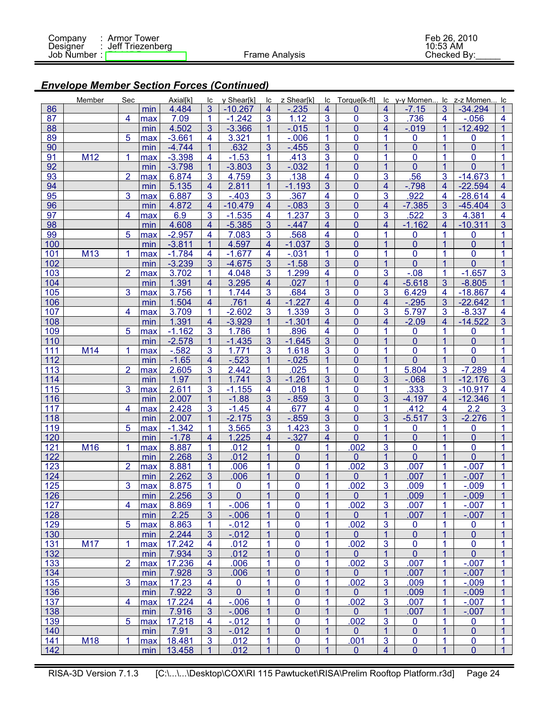|     | <b>Member</b> | Sec            |                   | Axial[k] | lc                   | v Shear[k]     | lс             | z Shear[k]     |                | Ic Torque[k-ft] Ic y-y Momen |                      |                |                      | Ic z-z Momen.  | <u>lc</u>            |
|-----|---------------|----------------|-------------------|----------|----------------------|----------------|----------------|----------------|----------------|------------------------------|----------------------|----------------|----------------------|----------------|----------------------|
| 86  |               |                | min               | 4.484    | 3                    | $-10.267$      | $\overline{4}$ | $-235$         | $\overline{4}$ | 0                            | $\overline{4}$       | $-7.15$        | 3                    | $-34.294$      | $\mathbf{1}$         |
| 87  |               | $\overline{4}$ | max               | 7.09     | $\mathbf 1$          | $-1.242$       | 3              | 1.12           | 3              | $\bf{0}$                     | 3                    | 736            | 4                    | $-.056$        | $\overline{4}$       |
| 88  |               |                | min               | 4.502    | 3                    | $-3.366$       | 1              | $-.015$        | 1              | $\mathbf{0}$                 | 4                    | $-0.19$        |                      | $-12.492$      | $\blacktriangleleft$ |
| 89  |               | 5              | max               | $-3.661$ | 4                    | 3.321          | 1              | $-0.06$        | 1              | 0                            | 1                    | 0              | 1                    | 0              | 1                    |
| 90  |               |                | min               | $-4.744$ | $\blacktriangleleft$ | 632            | 3              | $-.455$        | 3              | $\overline{0}$               | 1                    | $\overline{0}$ |                      | $\Omega$       | 1                    |
| 91  | M12           | 1              | max               | $-3.398$ | 4                    | $-1.53$        | 1              | .413           | 3              | 0                            | 1                    | 0              | 1                    | 0              | 1                    |
| 92  |               |                | min               | $-3.798$ | $\mathbf 1$          | $-3.803$       | 3              | $-.032$        | 1              | $\mathbf{0}$                 | 1                    | $\mathbf{0}$   | 1                    | $\Omega$       | $\mathbf 1$          |
| 93  |               | $\overline{2}$ | max               | 6.874    | 3                    | 4.759          | 3              | .138           | 4              | 0                            | 3                    | 56             | 3                    | $-14.673$      |                      |
| 94  |               |                | min               | 5.135    | $\overline{4}$       | 2.811          | 1              | $-1.193$       | 3              | $\overline{0}$               | 4                    | $-0.798$       | 4                    | $-22.594$      | $\overline{4}$       |
| 95  |               | 3              | max               | 6.887    | 3                    | $-.403$        | 3              | .367           | 4              | $\mathbf 0$                  | 3                    | 922            | 4                    | $-28.614$      | 4                    |
| 96  |               |                | min               | 4.872    | $\overline{4}$       | $-10.479$      | $\overline{4}$ | $-0.083$       | 3              | $\mathbf{0}$                 | $\overline{4}$       | $-7.385$       | 3                    | $-45.404$      | $\mathbf{3}$         |
| 97  |               | 4              | max               | 6.9      | 3                    | $-1.535$       | 4              | 1.237          | 3              | 0                            | 3                    | 522            | 3                    | 4.381          | 4                    |
| 98  |               |                | min               | 4.608    | $\overline{4}$       | $-5.385$       | 3              | $-.447$        | 4              | $\mathbf{0}$                 | 4                    | $-1.162$       | 4                    | $-10.311$      | 3 <sup>2</sup>       |
| 99  |               | 5              | max               | $-2.957$ | 4                    | 7.083          | 3              | 568            | 4              | 0                            | 1                    | 0              | 1                    | 0              | 1                    |
| 100 |               |                | min               | $-3.811$ | $\blacktriangleleft$ | 4.597          | $\overline{4}$ | $-1.037$       | 3              | $\overline{0}$               | 1                    | $\overline{0}$ |                      | $\Omega$       | $\blacktriangleleft$ |
| 101 | M13           | 1              | max               | $-1.784$ | 4                    | $-1.677$       | 4              | $-0.031$       | 1              | 0                            | 1                    | 0              | 1                    | 0              | 1                    |
| 102 |               |                | min               | $-3.239$ | 3                    | $-4.675$       | 3              | $-1.58$        | 3              | $\mathbf{0}$                 | 1                    | $\mathbf{0}$   | 1                    | $\Omega$       | $\mathbf 1$          |
| 103 |               | $\overline{2}$ | max               | 3.702    | 1                    | 4.048          | 3              | 1.299          | 4              | 0                            | 3                    | $-0.08$        | 1                    | $-1.657$       | 3                    |
| 104 |               |                | min               | 1.391    | $\overline{4}$       | 3.295          | $\overline{4}$ | .027           | $\overline{1}$ | $\overline{0}$               | 4                    | $-5.618$       | 3                    | $-8.805$       | $\mathbf{1}$         |
| 105 |               | 3              | max               | 3.756    | 1                    | 1.744          | 3              | .684           | 3              | $\mathbf 0$                  | 3                    | 6.429          | 4                    | $-18.867$      | 4                    |
| 106 |               |                | min               | 1.504    | $\overline{4}$       | .761           | $\overline{4}$ | $-1.227$       | 4              | $\mathbf{0}$                 | $\overline{4}$       | $-295$         | 3                    | $-22.642$      | $\mathbf{1}$         |
| 107 |               | 4              |                   | 3.709    | 1                    | $-2.602$       | 3              | 1.339          | 3              | $\bf{0}$                     | 3                    | 5.797          | 3                    | $-8.337$       | 4                    |
| 108 |               |                | max               |          | 4                    |                | 1              |                | 4              | $\overline{0}$               | 4                    | $-2.09$        | 4                    |                | 3 <sup>2</sup>       |
|     |               |                | min               | 1.391    | 3                    | $-3.929$       |                | $-1.301$       |                |                              | 1                    |                | 1                    | $-14.522$      |                      |
| 109 |               | 5              | max               | $-1.162$ |                      | 1.786          | 1              | .896           | 4              | 0                            | 1                    | 0              |                      | 0<br>$\Omega$  | 1<br>1               |
| 110 |               |                | min               | $-2.578$ | $\blacktriangleleft$ | $-1.435$       | $\overline{3}$ | $-1.645$       | 3              | $\overline{0}$               |                      | $\overline{0}$ |                      |                |                      |
| 111 | M14           | 1              | max               | $-0.582$ | 3                    | 1.771          | 3              | 1.618          | 3              | 0                            | 1                    | $\mathbf{0}$   | 1                    | 0              | 1                    |
| 112 |               |                | min               | $-1.65$  | $\overline{4}$       | $-0.523$       | 1              | $-.025$        | 1              | $\mathbf{0}$                 |                      | $\Omega$       | 1                    | $\Omega$       | 1                    |
| 113 |               | $\overline{2}$ | max               | 2.605    | 3                    | 2.442          | 1              | .025           | 1              | 0                            |                      | 5.804          | 3                    | $-7.289$       | 4                    |
| 114 |               |                | min               | 1.97     | $\mathbf 1$          | 1.741          | 3              | $-1.261$       | 3              | $\overline{0}$               | 3                    | $-068$         | 1                    | $-12.176$      | 3                    |
| 115 |               | 3              | max               | 2.611    | 3                    | $-1.155$       | 4              | .018           | 1              | $\mathbf 0$                  | 1                    | 333            | 3                    | $-10.917$      | 4                    |
| 116 |               |                | min               | 2.007    | $\mathbf{1}$         | $-1.88$        | 3              | $-0.859$       | 3              | $\mathbf{0}$                 | 3                    | $-4.197$       | $\overline{4}$       | $-12.346$      | $\mathbf{1}$         |
| 117 |               | 4              | max               | 2.428    | 3                    | $-1.45$        | 4              | .677           | 4              | 0                            | 1                    | .412           | 4                    | 2.2            | 3                    |
| 118 |               |                | min               | 2.007    | 1                    | $-2.175$       | 3              | $-0.859$       | 3              | $\overline{0}$               | 3                    | $-5.517$       | 3                    | $-2.276$       | 1                    |
| 119 |               | 5              | max               | $-1.342$ | 1                    | 3.565          | 3              | 1.423          | 3              | 0                            | 1                    | 0              | 1                    | 0              | 1                    |
| 120 |               |                | min               | $-1.78$  | $\overline{4}$       | 1.225          | $\overline{4}$ | $-.327$        | 4              | $\Omega$                     | $\blacktriangleleft$ | $\overline{0}$ |                      | $\Omega$       | $\blacktriangleleft$ |
| 121 | M16           | 1              | max               | 8.887    | 1                    | .012           | 1              | 0              | 1              | .002                         | 3                    | 0              | 1                    | 0              | 1                    |
| 122 |               |                | min               | 2.268    | 3                    | .012           | $\mathbf 1$    | $\mathbf{0}$   | 1              | 0                            | 1                    | $\mathbf{0}$   | 1                    | $\Omega$       | $\mathbf 1$          |
| 123 |               | $\overline{2}$ | max               | 8.881    | 1                    | .006           | 1              | 0              | 1              | 002                          | 3                    | 007            | 1                    | $-.007$        | 1                    |
| 124 |               |                | min               | 2.262    | 3                    | .006           | 1              | $\mathbf{0}$   | 1              | 0                            | $\overline{1}$       | 007            |                      | $-.007$        |                      |
| 125 |               | 3              | max               | 8.875    | 1                    | $\bf{0}$       | 1              | $\mathbf 0$    | 1              | .002                         | 3                    | 009            | 1                    | $-.009$        | 1                    |
| 126 |               |                | $\mid$ min $\mid$ | 2.256    | $\overline{3}$       | $\overline{0}$ | $\overline{1}$ | $\overline{0}$ | $\overline{1}$ | $\overline{0}$               | $\overline{1}$       | <u>.009</u>    | $\mathbf{1}$         | $-0.09$        | $\overline{1}$       |
| 127 |               | 4              | max               | 8.869    | $\mathbf{1}$         | $-.006$        | 1              | $\mathbf 0$    | 1              | .002                         | 3                    | .007           | 1.                   | $-.007$        | $\mathbf{1}$         |
| 128 |               |                | min               | 2.25     | 3                    | $-.006$        | $\mathbf{1}$   | $\mathbf{0}$   | $\overline{1}$ | $\mathbf{0}$                 | $\blacktriangleleft$ | .007           | $\mathbf{1}$         | $-.007$        | $\mathbf 1$          |
| 129 |               | 5              | max               | 8.863    | $\blacktriangleleft$ | $-.012$        | 1              | $\bf{0}$       | 1              | 002                          | 3                    | $\bf{0}$       | 1                    | 0              | 1                    |
| 130 |               |                | min               | 2.244    | 3                    | $-.012$        | $\mathbf{1}$   | $\mathbf{0}$   | $\overline{1}$ | $\overline{0}$               | $\mathbf{1}$         | $\overline{0}$ | $\overline{1}$       | $\overline{0}$ | $\mathbf{1}$         |
| 131 | M17           | 1              | max               | 17.242   | 4                    | .012           | 1              | $\pmb{0}$      | 1              | .002                         | $\overline{3}$       | $\pmb{0}$      | 1                    | $\mathbf 0$    | $\mathbf{1}$         |
| 132 |               |                | min               | 7.934    | 3                    | .012           | $\mathbf 1$    | $\mathbf{0}$   | 1              | $\overline{0}$               | $\mathbf{1}$         | $\mathbf{0}$   | 1                    | $\mathbf{0}$   | 1                    |
| 133 |               | 2              | max               | 17.236   | 4                    | .006           | 1              | 0              | 1              | 002                          | 3                    | 007            | 1                    | $-.007$        | 1                    |
| 134 |               |                | min               | 7.928    | 3                    | .006           | 1              | $\mathbf{0}$   | $\overline{1}$ | $\overline{0}$               | $\mathbf{1}$         | .007           | 1                    | $-.007$        | $\mathbf 1$          |
| 135 |               | 3              | max               | 17.23    | 4                    | $\mathbf{0}$   | 1              | 0              | 1              | .002                         | 3                    | .009           | 1                    | $-.009$        | 1                    |
| 136 |               |                | min               | 7.922    | $\mathbf{3}$         | $\mathbf{0}$   | $\overline{1}$ | $\mathbf{0}$   | 1              | $\overline{0}$               | $\mathbf{1}$         | .009           | $\mathbf 1$          | $-.009$        | $\mathbf{1}$         |
| 137 |               | 4              | max               | 17.224   | 4                    | $-.006$        | 1              | 0              | 1              | .002                         | 3                    | .007           | 1                    | $-.007$        | $\mathbf{1}$         |
| 138 |               |                | min               | 7.916    | $\overline{3}$       | $-.006$        | $\overline{1}$ | $\overline{0}$ | 1              | $\overline{0}$               | $\blacktriangleleft$ | .007           | $\overline{1}$       | $-.007$        | $\mathbf{1}$         |
| 139 |               | 5              | max               | 17.218   | 4                    | $-.012$        | 1              | 0              | 1              | 002                          | 3                    | 0              | 1                    | 0              | 1                    |
| 140 |               |                | min               | 7.91     | 3                    | $-.012$        | $\mathbf{1}$   | $\overline{0}$ | $\overline{1}$ | $\Omega$                     | $\blacktriangleleft$ | $\mathbf{0}$   | $\blacktriangleleft$ | $\overline{0}$ | $\mathbf{1}$         |
| 141 | M18           | 1              | max               | 18.481   | 3                    | .012           | 1              | $\mathbf 0$    | 1              | .001                         | $\overline{3}$       | 0              | 1                    | $\mathbf 0$    | $\mathbf{1}$         |
| 142 |               |                | min               | 13.458   | $\mathbf{1}$         | .012           | 1              | $\mathbf{0}$   | 1              | $\overline{0}$               | $\overline{4}$       | $\mathbf{0}$   | 1                    | $\mathbf{0}$   | $\mathbf{1}$         |
|     |               |                |                   |          |                      |                |                |                |                |                              |                      |                |                      |                |                      |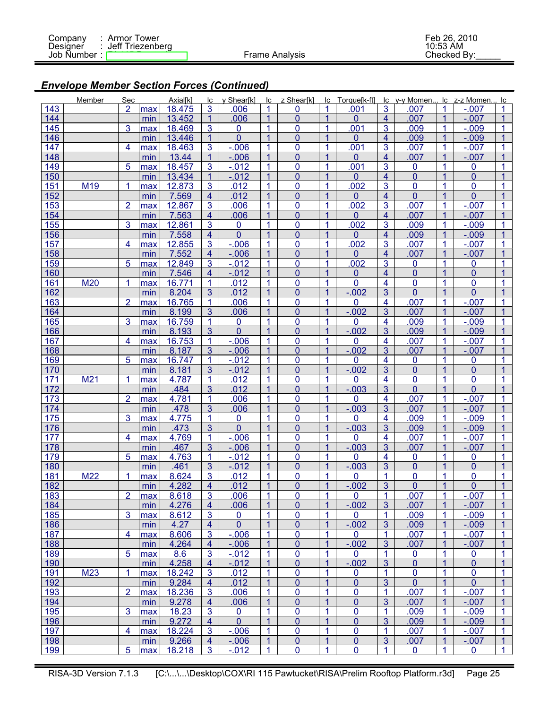| Company     | : Armor Tower    |                       | Feb 26, 2 |
|-------------|------------------|-----------------------|-----------|
| Designer    | Jeff Triezenberg |                       | 10:53 AM  |
| Job Number: |                  | <b>Frame Analysis</b> | Checked   |

|     | Member | Sec            |            | Axial[k] | <u>lc</u>            | y Shear[k]     | c              | z Shear[k]     |                | Ic Torque[k-ft] Ic y-y Momen Ic z-z Momen Ic |                |                |                |                |                      |
|-----|--------|----------------|------------|----------|----------------------|----------------|----------------|----------------|----------------|----------------------------------------------|----------------|----------------|----------------|----------------|----------------------|
| 143 |        | 2              | max        | 18.475   | 3                    | .006           | 1              | 0              | 1              | .001                                         | 3              | .007           | 1              | $-.007$        | 1                    |
| 144 |        |                | min        | 13.452   |                      | .006           | 1              | $\mathbf{0}$   |                | 0                                            | $\overline{4}$ | .007           | 1              | $-.007$        | $\blacktriangleleft$ |
| 145 |        | 3              | max        | 18.469   | 3                    | 0              | 1              | 0              | 1              | .001                                         | 3              | .009           | 1              | $-.009$        | 1                    |
| 146 |        |                | min        | 13.446   | 1                    | $\overline{0}$ | 1              | $\mathbf{0}$   | 1              | 0                                            | 4              | .009           | 1              | $-.009$        | 1                    |
| 147 |        | 4              | max        | 18.463   | 3                    | $-0.006$       | 1              | $\mathbf{0}$   | 1              | .001                                         | 3              | .007           | 1              | $-.007$        | 1                    |
| 148 |        |                | min        | 13.44    | 1                    | $-.006$        | 1              | $\mathbf{0}$   | 1              | 0                                            | $\overline{4}$ | .007           | 1              | $-.007$        | 1                    |
| 149 |        | 5              | max        | 18.457   | 3                    | $-0.012$       | 1              | 0              |                | .001                                         | 3              | 0              | 1              | $\mathbf 0$    | 1                    |
| 150 |        |                | min        | 13.434   | $\blacktriangleleft$ | $-0.012$       | $\overline{1}$ | $\mathbf{0}$   | 1              | 0                                            | 4              | $\mathbf{0}$   | 1              | $\mathbf{0}$   | 1                    |
| 151 | M19    | 1              | max        | 12.873   | 3                    | .012           | 1              | $\mathbf 0$    | 1              | .002                                         | 3              | $\mathbf 0$    | 1              | $\mathbf 0$    | 1                    |
| 152 |        |                | min        | 7.569    | $\overline{4}$       | .012           | 1              | $\mathbf{0}$   | 1              | $\mathbf{0}$                                 | $\overline{4}$ | $\overline{0}$ | $\mathbf{1}$   | $\overline{0}$ | 1                    |
| 153 |        | $\overline{2}$ | max        | 12.867   | 3                    | 006            | 1              | 0              | 1              | .002                                         | 3              | .007           | 1              | $-.007$        | 1                    |
| 154 |        |                | min        | 7.563    | $\overline{4}$       | .006           |                | $\mathbf{0}$   |                | 0                                            | $\overline{4}$ | .007           | 1              | $-.007$        |                      |
| 155 |        | 3              | max        | 12.861   | 3                    | 0              | 1              | 0              | 1              | .002                                         | 3              | .009           | 1              | $-.009$        | 1                    |
| 156 |        |                | min        | 7.558    | 4                    | $\mathbf{0}$   | 1              | $\mathbf{0}$   | 1              | 0                                            | 4              | .009           | 1              | $-.009$        | 1                    |
| 157 |        | 4              |            | 12.855   | 3                    | $-0.006$       | 1              | $\mathbf{0}$   | 1              | .002                                         | 3              | .007           | 1              |                | 1                    |
|     |        |                | max        |          |                      |                |                |                |                |                                              |                |                |                | $-.007$        |                      |
| 158 |        |                | min        | 7.552    | 4                    | $-.006$        | 1              | $\mathbf{0}$   | 1              | 0                                            | 4              | .007           | 1              | $-.007$        | 1                    |
| 159 |        | 5              | max        | 12.849   | 3                    | $-0.012$       | 1              | 0              |                | .002                                         | 3              | $\mathbf 0$    | 1              | $\mathbf 0$    | 1                    |
| 160 |        |                | min        | 7.546    | $\overline{4}$       | $-0.012$       | $\overline{1}$ | $\mathbf{0}$   | 1              | 0                                            | 4              | $\mathbf{0}$   | 1              | $\mathbf{0}$   | 1                    |
| 161 | M20    | 1              | max        | 16.771   | 1                    | .012           | 1              | 0              | 1              | $\overline{0}$                               | 4              | $\mathbf 0$    | 1              | $\mathbf 0$    | 1                    |
| 162 |        |                | min        | 8.204    | 3                    | .012           | 1              | $\mathbf{0}$   | 1              | $-.002$                                      | $\overline{3}$ | $\overline{0}$ | $\overline{1}$ | $\Omega$       | $\mathbf{1}$         |
| 163 |        | $\overline{2}$ | max        | 16.765   | 1                    | 006            | 1              | 0              | 1              | $\mathbf{0}$                                 | 4              | .007           | 1              | $-.007$        | 1                    |
| 164 |        |                | min        | 8.199    | 3                    | .006           | 1              | $\mathbf{0}$   |                | $-.002$                                      | 3              | .007           | 1              | $-.007$        | 1                    |
| 165 |        | 3              | max        | 16.759   | 1                    | 0              | 1              | 0              | 1              | 0                                            | 4              | .009           | 1              | $-.009$        | 1                    |
| 166 |        |                | min        | 8.193    | 3                    | $\overline{0}$ | 1              | $\mathbf{0}$   |                | $-0.002$                                     | 3              | .009           | 1              | $-.009$        | 1                    |
| 167 |        | $\overline{4}$ | max        | 16.753   | 1                    | $-0.006$       | 1              | $\mathbf{0}$   | 1              | 0                                            | $\overline{4}$ | .007           | 1              | $-.007$        | 1                    |
| 168 |        |                | min        | 8.187    | 3                    | $-.006$        | 1              | $\mathbf{0}$   | 1              | $-.002$                                      | 3              | .007           | 1              | $-.007$        | 1                    |
| 169 |        | 5              | max        | 16.747   | 1                    | $-0.012$       | 1              | 0              |                | 0                                            | 4              | $\mathbf 0$    | 1              | $\mathbf 0$    | 1                    |
| 170 |        |                | min        | 8.181    | 3                    | $-0.012$       | $\overline{1}$ | $\mathbf{0}$   | 1              | $-.002$                                      | 3              | $\overline{0}$ |                | 0              | 1                    |
| 171 | M21    | 1              | max        | 4.787    | 1                    | .012           | 1              | 0              | 1              | 0                                            | 4              | $\mathbf 0$    | 1              | $\mathbf 0$    | 1                    |
| 172 |        |                | min        | .484     | 3                    | .012           | 1              | $\mathbf{0}$   | 1              | $-.003$                                      | $\overline{3}$ | $\overline{0}$ | $\overline{1}$ | $\Omega$       | $\mathbf{1}$         |
| 173 |        | $\overline{2}$ | max        | 4.781    | 1                    | 006            | 1              | 0              | 1              | $\mathbf{0}$                                 | $\overline{4}$ | .007           | 1              | $-.007$        | 1                    |
| 174 |        |                |            | .478     | 3                    | .006           | 1              | $\mathbf{0}$   |                | $-.003$                                      | 3              | .007           | 1              | $-.007$        | 1                    |
|     |        | 3              | min        |          | 1                    |                | 1              | $\mathbf{0}$   | 1              |                                              | 4              |                | 1              |                |                      |
| 175 |        |                | max        | 4.775    |                      | 0              |                |                |                | 0                                            |                | .009           |                | $-.009$        | 1                    |
| 176 |        |                | min        | .473     | 3                    | $\overline{0}$ | 1              | $\mathbf{0}$   | 1              | $-.003$                                      | 3              | .009           | 1              | $-.009$        | 1                    |
| 177 |        | $\overline{4}$ | max        | 4.769    | 1                    | $-0.006$       | 1              | $\mathbf{0}$   | 1              | 0                                            | 4              | .007           | 1              | $-.007$        | 1                    |
| 178 |        |                | min        | .467     | 3                    | $-.006$        | 1              | $\mathbf{0}$   | 1              | $-.003$                                      | 3              | .007           | 1              | $-.007$        | 1                    |
| 179 |        | 5              | max        | 4.763    | 1                    | $-0.012$       | 1              | 0              | 1              | 0                                            | 4              | 0              | 1              | $\mathbf 0$    | 1                    |
| 180 |        |                | min        | .461     | 3                    | $-0.012$       | $\overline{1}$ | $\mathbf{0}$   | 1              | $-.003$                                      | 3              | $\overline{0}$ | 1              | 0              | 1                    |
| 181 | M22    | 1              | max        | 8.624    | 3                    | .012           | 1              | 0              | 1              | 0                                            | 1              | $\mathbf 0$    | 1              | $\mathbf{0}$   | 1                    |
| 182 |        |                | <u>min</u> | 4.282    | $\overline{4}$       | .012           | $\mathbf{1}$   | $\overline{0}$ | $\overline{1}$ | $-.002$                                      | 3              | $\overline{0}$ | $\mathbf{1}$   | $\Omega$       | $\mathbf{1}$         |
| 183 |        | 2              | max        | 8.618    | $\overline{3}$       | .006           | 1              | $\mathbf 0$    | 1              | $\Omega$                                     | 1              | .007           | 1              | $-.007$        | 1                    |
| 184 |        |                | min        | 4.276    | $\overline{4}$       | .006           | $\mathbf 1$    | $\mathbf{0}$   | 1              | $-.002$                                      | $\mathbf{3}$   | .007           | $\mathbf{1}$   | $-.007$        | $\blacktriangleleft$ |
| 185 |        | 3              | max        | 8.612    | 3                    | $\mathbf 0$    | 1              | $\mathbf 0$    | 1              | $\mathbf{0}$                                 | 1              | .009           | 1              | $-.009$        | 1                    |
| 186 |        |                | min        | 4.27     | $\overline{4}$       | $\overline{0}$ | $\mathbf{1}$   | $\mathbf{0}$   | 1              | $-.002$                                      | 3              | .009           | 1              | $-.009$        | $\mathbf{1}$         |
| 187 |        | 4              | max        | 8.606    | 3                    | $-.006$        | 1              | $\mathbf 0$    | 1              | $\mathbf{0}$                                 | $\mathbf{1}$   | .007           | $\mathbf{1}$   | $-.007$        | $\mathbf{1}$         |
| 188 |        |                | min        | 4.264    | $\overline{4}$       | $-.006$        | $\mathbf 1$    | $\mathbf{0}$   | 1              | $-.002$                                      | 3              | .007           | 1              | $-.007$        | $\mathbf{1}$         |
| 189 |        | 5              | max        | 8.6      | 3                    | $-.012$        | 1              | $\mathbf 0$    | 1              | $\mathbf 0$                                  | 1              | $\overline{0}$ | 1              | $\overline{0}$ | 1                    |
| 190 |        |                | min        | 4.258    | $\overline{4}$       | $-0.012$       | 1              | $\mathbf{0}$   | 1              | $-.002$                                      | $\overline{3}$ | $\mathbf{0}$   | 1              | $\mathbf{0}$   | $\mathbf{1}$         |
| 191 | M23    | 1              | max        | 18.242   | 3                    | .012           | 1              | 0              | 1              | 0                                            | 1              | $\mathbf 0$    | 1              | $\mathbf 0$    | 1                    |
| 192 |        |                | min        | 9.284    | $\overline{4}$       | .012           | 1              | $\mathbf{0}$   | $\overline{1}$ | $\mathbf{0}$                                 | $\overline{3}$ | $\overline{0}$ | $\mathbf{1}$   | $\overline{0}$ | 1                    |
| 193 |        | 2              | max        | 18.236   | 3                    | .006           | 1              | 0              | 1              | $\mathbf 0$                                  | 1              | .007           | 1              | $-.007$        | 1                    |
|     |        |                |            |          |                      |                | 1              |                | 1              |                                              | 3              | .007           | 1              |                | $\mathbf{1}$         |
| 194 |        |                | min        | 9.278    | $\overline{4}$       | .006           |                | $\mathbf{0}$   | 1              | $\mathbf{0}$                                 |                |                |                | $-.007$        |                      |
| 195 |        | 3              | max        | 18.23    | 3                    | $\mathbf 0$    | 1              | 0              |                | 0                                            | 1              | .009           | 1              | $-.009$        | 1                    |
| 196 |        |                | min        | 9.272    | $\overline{4}$       | $\overline{0}$ | 1              | $\mathbf{0}$   | 1              | 0                                            | 3              | .009           | 1              | $-.009$        | $\mathbf{1}$         |
| 197 |        | 4              | max        | 18.224   | 3                    | $-0.006$       | 1              | $\mathbf 0$    | 1              | $\mathbf 0$                                  | 1              | .007           | $\mathbf{1}$   | $-.007$        | $\mathbf{1}$         |
| 198 |        |                | min        | 9.266    | $\overline{4}$       | $-.006$        | $\mathbf 1$    | $\mathbf 0$    | 1              | $\mathbf 0$                                  | 3              | .007           | $\mathbf{1}$   | $-.007$        | $\mathbf{1}$         |
| 199 |        | 5              | max        | 18.218   | 3                    | $-.012$        | 1              | $\mathbf 0$    | 1              | $\mathbf 0$                                  | 1              | $\mathbf 0$    | 1              | $\mathbf{0}$   | $\mathbf{1}$         |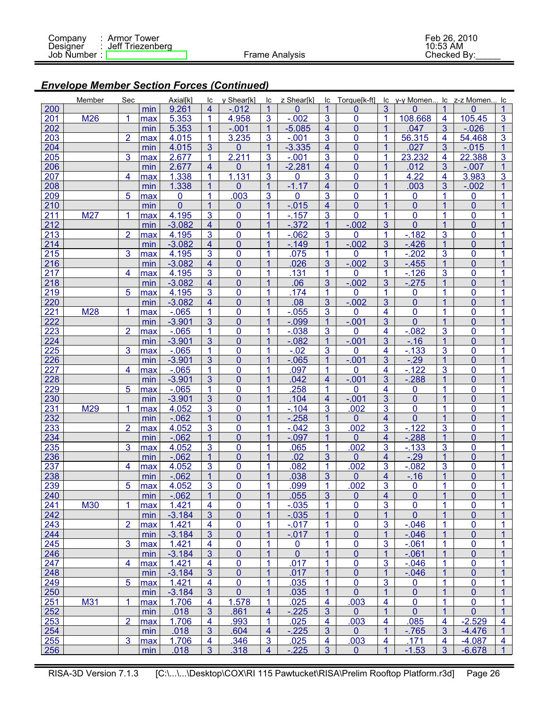|     | <b>Member</b> | Sec            |     | Axial[k] | lc                      | v Shear[k]     | <u>lc</u>            | z Shear[k]     |                      | Ic Torque[k-ft] Ic y-y Momen Ic z-z Momen Ic |                |                |                         |                |                      |
|-----|---------------|----------------|-----|----------|-------------------------|----------------|----------------------|----------------|----------------------|----------------------------------------------|----------------|----------------|-------------------------|----------------|----------------------|
| 200 |               |                | min | 9.261    | 4                       | $-.012$        | 1                    | $\Omega$       | 1                    | 0                                            | 3              | 0              | 1                       | 0              | 1                    |
| 201 | M26           | 1              | max | 5.353    | 1                       | 4.958          | 3                    | $-.002$        | 3                    | 0                                            | 1              | 108.668        | 4                       | 105.45         | 3                    |
| 202 |               |                | min | 5.353    | $\mathbf 1$             | $-.001$        | $\mathbf{1}$         | $-5.085$       | $\overline{4}$       | $\mathbf{0}$                                 | 1              | .047           | 3                       | $-.026$        | 1.                   |
| 203 |               | $\overline{2}$ | max | 4.015    | 1                       | 3.235          | 3                    | $-.001$        | 3                    | 0                                            | 1              | 56.315         | 4                       | 54.468         | 3                    |
| 204 |               |                | min | 4.015    | 3                       | $\mathbf{0}$   | $\mathbf{1}$         | $-3.335$       | $\overline{4}$       | $\mathbf{0}$                                 | 1              | .027           | 3                       | $-.015$        | $\mathbf{1}$         |
| 205 |               | 3              | max | 2.677    | 1                       | 2.211          | 3                    | $-.001$        | 3                    | $\mathbf 0$                                  | 1              | 23.232         | 4                       | 22.388         | 3                    |
| 206 |               |                |     | 2.677    | $\overline{4}$          | 0              | 1                    | $-2.281$       | 4                    | $\mathbf{0}$                                 | 1              | .012           | 3                       | $-.007$        | 1                    |
|     |               |                | min |          |                         |                |                      |                |                      |                                              |                |                |                         |                |                      |
| 207 |               | 4              | max | 1.338    | 1                       | 1.131          | 3                    | 0              | 3                    | 0                                            | 1              | 4.22           | 4                       | 3.983          | $\mathbf{3}$         |
| 208 |               |                | min | 1.338    | 1                       | $\mathbf{0}$   | 1                    | $-1.17$        | $\overline{4}$       | 0                                            | 1              | .003           | 3                       | $-.002$        | 1                    |
| 209 |               | 5              | max | 0        | 1                       | .003           | $\mathbf{3}$         | $\mathbf{0}$   | 3                    | 0                                            | 1              | 0              | 1                       | $\mathbf 0$    | 1                    |
| 210 |               |                | min | $\Omega$ | 1                       | 0              | $\overline{1}$       | $-.015$        | 4                    | $\mathbf{0}$                                 |                | $\mathbf{0}$   | 1                       | $\Omega$       |                      |
| 211 | M27           | 1              | max | 4.195    | 3                       | 0              | 1                    | $-0.157$       | 3                    | $\mathbf{0}$                                 | 1              | $\mathbf 0$    | 1                       | 0              | 1                    |
| 212 |               |                | min | $-3.082$ | $\overline{4}$          | $\overline{0}$ | 1                    | $-0.372$       | $\mathbf 1$          | $-.002$                                      | 3              | $\overline{0}$ | 1                       | $\overline{0}$ | 1                    |
| 213 |               | $\overline{2}$ | max | 4.195    | 3                       | 0              | 1                    | $-062$         | 3                    | $\mathbf{0}$                                 | 1              | $-182$         | 3                       | 0              | 1                    |
| 214 |               |                | min | $-3.082$ | $\overline{4}$          | $\overline{0}$ | 1                    | $-.149$        | $\overline{1}$       | $-.002$                                      | 3              | $-.426$        | 1                       | $\Omega$       | 1                    |
| 215 |               | 3              | max | 4.195    | 3                       | 0              | 1                    | .075           | $\blacktriangleleft$ | $\Omega$                                     | 1              | $-.202$        | $\mathbf{3}$            | $\mathbf{0}$   | 1                    |
| 216 |               |                | min | $-3.082$ | $\overline{4}$          | 0              | $\blacktriangleleft$ | .026           | 3                    | $-.002$                                      | 3              | $-.455$        | 1                       | $\mathbf{0}$   | $\blacktriangleleft$ |
| 217 |               | $\overline{4}$ | max | 4.195    | 3                       | 0              | 1                    | 131            | 1                    | 0                                            | 1              | $-0.126$       | 3                       | 0              | 1                    |
| 218 |               |                | min | $-3.082$ | $\overline{4}$          | 0              | 1                    | .06            | 3                    | $-.002$                                      | 3              | $-275$         | 1                       | 0              | 1                    |
| 219 |               | 5              | max | 4.195    | $\mathbf{3}$            | 0              | 1                    | 174            | 1                    | 0                                            | 1              | 0              | 1                       | $\mathbf{0}$   | 1                    |
| 220 |               |                | min | $-3.082$ | 4                       | $\Omega$       | 1                    | .08            | 3                    | $-.002$                                      | 3              | $\overline{0}$ | 1                       | $\Omega$       |                      |
|     |               | 1              |     |          |                         |                | 1                    |                |                      |                                              |                |                | 1                       |                | 1                    |
| 221 | M28           |                | max | $-.065$  | 1                       | 0              |                      | $-.055$        | 3                    | 0                                            | 4              | $\mathbf 0$    |                         | 0              |                      |
| 222 |               |                | min | $-3.901$ | 3                       | $\overline{0}$ | $\overline{1}$       | $-0.099$       | $\mathbf 1$          | $-.001$                                      | 3              | $\overline{0}$ | 1                       | $\overline{0}$ | 1                    |
| 223 |               | $\overline{2}$ | max | $-.065$  | 1                       | 0              | 1                    | $-0.038$       | 3                    | $\mathbf{0}$                                 | 4              | $-0.082$       | 3                       | $\mathbf{0}$   | 1                    |
| 224 |               |                | min | $-3.901$ | $\overline{3}$          | $\overline{0}$ | $\overline{1}$       | $-0.082$       | $\overline{1}$       | $-.001$                                      | 3              | $-16$          | 1                       | $\mathbf{0}$   | 1                    |
| 225 |               | 3              | max | $-.065$  | 1                       | 0              | 1                    | $-.02$         | 3                    | $\Omega$                                     | 4              | $-0.133$       | $\mathbf{3}$            | 0              | 1                    |
| 226 |               |                | min | $-3.901$ | 3                       | 0              | $\blacktriangleleft$ | $-.065$        | 1                    | $-.001$                                      | 3              | $-.29$         | 1                       | $\mathbf{0}$   | $\blacktriangleleft$ |
| 227 |               | $\overline{4}$ | max | $-065$   | 1                       | 0              | 1                    | .097           | 1                    | 0                                            | 4              | $-122$         | 3                       | 0              | 1                    |
| 228 |               |                | min | $-3.901$ | 3                       | 0              | 1                    | .042           | $\overline{4}$       | $-.001$                                      | 3              | $-288$         | 1                       | 0              | 1                    |
| 229 |               | 5              | max | $-0.065$ | 1                       | 0              | 1                    | 258            | 1                    | $\mathbf{0}$                                 | 4              | $\mathbf 0$    | 1                       | $\mathbf{0}$   | 1                    |
| 230 |               |                | min | $-3.901$ | 3                       | $\overline{0}$ | $\overline{1}$       | .104           | $\overline{4}$       | $-.001$                                      | 3              | $\mathbf{0}$   | 1                       | $\mathbf{0}$   |                      |
| 231 | M29           | 1              | max | 4.052    | 3                       | 0              | 1                    | $-.104$        | 3                    | .002                                         | 3              | $\mathbf 0$    | 1                       | 0              | 1                    |
| 232 |               |                | min | $-062$   | 1                       | $\overline{0}$ | $\overline{1}$       | $-258$         | $\blacktriangleleft$ | 0                                            | 4              | $\overline{0}$ | 1                       | $\Omega$       | 1                    |
| 233 |               | $\overline{2}$ | max | 4.052    | 3                       | 0              | 1                    | $-.042$        | 3                    | .002                                         | 3              | $-122$         | 3                       | 0              | 1                    |
| 234 |               |                | min | $-0.062$ | 1                       | $\overline{0}$ | $\overline{1}$       | $-.097$        | $\overline{1}$       | $\mathbf{0}$                                 | $\overline{4}$ | $-288$         | $\mathbf{1}$            | $\Omega$       | 1                    |
| 235 |               | 3              | max | 4.052    | 3                       | 0              | 1                    | 065            | $\blacktriangleleft$ | 002                                          | 3              | $-0.133$       | 3                       | 0              | 1                    |
| 236 |               |                | min | $-062$   | 1                       | 0              | 1                    | .02            | 3                    | 0                                            | $\overline{4}$ | $-.29$         | 1                       | $\mathbf{0}$   | $\mathbf 1$          |
|     |               | 4              |     |          | 3                       |                | 1                    | 082            | 1                    | 002                                          | 3              | $-0.082$       | 3                       |                | 1                    |
| 237 |               |                | max | 4.052    |                         | 0              |                      |                |                      |                                              |                |                |                         | 0              | 1                    |
| 238 |               |                | min | $-062$   | 1                       | 0              | 1                    | .038           | 3                    | 0                                            | 4              | $-.16$         | 1                       | 0              |                      |
| 239 |               | 5              | max | 4.052    | $\mathbf{3}$            | 0              | 1                    | .099           | 1                    | .002                                         | 3              | $\mathbf 0$    | 1                       | $\overline{0}$ | 1                    |
| 240 |               |                | min | $-.062$  | $\mathbf{1}$            | $\Omega$       | $\overline{1}$       | .055           | 3                    | $\Omega$                                     | $\overline{4}$ | $\overline{0}$ | $\overline{1}$          | $\Omega$       | 1                    |
| 241 | M30           | 1              | max | 1.421    | 4                       | 0              | 1                    | $-.035$        | 1                    | 0                                            | 3              | 0              | 1                       | 0              | 1                    |
| 242 |               |                | min | $-3.184$ | 3                       | $\overline{0}$ | $\overline{1}$       | $-.035$        | $\blacktriangleleft$ | 0                                            | 1              | $\Omega$       | 1                       | $\Omega$       | $\mathbf{1}$         |
| 243 |               | $\overline{2}$ | max | 1.421    | 4                       | 0              | 1                    | $-.017$        | 1                    | $\mathbf 0$                                  | 3              | $-.046$        | 1                       | 0              | 1                    |
| 244 |               |                | min | $-3.184$ | 3                       | $\overline{0}$ | $\mathbf{1}$         | $-.017$        | $\overline{1}$       | $\overline{0}$                               | 1              | $-0.046$       | $\overline{1}$          | $\overline{0}$ | $\mathbf{1}$         |
| 245 |               | 3              | max | 1.421    | 4                       | 0              | 1                    | $\overline{0}$ | 1                    | $\mathbf 0$                                  | 3              | $-.061$        | 1                       | $\mathbf 0$    | 1                    |
| 246 |               |                | min | $-3.184$ | 3                       | $\mathbf 0$    | 1                    | $\mathbf{0}$   | 1                    | $\mathbf{0}$                                 | 1              | $-0.061$       | 1                       | $\mathbf{0}$   | 1                    |
| 247 |               | 4              | max | 1.421    | 4                       | 0              | 1                    | 017            | 1                    | 0                                            | 3              | $-0.046$       | 1                       | 0              | 1                    |
| 248 |               |                | min | $-3.184$ | 3                       | 0              | 1                    | .017           | 1                    | 0                                            | 1              | $-0.046$       | 1                       | $\overline{0}$ | 1                    |
| 249 |               | 5              | max | 1.421    | $\overline{\mathbf{4}}$ | 0              | 1                    | .035           | 1                    | $\mathbf 0$                                  | 3              | $\pmb{0}$      | 1                       | 0              | 1                    |
| 250 |               |                | min | $-3.184$ | $\overline{3}$          | $\Omega$       | $\overline{1}$       | .035           | 1                    | $\Omega$                                     | 1              | $\mathbf{0}$   | 1                       | 0              | 1                    |
| 251 | M31           | 1              |     | 1.706    | 4                       | 1.578          | 1                    | .025           | 4                    | .003                                         | 4              | $\pmb{0}$      | 1                       | $\mathbf 0$    | 1                    |
| 252 |               |                | max | .018     | 3                       | .861           | $\overline{4}$       | $-225$         | 3                    | 0                                            | $\overline{1}$ | $\overline{0}$ | $\overline{1}$          | $\overline{0}$ | $\overline{1}$       |
|     |               | $\overline{2}$ | min |          |                         |                |                      |                |                      |                                              |                |                |                         |                |                      |
| 253 |               |                | max | 1.706    | 4                       | .993           | 1                    | .025           | 4                    | .003                                         | 4              | .085           | 4                       | $-2.529$       | 4                    |
| 254 |               |                | min | .018     | $\overline{3}$          | .604           | $\overline{4}$       | $-0.225$       | 3                    | $\Omega$                                     | $\mathbf{1}$   | $-765$         | 3                       | $-4.476$       | $\mathbf{1}$         |
| 255 |               | 3              | max | 1.706    | $\overline{\mathbf{4}}$ | .346           | $\overline{3}$       | .025           | 4                    | .003                                         | 4              | .171           | $\overline{\mathbf{4}}$ | $-4.087$       | 4                    |
| 256 |               |                | min | .018     | $\overline{3}$          | .318           | $\overline{4}$       | $-.225$        | 3                    | $\mathbf{0}$                                 | $\overline{1}$ | $-1.53$        | $\overline{3}$          | $-6.678$       | $\mathbf{1}$         |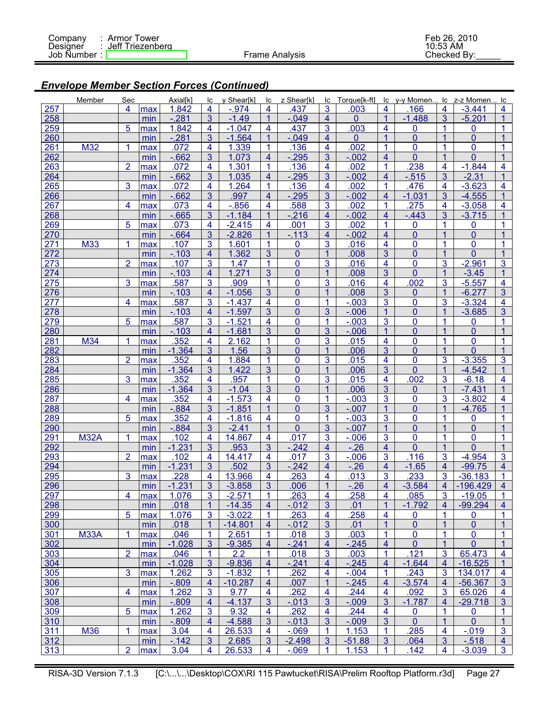|     | Member      | Sec            |                | Axial[k]    | lc.            | y Shear[k] | lc                      | z Shear[k]     |                | Ic Torque[k-ft] |                      | Ic y-y Momen Ic z-z Momen |                      |                | lc                      |
|-----|-------------|----------------|----------------|-------------|----------------|------------|-------------------------|----------------|----------------|-----------------|----------------------|---------------------------|----------------------|----------------|-------------------------|
| 257 |             | 4              | $\mathsf{max}$ | 1.842       | 4              | $-0.974$   | 4                       | .437           | 3              | .003            | 4                    | 166                       | 4                    | $-3.441$       | 4                       |
| 258 |             |                | min            | $-.281$     | 3              | $-1.49$    | 1                       | $-.049$        | 4              | 0               | 1                    | $-1.488$                  | 3                    | $-5.201$       | $\mathbf{1}$            |
| 259 |             | 5              | max            | 1.842       | 4              | $-1.047$   | 4                       | .437           | 3              | 003             | 4                    | 0                         |                      | 0              |                         |
| 260 |             |                | min            | $-0.281$    | 3              | $-1.564$   | 1                       | $-0.049$       | 4              | 0               |                      | $\overline{0}$            |                      | $\Omega$       |                         |
| 261 | M32         | 1              | max            | .072        | 4              | 1.339      | 1                       | 136            | 4              | .002            | 1                    | 0                         |                      | 0              | 1                       |
| 262 |             |                | min            | $-0.662$    | 3              | 1.073      | $\overline{4}$          | $-0.295$       | 3              | $-.002$         | 4                    | $\overline{0}$            | 1                    | $\Omega$       | $\overline{1}$          |
| 263 |             | $\overline{2}$ | max            | .072        | 4              | 1.301      | 1                       | .136           | 4              | .002            | 1                    | .238                      | 4                    | $-1.844$       | 4                       |
| 264 |             |                | min            | $-0.662$    | 3              | 1.035      | 4                       | $-0.295$       | 3              | $-.002$         | 4                    | $-0.515$                  | 3                    | $-2.31$        | 1                       |
| 265 |             | 3              | max            | .072        | 4              | 1.264      | 1                       | 136            | 4              | .002            | 1                    | 476                       | 4                    | $-3.623$       | 4                       |
| 266 |             |                | min            | $-0.662$    | 3              | .997       | $\overline{4}$          | $-0.295$       | 3              | $-.002$         | $\overline{4}$       | $-1.031$                  | 3                    | $-4.555$       | $\blacktriangleleft$    |
| 267 |             | 4              | max            | .073        | 4              | $-0.856$   | 4                       | 588            | 3              | .002            | 1                    | 275                       | 4                    | $-3.058$       | $\overline{4}$          |
| 268 |             |                | min            | $-0.665$    | 3              | $-1.184$   | 1                       | $-.216$        | 4              | $-.002$         | $\overline{4}$       | $-0.443$                  | 3                    | $-3.715$       | $\mathbf{1}$            |
| 269 |             | 5              | max            | .073        | 4              | $-2.415$   | 4                       | 001            | 3              | .002            | 1                    | 0                         | 1                    | 0              |                         |
| 270 |             |                | min            | $-664$      | 3              | $-2.826$   | 1                       | $-0.113$       | 4              | $-.002$         | 4                    | $\overline{0}$            |                      | $\Omega$       |                         |
| 271 | M33         | 1              | max            | .107        | 3              | 1.601      | 1                       | 0              | 3              | .016            | 4                    | 0                         |                      | 0              | 1                       |
| 272 |             |                | min            | $-.103$     | $\overline{4}$ | 1.362      | 3                       | $\overline{0}$ | 1              | 800.            | 3                    | $\overline{0}$            | $\mathbf 1$          | $\Omega$       | $\mathbf{1}$            |
| 273 |             | 2              | max            | .107        | 3              | 1.47       | 1                       | $\mathbf 0$    | 3              | .016            | 4                    | 0                         | 3                    | $-2.961$       | 3                       |
| 274 |             |                | min            | $-0.103$    | 4              | 1.271      | 3                       | 0              | 1              | 800.            | 3                    | $\overline{0}$            | 1                    | $-3.45$        | 1                       |
| 275 |             | 3              | max            | 587         | 3              | .909       | 1                       | 0              | 3              | 016             | 4                    | 002                       | 3                    | $-5.557$       | 4                       |
| 276 |             |                | min            | $-0.103$    | $\overline{4}$ | $-1.056$   | 3                       | $\overline{0}$ | 1              | .008            | 3                    | 0                         | $\blacktriangleleft$ | $-6.277$       | 3                       |
| 277 |             | 4              | max            | 587         | 3              | $-1.437$   | $\overline{\mathbf{4}}$ | 0              | 1              | $-.003$         | 3                    | 0                         | 3                    | $-3.324$       | $\overline{4}$          |
| 278 |             |                | min            | $-.103$     | $\overline{4}$ | $-1.597$   | 3                       | $\mathbf{0}$   | 3              | $-0.006$        | 1                    | $\mathbf{0}$              | 1                    | $-3.685$       | 3 <sup>1</sup>          |
| 279 |             | 5              | max            | .587        | 3              | $-1.521$   | 4                       | 0              |                | $-.003$         | 3                    | 0                         |                      | 0              |                         |
| 280 |             |                | min            | $-0.103$    | 4              | $-1.681$   | 3                       | 0              | 3              | $-0.006$        | 1                    | $\overline{0}$            |                      | $\Omega$       |                         |
| 281 | M34         | 1              | max            | 352         | 4              | 2.162      | 1                       | 0              | 3              | .015            | 4                    | 0                         | 1                    | 0              | 1                       |
| 282 |             |                | min            | $-1.364$    | 3              | 1.56       | 3                       | 0              | 1              | .006            | 3                    | $\overline{0}$            | $\mathbf 1$          | $\Omega$       | $\mathbf{1}$            |
| 283 |             | 2              | max            | .352        | 4              | 1.884      | 1                       | 0              | 3              | .015            | 4                    | 0                         | 3                    | $-3.355$       | 3                       |
| 284 |             |                | min            | $-1.364$    | 3              | 1.422      | 3                       | 0              | 1              | .006            | 3                    | $\overline{0}$            | 1                    | $-4.542$       | 1                       |
| 285 |             | 3              | max            | 352         | 4              | .957       | 1                       | 0              | 3              | .015            | 4                    | 002                       | 3                    | $-6.18$        | 4                       |
| 286 |             |                | min            | $-1.364$    | 3              | $-1.04$    | 3                       | $\overline{0}$ | 1              | .006            | 3                    | $\mathbf{0}$              | $\blacktriangleleft$ | $-7.431$       | $\blacktriangleleft$    |
| 287 |             | 4              | max            | 352         | 4              | $-1.573$   | $\overline{\mathbf{4}}$ | 0              | 1              | $-.003$         | 3                    | 0                         | 3                    | $-3.802$       | $\overline{4}$          |
| 288 |             |                | min            | $-.884$     | 3              | $-1.851$   | 1                       | $\mathbf{0}$   | 3              | $-.007$         | 1                    | $\mathbf{0}$              | 1                    | $-4.765$       | $\mathbf{1}$            |
| 289 |             | 5              | max            | 352         | 4              | $-1.816$   | 4                       | 0              | 1              | $-.003$         | 3                    | 0                         |                      | 0              |                         |
| 290 |             |                | min            | -.884       | 3              | $-2.41$    | 1                       | $\Omega$       | 3              | $-.007$         | 1                    | $\overline{0}$            |                      | 0              |                         |
| 291 | <b>M32A</b> | 1              | max            | 102         | 4              | 14.867     | 4                       | 017            | 3              | $-0.006$        | 3                    | 0                         |                      | 0              | 1                       |
| 292 |             |                | min            | $-1.231$    | 3              | .953       | 3                       | $-.242$        | 4              | $-.26$          | $\overline{4}$       | $\overline{0}$            | $\mathbf 1$          | $\Omega$       | $\blacktriangleleft$    |
| 293 |             | 2              | max            | .102        | 4              | 14.417     | 4                       | .017           | 3              | $-0.006$        | 3                    | .116                      | 3                    | $-4.954$       | 3                       |
| 294 |             |                | min            | $-1.231$    | 3              | 502        | 3                       | $-0.242$       | 4              | $-.26$          | 4                    | $-1.65$                   | 4                    | $-99.75$       | 4                       |
| 295 |             | 3              | max            | <u>.228</u> | 4              | 13.966     | 4                       | .263           | 4              | .013            | 3                    | 233                       | 3                    | $-36.183$      | 1                       |
| 296 |             |                | min            | $-1.231$    | 3              | $-3.858$   | 3                       | 006            | 1              | $-26$           | $\overline{4}$       | $-3.584$                  | $\overline{4}$       | $-196.429$     | $\overline{4}$          |
| 297 |             | 4              | max            | 1.076       | $\overline{3}$ | $-2.571$   | $\mathbf{1}$            | .263           | 4              | <u>.258</u>     | 4                    | .085                      | $\overline{3}$       | $-19.05$       | $\mathbf{1}$            |
| 298 |             |                | <u>min</u>     | .018        | $\mathbf{1}$   | $-14.35$   | $\overline{4}$          | $-.012$        | 3              | .01             | $\blacktriangleleft$ | $-1.792$                  | 4                    | $-99.294$      | $\overline{4}$          |
| 299 |             | 5              | max            | 1.076       | 3              | $-3.022$   | 1                       | 263            | 4              | .258            | 4                    | 0                         | 1                    | 0              | 1                       |
| 300 |             |                | min            | .018        | -1             | $-14.801$  | 4                       | $-.012$        | 3              | .01             | 1                    | 0                         | 1                    | 0              | 1                       |
| 301 | <b>M33A</b> | 1              | max            | .046        | 1              | 2.651      | 1                       | .018           | 3              | .003            | 1                    | 0                         | 1                    | 0              | 1                       |
| 302 |             |                | min            | $-1.028$    | 3              | $-9.385$   | $\overline{4}$          | $-.241$        | $\overline{4}$ | $-.245$         | $\overline{4}$       | 0                         | 1                    | $\overline{0}$ | $\mathbf{1}$            |
| 303 |             | 2              | max            | .046        | 1.             | 2.2        | 1                       | .018           | 3              | .003            | $\blacktriangleleft$ | 121                       | 3                    | 65.473         | 4                       |
| 304 |             |                | min            | $-1.028$    | $\mathbf{3}$   | $-9.836$   | $\overline{4}$          | $-.241$        | 4              | $-.245$         | 4                    | $-1.644$                  | 4                    | $-16.525$      | 1                       |
| 305 |             | 3              | max            | 1.262       | 3              | $-1.832$   | 1                       | .262           | 4              | $-.004$         | 1                    | .243                      | 3                    | 134.017        | $\overline{\mathbf{4}}$ |
| 306 |             |                | min            | $-0.809$    | 4              | $-10.287$  | $\overline{4}$          | .007           | 1              | $-.245$         | 4                    | $-3.574$                  | 4                    | $-56.367$      | 3                       |
| 307 |             | 4              | max            | 1.262       | 3              | 9.77       | $\overline{\mathbf{4}}$ | .262           | 4              | .244            | 4                    | .092                      | 3                    | 65.026         | 4                       |
| 308 |             |                | min            | $-.809$     | $\overline{4}$ | $-4.137$   | 3                       | $-.013$        | 3              | $-.009$         | 3                    | $-1.787$                  | 4                    | $-29.718$      | 3 <sup>2</sup>          |
| 309 |             | 5              | max            | 1.262       | 3              | 9.32       | 4                       | 262            | 4              | .244            | 4                    | 0                         | 1                    | 0              | 1                       |
| 310 |             |                | min            | $-0.809$    | 4              | $-4.588$   | 3                       | $-.013$        | 3              | $-.009$         | 3                    | $\mathbf{0}$              | $\overline{1}$       | $\mathbf{0}$   | $\mathbf{1}$            |
| 311 | M36         | 1              | max            | 3.04        | 4              | 26.533     | 4                       | $-069$         | 1              | 1.153           | 1                    | 285                       | 4                    | $-.019$        | 3                       |
| 312 |             |                | min            | $-0.142$    | 3              | 2.685      | 3                       | $-2.498$       | 3              | $-51.88$        | $\overline{3}$       | .064                      | $\mathbf{3}$         | $-.518$        | $\overline{4}$          |
| 313 |             | $\overline{2}$ | max            | 3.04        | 4              | 26.533     | 4                       | $-.069$        | 1              | 1.153           | 1                    | .142                      | 4                    | $-3.039$       | 3 <sup>7</sup>          |
|     |             |                |                |             |                |            |                         |                |                |                 |                      |                           |                      |                |                         |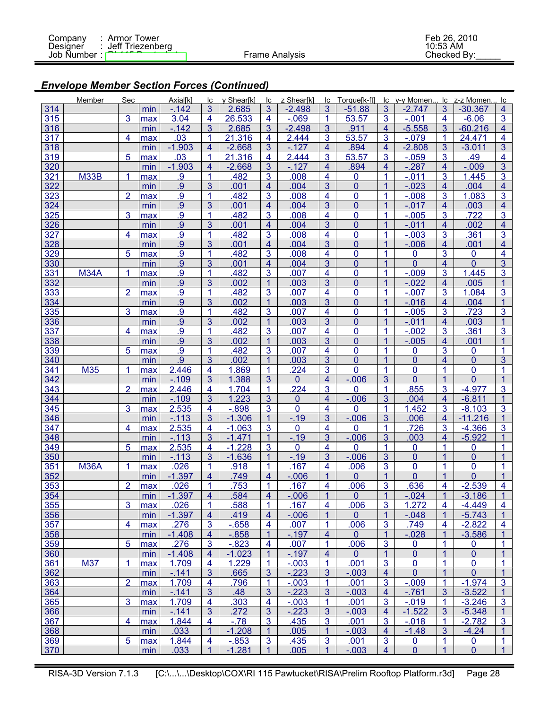| Company     | : Armor Tower      |                       | Feb 26, 2 |
|-------------|--------------------|-----------------------|-----------|
| Designer    | : Jeff Triezenberg |                       | 10:53 AM  |
| Job Number. |                    | <b>Frame Analysis</b> | Checked   |

|     | <b>Member</b> | Sec            |            | Axial[k] | lc.                  | v Shear[k] | lc.                  | z Shear[k] | lc             | Torque[k-ft]   |                      | Ic y-y Momen   |                | Ic z-z Momen. | <u>lc</u>            |
|-----|---------------|----------------|------------|----------|----------------------|------------|----------------------|------------|----------------|----------------|----------------------|----------------|----------------|---------------|----------------------|
| 314 |               |                | min        | $-.142$  | 3                    | 2.685      | 3                    | $-2.498$   | 3              | $-51.88$       | 3                    | $-2.747$       | 3              | $-30.367$     | $\overline{4}$       |
| 315 |               | 3              | max        | 3.04     | 4                    | 26.533     | 4                    | $-069$     | 1              | 53.57          | 3                    | $-.001$        | 4              | $-6.06$       | 3                    |
| 316 |               |                | min        | $-142$   | 3                    | 2.685      | 3                    | $-2.498$   | 3              | .911           | $\overline{4}$       | $-5.558$       | 3              | $-60.216$     | $\overline{4}$       |
| 317 |               | 4              | max        | .03      | 1                    | 21.316     | 4                    | 2.444      | 3              | 53.57          | 3                    | $-079$         | 1              | 24.471        | 4                    |
| 318 |               |                | min        | $-1.903$ | 4                    | $-2.668$   | 3                    | $-.127$    | $\overline{4}$ | .894           | $\overline{4}$       | $-2.808$       | 3              | $-3.011$      | 3                    |
| 319 |               | 5              | max        | .03      | 1                    | 21.316     | 4                    | 2.444      | 3              | 53.57          | 3                    | $-0.059$       | $\mathbf{3}$   | .49           | 4                    |
| 320 |               |                | min        | $-1.903$ | 4                    | $-2.668$   | 3                    | $-.127$    | 4              | .894           | 4                    | $-.287$        | $\overline{4}$ | $-.009$       | 3 <sup>1</sup>       |
| 321 | <b>M33B</b>   | 1              | max        | .9       | 1                    | .482       | 3                    | .008       | 4              | 0              | 1                    | $-.011$        | 3              | 1.445         | 3                    |
| 322 |               |                | min        | .9       | 3                    | .001       | $\overline{4}$       | .004       | 3              | 0              | 1                    | $-0.023$       | $\overline{4}$ | .004          | $\overline{4}$       |
| 323 |               | $\overline{2}$ | max        | .9       | 1                    | 482        | 3                    | .008       | 4              | 0              | 1                    | $-0.008$       | 3              | 1.083         | 3                    |
| 324 |               |                | min        | .9       | 3                    | .001       | $\overline{4}$       | .004       | 3              | $\overline{0}$ | 1                    | $-0.017$       | $\overline{4}$ | .003          | $\overline{4}$       |
| 325 |               | 3              | max        | .9       | 1                    | 482        | 3                    | .008       | 4              | 0              | 1                    | $-.005$        | 3              | 722           | $\overline{3}$       |
| 326 |               |                | min        | .9       | 3                    | .001       | $\overline{4}$       | .004       | 3              | 0              | 1                    | $-.011$        | $\overline{4}$ | .002          | $\overline{4}$       |
| 327 |               | 4              | max        | .9       | 1                    | .482       | 3                    | .008       | 4              | 0              | 1                    | $-0.003$       | 3              | .361          | 3                    |
| 328 |               |                | min        | .9       | 3                    | .001       | $\overline{4}$       | .004       | 3              | $\overline{0}$ | 1                    | $-0.006$       | $\overline{4}$ | 001           | $\overline{4}$       |
| 329 |               | 5              | max        | .9       | 1                    | 482        | $\mathbf{3}$         | .008       | $\overline{4}$ | 0              | 1                    | 0              | $\mathbf{3}$   | 0             | 4                    |
| 330 |               |                | min        | .9       | 3                    | .001       | $\overline{4}$       | .004       | 3              | 0              | 1                    | $\Omega$       | $\overline{4}$ | $\Omega$      | $\overline{3}$       |
| 331 | <b>M34A</b>   | 1              | max        | .9       | 1                    | .482       | 3                    | .007       | 4              | 0              | 1                    | $-0.09$        | 3              | 1.445         | 3                    |
| 332 |               |                | min        | .9       | 3                    | 002        | 1                    | .003       | 3              | $\overline{0}$ |                      | $-0.022$       | $\overline{4}$ | .005          | $\blacktriangleleft$ |
| 333 |               | 2              | max        | .9       | 1                    | 482        | 3                    | .007       | 4              | 0              | 1                    | $-.007$        | 3              | 1.084         | 3                    |
| 334 |               |                | min        | .9       | 3                    | .002       | $\mathbf{1}$         | .003       | 3              | $\overline{0}$ | 1                    | $-0.016$       | $\overline{4}$ | .004          | $\mathbf{1}$         |
| 335 |               | 3              | max        | .9       | 1                    | 482        | 3                    | .007       | 4              | 0              | 1                    | $-0.005$       | 3              | 723           | $\overline{3}$       |
| 336 |               |                | min        | .9       | 3                    | .002       | $\blacktriangleleft$ | .003       | 3              | 0              |                      | $-.011$        | $\overline{4}$ | .003          | $\blacktriangleleft$ |
| 337 |               | 4              | max        | .9       | 1                    | .482       | 3                    | 007        | 4              | 0              | 1                    | $-0.002$       | 3              | 361           | 3                    |
| 338 |               |                | min        | .9       | 3                    | 002        | 1                    | .003       | 3              | $\overline{0}$ | 1                    | $-0.005$       | 4              | 001           | $\mathbf{1}$         |
| 339 |               | 5              | max        | .9       | 1                    | 482        | 3                    | .007       | 4              | 0              | 1                    | 0              | 3              | 0             | 1                    |
| 340 |               |                | min        | .9       | 3                    | .002       | $\mathbf{1}$         | .003       | 3              | 0              | 1                    | $\mathbf{0}$   | 4              | $\Omega$      | $\overline{3}$       |
| 341 | M35           | 1              | max        | 2.446    | 4                    | 1.869      | 1                    | 224        | 3              | 0              | 1                    | 0              |                | 0             | 1                    |
| 342 |               |                | min        | $-0.109$ | 3                    | 1.388      | 3                    | 0          | 4              | $-0.006$       | 3                    | $\overline{0}$ | $\overline{1}$ | $\Omega$      | 1                    |
| 343 |               | $\overline{2}$ | max        | 2.446    | 4                    | 1.704      | 1                    | 224        | 3              | 0              | 1                    | 855            | 3              | $-4.977$      | $\mathbf{3}$         |
| 344 |               |                | min        | $-0.109$ | 3                    | 1.223      | 3                    | 0          | 4              | $-0.006$       | 3                    | .004           | $\overline{4}$ | $-6.811$      | $\blacktriangleleft$ |
| 345 |               | 3              | max        | 2.535    | 4                    | $-0.898$   | 3                    | 0          | 4              | 0              | 1                    | 1.452          | 3              | $-8.103$      | 3                    |
| 346 |               |                | min        | $-0.113$ | 3                    | $-1.306$   | $\mathbf 1$          | $-.19$     | 3              | $-0.006$       | 3                    | .006           | $\overline{4}$ | $-11.216$     | 1                    |
| 347 |               | 4              | max        | 2.535    | 4                    | $-1.063$   | 3                    | 0          | 4              | 0              | 1                    | 726            | 3              | $-4.366$      | 3                    |
| 348 |               |                | min        | $-.113$  | 3                    | $-1.471$   | 1                    | $-.19$     | 3              | $-0.006$       | 3                    | 003            | 4              | $-5.922$      | $\mathbf{1}$         |
| 349 |               | 5              | max        | 2.535    | 4                    | $-1.228$   | $\mathbf{3}$         | 0          | 4              | 0              | 1                    | 0              | 1              | 0             | 1                    |
| 350 |               |                | min        | $-.113$  | 3                    | $-1.636$   | 1                    | $-.19$     | 3              | $-0.006$       | 3                    | $\mathbf{0}$   | 1              | $\Omega$      | 1                    |
| 351 | <b>M36A</b>   | 1              | max        | .026     | 1                    | .918       | 1                    | .167       | 4              | .006           | 3                    | 0              |                | 0             | 1                    |
| 352 |               |                | min        | $-1.397$ | 4                    | 749        | $\overline{4}$       | $-0.06$    | 1              | 0              | 1                    | $\Omega$       | 1              | $\Omega$      | $\overline{1}$       |
| 353 |               | $\overline{2}$ | max        | .026     | 1                    | 753        | 1                    | 167        | 4              | .006           | $\overline{3}$       | 636            | 4              | $-2.539$      | $\overline{4}$       |
| 354 |               |                | $\mid$ min | $-1.397$ | $\frac{4}{ }$        | .584       | $\overline{4}$       | $-0.006$   | $\overline{1}$ | $\overline{0}$ | $\overline{1}$       | $-.024$        | 1 <sup>1</sup> | $-3.186$      | $\vert$ 1            |
| 355 |               | 3              | max        | .026     | 1.                   | .588       | -1                   | .167       | 4              | .006           | 3                    | 1.272          | 4              | $-4.449$      | 4                    |
| 356 |               |                | min        | $-1.397$ | $\overline{4}$       | .419       | $\overline{4}$       | $-0.006$   | -1             | 0              | $\blacktriangleleft$ | $-.048$        | $\mathbf{1}$   | $-5.743$      | $\mathbf{1}$         |
| 357 |               | 4              | max        | .276     | 3                    | $-0.658$   | 4                    | .007       | 1              | .006           | 3                    | .749           | 4              | $-2.822$      | 4                    |
| 358 |               |                | min        | $-1.408$ | 4                    | $-0.858$   | 1                    | $-.197$    | $\overline{4}$ | 0              | $\mathbf{1}$         | $-0.028$       | 1              | $-3.586$      | 1                    |
| 359 |               | 5              |            | .276     | 3                    | $-.823$    | 4                    | .007       | 1              | .006           | $\overline{3}$       | 0              | 1              | $\bf{0}$      | 1                    |
| 360 |               |                | max<br>min | $-1.408$ | 4                    | $-1.023$   | $\mathbf{1}$         | $-.197$    | $\overline{4}$ | 0              | $\mathbf{1}$         | $\mathbf{0}$   | 1              | 0             | $\mathbf{1}$         |
| 361 | M37           | 1              | max        | 1.709    | 4                    | 1.229      | 1                    | $-.003$    | 1              | .001           | 3                    | $\overline{0}$ |                | $\mathbf 0$   | 1                    |
| 362 |               |                | min        | $-.141$  | 3                    | .665       | 3                    | $-.223$    | 3              | $-.003$        | $\overline{4}$       | $\mathbf{0}$   | 1              | $\mathbf{0}$  | 1                    |
| 363 |               | 2              |            | 1.709    | 4                    | 796        | 1                    | $-.003$    | 1              | .001           | 3                    | $-.009$        | 1              | $-1.974$      | $\overline{3}$       |
| 364 |               |                | max        | $-0.141$ | 3                    | .48        | 3                    | $-.223$    | 3              | $-.003$        | $\overline{4}$       | $-761$         | 3              | $-3.522$      | $\mathbf{1}$         |
|     |               | 3              | min        |          |                      | .303       |                      |            | 1              |                | 3                    | $-0.019$       | 1              | $-3.246$      | 3                    |
| 365 |               |                | max        | 1.709    | 4                    |            | 4                    | $-.003$    |                | .001           |                      |                |                |               |                      |
| 366 |               |                | min        | $-.141$  | 3                    | .272       | 3                    | $-.223$    | 3              | $-.003$        | 4                    | $-1.522$       | $\overline{3}$ | $-5.348$      | $\mathbf{1}$         |
| 367 |               | 4              | max        | 1.844    | 4                    | $-.78$     | 3                    | .435       | 3              | .001           | 3                    | $-.018$        | 1              | $-2.782$      | $\overline{3}$       |
| 368 |               |                | min        | .033     | 1                    | $-1.208$   | 1                    | .005       | 1              | $-.003$        | $\overline{4}$       | $-1.48$        | 3              | $-4.24$       | $\mathbf{1}$         |
| 369 |               | 5              | max        | 1.844    | 4                    | $-.853$    | $\overline{3}$       | .435       | 3              | .001           | 3                    | 0              | 1              | 0             | $\mathbf{1}$         |
| 370 |               |                | min        | 033      | $\blacktriangleleft$ | $-1.281$   | $\mathbf 1$          | .005       | 1              | $-.003$        | $\overline{4}$       | 0              | $\mathbf 1$    | $\mathbf{0}$  | $\mathbf{1}$         |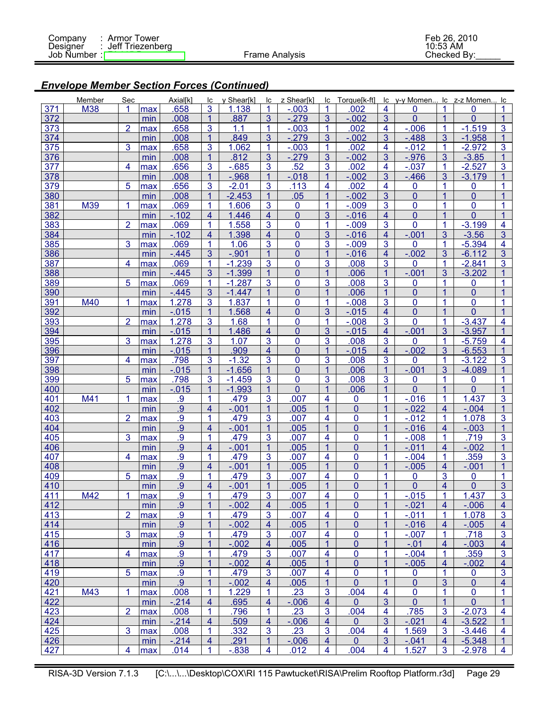| Company      | : Armor Tower      |                       | Feb 26, 2 |
|--------------|--------------------|-----------------------|-----------|
| Designer     | : Jeff Triezenberg |                       | 10:53 AM  |
| Job Number : |                    | <b>Frame Analysis</b> | Checked   |

|     | Member | <b>Sec</b>     |     | Axial[k]        | lc.                     | y Shear[k] | Iс                   | z Shear[k]     | lc.            | Torque[k-ft]   |                         | Ic y-y Momen Ic z-z Momen Ic |                |              |                      |
|-----|--------|----------------|-----|-----------------|-------------------------|------------|----------------------|----------------|----------------|----------------|-------------------------|------------------------------|----------------|--------------|----------------------|
| 371 | M38    | 1              | max | .658            | 3                       | 1.138      | 1                    | $-.003$        | 1              | .002           | 4                       | 0                            | 1              | 0            | 1                    |
| 372 |        |                | min | .008            | $\mathbf 1$             | 887        | 3                    | $-.279$        | 3              | $-.002$        | $\overline{3}$          | $\Omega$                     | 1              | $\Omega$     | 1                    |
| 373 |        | $\overline{2}$ | max | .658            | 3                       | 1.1        | 1                    | $-.003$        | 1              | .002           | 4                       | $-0.006$                     | 1              | $-1.519$     | 3                    |
| 374 |        |                | min | .008            | $\mathbf 1$             | .849       | 3                    | $-.279$        | 3              | $-.002$        | 3                       | $-488$                       | 3              | $-1.958$     | 1                    |
| 375 |        | 3              | max | .658            | 3                       | 1.062      | 1                    | $-.003$        | 1              | .002           | 4                       | $-0.012$                     | 1              | $-2.972$     | 3                    |
| 376 |        |                | min | .008            | 1                       | .812       | 3                    | $-.279$        | 3              | $-.002$        | 3                       | $-0.976$                     | 3              | $-3.85$      | $\mathbf{1}$         |
| 377 |        | 4              | max | .656            | 3                       | $-0.685$   | 3                    | .52            | 3              | .002           | 4                       | $-.037$                      | 1              | $-2.527$     | 3                    |
| 378 |        |                | min | .008            | 1                       | $-0.968$   | $\mathbf 1$          | $-0.018$       |                | $-.002$        | 3                       | $-466$                       | 3              | $-3.179$     | $\mathbf{1}$         |
| 379 |        | 5              | max | .656            | 3                       | $-2.01$    | 3                    | .113           | 4              | .002           | 4                       | $\pmb{0}$                    | 1              | 0            | 1                    |
| 380 |        |                | min | .008            | 1                       | $-2.453$   | 1                    | .05            | 1              | $-.002$        | 3                       | $\overline{0}$               | 1              | 0            | 1                    |
| 381 | M39    | 1              | max | .069            | 1                       | 1.606      | 3                    | 0              | 1              | $-.009$        | $\mathbf{3}$            | $\overline{0}$               | 1              | $\mathbf{0}$ | 1                    |
| 382 |        |                | min | $-.102$         | $\overline{4}$          | 1.446      | $\overline{4}$       | $\mathbf{0}$   | 3              | $-0.016$       | $\overline{4}$          | $\overline{0}$               | 1              | $\Omega$     | 1                    |
| 383 |        | $\overline{2}$ | max | .069            | 1                       | 1.558      | 3                    | 0              | 1              | $-.009$        | 3                       | 0                            | 1              | $-3.199$     | 4                    |
| 384 |        |                | min | $-0.102$        | $\overline{4}$          | 1.398      | $\overline{4}$       | $\Omega$       | 3              | $-0.016$       | $\overline{4}$          | $-.001$                      | 3              | $-3.56$      | 3                    |
| 385 |        | 3              | max | .069            | 1                       | 1.06       | 3                    | $\mathbf{0}$   | 3              | $-.009$        | 3                       | $\mathbf{0}$                 | 1              | $-5.394$     | 4                    |
| 386 |        |                | min | $-.445$         | 3                       | $-.901$    | 1                    | $\overline{0}$ | 1              | $-0.016$       | $\overline{4}$          | $-.002$                      | 3              | $-6.112$     | $\mathbf{3}$         |
| 387 |        | 4              | max | .069            | 1                       | $-1.239$   | 3                    | 0              | 3              | .008           | 3                       | $\mathbf 0$                  | 1              | $-2.841$     | 3                    |
| 388 |        |                | min | $-.445$         | 3                       | $-1.399$   | 1                    | $\mathbf 0$    |                | .006           | 1                       | $-.001$                      | 3              | $-3.202$     | 1                    |
| 389 |        | 5              | max | .069            | 1                       | $-1.287$   | 3                    | 0              | 3              | .008           | 3                       | 0                            | 1              | 0            | 1                    |
| 390 |        |                | min | $-.445$         | 3                       | $-1.447$   | 1                    | $\mathbf{0}$   | 1              | .006           | 1                       | $\overline{0}$               | 1              | 0            | 1                    |
| 391 | M40    | 1              | max | 1.278           | 3                       | 1.837      | 1                    | $\overline{0}$ | 1              | $-.008$        | $\mathbf{3}$            | $\overline{0}$               | 1              | $\mathbf{0}$ | 1                    |
| 392 |        |                | min | $-0.015$        | 1                       | 1.568      | $\overline{4}$       | $\mathbf{0}$   | 3              | $-.015$        | $\overline{4}$          | $\overline{0}$               | 1              | $\Omega$     | 1                    |
| 393 |        | $\overline{2}$ | max | 1.278           | 3                       | 1.68       | 1                    | 0              | 1              | $-.008$        | 3                       | 0                            | 1              | $-3.437$     | 4                    |
| 394 |        |                | min | $-0.015$        | 1                       | 1.486      | $\overline{4}$       | $\Omega$       | 3              | $-.015$        | $\overline{4}$          | $-.001$                      | 3              | $-3.957$     | 1                    |
| 395 |        | 3              | max | 1.278           | 3                       | 1.07       | 3                    | $\mathbf{0}$   | 3              | .008           | 3                       | $\mathbf{0}$                 | 1              | $-5.759$     | 4                    |
| 396 |        |                | min | $-0.015$        | 1                       | .909       | $\overline{4}$       | $\overline{0}$ | 1              | $-0.015$       | $\overline{4}$          | $-.002$                      | 3              | $-6.553$     | $\mathbf{1}$         |
| 397 |        | 4              | max | .798            | 3                       | $-1.32$    | 3                    | 0              | 3              | .008           | 3                       | $\mathbf 0$                  | 1              | $-3.122$     | 3                    |
| 398 |        |                | min | $-0.015$        | $\blacktriangleleft$    | $-1.656$   | $\mathbf 1$          | $\mathbf{0}$   | 1              | .006           | 1                       | $-.001$                      | 3              | $-4.089$     | $\mathbf 1$          |
| 399 |        | 5              | max | .798            | 3                       | $-1.459$   | 3                    | 0              | 3              | .008           | 3                       | 0                            | 1              | 0            | 1                    |
| 400 |        |                | min | $-0.015$        | 1                       | $-1.993$   | 1                    | $\overline{0}$ | 1              | .006           | 1                       | $\overline{0}$               | 1              | $\Omega$     | 1                    |
| 401 | M41    | 1              | max | .9              | 1                       | .479       | 3                    | .007           | 4              | 0              | 1                       | $-0.016$                     | 1              | 1.437        | $\mathbf{3}$         |
| 402 |        |                | min | .9              | 4                       | $-.001$    | 1                    | .005           | 1              | 0              | 1                       | $-0.022$                     | 4              | $-.004$      | 1                    |
| 403 |        | $\overline{2}$ | max | .9              | 1                       | .479       | 3                    | .007           | 4              | $\bf{0}$       | 1                       | $-0.012$                     | 1              | 1.078        | 3                    |
| 404 |        |                | min | .9              | $\overline{4}$          | $-.001$    | $\blacktriangleleft$ | .005           | $\overline{1}$ | 0              | 1                       | $-0.016$                     | $\overline{4}$ | $-.003$      | $\mathbf 1$          |
| 405 |        | 3              | max | .9              | 1                       | 479        | 3                    | .007           | 4              | 0              | 1                       | $-0.008$                     | 1              | 719          | 3                    |
| 406 |        |                | min | .9              | $\overline{\mathbf{4}}$ | $-.001$    | 1                    | .005           | $\overline{1}$ | $\mathbf{0}$   | 1                       | $-0.011$                     | $\overline{4}$ | $-.002$      | $\blacktriangleleft$ |
| 407 |        | 4              | max | .9              | 1                       | .479       | 3                    | .007           | 4              | 0              | 1                       | $-.004$                      | 1              | 359          | 3                    |
| 408 |        |                | min | .9              | 4                       | $-.001$    | $\mathbf 1$          | .005           | 1              | $\mathbf{0}$   | 1                       | $-.005$                      | 4              | $-.001$      | $\mathbf{1}$         |
| 409 |        | 5              | max | .9              | 1                       | 479        | 3                    | .007           | 4              | 0              | 1                       | 0                            | 3              | 0            | 1                    |
| 410 |        |                | min | .9              | 4                       | $-.001$    | $\mathbf 1$          | .005           | 1              | 0              | 1                       | 0                            | $\overline{4}$ | 0            | 3                    |
| 411 | M42    | 1              | max | $\overline{.9}$ | 1                       | .479       | $\overline{3}$       | .007           | $\overline{4}$ | $\overline{0}$ | 1                       | $-.015$                      | 1              | 1.437        | $\overline{3}$       |
| 412 |        |                | min | .9              | $\mathbf{1}$            | $-.002$    | $\overline{4}$       | .005           | 1              | 0              | 1                       | $-.021$                      | $\overline{4}$ | $-.006$      | $\overline{4}$       |
| 413 |        | 2              | max | <u>.9</u>       | 1                       | .479       | 3                    | .007           | $\overline{4}$ | $\bf{0}$       | 1                       | $-.011$                      | 1              | 1.078        | $\overline{3}$       |
| 414 |        |                | min | .9              | 1                       | $-.002$    | $\overline{4}$       | .005           | $\overline{1}$ | 0              | 1                       | $-0.016$                     | $\overline{4}$ | $-.005$      | $\overline{4}$       |
| 415 |        | 3              | max | .9              | 1                       | .479       | 3                    | .007           | 4              | $\overline{0}$ | 1                       | $-.007$                      | 1              | .718         | $\overline{3}$       |
| 416 |        |                | min | .9              | $\overline{1}$          | $-.002$    | $\overline{4}$       | .005           | $\overline{1}$ | $\overline{0}$ | $\overline{1}$          | $-.01$                       | $\overline{4}$ | $-.003$      | $\overline{4}$       |
| 417 |        | 4              | max | .9              | 1                       | .479       | 3                    | .007           | 4              | $\overline{0}$ | 1                       | $-.004$                      | 1              | .359         | $\overline{3}$       |
| 418 |        |                | min | .9              | 1                       | $-.002$    | 4                    | .005           | 1              | $\overline{0}$ | 1                       | $-.005$                      | $\overline{4}$ | $-.002$      | $\overline{4}$       |
| 419 |        | 5              | max | .9              | 1                       | .479       | 3                    | .007           | 4              | $\pmb{0}$      | 1                       | $\overline{0}$               | 1.             | $\mathbf 0$  | $\overline{3}$       |
| 420 |        |                | min | .9              | 1                       | $-.002$    | $\overline{4}$       | .005           | 1              | $\overline{0}$ | 1                       | $\mathbf{0}$                 | 3              | $\mathbf{0}$ | $\overline{4}$       |
| 421 | M43    | 1              | max | .008            | 1                       | 1.229      | $\mathbf 1$          | .23            | 3              | .004           | $\overline{\mathbf{4}}$ | $\mathbf 0$                  | 1              | $\mathbf 0$  | 1                    |
| 422 |        |                | min | $-.214$         | $\overline{4}$          | .695       | $\overline{4}$       | $-.006$        | 4              | 0              | 3                       | $\Omega$                     | 1              | $\Omega$     | 1                    |
| 423 |        | $\overline{2}$ | max | .008            | 1                       | .796       | 1                    | .23            | 3              | .004           | 4                       | .785                         | 3              | $-2.073$     | $\overline{4}$       |
| 424 |        |                | min | $-214$          | $\overline{4}$          | .509       | $\overline{4}$       | $-0.06$        | $\overline{4}$ | $\Omega$       | $\overline{3}$          | $-0.021$                     | $\overline{4}$ | $-3.522$     | 1                    |
| 425 |        | 3              | max | .008            | 1                       | .332       | 3                    | .23            | 3              | .004           | 4                       | 1.569                        | 3              | $-3.446$     | 4                    |
| 426 |        |                | min | $-214$          | $\overline{4}$          | .291       | $\mathbf{1}$         | $-0.006$       | $\overline{4}$ | $\mathbf{0}$   | $\mathbf{3}$            | $-.041$                      | $\overline{4}$ | $-5.348$     | $\mathbf{1}$         |
| 427 |        | 4              | max | .014            | 1                       | $-0.838$   | $\overline{4}$       | .012           | 4              | .004           | $\overline{4}$          | 1.527                        | 3 <sup>1</sup> | $-2.978$     | $\overline{4}$       |
|     |        |                |     |                 |                         |            |                      |                |                |                |                         |                              |                |              |                      |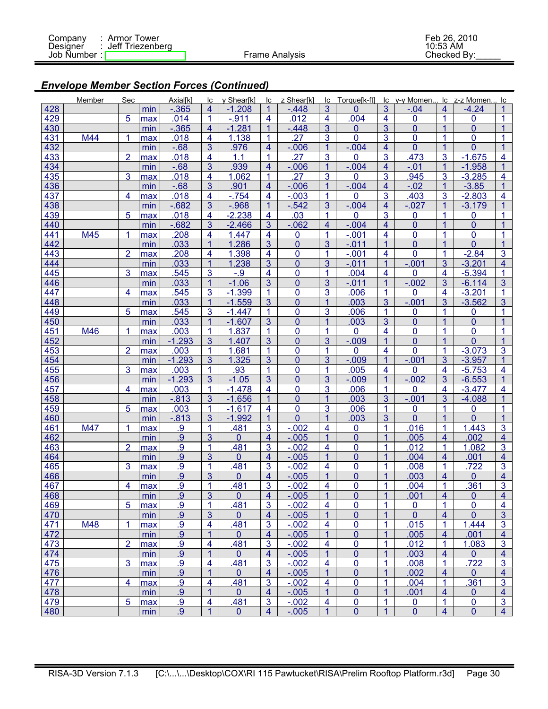| Company     | : Armor Tower :    |                       | Feb 26, 2 |
|-------------|--------------------|-----------------------|-----------|
| Designer    | : Jeff Triezenberg |                       | 10:53 AM  |
| Job Number: |                    | <b>Frame Analysis</b> | Checked   |

| 428<br>$-0.365$<br>1<br>3<br>4<br>$-1.208$<br>$-.448$<br>1<br>min<br>0<br>$-.04$<br>4<br>$-4.24$<br>5<br>429<br>.014<br>$-0.911$<br>4<br>.012<br>4<br>.004<br>$\overline{4}$<br>$\pmb{0}$<br>1<br>1<br>$\mathbf 0$<br>1<br>max<br>3<br>3<br>430<br>$-0.365$<br>$-1.281$<br>$\blacktriangleleft$<br>$-.448$<br>$\mathbf{0}$<br>$\blacktriangleleft$<br>min<br>4<br>0<br>1<br>$\Omega$<br>3<br>431<br>M44<br>4<br>1.138<br>1<br>.27<br>3<br>0<br>0<br>1<br>1<br>.018<br>0<br>1<br>max<br>3<br>432<br>$-0.68$<br>.976<br>$\overline{4}$<br>$-0.006$<br>$\overline{1}$<br>$-.004$<br>$\Omega$<br>1<br>$\Omega$<br>1<br>4<br>min<br>$\overline{2}$<br>3<br>3<br>$\mathbf{3}$<br>433<br>1.1<br>1<br>27<br>.473<br>$-1.675$<br>.018<br>4<br>0<br>4<br>max<br>3<br>434<br>.939<br>$\overline{4}$<br>$-0.06$<br>$-.004$<br>$\overline{4}$<br>$-.01$<br>$\mathbf{1}$<br>$-1.958$<br>min<br>$-0.68$<br>1<br>$\mathbf{1}$<br>435<br>3<br>.27<br>3<br>3<br>.945<br>3<br>.018<br>4<br>1.062<br>1<br>$-3.285$<br>4<br>0<br>max<br>3<br>$-0.006$<br>436<br>$-0.68$<br>.901<br>$\overline{4}$<br>1<br>$-.004$<br>$-.02$<br>$\mathbf 1$<br>$-3.85$<br>min<br>4<br>1<br>3<br>3<br>437<br>4<br>.018<br>$-0.754$<br>$-.003$<br>1<br>403<br>$-2.803$<br>$\overline{4}$<br>4<br>4<br>0<br>max<br>3<br>3<br>$\overline{1}$<br>438<br>$-0.682$<br>$-0.968$<br>1<br>$-0.542$<br>$-.004$<br>$-0.027$<br>$-3.179$<br>$\mathbf{1}$<br>$\overline{4}$<br>min<br>5<br>3<br>439<br>$-2.238$<br>4<br>.03<br>$\mathbf 0$<br>$\pmb{0}$<br>.018<br>4<br>1<br>1<br>$\bf{0}$<br>1<br>max<br>3<br>3<br>$-0.062$<br>440<br>$-682$<br>$-2.466$<br>4<br>$-.004$<br>$\overline{4}$<br>$\mathbf{0}$<br>1<br>min<br>1<br>$\Omega$<br>M45<br>4<br>1.447<br>4<br>$-.001$<br>0<br>1<br>441<br>1<br>.208<br>0<br>1<br>4<br>0<br>1<br>max<br>1.286<br>3<br>442<br>.033<br>3<br>$\overline{0}$<br>$\Omega$<br>1<br>$\Omega$<br>1<br>1<br>$-.011$<br>1<br>min<br>$\overline{0}$<br>1<br>$\mathbf{3}$<br>443<br>2<br>$\overline{4}$<br>$\mathbf{0}$<br>1<br>$-2.84$<br>.208<br>4<br>1.398<br>4<br>$-.001$<br>max<br>3<br>3<br>3<br>444<br>1.238<br>$\Omega$<br>$-.001$<br>$-3.201$<br>$\overline{4}$<br>.033<br>$\mathbf{1}$<br>$-.011$<br>$\mathbf{1}$<br>min<br>445<br>3<br>3<br>$-5.394$<br>545<br>$-0.9$<br>4<br>0<br>1<br>.004<br>4<br>$\mathbf{0}$<br>4<br>1<br>max<br>3<br>3<br>$-0.002$<br>3<br>3<br>.033<br>$\mathbf 1$<br>$-1.06$<br>$\mathbf{0}$<br>$-.011$<br>$-6.114$<br>446<br>min<br>1<br>$-1.399$<br>3<br>447<br>4<br>545<br>3<br>$\mathbf{0}$<br>.006<br>1<br>$\mathbf 0$<br>4<br>$-3.201$<br>1<br>1<br>max<br>448<br>$\mathbf{3}$<br>$\overline{0}$<br>$\overline{1}$<br>$\overline{3}$<br>$-.001$<br>3<br>$\mathbf{3}$<br>.033<br>1<br>$-1.559$<br>.003<br>$-3.562$<br>min<br>449<br>5<br>3<br>3<br>.545<br>$-1.447$<br>$\mathbf{0}$<br>1<br>.006<br>1<br>$\mathbf 0$<br>1<br>$\mathbf 0$<br>1<br>max<br>$-1.607$<br>3<br>3<br>450<br>.033<br>$\blacktriangleleft$<br>$\mathbf{0}$<br>1<br>.003<br>$\mathbf{0}$<br>1<br>$\mathbf 1$<br>min<br>$\mathbf{0}$<br>451<br>M46<br>.003<br>1<br>1.837<br>1<br>0<br>1<br>4<br>0<br>1<br>1<br>0<br>0<br>1<br>max<br>3<br>452<br>$-1.293$<br>3<br>1.407<br>3<br>$\Omega$<br>$-.009$<br>$\overline{0}$<br>1<br>$\Omega$<br>1<br>1<br>min<br>$\overline{2}$<br>1<br>1<br>1<br>$\mathbf{3}$<br>453<br>1<br>1.681<br>$\mathbf{0}$<br>$\mathbf 0$<br>$-3.073$<br>.003<br>$\mathbf{0}$<br>4<br>max<br>3<br>3<br>3<br>3<br>454<br>$-1.293$<br>1.325<br>$\Omega$<br>$-.009$<br>$-.001$<br>$-3.957$<br>1<br>$\mathbf{1}$<br>min<br>3<br>.93<br>455<br>003<br>1<br>1<br>0<br>1<br>.005<br>4<br>$\mathbf{0}$<br>4<br>$-5.753$<br>4<br>max<br>3<br>3<br>3<br>$-0.002$<br>3<br>456<br>$-1.293$<br>$-1.05$<br>$\mathbf{0}$<br>$-0.09$<br>$-6.553$<br>min<br>1<br>1<br>457<br>3<br>4<br>.003<br>1<br>$-1.478$<br>$\mathbf{0}$<br>.006<br>1<br>$\mathbf 0$<br>4<br>4<br>$-3.477$<br>4<br>max<br>458<br>3<br>$\mathbf{1}$<br>$\overline{0}$<br>$\overline{1}$<br>$\overline{3}$<br>$-.001$<br>3<br>$-0.813$<br>$-1.656$<br>.003<br>$\mathbf{1}$<br>$-4.088$<br>min<br>459<br>5<br>3<br>$\overline{4}$<br>0<br>$\mathbf 0$<br>.003<br>1<br>$-1.617$<br>.006<br>1<br>1<br>$\mathbf 0$<br>1<br>max<br>3<br>$-1.992$<br>3<br>460<br>$-0.813$<br>$\mathbf 1$<br>$\mathbf{0}$<br>1<br>.003<br>$\mathbf{0}$<br>1<br>$\Omega$<br>1<br>min<br>$\mathbf{3}$<br>3<br>$-0.002$<br>.016<br>461<br>M47<br>1<br>1<br>.481<br>4<br>1<br>1.443<br><u>.9</u><br><u>0</u><br>1<br>max<br>3<br>462<br>$-.005$<br>$\overline{1}$<br>$\overline{0}$<br>1<br>.005<br>$\overline{4}$<br>.002<br>$\overline{4}$<br>min<br>.9<br>$\mathbf{0}$<br>$\overline{4}$<br>$\overline{2}$<br>3<br>1<br>1<br>$\mathbf{3}$<br>463<br>.9<br>1<br>.481<br>4<br>$\mathbf 0$<br>.012<br>$-.002$<br>1.082<br>max<br>3<br>$\overline{4}$<br>464<br>.9<br>$\overline{4}$<br>$-.005$<br>$\overline{1}$<br>$\overline{0}$<br>.004<br>$\overline{4}$<br>min<br>$\mathbf{0}$<br>1<br>.001<br>3<br>3<br>3<br>465<br>.9<br>1<br>.481<br>$-0.002$<br>4<br>0<br>1<br>800.<br>1.<br>722<br>max<br>3<br>$\overline{4}$<br>466<br>.9<br>$\overline{4}$<br>$-.005$<br>1<br>0<br>1<br>.003<br>4<br>min<br>0<br>$\bf{0}$<br>$\overline{3}$<br>467<br>4<br>.9<br>1<br>481<br>3<br>$-0.002$<br>4<br>0<br>1<br>.004<br>1<br>361<br>max<br>3<br>$\overline{4}$<br>468<br>$\overline{4}$<br>$\overline{1}$<br>$\overline{0}$<br>$\overline{1}$<br>$\overline{4}$<br>min<br>.9<br>$\mathbf 0$<br>$-.005$<br><u>.001</u><br>$\overline{0}$<br>5<br>.9<br>3<br>4<br>1<br>$\overline{\mathbf{4}}$<br>469<br>1<br>.481<br>$-.002$<br>0<br>1<br>$\mathbf 0$<br>$\mathbf{0}$<br>max<br>3<br>$-.005$<br>$\overline{3}$<br>470<br>min<br>.9<br>$\overline{4}$<br>1<br>$\mathbf{0}$<br>$\overline{4}$<br>$\overline{0}$<br>1<br>0<br>$\Omega$<br>1.444<br>M48<br>.9<br>4<br>.481<br>3<br>$-.002$<br>$\overline{0}$<br>.015<br>$\mathbf 1$<br>$\overline{3}$<br>471<br>1<br>$\overline{4}$<br>1<br>max<br>.9<br>$-.005$<br>$\overline{1}$<br>$\overline{0}$<br>$\overline{1}$<br>472<br>1<br>$\overline{0}$<br>$\overline{4}$<br>.005<br>$\overline{4}$<br>.001<br>$\overline{4}$<br>min<br>$\overline{2}$<br>$\mathbf{1}$<br>.9<br>3<br>$-.002$<br>$\mathbf 0$<br>1<br>$\overline{3}$<br>473<br>4<br>.481<br>4<br>.012<br>1.083<br>max<br>$-.005$<br>$\overline{0}$<br>$\overline{4}$<br>$\overline{4}$<br>474<br>.9<br>$\mathbf{1}$<br>$\overline{4}$<br>$\overline{1}$<br>$\overline{1}$<br>.003<br>min<br>$\mathbf{0}$<br>$\mathbf{0}$<br>475<br>3<br>.9<br>3<br>$-0.002$<br>$\bf{0}$<br>1<br>722<br>$\overline{3}$<br>4<br>.481<br>4<br>1<br>.008<br>max<br>.9<br>$-.005$<br>0<br>.002<br>$\overline{4}$<br>$\overline{4}$<br>476<br>1<br>4<br>1<br>1<br>min<br>$\mathbf{0}$<br>0<br>0<br>$\mathbf{1}$<br>$\overline{3}$<br>477<br>.9<br>4<br>481<br>3<br>$-0.002$<br>1<br>.004<br>361<br>4<br>4<br>max<br>.9<br>$\overline{1}$<br>$\overline{1}$<br>$\overline{0}$<br>$\overline{1}$<br>$\overline{4}$<br>$\overline{4}$<br>478<br>$\overline{4}$<br>$-.005$<br>.001<br>min<br>$\mathbf{0}$<br>$\mathbf{0}$<br>5<br>3<br>$\overline{3}$<br>479<br>.9<br>4<br>.481<br>$-.002$<br>4<br>$\overline{0}$<br>1<br>1<br>$\pmb{0}$<br>$\overline{0}$<br>max<br>480<br>.9<br>0<br>1<br>$\overline{4}$<br>$\overline{4}$<br>1<br>$\overline{4}$<br>$-.005$<br>1<br>$\mathbf{0}$<br>$\mathbf{0}$<br>min<br>$\overline{0}$ | <b>Member</b> | Sec | Axial[k] | lc. | v Shear[k] | z Shear[k]<br>lс |  | Ic Torque[k-ft] Ic y-y Momen Ic z-z Momen Ic |                |  |  |
|--------------------------------------------------------------------------------------------------------------------------------------------------------------------------------------------------------------------------------------------------------------------------------------------------------------------------------------------------------------------------------------------------------------------------------------------------------------------------------------------------------------------------------------------------------------------------------------------------------------------------------------------------------------------------------------------------------------------------------------------------------------------------------------------------------------------------------------------------------------------------------------------------------------------------------------------------------------------------------------------------------------------------------------------------------------------------------------------------------------------------------------------------------------------------------------------------------------------------------------------------------------------------------------------------------------------------------------------------------------------------------------------------------------------------------------------------------------------------------------------------------------------------------------------------------------------------------------------------------------------------------------------------------------------------------------------------------------------------------------------------------------------------------------------------------------------------------------------------------------------------------------------------------------------------------------------------------------------------------------------------------------------------------------------------------------------------------------------------------------------------------------------------------------------------------------------------------------------------------------------------------------------------------------------------------------------------------------------------------------------------------------------------------------------------------------------------------------------------------------------------------------------------------------------------------------------------------------------------------------------------------------------------------------------------------------------------------------------------------------------------------------------------------------------------------------------------------------------------------------------------------------------------------------------------------------------------------------------------------------------------------------------------------------------------------------------------------------------------------------------------------------------------------------------------------------------------------------------------------------------------------------------------------------------------------------------------------------------------------------------------------------------------------------------------------------------------------------------------------------------------------------------------------------------------------------------------------------------------------------------------------------------------------------------------------------------------------------------------------------------------------------------------------------------------------------------------------------------------------------------------------------------------------------------------------------------------------------------------------------------------------------------------------------------------------------------------------------------------------------------------------------------------------------------------------------------------------------------------------------------------------------------------------------------------------------------------------------------------------------------------------------------------------------------------------------------------------------------------------------------------------------------------------------------------------------------------------------------------------------------------------------------------------------------------------------------------------------------------------------------------------------------------------------------------------------------------------------------------------------------------------------------------------------------------------------------------------------------------------------------------------------------------------------------------------------------------------------------------------------------------------------------------------------------------------------------------------------------------------------------------------------------------------------------------------------------------------------------------------------------------------------------------------------------------------------------------------------------------------------------------------------------------------------------------------------------------------------------------------------------------------------------------------------------------------------------------------------------------------------------------------------------------------------------------------------------------------------------------------------------------------------------------------------------------------------------------------------------------------------------------------------------------------------------------------------------------------------------------------------------------------------------------------------------------------------------------------------------------------------------------------------------------------------------------------------------------------------------------------------------------------------------------------------------------------------------------------------------------------------------------------------------------------------------------------------------------------------------------------------------------------------------------------------------------------------------------------------------------------------------------------------------------------------------------------------------------------------------------------------------------------------------------------------------------------------------------------------------------------------------------------------------------------------------------------------------------------------------------------------------------------------------------------------------------------------------------------------------------------------------------------------------------------------------------------------------------------|---------------|-----|----------|-----|------------|------------------|--|----------------------------------------------|----------------|--|--|
|                                                                                                                                                                                                                                                                                                                                                                                                                                                                                                                                                                                                                                                                                                                                                                                                                                                                                                                                                                                                                                                                                                                                                                                                                                                                                                                                                                                                                                                                                                                                                                                                                                                                                                                                                                                                                                                                                                                                                                                                                                                                                                                                                                                                                                                                                                                                                                                                                                                                                                                                                                                                                                                                                                                                                                                                                                                                                                                                                                                                                                                                                                                                                                                                                                                                                                                                                                                                                                                                                                                                                                                                                                                                                                                                                                                                                                                                                                                                                                                                                                                                                                                                                                                                                                                                                                                                                                                                                                                                                                                                                                                                                                                                                                                                                                                                                                                                                                                                                                                                                                                                                                                                                                                                                                                                                                                                                                                                                                                                                                                                                                                                                                                                                                                                                                                                                                                                                                                                                                                                                                                                                                                                                                                                                                                                                                                                                                                                                                                                                                                                                                                                                                                                                                                                                                                                                                                                                                                                                                                                                                                                                                                                                                                                                                                                                                                                |               |     |          |     |            |                  |  |                                              | $\overline{3}$ |  |  |
|                                                                                                                                                                                                                                                                                                                                                                                                                                                                                                                                                                                                                                                                                                                                                                                                                                                                                                                                                                                                                                                                                                                                                                                                                                                                                                                                                                                                                                                                                                                                                                                                                                                                                                                                                                                                                                                                                                                                                                                                                                                                                                                                                                                                                                                                                                                                                                                                                                                                                                                                                                                                                                                                                                                                                                                                                                                                                                                                                                                                                                                                                                                                                                                                                                                                                                                                                                                                                                                                                                                                                                                                                                                                                                                                                                                                                                                                                                                                                                                                                                                                                                                                                                                                                                                                                                                                                                                                                                                                                                                                                                                                                                                                                                                                                                                                                                                                                                                                                                                                                                                                                                                                                                                                                                                                                                                                                                                                                                                                                                                                                                                                                                                                                                                                                                                                                                                                                                                                                                                                                                                                                                                                                                                                                                                                                                                                                                                                                                                                                                                                                                                                                                                                                                                                                                                                                                                                                                                                                                                                                                                                                                                                                                                                                                                                                                                                |               |     |          |     |            |                  |  |                                              |                |  |  |
|                                                                                                                                                                                                                                                                                                                                                                                                                                                                                                                                                                                                                                                                                                                                                                                                                                                                                                                                                                                                                                                                                                                                                                                                                                                                                                                                                                                                                                                                                                                                                                                                                                                                                                                                                                                                                                                                                                                                                                                                                                                                                                                                                                                                                                                                                                                                                                                                                                                                                                                                                                                                                                                                                                                                                                                                                                                                                                                                                                                                                                                                                                                                                                                                                                                                                                                                                                                                                                                                                                                                                                                                                                                                                                                                                                                                                                                                                                                                                                                                                                                                                                                                                                                                                                                                                                                                                                                                                                                                                                                                                                                                                                                                                                                                                                                                                                                                                                                                                                                                                                                                                                                                                                                                                                                                                                                                                                                                                                                                                                                                                                                                                                                                                                                                                                                                                                                                                                                                                                                                                                                                                                                                                                                                                                                                                                                                                                                                                                                                                                                                                                                                                                                                                                                                                                                                                                                                                                                                                                                                                                                                                                                                                                                                                                                                                                                                |               |     |          |     |            |                  |  |                                              |                |  |  |
|                                                                                                                                                                                                                                                                                                                                                                                                                                                                                                                                                                                                                                                                                                                                                                                                                                                                                                                                                                                                                                                                                                                                                                                                                                                                                                                                                                                                                                                                                                                                                                                                                                                                                                                                                                                                                                                                                                                                                                                                                                                                                                                                                                                                                                                                                                                                                                                                                                                                                                                                                                                                                                                                                                                                                                                                                                                                                                                                                                                                                                                                                                                                                                                                                                                                                                                                                                                                                                                                                                                                                                                                                                                                                                                                                                                                                                                                                                                                                                                                                                                                                                                                                                                                                                                                                                                                                                                                                                                                                                                                                                                                                                                                                                                                                                                                                                                                                                                                                                                                                                                                                                                                                                                                                                                                                                                                                                                                                                                                                                                                                                                                                                                                                                                                                                                                                                                                                                                                                                                                                                                                                                                                                                                                                                                                                                                                                                                                                                                                                                                                                                                                                                                                                                                                                                                                                                                                                                                                                                                                                                                                                                                                                                                                                                                                                                                                |               |     |          |     |            |                  |  |                                              |                |  |  |
|                                                                                                                                                                                                                                                                                                                                                                                                                                                                                                                                                                                                                                                                                                                                                                                                                                                                                                                                                                                                                                                                                                                                                                                                                                                                                                                                                                                                                                                                                                                                                                                                                                                                                                                                                                                                                                                                                                                                                                                                                                                                                                                                                                                                                                                                                                                                                                                                                                                                                                                                                                                                                                                                                                                                                                                                                                                                                                                                                                                                                                                                                                                                                                                                                                                                                                                                                                                                                                                                                                                                                                                                                                                                                                                                                                                                                                                                                                                                                                                                                                                                                                                                                                                                                                                                                                                                                                                                                                                                                                                                                                                                                                                                                                                                                                                                                                                                                                                                                                                                                                                                                                                                                                                                                                                                                                                                                                                                                                                                                                                                                                                                                                                                                                                                                                                                                                                                                                                                                                                                                                                                                                                                                                                                                                                                                                                                                                                                                                                                                                                                                                                                                                                                                                                                                                                                                                                                                                                                                                                                                                                                                                                                                                                                                                                                                                                                |               |     |          |     |            |                  |  |                                              |                |  |  |
|                                                                                                                                                                                                                                                                                                                                                                                                                                                                                                                                                                                                                                                                                                                                                                                                                                                                                                                                                                                                                                                                                                                                                                                                                                                                                                                                                                                                                                                                                                                                                                                                                                                                                                                                                                                                                                                                                                                                                                                                                                                                                                                                                                                                                                                                                                                                                                                                                                                                                                                                                                                                                                                                                                                                                                                                                                                                                                                                                                                                                                                                                                                                                                                                                                                                                                                                                                                                                                                                                                                                                                                                                                                                                                                                                                                                                                                                                                                                                                                                                                                                                                                                                                                                                                                                                                                                                                                                                                                                                                                                                                                                                                                                                                                                                                                                                                                                                                                                                                                                                                                                                                                                                                                                                                                                                                                                                                                                                                                                                                                                                                                                                                                                                                                                                                                                                                                                                                                                                                                                                                                                                                                                                                                                                                                                                                                                                                                                                                                                                                                                                                                                                                                                                                                                                                                                                                                                                                                                                                                                                                                                                                                                                                                                                                                                                                                                |               |     |          |     |            |                  |  |                                              |                |  |  |
|                                                                                                                                                                                                                                                                                                                                                                                                                                                                                                                                                                                                                                                                                                                                                                                                                                                                                                                                                                                                                                                                                                                                                                                                                                                                                                                                                                                                                                                                                                                                                                                                                                                                                                                                                                                                                                                                                                                                                                                                                                                                                                                                                                                                                                                                                                                                                                                                                                                                                                                                                                                                                                                                                                                                                                                                                                                                                                                                                                                                                                                                                                                                                                                                                                                                                                                                                                                                                                                                                                                                                                                                                                                                                                                                                                                                                                                                                                                                                                                                                                                                                                                                                                                                                                                                                                                                                                                                                                                                                                                                                                                                                                                                                                                                                                                                                                                                                                                                                                                                                                                                                                                                                                                                                                                                                                                                                                                                                                                                                                                                                                                                                                                                                                                                                                                                                                                                                                                                                                                                                                                                                                                                                                                                                                                                                                                                                                                                                                                                                                                                                                                                                                                                                                                                                                                                                                                                                                                                                                                                                                                                                                                                                                                                                                                                                                                                |               |     |          |     |            |                  |  |                                              |                |  |  |
|                                                                                                                                                                                                                                                                                                                                                                                                                                                                                                                                                                                                                                                                                                                                                                                                                                                                                                                                                                                                                                                                                                                                                                                                                                                                                                                                                                                                                                                                                                                                                                                                                                                                                                                                                                                                                                                                                                                                                                                                                                                                                                                                                                                                                                                                                                                                                                                                                                                                                                                                                                                                                                                                                                                                                                                                                                                                                                                                                                                                                                                                                                                                                                                                                                                                                                                                                                                                                                                                                                                                                                                                                                                                                                                                                                                                                                                                                                                                                                                                                                                                                                                                                                                                                                                                                                                                                                                                                                                                                                                                                                                                                                                                                                                                                                                                                                                                                                                                                                                                                                                                                                                                                                                                                                                                                                                                                                                                                                                                                                                                                                                                                                                                                                                                                                                                                                                                                                                                                                                                                                                                                                                                                                                                                                                                                                                                                                                                                                                                                                                                                                                                                                                                                                                                                                                                                                                                                                                                                                                                                                                                                                                                                                                                                                                                                                                                |               |     |          |     |            |                  |  |                                              |                |  |  |
|                                                                                                                                                                                                                                                                                                                                                                                                                                                                                                                                                                                                                                                                                                                                                                                                                                                                                                                                                                                                                                                                                                                                                                                                                                                                                                                                                                                                                                                                                                                                                                                                                                                                                                                                                                                                                                                                                                                                                                                                                                                                                                                                                                                                                                                                                                                                                                                                                                                                                                                                                                                                                                                                                                                                                                                                                                                                                                                                                                                                                                                                                                                                                                                                                                                                                                                                                                                                                                                                                                                                                                                                                                                                                                                                                                                                                                                                                                                                                                                                                                                                                                                                                                                                                                                                                                                                                                                                                                                                                                                                                                                                                                                                                                                                                                                                                                                                                                                                                                                                                                                                                                                                                                                                                                                                                                                                                                                                                                                                                                                                                                                                                                                                                                                                                                                                                                                                                                                                                                                                                                                                                                                                                                                                                                                                                                                                                                                                                                                                                                                                                                                                                                                                                                                                                                                                                                                                                                                                                                                                                                                                                                                                                                                                                                                                                                                                |               |     |          |     |            |                  |  |                                              |                |  |  |
|                                                                                                                                                                                                                                                                                                                                                                                                                                                                                                                                                                                                                                                                                                                                                                                                                                                                                                                                                                                                                                                                                                                                                                                                                                                                                                                                                                                                                                                                                                                                                                                                                                                                                                                                                                                                                                                                                                                                                                                                                                                                                                                                                                                                                                                                                                                                                                                                                                                                                                                                                                                                                                                                                                                                                                                                                                                                                                                                                                                                                                                                                                                                                                                                                                                                                                                                                                                                                                                                                                                                                                                                                                                                                                                                                                                                                                                                                                                                                                                                                                                                                                                                                                                                                                                                                                                                                                                                                                                                                                                                                                                                                                                                                                                                                                                                                                                                                                                                                                                                                                                                                                                                                                                                                                                                                                                                                                                                                                                                                                                                                                                                                                                                                                                                                                                                                                                                                                                                                                                                                                                                                                                                                                                                                                                                                                                                                                                                                                                                                                                                                                                                                                                                                                                                                                                                                                                                                                                                                                                                                                                                                                                                                                                                                                                                                                                                |               |     |          |     |            |                  |  |                                              |                |  |  |
|                                                                                                                                                                                                                                                                                                                                                                                                                                                                                                                                                                                                                                                                                                                                                                                                                                                                                                                                                                                                                                                                                                                                                                                                                                                                                                                                                                                                                                                                                                                                                                                                                                                                                                                                                                                                                                                                                                                                                                                                                                                                                                                                                                                                                                                                                                                                                                                                                                                                                                                                                                                                                                                                                                                                                                                                                                                                                                                                                                                                                                                                                                                                                                                                                                                                                                                                                                                                                                                                                                                                                                                                                                                                                                                                                                                                                                                                                                                                                                                                                                                                                                                                                                                                                                                                                                                                                                                                                                                                                                                                                                                                                                                                                                                                                                                                                                                                                                                                                                                                                                                                                                                                                                                                                                                                                                                                                                                                                                                                                                                                                                                                                                                                                                                                                                                                                                                                                                                                                                                                                                                                                                                                                                                                                                                                                                                                                                                                                                                                                                                                                                                                                                                                                                                                                                                                                                                                                                                                                                                                                                                                                                                                                                                                                                                                                                                                |               |     |          |     |            |                  |  |                                              |                |  |  |
|                                                                                                                                                                                                                                                                                                                                                                                                                                                                                                                                                                                                                                                                                                                                                                                                                                                                                                                                                                                                                                                                                                                                                                                                                                                                                                                                                                                                                                                                                                                                                                                                                                                                                                                                                                                                                                                                                                                                                                                                                                                                                                                                                                                                                                                                                                                                                                                                                                                                                                                                                                                                                                                                                                                                                                                                                                                                                                                                                                                                                                                                                                                                                                                                                                                                                                                                                                                                                                                                                                                                                                                                                                                                                                                                                                                                                                                                                                                                                                                                                                                                                                                                                                                                                                                                                                                                                                                                                                                                                                                                                                                                                                                                                                                                                                                                                                                                                                                                                                                                                                                                                                                                                                                                                                                                                                                                                                                                                                                                                                                                                                                                                                                                                                                                                                                                                                                                                                                                                                                                                                                                                                                                                                                                                                                                                                                                                                                                                                                                                                                                                                                                                                                                                                                                                                                                                                                                                                                                                                                                                                                                                                                                                                                                                                                                                                                                |               |     |          |     |            |                  |  |                                              |                |  |  |
|                                                                                                                                                                                                                                                                                                                                                                                                                                                                                                                                                                                                                                                                                                                                                                                                                                                                                                                                                                                                                                                                                                                                                                                                                                                                                                                                                                                                                                                                                                                                                                                                                                                                                                                                                                                                                                                                                                                                                                                                                                                                                                                                                                                                                                                                                                                                                                                                                                                                                                                                                                                                                                                                                                                                                                                                                                                                                                                                                                                                                                                                                                                                                                                                                                                                                                                                                                                                                                                                                                                                                                                                                                                                                                                                                                                                                                                                                                                                                                                                                                                                                                                                                                                                                                                                                                                                                                                                                                                                                                                                                                                                                                                                                                                                                                                                                                                                                                                                                                                                                                                                                                                                                                                                                                                                                                                                                                                                                                                                                                                                                                                                                                                                                                                                                                                                                                                                                                                                                                                                                                                                                                                                                                                                                                                                                                                                                                                                                                                                                                                                                                                                                                                                                                                                                                                                                                                                                                                                                                                                                                                                                                                                                                                                                                                                                                                                |               |     |          |     |            |                  |  |                                              |                |  |  |
|                                                                                                                                                                                                                                                                                                                                                                                                                                                                                                                                                                                                                                                                                                                                                                                                                                                                                                                                                                                                                                                                                                                                                                                                                                                                                                                                                                                                                                                                                                                                                                                                                                                                                                                                                                                                                                                                                                                                                                                                                                                                                                                                                                                                                                                                                                                                                                                                                                                                                                                                                                                                                                                                                                                                                                                                                                                                                                                                                                                                                                                                                                                                                                                                                                                                                                                                                                                                                                                                                                                                                                                                                                                                                                                                                                                                                                                                                                                                                                                                                                                                                                                                                                                                                                                                                                                                                                                                                                                                                                                                                                                                                                                                                                                                                                                                                                                                                                                                                                                                                                                                                                                                                                                                                                                                                                                                                                                                                                                                                                                                                                                                                                                                                                                                                                                                                                                                                                                                                                                                                                                                                                                                                                                                                                                                                                                                                                                                                                                                                                                                                                                                                                                                                                                                                                                                                                                                                                                                                                                                                                                                                                                                                                                                                                                                                                                                |               |     |          |     |            |                  |  |                                              |                |  |  |
|                                                                                                                                                                                                                                                                                                                                                                                                                                                                                                                                                                                                                                                                                                                                                                                                                                                                                                                                                                                                                                                                                                                                                                                                                                                                                                                                                                                                                                                                                                                                                                                                                                                                                                                                                                                                                                                                                                                                                                                                                                                                                                                                                                                                                                                                                                                                                                                                                                                                                                                                                                                                                                                                                                                                                                                                                                                                                                                                                                                                                                                                                                                                                                                                                                                                                                                                                                                                                                                                                                                                                                                                                                                                                                                                                                                                                                                                                                                                                                                                                                                                                                                                                                                                                                                                                                                                                                                                                                                                                                                                                                                                                                                                                                                                                                                                                                                                                                                                                                                                                                                                                                                                                                                                                                                                                                                                                                                                                                                                                                                                                                                                                                                                                                                                                                                                                                                                                                                                                                                                                                                                                                                                                                                                                                                                                                                                                                                                                                                                                                                                                                                                                                                                                                                                                                                                                                                                                                                                                                                                                                                                                                                                                                                                                                                                                                                                |               |     |          |     |            |                  |  |                                              |                |  |  |
|                                                                                                                                                                                                                                                                                                                                                                                                                                                                                                                                                                                                                                                                                                                                                                                                                                                                                                                                                                                                                                                                                                                                                                                                                                                                                                                                                                                                                                                                                                                                                                                                                                                                                                                                                                                                                                                                                                                                                                                                                                                                                                                                                                                                                                                                                                                                                                                                                                                                                                                                                                                                                                                                                                                                                                                                                                                                                                                                                                                                                                                                                                                                                                                                                                                                                                                                                                                                                                                                                                                                                                                                                                                                                                                                                                                                                                                                                                                                                                                                                                                                                                                                                                                                                                                                                                                                                                                                                                                                                                                                                                                                                                                                                                                                                                                                                                                                                                                                                                                                                                                                                                                                                                                                                                                                                                                                                                                                                                                                                                                                                                                                                                                                                                                                                                                                                                                                                                                                                                                                                                                                                                                                                                                                                                                                                                                                                                                                                                                                                                                                                                                                                                                                                                                                                                                                                                                                                                                                                                                                                                                                                                                                                                                                                                                                                                                                |               |     |          |     |            |                  |  |                                              |                |  |  |
|                                                                                                                                                                                                                                                                                                                                                                                                                                                                                                                                                                                                                                                                                                                                                                                                                                                                                                                                                                                                                                                                                                                                                                                                                                                                                                                                                                                                                                                                                                                                                                                                                                                                                                                                                                                                                                                                                                                                                                                                                                                                                                                                                                                                                                                                                                                                                                                                                                                                                                                                                                                                                                                                                                                                                                                                                                                                                                                                                                                                                                                                                                                                                                                                                                                                                                                                                                                                                                                                                                                                                                                                                                                                                                                                                                                                                                                                                                                                                                                                                                                                                                                                                                                                                                                                                                                                                                                                                                                                                                                                                                                                                                                                                                                                                                                                                                                                                                                                                                                                                                                                                                                                                                                                                                                                                                                                                                                                                                                                                                                                                                                                                                                                                                                                                                                                                                                                                                                                                                                                                                                                                                                                                                                                                                                                                                                                                                                                                                                                                                                                                                                                                                                                                                                                                                                                                                                                                                                                                                                                                                                                                                                                                                                                                                                                                                                                |               |     |          |     |            |                  |  |                                              |                |  |  |
|                                                                                                                                                                                                                                                                                                                                                                                                                                                                                                                                                                                                                                                                                                                                                                                                                                                                                                                                                                                                                                                                                                                                                                                                                                                                                                                                                                                                                                                                                                                                                                                                                                                                                                                                                                                                                                                                                                                                                                                                                                                                                                                                                                                                                                                                                                                                                                                                                                                                                                                                                                                                                                                                                                                                                                                                                                                                                                                                                                                                                                                                                                                                                                                                                                                                                                                                                                                                                                                                                                                                                                                                                                                                                                                                                                                                                                                                                                                                                                                                                                                                                                                                                                                                                                                                                                                                                                                                                                                                                                                                                                                                                                                                                                                                                                                                                                                                                                                                                                                                                                                                                                                                                                                                                                                                                                                                                                                                                                                                                                                                                                                                                                                                                                                                                                                                                                                                                                                                                                                                                                                                                                                                                                                                                                                                                                                                                                                                                                                                                                                                                                                                                                                                                                                                                                                                                                                                                                                                                                                                                                                                                                                                                                                                                                                                                                                                |               |     |          |     |            |                  |  |                                              |                |  |  |
|                                                                                                                                                                                                                                                                                                                                                                                                                                                                                                                                                                                                                                                                                                                                                                                                                                                                                                                                                                                                                                                                                                                                                                                                                                                                                                                                                                                                                                                                                                                                                                                                                                                                                                                                                                                                                                                                                                                                                                                                                                                                                                                                                                                                                                                                                                                                                                                                                                                                                                                                                                                                                                                                                                                                                                                                                                                                                                                                                                                                                                                                                                                                                                                                                                                                                                                                                                                                                                                                                                                                                                                                                                                                                                                                                                                                                                                                                                                                                                                                                                                                                                                                                                                                                                                                                                                                                                                                                                                                                                                                                                                                                                                                                                                                                                                                                                                                                                                                                                                                                                                                                                                                                                                                                                                                                                                                                                                                                                                                                                                                                                                                                                                                                                                                                                                                                                                                                                                                                                                                                                                                                                                                                                                                                                                                                                                                                                                                                                                                                                                                                                                                                                                                                                                                                                                                                                                                                                                                                                                                                                                                                                                                                                                                                                                                                                                                |               |     |          |     |            |                  |  |                                              |                |  |  |
|                                                                                                                                                                                                                                                                                                                                                                                                                                                                                                                                                                                                                                                                                                                                                                                                                                                                                                                                                                                                                                                                                                                                                                                                                                                                                                                                                                                                                                                                                                                                                                                                                                                                                                                                                                                                                                                                                                                                                                                                                                                                                                                                                                                                                                                                                                                                                                                                                                                                                                                                                                                                                                                                                                                                                                                                                                                                                                                                                                                                                                                                                                                                                                                                                                                                                                                                                                                                                                                                                                                                                                                                                                                                                                                                                                                                                                                                                                                                                                                                                                                                                                                                                                                                                                                                                                                                                                                                                                                                                                                                                                                                                                                                                                                                                                                                                                                                                                                                                                                                                                                                                                                                                                                                                                                                                                                                                                                                                                                                                                                                                                                                                                                                                                                                                                                                                                                                                                                                                                                                                                                                                                                                                                                                                                                                                                                                                                                                                                                                                                                                                                                                                                                                                                                                                                                                                                                                                                                                                                                                                                                                                                                                                                                                                                                                                                                                |               |     |          |     |            |                  |  |                                              |                |  |  |
|                                                                                                                                                                                                                                                                                                                                                                                                                                                                                                                                                                                                                                                                                                                                                                                                                                                                                                                                                                                                                                                                                                                                                                                                                                                                                                                                                                                                                                                                                                                                                                                                                                                                                                                                                                                                                                                                                                                                                                                                                                                                                                                                                                                                                                                                                                                                                                                                                                                                                                                                                                                                                                                                                                                                                                                                                                                                                                                                                                                                                                                                                                                                                                                                                                                                                                                                                                                                                                                                                                                                                                                                                                                                                                                                                                                                                                                                                                                                                                                                                                                                                                                                                                                                                                                                                                                                                                                                                                                                                                                                                                                                                                                                                                                                                                                                                                                                                                                                                                                                                                                                                                                                                                                                                                                                                                                                                                                                                                                                                                                                                                                                                                                                                                                                                                                                                                                                                                                                                                                                                                                                                                                                                                                                                                                                                                                                                                                                                                                                                                                                                                                                                                                                                                                                                                                                                                                                                                                                                                                                                                                                                                                                                                                                                                                                                                                                |               |     |          |     |            |                  |  |                                              |                |  |  |
|                                                                                                                                                                                                                                                                                                                                                                                                                                                                                                                                                                                                                                                                                                                                                                                                                                                                                                                                                                                                                                                                                                                                                                                                                                                                                                                                                                                                                                                                                                                                                                                                                                                                                                                                                                                                                                                                                                                                                                                                                                                                                                                                                                                                                                                                                                                                                                                                                                                                                                                                                                                                                                                                                                                                                                                                                                                                                                                                                                                                                                                                                                                                                                                                                                                                                                                                                                                                                                                                                                                                                                                                                                                                                                                                                                                                                                                                                                                                                                                                                                                                                                                                                                                                                                                                                                                                                                                                                                                                                                                                                                                                                                                                                                                                                                                                                                                                                                                                                                                                                                                                                                                                                                                                                                                                                                                                                                                                                                                                                                                                                                                                                                                                                                                                                                                                                                                                                                                                                                                                                                                                                                                                                                                                                                                                                                                                                                                                                                                                                                                                                                                                                                                                                                                                                                                                                                                                                                                                                                                                                                                                                                                                                                                                                                                                                                                                |               |     |          |     |            |                  |  |                                              |                |  |  |
|                                                                                                                                                                                                                                                                                                                                                                                                                                                                                                                                                                                                                                                                                                                                                                                                                                                                                                                                                                                                                                                                                                                                                                                                                                                                                                                                                                                                                                                                                                                                                                                                                                                                                                                                                                                                                                                                                                                                                                                                                                                                                                                                                                                                                                                                                                                                                                                                                                                                                                                                                                                                                                                                                                                                                                                                                                                                                                                                                                                                                                                                                                                                                                                                                                                                                                                                                                                                                                                                                                                                                                                                                                                                                                                                                                                                                                                                                                                                                                                                                                                                                                                                                                                                                                                                                                                                                                                                                                                                                                                                                                                                                                                                                                                                                                                                                                                                                                                                                                                                                                                                                                                                                                                                                                                                                                                                                                                                                                                                                                                                                                                                                                                                                                                                                                                                                                                                                                                                                                                                                                                                                                                                                                                                                                                                                                                                                                                                                                                                                                                                                                                                                                                                                                                                                                                                                                                                                                                                                                                                                                                                                                                                                                                                                                                                                                                                |               |     |          |     |            |                  |  |                                              |                |  |  |
|                                                                                                                                                                                                                                                                                                                                                                                                                                                                                                                                                                                                                                                                                                                                                                                                                                                                                                                                                                                                                                                                                                                                                                                                                                                                                                                                                                                                                                                                                                                                                                                                                                                                                                                                                                                                                                                                                                                                                                                                                                                                                                                                                                                                                                                                                                                                                                                                                                                                                                                                                                                                                                                                                                                                                                                                                                                                                                                                                                                                                                                                                                                                                                                                                                                                                                                                                                                                                                                                                                                                                                                                                                                                                                                                                                                                                                                                                                                                                                                                                                                                                                                                                                                                                                                                                                                                                                                                                                                                                                                                                                                                                                                                                                                                                                                                                                                                                                                                                                                                                                                                                                                                                                                                                                                                                                                                                                                                                                                                                                                                                                                                                                                                                                                                                                                                                                                                                                                                                                                                                                                                                                                                                                                                                                                                                                                                                                                                                                                                                                                                                                                                                                                                                                                                                                                                                                                                                                                                                                                                                                                                                                                                                                                                                                                                                                                                |               |     |          |     |            |                  |  |                                              |                |  |  |
|                                                                                                                                                                                                                                                                                                                                                                                                                                                                                                                                                                                                                                                                                                                                                                                                                                                                                                                                                                                                                                                                                                                                                                                                                                                                                                                                                                                                                                                                                                                                                                                                                                                                                                                                                                                                                                                                                                                                                                                                                                                                                                                                                                                                                                                                                                                                                                                                                                                                                                                                                                                                                                                                                                                                                                                                                                                                                                                                                                                                                                                                                                                                                                                                                                                                                                                                                                                                                                                                                                                                                                                                                                                                                                                                                                                                                                                                                                                                                                                                                                                                                                                                                                                                                                                                                                                                                                                                                                                                                                                                                                                                                                                                                                                                                                                                                                                                                                                                                                                                                                                                                                                                                                                                                                                                                                                                                                                                                                                                                                                                                                                                                                                                                                                                                                                                                                                                                                                                                                                                                                                                                                                                                                                                                                                                                                                                                                                                                                                                                                                                                                                                                                                                                                                                                                                                                                                                                                                                                                                                                                                                                                                                                                                                                                                                                                                                |               |     |          |     |            |                  |  |                                              |                |  |  |
|                                                                                                                                                                                                                                                                                                                                                                                                                                                                                                                                                                                                                                                                                                                                                                                                                                                                                                                                                                                                                                                                                                                                                                                                                                                                                                                                                                                                                                                                                                                                                                                                                                                                                                                                                                                                                                                                                                                                                                                                                                                                                                                                                                                                                                                                                                                                                                                                                                                                                                                                                                                                                                                                                                                                                                                                                                                                                                                                                                                                                                                                                                                                                                                                                                                                                                                                                                                                                                                                                                                                                                                                                                                                                                                                                                                                                                                                                                                                                                                                                                                                                                                                                                                                                                                                                                                                                                                                                                                                                                                                                                                                                                                                                                                                                                                                                                                                                                                                                                                                                                                                                                                                                                                                                                                                                                                                                                                                                                                                                                                                                                                                                                                                                                                                                                                                                                                                                                                                                                                                                                                                                                                                                                                                                                                                                                                                                                                                                                                                                                                                                                                                                                                                                                                                                                                                                                                                                                                                                                                                                                                                                                                                                                                                                                                                                                                                |               |     |          |     |            |                  |  |                                              |                |  |  |
|                                                                                                                                                                                                                                                                                                                                                                                                                                                                                                                                                                                                                                                                                                                                                                                                                                                                                                                                                                                                                                                                                                                                                                                                                                                                                                                                                                                                                                                                                                                                                                                                                                                                                                                                                                                                                                                                                                                                                                                                                                                                                                                                                                                                                                                                                                                                                                                                                                                                                                                                                                                                                                                                                                                                                                                                                                                                                                                                                                                                                                                                                                                                                                                                                                                                                                                                                                                                                                                                                                                                                                                                                                                                                                                                                                                                                                                                                                                                                                                                                                                                                                                                                                                                                                                                                                                                                                                                                                                                                                                                                                                                                                                                                                                                                                                                                                                                                                                                                                                                                                                                                                                                                                                                                                                                                                                                                                                                                                                                                                                                                                                                                                                                                                                                                                                                                                                                                                                                                                                                                                                                                                                                                                                                                                                                                                                                                                                                                                                                                                                                                                                                                                                                                                                                                                                                                                                                                                                                                                                                                                                                                                                                                                                                                                                                                                                                |               |     |          |     |            |                  |  |                                              |                |  |  |
|                                                                                                                                                                                                                                                                                                                                                                                                                                                                                                                                                                                                                                                                                                                                                                                                                                                                                                                                                                                                                                                                                                                                                                                                                                                                                                                                                                                                                                                                                                                                                                                                                                                                                                                                                                                                                                                                                                                                                                                                                                                                                                                                                                                                                                                                                                                                                                                                                                                                                                                                                                                                                                                                                                                                                                                                                                                                                                                                                                                                                                                                                                                                                                                                                                                                                                                                                                                                                                                                                                                                                                                                                                                                                                                                                                                                                                                                                                                                                                                                                                                                                                                                                                                                                                                                                                                                                                                                                                                                                                                                                                                                                                                                                                                                                                                                                                                                                                                                                                                                                                                                                                                                                                                                                                                                                                                                                                                                                                                                                                                                                                                                                                                                                                                                                                                                                                                                                                                                                                                                                                                                                                                                                                                                                                                                                                                                                                                                                                                                                                                                                                                                                                                                                                                                                                                                                                                                                                                                                                                                                                                                                                                                                                                                                                                                                                                                |               |     |          |     |            |                  |  |                                              |                |  |  |
|                                                                                                                                                                                                                                                                                                                                                                                                                                                                                                                                                                                                                                                                                                                                                                                                                                                                                                                                                                                                                                                                                                                                                                                                                                                                                                                                                                                                                                                                                                                                                                                                                                                                                                                                                                                                                                                                                                                                                                                                                                                                                                                                                                                                                                                                                                                                                                                                                                                                                                                                                                                                                                                                                                                                                                                                                                                                                                                                                                                                                                                                                                                                                                                                                                                                                                                                                                                                                                                                                                                                                                                                                                                                                                                                                                                                                                                                                                                                                                                                                                                                                                                                                                                                                                                                                                                                                                                                                                                                                                                                                                                                                                                                                                                                                                                                                                                                                                                                                                                                                                                                                                                                                                                                                                                                                                                                                                                                                                                                                                                                                                                                                                                                                                                                                                                                                                                                                                                                                                                                                                                                                                                                                                                                                                                                                                                                                                                                                                                                                                                                                                                                                                                                                                                                                                                                                                                                                                                                                                                                                                                                                                                                                                                                                                                                                                                                |               |     |          |     |            |                  |  |                                              |                |  |  |
|                                                                                                                                                                                                                                                                                                                                                                                                                                                                                                                                                                                                                                                                                                                                                                                                                                                                                                                                                                                                                                                                                                                                                                                                                                                                                                                                                                                                                                                                                                                                                                                                                                                                                                                                                                                                                                                                                                                                                                                                                                                                                                                                                                                                                                                                                                                                                                                                                                                                                                                                                                                                                                                                                                                                                                                                                                                                                                                                                                                                                                                                                                                                                                                                                                                                                                                                                                                                                                                                                                                                                                                                                                                                                                                                                                                                                                                                                                                                                                                                                                                                                                                                                                                                                                                                                                                                                                                                                                                                                                                                                                                                                                                                                                                                                                                                                                                                                                                                                                                                                                                                                                                                                                                                                                                                                                                                                                                                                                                                                                                                                                                                                                                                                                                                                                                                                                                                                                                                                                                                                                                                                                                                                                                                                                                                                                                                                                                                                                                                                                                                                                                                                                                                                                                                                                                                                                                                                                                                                                                                                                                                                                                                                                                                                                                                                                                                |               |     |          |     |            |                  |  |                                              |                |  |  |
|                                                                                                                                                                                                                                                                                                                                                                                                                                                                                                                                                                                                                                                                                                                                                                                                                                                                                                                                                                                                                                                                                                                                                                                                                                                                                                                                                                                                                                                                                                                                                                                                                                                                                                                                                                                                                                                                                                                                                                                                                                                                                                                                                                                                                                                                                                                                                                                                                                                                                                                                                                                                                                                                                                                                                                                                                                                                                                                                                                                                                                                                                                                                                                                                                                                                                                                                                                                                                                                                                                                                                                                                                                                                                                                                                                                                                                                                                                                                                                                                                                                                                                                                                                                                                                                                                                                                                                                                                                                                                                                                                                                                                                                                                                                                                                                                                                                                                                                                                                                                                                                                                                                                                                                                                                                                                                                                                                                                                                                                                                                                                                                                                                                                                                                                                                                                                                                                                                                                                                                                                                                                                                                                                                                                                                                                                                                                                                                                                                                                                                                                                                                                                                                                                                                                                                                                                                                                                                                                                                                                                                                                                                                                                                                                                                                                                                                                |               |     |          |     |            |                  |  |                                              |                |  |  |
|                                                                                                                                                                                                                                                                                                                                                                                                                                                                                                                                                                                                                                                                                                                                                                                                                                                                                                                                                                                                                                                                                                                                                                                                                                                                                                                                                                                                                                                                                                                                                                                                                                                                                                                                                                                                                                                                                                                                                                                                                                                                                                                                                                                                                                                                                                                                                                                                                                                                                                                                                                                                                                                                                                                                                                                                                                                                                                                                                                                                                                                                                                                                                                                                                                                                                                                                                                                                                                                                                                                                                                                                                                                                                                                                                                                                                                                                                                                                                                                                                                                                                                                                                                                                                                                                                                                                                                                                                                                                                                                                                                                                                                                                                                                                                                                                                                                                                                                                                                                                                                                                                                                                                                                                                                                                                                                                                                                                                                                                                                                                                                                                                                                                                                                                                                                                                                                                                                                                                                                                                                                                                                                                                                                                                                                                                                                                                                                                                                                                                                                                                                                                                                                                                                                                                                                                                                                                                                                                                                                                                                                                                                                                                                                                                                                                                                                                |               |     |          |     |            |                  |  |                                              |                |  |  |
|                                                                                                                                                                                                                                                                                                                                                                                                                                                                                                                                                                                                                                                                                                                                                                                                                                                                                                                                                                                                                                                                                                                                                                                                                                                                                                                                                                                                                                                                                                                                                                                                                                                                                                                                                                                                                                                                                                                                                                                                                                                                                                                                                                                                                                                                                                                                                                                                                                                                                                                                                                                                                                                                                                                                                                                                                                                                                                                                                                                                                                                                                                                                                                                                                                                                                                                                                                                                                                                                                                                                                                                                                                                                                                                                                                                                                                                                                                                                                                                                                                                                                                                                                                                                                                                                                                                                                                                                                                                                                                                                                                                                                                                                                                                                                                                                                                                                                                                                                                                                                                                                                                                                                                                                                                                                                                                                                                                                                                                                                                                                                                                                                                                                                                                                                                                                                                                                                                                                                                                                                                                                                                                                                                                                                                                                                                                                                                                                                                                                                                                                                                                                                                                                                                                                                                                                                                                                                                                                                                                                                                                                                                                                                                                                                                                                                                                                |               |     |          |     |            |                  |  |                                              |                |  |  |
|                                                                                                                                                                                                                                                                                                                                                                                                                                                                                                                                                                                                                                                                                                                                                                                                                                                                                                                                                                                                                                                                                                                                                                                                                                                                                                                                                                                                                                                                                                                                                                                                                                                                                                                                                                                                                                                                                                                                                                                                                                                                                                                                                                                                                                                                                                                                                                                                                                                                                                                                                                                                                                                                                                                                                                                                                                                                                                                                                                                                                                                                                                                                                                                                                                                                                                                                                                                                                                                                                                                                                                                                                                                                                                                                                                                                                                                                                                                                                                                                                                                                                                                                                                                                                                                                                                                                                                                                                                                                                                                                                                                                                                                                                                                                                                                                                                                                                                                                                                                                                                                                                                                                                                                                                                                                                                                                                                                                                                                                                                                                                                                                                                                                                                                                                                                                                                                                                                                                                                                                                                                                                                                                                                                                                                                                                                                                                                                                                                                                                                                                                                                                                                                                                                                                                                                                                                                                                                                                                                                                                                                                                                                                                                                                                                                                                                                                |               |     |          |     |            |                  |  |                                              |                |  |  |
|                                                                                                                                                                                                                                                                                                                                                                                                                                                                                                                                                                                                                                                                                                                                                                                                                                                                                                                                                                                                                                                                                                                                                                                                                                                                                                                                                                                                                                                                                                                                                                                                                                                                                                                                                                                                                                                                                                                                                                                                                                                                                                                                                                                                                                                                                                                                                                                                                                                                                                                                                                                                                                                                                                                                                                                                                                                                                                                                                                                                                                                                                                                                                                                                                                                                                                                                                                                                                                                                                                                                                                                                                                                                                                                                                                                                                                                                                                                                                                                                                                                                                                                                                                                                                                                                                                                                                                                                                                                                                                                                                                                                                                                                                                                                                                                                                                                                                                                                                                                                                                                                                                                                                                                                                                                                                                                                                                                                                                                                                                                                                                                                                                                                                                                                                                                                                                                                                                                                                                                                                                                                                                                                                                                                                                                                                                                                                                                                                                                                                                                                                                                                                                                                                                                                                                                                                                                                                                                                                                                                                                                                                                                                                                                                                                                                                                                                |               |     |          |     |            |                  |  |                                              |                |  |  |
|                                                                                                                                                                                                                                                                                                                                                                                                                                                                                                                                                                                                                                                                                                                                                                                                                                                                                                                                                                                                                                                                                                                                                                                                                                                                                                                                                                                                                                                                                                                                                                                                                                                                                                                                                                                                                                                                                                                                                                                                                                                                                                                                                                                                                                                                                                                                                                                                                                                                                                                                                                                                                                                                                                                                                                                                                                                                                                                                                                                                                                                                                                                                                                                                                                                                                                                                                                                                                                                                                                                                                                                                                                                                                                                                                                                                                                                                                                                                                                                                                                                                                                                                                                                                                                                                                                                                                                                                                                                                                                                                                                                                                                                                                                                                                                                                                                                                                                                                                                                                                                                                                                                                                                                                                                                                                                                                                                                                                                                                                                                                                                                                                                                                                                                                                                                                                                                                                                                                                                                                                                                                                                                                                                                                                                                                                                                                                                                                                                                                                                                                                                                                                                                                                                                                                                                                                                                                                                                                                                                                                                                                                                                                                                                                                                                                                                                                |               |     |          |     |            |                  |  |                                              |                |  |  |
|                                                                                                                                                                                                                                                                                                                                                                                                                                                                                                                                                                                                                                                                                                                                                                                                                                                                                                                                                                                                                                                                                                                                                                                                                                                                                                                                                                                                                                                                                                                                                                                                                                                                                                                                                                                                                                                                                                                                                                                                                                                                                                                                                                                                                                                                                                                                                                                                                                                                                                                                                                                                                                                                                                                                                                                                                                                                                                                                                                                                                                                                                                                                                                                                                                                                                                                                                                                                                                                                                                                                                                                                                                                                                                                                                                                                                                                                                                                                                                                                                                                                                                                                                                                                                                                                                                                                                                                                                                                                                                                                                                                                                                                                                                                                                                                                                                                                                                                                                                                                                                                                                                                                                                                                                                                                                                                                                                                                                                                                                                                                                                                                                                                                                                                                                                                                                                                                                                                                                                                                                                                                                                                                                                                                                                                                                                                                                                                                                                                                                                                                                                                                                                                                                                                                                                                                                                                                                                                                                                                                                                                                                                                                                                                                                                                                                                                                |               |     |          |     |            |                  |  |                                              |                |  |  |
|                                                                                                                                                                                                                                                                                                                                                                                                                                                                                                                                                                                                                                                                                                                                                                                                                                                                                                                                                                                                                                                                                                                                                                                                                                                                                                                                                                                                                                                                                                                                                                                                                                                                                                                                                                                                                                                                                                                                                                                                                                                                                                                                                                                                                                                                                                                                                                                                                                                                                                                                                                                                                                                                                                                                                                                                                                                                                                                                                                                                                                                                                                                                                                                                                                                                                                                                                                                                                                                                                                                                                                                                                                                                                                                                                                                                                                                                                                                                                                                                                                                                                                                                                                                                                                                                                                                                                                                                                                                                                                                                                                                                                                                                                                                                                                                                                                                                                                                                                                                                                                                                                                                                                                                                                                                                                                                                                                                                                                                                                                                                                                                                                                                                                                                                                                                                                                                                                                                                                                                                                                                                                                                                                                                                                                                                                                                                                                                                                                                                                                                                                                                                                                                                                                                                                                                                                                                                                                                                                                                                                                                                                                                                                                                                                                                                                                                                |               |     |          |     |            |                  |  |                                              |                |  |  |
|                                                                                                                                                                                                                                                                                                                                                                                                                                                                                                                                                                                                                                                                                                                                                                                                                                                                                                                                                                                                                                                                                                                                                                                                                                                                                                                                                                                                                                                                                                                                                                                                                                                                                                                                                                                                                                                                                                                                                                                                                                                                                                                                                                                                                                                                                                                                                                                                                                                                                                                                                                                                                                                                                                                                                                                                                                                                                                                                                                                                                                                                                                                                                                                                                                                                                                                                                                                                                                                                                                                                                                                                                                                                                                                                                                                                                                                                                                                                                                                                                                                                                                                                                                                                                                                                                                                                                                                                                                                                                                                                                                                                                                                                                                                                                                                                                                                                                                                                                                                                                                                                                                                                                                                                                                                                                                                                                                                                                                                                                                                                                                                                                                                                                                                                                                                                                                                                                                                                                                                                                                                                                                                                                                                                                                                                                                                                                                                                                                                                                                                                                                                                                                                                                                                                                                                                                                                                                                                                                                                                                                                                                                                                                                                                                                                                                                                                |               |     |          |     |            |                  |  |                                              |                |  |  |
|                                                                                                                                                                                                                                                                                                                                                                                                                                                                                                                                                                                                                                                                                                                                                                                                                                                                                                                                                                                                                                                                                                                                                                                                                                                                                                                                                                                                                                                                                                                                                                                                                                                                                                                                                                                                                                                                                                                                                                                                                                                                                                                                                                                                                                                                                                                                                                                                                                                                                                                                                                                                                                                                                                                                                                                                                                                                                                                                                                                                                                                                                                                                                                                                                                                                                                                                                                                                                                                                                                                                                                                                                                                                                                                                                                                                                                                                                                                                                                                                                                                                                                                                                                                                                                                                                                                                                                                                                                                                                                                                                                                                                                                                                                                                                                                                                                                                                                                                                                                                                                                                                                                                                                                                                                                                                                                                                                                                                                                                                                                                                                                                                                                                                                                                                                                                                                                                                                                                                                                                                                                                                                                                                                                                                                                                                                                                                                                                                                                                                                                                                                                                                                                                                                                                                                                                                                                                                                                                                                                                                                                                                                                                                                                                                                                                                                                                |               |     |          |     |            |                  |  |                                              |                |  |  |
|                                                                                                                                                                                                                                                                                                                                                                                                                                                                                                                                                                                                                                                                                                                                                                                                                                                                                                                                                                                                                                                                                                                                                                                                                                                                                                                                                                                                                                                                                                                                                                                                                                                                                                                                                                                                                                                                                                                                                                                                                                                                                                                                                                                                                                                                                                                                                                                                                                                                                                                                                                                                                                                                                                                                                                                                                                                                                                                                                                                                                                                                                                                                                                                                                                                                                                                                                                                                                                                                                                                                                                                                                                                                                                                                                                                                                                                                                                                                                                                                                                                                                                                                                                                                                                                                                                                                                                                                                                                                                                                                                                                                                                                                                                                                                                                                                                                                                                                                                                                                                                                                                                                                                                                                                                                                                                                                                                                                                                                                                                                                                                                                                                                                                                                                                                                                                                                                                                                                                                                                                                                                                                                                                                                                                                                                                                                                                                                                                                                                                                                                                                                                                                                                                                                                                                                                                                                                                                                                                                                                                                                                                                                                                                                                                                                                                                                                |               |     |          |     |            |                  |  |                                              |                |  |  |
|                                                                                                                                                                                                                                                                                                                                                                                                                                                                                                                                                                                                                                                                                                                                                                                                                                                                                                                                                                                                                                                                                                                                                                                                                                                                                                                                                                                                                                                                                                                                                                                                                                                                                                                                                                                                                                                                                                                                                                                                                                                                                                                                                                                                                                                                                                                                                                                                                                                                                                                                                                                                                                                                                                                                                                                                                                                                                                                                                                                                                                                                                                                                                                                                                                                                                                                                                                                                                                                                                                                                                                                                                                                                                                                                                                                                                                                                                                                                                                                                                                                                                                                                                                                                                                                                                                                                                                                                                                                                                                                                                                                                                                                                                                                                                                                                                                                                                                                                                                                                                                                                                                                                                                                                                                                                                                                                                                                                                                                                                                                                                                                                                                                                                                                                                                                                                                                                                                                                                                                                                                                                                                                                                                                                                                                                                                                                                                                                                                                                                                                                                                                                                                                                                                                                                                                                                                                                                                                                                                                                                                                                                                                                                                                                                                                                                                                                |               |     |          |     |            |                  |  |                                              |                |  |  |
|                                                                                                                                                                                                                                                                                                                                                                                                                                                                                                                                                                                                                                                                                                                                                                                                                                                                                                                                                                                                                                                                                                                                                                                                                                                                                                                                                                                                                                                                                                                                                                                                                                                                                                                                                                                                                                                                                                                                                                                                                                                                                                                                                                                                                                                                                                                                                                                                                                                                                                                                                                                                                                                                                                                                                                                                                                                                                                                                                                                                                                                                                                                                                                                                                                                                                                                                                                                                                                                                                                                                                                                                                                                                                                                                                                                                                                                                                                                                                                                                                                                                                                                                                                                                                                                                                                                                                                                                                                                                                                                                                                                                                                                                                                                                                                                                                                                                                                                                                                                                                                                                                                                                                                                                                                                                                                                                                                                                                                                                                                                                                                                                                                                                                                                                                                                                                                                                                                                                                                                                                                                                                                                                                                                                                                                                                                                                                                                                                                                                                                                                                                                                                                                                                                                                                                                                                                                                                                                                                                                                                                                                                                                                                                                                                                                                                                                                |               |     |          |     |            |                  |  |                                              |                |  |  |
|                                                                                                                                                                                                                                                                                                                                                                                                                                                                                                                                                                                                                                                                                                                                                                                                                                                                                                                                                                                                                                                                                                                                                                                                                                                                                                                                                                                                                                                                                                                                                                                                                                                                                                                                                                                                                                                                                                                                                                                                                                                                                                                                                                                                                                                                                                                                                                                                                                                                                                                                                                                                                                                                                                                                                                                                                                                                                                                                                                                                                                                                                                                                                                                                                                                                                                                                                                                                                                                                                                                                                                                                                                                                                                                                                                                                                                                                                                                                                                                                                                                                                                                                                                                                                                                                                                                                                                                                                                                                                                                                                                                                                                                                                                                                                                                                                                                                                                                                                                                                                                                                                                                                                                                                                                                                                                                                                                                                                                                                                                                                                                                                                                                                                                                                                                                                                                                                                                                                                                                                                                                                                                                                                                                                                                                                                                                                                                                                                                                                                                                                                                                                                                                                                                                                                                                                                                                                                                                                                                                                                                                                                                                                                                                                                                                                                                                                |               |     |          |     |            |                  |  |                                              |                |  |  |
|                                                                                                                                                                                                                                                                                                                                                                                                                                                                                                                                                                                                                                                                                                                                                                                                                                                                                                                                                                                                                                                                                                                                                                                                                                                                                                                                                                                                                                                                                                                                                                                                                                                                                                                                                                                                                                                                                                                                                                                                                                                                                                                                                                                                                                                                                                                                                                                                                                                                                                                                                                                                                                                                                                                                                                                                                                                                                                                                                                                                                                                                                                                                                                                                                                                                                                                                                                                                                                                                                                                                                                                                                                                                                                                                                                                                                                                                                                                                                                                                                                                                                                                                                                                                                                                                                                                                                                                                                                                                                                                                                                                                                                                                                                                                                                                                                                                                                                                                                                                                                                                                                                                                                                                                                                                                                                                                                                                                                                                                                                                                                                                                                                                                                                                                                                                                                                                                                                                                                                                                                                                                                                                                                                                                                                                                                                                                                                                                                                                                                                                                                                                                                                                                                                                                                                                                                                                                                                                                                                                                                                                                                                                                                                                                                                                                                                                                |               |     |          |     |            |                  |  |                                              |                |  |  |
|                                                                                                                                                                                                                                                                                                                                                                                                                                                                                                                                                                                                                                                                                                                                                                                                                                                                                                                                                                                                                                                                                                                                                                                                                                                                                                                                                                                                                                                                                                                                                                                                                                                                                                                                                                                                                                                                                                                                                                                                                                                                                                                                                                                                                                                                                                                                                                                                                                                                                                                                                                                                                                                                                                                                                                                                                                                                                                                                                                                                                                                                                                                                                                                                                                                                                                                                                                                                                                                                                                                                                                                                                                                                                                                                                                                                                                                                                                                                                                                                                                                                                                                                                                                                                                                                                                                                                                                                                                                                                                                                                                                                                                                                                                                                                                                                                                                                                                                                                                                                                                                                                                                                                                                                                                                                                                                                                                                                                                                                                                                                                                                                                                                                                                                                                                                                                                                                                                                                                                                                                                                                                                                                                                                                                                                                                                                                                                                                                                                                                                                                                                                                                                                                                                                                                                                                                                                                                                                                                                                                                                                                                                                                                                                                                                                                                                                                |               |     |          |     |            |                  |  |                                              |                |  |  |
|                                                                                                                                                                                                                                                                                                                                                                                                                                                                                                                                                                                                                                                                                                                                                                                                                                                                                                                                                                                                                                                                                                                                                                                                                                                                                                                                                                                                                                                                                                                                                                                                                                                                                                                                                                                                                                                                                                                                                                                                                                                                                                                                                                                                                                                                                                                                                                                                                                                                                                                                                                                                                                                                                                                                                                                                                                                                                                                                                                                                                                                                                                                                                                                                                                                                                                                                                                                                                                                                                                                                                                                                                                                                                                                                                                                                                                                                                                                                                                                                                                                                                                                                                                                                                                                                                                                                                                                                                                                                                                                                                                                                                                                                                                                                                                                                                                                                                                                                                                                                                                                                                                                                                                                                                                                                                                                                                                                                                                                                                                                                                                                                                                                                                                                                                                                                                                                                                                                                                                                                                                                                                                                                                                                                                                                                                                                                                                                                                                                                                                                                                                                                                                                                                                                                                                                                                                                                                                                                                                                                                                                                                                                                                                                                                                                                                                                                |               |     |          |     |            |                  |  |                                              |                |  |  |
|                                                                                                                                                                                                                                                                                                                                                                                                                                                                                                                                                                                                                                                                                                                                                                                                                                                                                                                                                                                                                                                                                                                                                                                                                                                                                                                                                                                                                                                                                                                                                                                                                                                                                                                                                                                                                                                                                                                                                                                                                                                                                                                                                                                                                                                                                                                                                                                                                                                                                                                                                                                                                                                                                                                                                                                                                                                                                                                                                                                                                                                                                                                                                                                                                                                                                                                                                                                                                                                                                                                                                                                                                                                                                                                                                                                                                                                                                                                                                                                                                                                                                                                                                                                                                                                                                                                                                                                                                                                                                                                                                                                                                                                                                                                                                                                                                                                                                                                                                                                                                                                                                                                                                                                                                                                                                                                                                                                                                                                                                                                                                                                                                                                                                                                                                                                                                                                                                                                                                                                                                                                                                                                                                                                                                                                                                                                                                                                                                                                                                                                                                                                                                                                                                                                                                                                                                                                                                                                                                                                                                                                                                                                                                                                                                                                                                                                                |               |     |          |     |            |                  |  |                                              |                |  |  |
|                                                                                                                                                                                                                                                                                                                                                                                                                                                                                                                                                                                                                                                                                                                                                                                                                                                                                                                                                                                                                                                                                                                                                                                                                                                                                                                                                                                                                                                                                                                                                                                                                                                                                                                                                                                                                                                                                                                                                                                                                                                                                                                                                                                                                                                                                                                                                                                                                                                                                                                                                                                                                                                                                                                                                                                                                                                                                                                                                                                                                                                                                                                                                                                                                                                                                                                                                                                                                                                                                                                                                                                                                                                                                                                                                                                                                                                                                                                                                                                                                                                                                                                                                                                                                                                                                                                                                                                                                                                                                                                                                                                                                                                                                                                                                                                                                                                                                                                                                                                                                                                                                                                                                                                                                                                                                                                                                                                                                                                                                                                                                                                                                                                                                                                                                                                                                                                                                                                                                                                                                                                                                                                                                                                                                                                                                                                                                                                                                                                                                                                                                                                                                                                                                                                                                                                                                                                                                                                                                                                                                                                                                                                                                                                                                                                                                                                                |               |     |          |     |            |                  |  |                                              |                |  |  |
|                                                                                                                                                                                                                                                                                                                                                                                                                                                                                                                                                                                                                                                                                                                                                                                                                                                                                                                                                                                                                                                                                                                                                                                                                                                                                                                                                                                                                                                                                                                                                                                                                                                                                                                                                                                                                                                                                                                                                                                                                                                                                                                                                                                                                                                                                                                                                                                                                                                                                                                                                                                                                                                                                                                                                                                                                                                                                                                                                                                                                                                                                                                                                                                                                                                                                                                                                                                                                                                                                                                                                                                                                                                                                                                                                                                                                                                                                                                                                                                                                                                                                                                                                                                                                                                                                                                                                                                                                                                                                                                                                                                                                                                                                                                                                                                                                                                                                                                                                                                                                                                                                                                                                                                                                                                                                                                                                                                                                                                                                                                                                                                                                                                                                                                                                                                                                                                                                                                                                                                                                                                                                                                                                                                                                                                                                                                                                                                                                                                                                                                                                                                                                                                                                                                                                                                                                                                                                                                                                                                                                                                                                                                                                                                                                                                                                                                                |               |     |          |     |            |                  |  |                                              |                |  |  |
|                                                                                                                                                                                                                                                                                                                                                                                                                                                                                                                                                                                                                                                                                                                                                                                                                                                                                                                                                                                                                                                                                                                                                                                                                                                                                                                                                                                                                                                                                                                                                                                                                                                                                                                                                                                                                                                                                                                                                                                                                                                                                                                                                                                                                                                                                                                                                                                                                                                                                                                                                                                                                                                                                                                                                                                                                                                                                                                                                                                                                                                                                                                                                                                                                                                                                                                                                                                                                                                                                                                                                                                                                                                                                                                                                                                                                                                                                                                                                                                                                                                                                                                                                                                                                                                                                                                                                                                                                                                                                                                                                                                                                                                                                                                                                                                                                                                                                                                                                                                                                                                                                                                                                                                                                                                                                                                                                                                                                                                                                                                                                                                                                                                                                                                                                                                                                                                                                                                                                                                                                                                                                                                                                                                                                                                                                                                                                                                                                                                                                                                                                                                                                                                                                                                                                                                                                                                                                                                                                                                                                                                                                                                                                                                                                                                                                                                                |               |     |          |     |            |                  |  |                                              |                |  |  |
|                                                                                                                                                                                                                                                                                                                                                                                                                                                                                                                                                                                                                                                                                                                                                                                                                                                                                                                                                                                                                                                                                                                                                                                                                                                                                                                                                                                                                                                                                                                                                                                                                                                                                                                                                                                                                                                                                                                                                                                                                                                                                                                                                                                                                                                                                                                                                                                                                                                                                                                                                                                                                                                                                                                                                                                                                                                                                                                                                                                                                                                                                                                                                                                                                                                                                                                                                                                                                                                                                                                                                                                                                                                                                                                                                                                                                                                                                                                                                                                                                                                                                                                                                                                                                                                                                                                                                                                                                                                                                                                                                                                                                                                                                                                                                                                                                                                                                                                                                                                                                                                                                                                                                                                                                                                                                                                                                                                                                                                                                                                                                                                                                                                                                                                                                                                                                                                                                                                                                                                                                                                                                                                                                                                                                                                                                                                                                                                                                                                                                                                                                                                                                                                                                                                                                                                                                                                                                                                                                                                                                                                                                                                                                                                                                                                                                                                                |               |     |          |     |            |                  |  |                                              |                |  |  |